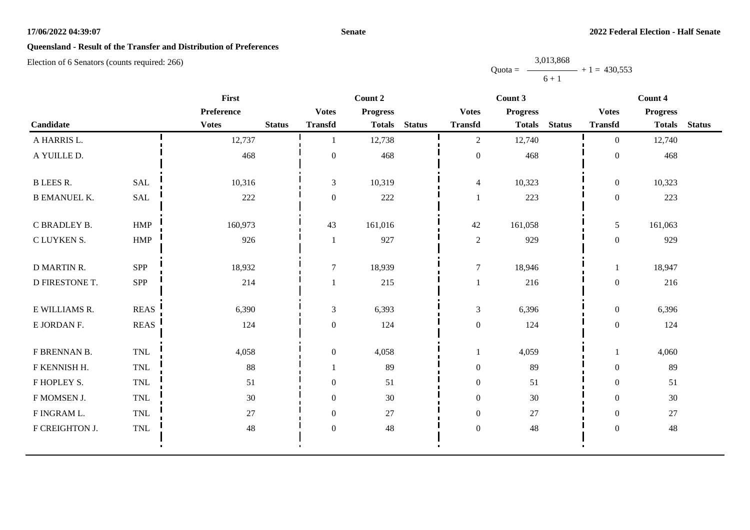#### **Senate**

# **Queensland - Result of the Transfer and Distribution of Preferences**

Election of 6 Senators (counts required: 266)

Quota = 3,013,868  $6 + 1$  $+ 1 = 430,553$ 

|                     | <b>First</b>                |              |               |                  | Count 2         |               |                  | Count 3         |               | Count 4          |                 |               |  |
|---------------------|-----------------------------|--------------|---------------|------------------|-----------------|---------------|------------------|-----------------|---------------|------------------|-----------------|---------------|--|
|                     |                             | Preference   |               | <b>Votes</b>     | <b>Progress</b> |               | <b>Votes</b>     | <b>Progress</b> |               | <b>Votes</b>     | <b>Progress</b> |               |  |
| Candidate           |                             | <b>Votes</b> | <b>Status</b> | <b>Transfd</b>   | <b>Totals</b>   | <b>Status</b> | <b>Transfd</b>   | <b>Totals</b>   | <b>Status</b> | <b>Transfd</b>   | <b>Totals</b>   | <b>Status</b> |  |
| A HARRIS L.         |                             | 12,737       |               |                  | 12,738          |               | 2                | 12,740          |               | $\overline{0}$   | 12,740          |               |  |
| A YUILLE D.         |                             | 468          |               | $\boldsymbol{0}$ | 468             |               | $\boldsymbol{0}$ | 468             |               | $\boldsymbol{0}$ | 468             |               |  |
| <b>B LEES R.</b>    | <b>SAL</b>                  | 10,316       |               | 3                | 10,319          |               | $\overline{4}$   | 10,323          |               | $\overline{0}$   | 10,323          |               |  |
| <b>B EMANUEL K.</b> | SAL                         | 222          |               | $\theta$         | 222             |               | 1                | 223             |               | $\overline{0}$   | 223             |               |  |
| C BRADLEY B.        | HMP                         | 160,973      |               | 43               | 161,016         |               | 42               | 161,058         |               | 5                | 161,063         |               |  |
| C LUYKEN S.         | HMP                         | 926          |               |                  | 927             |               | $\sqrt{2}$       | 929             |               | $\boldsymbol{0}$ | 929             |               |  |
| <b>D MARTIN R.</b>  | SPP                         | 18,932       |               | $\tau$           | 18,939          |               | $\overline{7}$   | 18,946          |               | 1                | 18,947          |               |  |
| D FIRESTONE T.      | SPP                         | 214          |               |                  | 215             |               | 1                | 216             |               | $\boldsymbol{0}$ | 216             |               |  |
| E WILLIAMS R.       | <b>REAS</b>                 | 6,390        |               | 3                | 6,393           |               | $\mathfrak{Z}$   | 6,396           |               | $\overline{0}$   | 6,396           |               |  |
| E JORDAN F.         | $\operatorname{REAS}$       | 124          |               | $\boldsymbol{0}$ | 124             |               | $\boldsymbol{0}$ | 124             |               | $\boldsymbol{0}$ | 124             |               |  |
| F BRENNAN B.        | TNL                         | 4,058        |               | $\mathbf{0}$     | 4,058           |               | 1                | 4,059           |               | 1                | 4,060           |               |  |
| F KENNISH H.        | $\ensuremath{\mathsf{TNL}}$ | 88           |               |                  | 89              |               | $\boldsymbol{0}$ | 89              |               | $\boldsymbol{0}$ | 89              |               |  |
| F HOPLEY S.         | $\ensuremath{\mathsf{TNL}}$ | 51           |               | $\boldsymbol{0}$ | 51              |               | $\boldsymbol{0}$ | 51              |               | $\overline{0}$   | 51              |               |  |
| F MOMSEN J.         | $\ensuremath{\mathsf{TNL}}$ | $30\,$       |               | $\mathbf{0}$     | 30              |               | $\boldsymbol{0}$ | 30              |               | $\overline{0}$   | 30              |               |  |
| F INGRAM L.         | TNL                         | $27\,$       |               | $\boldsymbol{0}$ | $27\,$          |               | $\boldsymbol{0}$ | 27              |               | $\overline{0}$   | 27              |               |  |
| F CREIGHTON J.      | TNL                         | 48           |               | $\boldsymbol{0}$ | 48              |               | $\boldsymbol{0}$ | 48              |               | $\boldsymbol{0}$ | 48              |               |  |
|                     |                             |              |               |                  |                 |               |                  |                 |               |                  |                 |               |  |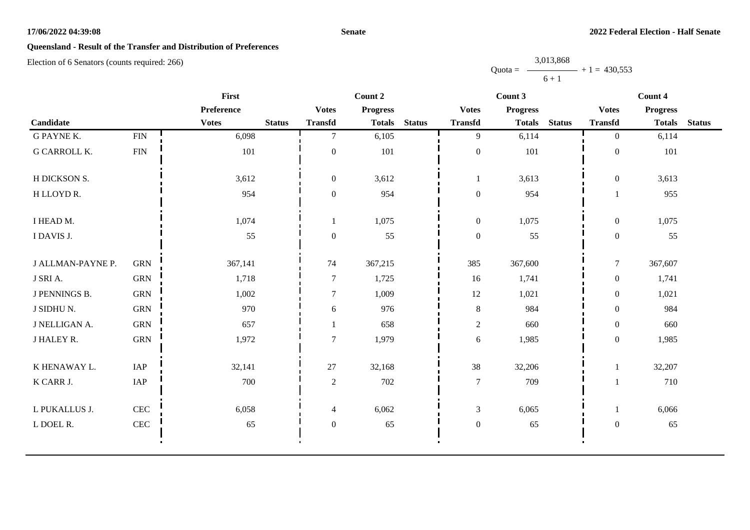#### **Senate**

# **Queensland - Result of the Transfer and Distribution of Preferences**

Election of 6 Senators (counts required: 266)

Quota =  $\longrightarrow$  + 1 = 430,553 3,013,868  $6 + 1$ 

|                      |             | First        |               |                  | Count 2         |               |                  | Count 3         |               |                  | Count 4         |               |
|----------------------|-------------|--------------|---------------|------------------|-----------------|---------------|------------------|-----------------|---------------|------------------|-----------------|---------------|
|                      |             | Preference   |               | <b>Votes</b>     | <b>Progress</b> |               | <b>Votes</b>     | <b>Progress</b> |               | <b>Votes</b>     | <b>Progress</b> |               |
| Candidate            |             | <b>Votes</b> | <b>Status</b> | <b>Transfd</b>   | <b>Totals</b>   | <b>Status</b> | <b>Transfd</b>   | <b>Totals</b>   | <b>Status</b> | <b>Transfd</b>   | <b>Totals</b>   | <b>Status</b> |
| <b>G PAYNE K.</b>    | ${\rm FIN}$ | 6,098        |               | $\tau$           | 6,105           |               | 9                | 6,114           |               | $\overline{0}$   | 6,114           |               |
| <b>G CARROLL K.</b>  | <b>FIN</b>  | 101          |               | $\boldsymbol{0}$ | 101             |               | $\boldsymbol{0}$ | 101             |               | $\boldsymbol{0}$ | 101             |               |
| H DICKSON S.         |             | 3,612        |               | $\boldsymbol{0}$ | 3,612           |               | 1                | 3,613           |               | $\boldsymbol{0}$ | 3,613           |               |
| H LLOYD R.           |             | 954          |               | $\boldsymbol{0}$ | 954             |               | $\boldsymbol{0}$ | 954             |               |                  | 955             |               |
| I HEAD M.            |             | 1,074        |               |                  | 1,075           |               | $\boldsymbol{0}$ | 1,075           |               | $\boldsymbol{0}$ | 1,075           |               |
| I DAVIS J.           |             | 55           |               | $\boldsymbol{0}$ | 55              |               | $\boldsymbol{0}$ | 55              |               | $\overline{0}$   | 55              |               |
| J ALLMAN-PAYNE P.    | <b>GRN</b>  | 367,141      |               | 74               | 367,215         |               | 385              | 367,600         |               | $\tau$           | 367,607         |               |
| J SRI A.             | <b>GRN</b>  | 1,718        |               | $\overline{7}$   | 1,725           |               | 16               | 1,741           |               | $\boldsymbol{0}$ | 1,741           |               |
| <b>J PENNINGS B.</b> | <b>GRN</b>  | 1,002        |               | $\overline{7}$   | 1,009           |               | 12               | 1,021           |               | $\overline{0}$   | 1,021           |               |
| J SIDHU N.           | <b>GRN</b>  | 970          |               | $6\,$            | 976             |               | $8\,$            | 984             |               | $\boldsymbol{0}$ | 984             |               |
| J NELLIGAN A.        | <b>GRN</b>  | 657          |               |                  | 658             |               | 2                | 660             |               | $\overline{0}$   | 660             |               |
| J HALEY R.           | <b>GRN</b>  | 1,972        |               | $\overline{7}$   | 1,979           |               | 6                | 1,985           |               | $\boldsymbol{0}$ | 1,985           |               |
| K HENAWAY L.         | IAP         | 32,141       |               | 27               | 32,168          |               | 38               | 32,206          |               |                  | 32,207          |               |
| K CARR J.            | IAP         | 700          |               | $\overline{2}$   | 702             |               | $\overline{7}$   | 709             |               |                  | 710             |               |
| L PUKALLUS J.        | <b>CEC</b>  | 6,058        |               | $\overline{4}$   | 6,062           |               | $\mathfrak{Z}$   | 6,065           |               |                  | 6,066           |               |
| L DOEL R.            | <b>CEC</b>  | 65           |               | $\boldsymbol{0}$ | 65              |               | $\boldsymbol{0}$ | 65              |               | $\boldsymbol{0}$ | 65              |               |
|                      |             |              |               |                  |                 |               |                  |                 |               |                  |                 |               |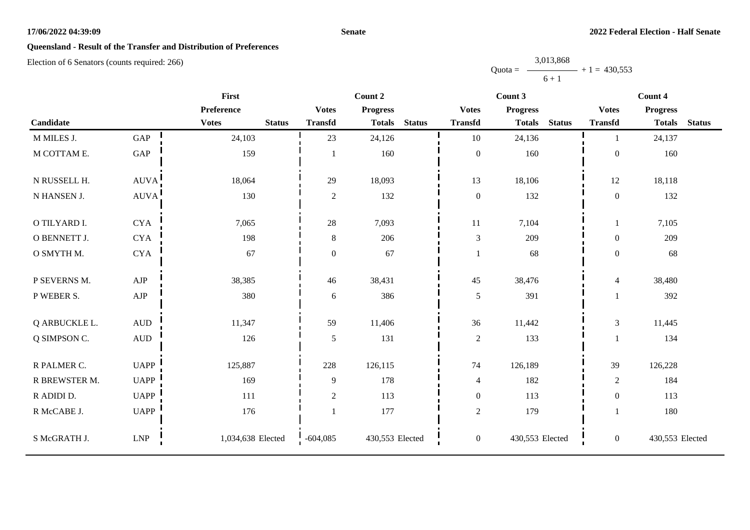#### **Senate**

# **Queensland - Result of the Transfer and Distribution of Preferences**

Election of 6 Senators (counts required: 266)

Quota = 3,013,868  $6 + 1$  $+ 1 = 430,553$ 

|               |                              | <b>First</b>                  |                  | Count 2         |               | Count 3          |                 |               | Count 4          |                 |               |
|---------------|------------------------------|-------------------------------|------------------|-----------------|---------------|------------------|-----------------|---------------|------------------|-----------------|---------------|
|               |                              | Preference                    | <b>Votes</b>     | <b>Progress</b> |               | <b>Votes</b>     | <b>Progress</b> |               | <b>Votes</b>     | <b>Progress</b> |               |
| Candidate     |                              | <b>Votes</b><br><b>Status</b> | <b>Transfd</b>   | <b>Totals</b>   | <b>Status</b> | <b>Transfd</b>   | <b>Totals</b>   | <b>Status</b> | <b>Transfd</b>   | <b>Totals</b>   | <b>Status</b> |
| M MILES J.    | GAP                          | 24,103                        | 23               | 24,126          |               | 10               | 24,136          |               | -1               | 24,137          |               |
| M COTTAM E.   | GAP                          | 159                           |                  | 160             |               | $\mathbf{0}$     | 160             |               | $\boldsymbol{0}$ | 160             |               |
| N RUSSELL H.  | <b>AUVA</b>                  | 18,064                        | 29               | 18,093          |               | 13               | 18,106          |               | 12               | 18,118          |               |
| N HANSEN J.   | AUVA!                        | 130                           | $\mathbf{2}$     | 132             |               | $\boldsymbol{0}$ | 132             |               | $\boldsymbol{0}$ | 132             |               |
| O TILYARD I.  | <b>CYA</b>                   | 7,065                         | $28\,$           | 7,093           |               | $11\,$           | 7,104           |               | 1                | 7,105           |               |
| O BENNETT J.  | <b>CYA</b>                   | 198                           | $8\,$            | 206             |               | $\sqrt{3}$       | 209             |               | $\overline{0}$   | 209             |               |
| O SMYTH M.    | <b>CYA</b>                   | 67                            | $\boldsymbol{0}$ | 67              |               | 1                | 68              |               | $\overline{0}$   | 68              |               |
| P SEVERNS M.  | ${\rm AJP}$                  | 38,385                        | 46               | 38,431          |               | 45               | 38,476          |               | $\overline{4}$   | 38,480          |               |
| P WEBER S.    | ${\rm AJP}$                  | 380                           | $\boldsymbol{6}$ | 386             |               | $\sqrt{5}$       | 391             |               | $\mathbf{1}$     | 392             |               |
| Q ARBUCKLE L. | $\mbox{\rm AUD}$             | 11,347                        | 59               | 11,406          |               | 36               | 11,442          |               | 3                | 11,445          |               |
| Q SIMPSON C.  | $\hbox{A}\mathrm{U}\hbox{D}$ | 126                           | 5                | 131             |               | $\overline{2}$   | 133             |               | $\mathbf{1}$     | 134             |               |
| R PALMER C.   | <b>UAPP</b>                  | 125,887                       | 228              | 126,115         |               | 74               | 126,189         |               | 39               | 126,228         |               |
| R BREWSTER M. | <b>UAPP</b>                  | 169                           | 9                | 178             |               | $\overline{4}$   | 182             |               | $\sqrt{2}$       | 184             |               |
| R ADIDI D.    | <b>UAPP</b>                  | 111                           | $\mathbf{2}$     | 113             |               | $\boldsymbol{0}$ | 113             |               | $\boldsymbol{0}$ | 113             |               |
| R McCABE J.   | <b>UAPP</b>                  | 176                           |                  | 177             |               | $\sqrt{2}$       | 179             |               | $\mathbf{1}$     | 180             |               |
| S McGRATH J.  | ${\rm LNP}$                  | 1,034,638 Elected             | $-604,085$       | 430,553 Elected |               | $\boldsymbol{0}$ | 430,553 Elected |               | $\overline{0}$   | 430,553 Elected |               |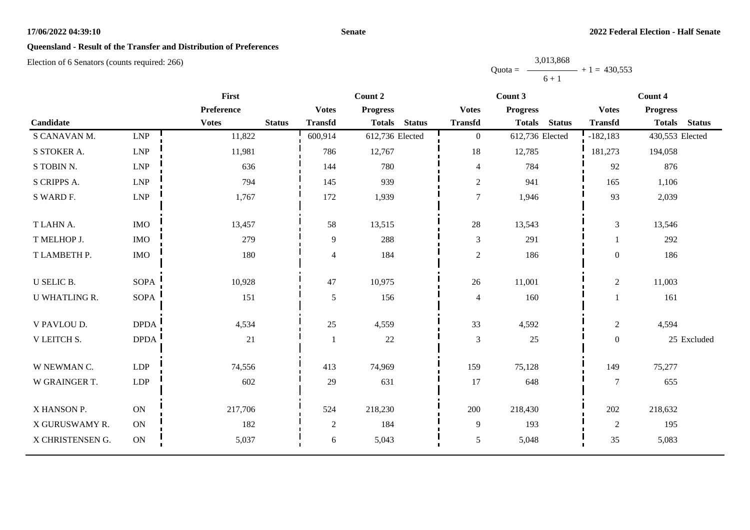#### **Senate**

# **Queensland - Result of the Transfer and Distribution of Preferences**

|           | 3,013,868 |                |
|-----------|-----------|----------------|
| $Quota =$ |           | $+1 = 430,553$ |
|           | $6 + 1$   |                |

|                      |             | <b>First</b>                  |                | Count 2                        |                | Count 3                        |                | Count 4                        |  |  |
|----------------------|-------------|-------------------------------|----------------|--------------------------------|----------------|--------------------------------|----------------|--------------------------------|--|--|
|                      |             | Preference                    | <b>Votes</b>   | <b>Progress</b>                | <b>Votes</b>   | <b>Progress</b>                | <b>Votes</b>   | <b>Progress</b>                |  |  |
| Candidate            |             | <b>Votes</b><br><b>Status</b> | <b>Transfd</b> | <b>Status</b><br><b>Totals</b> | <b>Transfd</b> | <b>Status</b><br><b>Totals</b> | <b>Transfd</b> | <b>Totals</b><br><b>Status</b> |  |  |
| S CANAVAN M.         | <b>LNP</b>  | 11,822                        | 600,914        | 612,736 Elected                | $\overline{0}$ | 612,736 Elected                | $-182, 183$    | 430,553 Elected                |  |  |
| S STOKER A.          | <b>LNP</b>  | 11,981                        | 786            | 12,767                         | 18             | 12,785                         | 181,273        | 194,058                        |  |  |
| S TOBIN N.           | <b>LNP</b>  | 636                           | 144            | 780                            | $\overline{4}$ | 784                            | 92             | 876                            |  |  |
| S CRIPPS A.          | LNP         | 794                           | 145            | 939                            | $\sqrt{2}$     | 941                            | 165            | 1,106                          |  |  |
| S WARD F.            | <b>LNP</b>  | 1,767                         | 172            | 1,939                          | $\overline{7}$ | 1,946                          | 93             | 2,039                          |  |  |
| T LAHN A.            | <b>IMO</b>  | 13,457                        | 58             | 13,515                         | 28             | 13,543                         | $\mathfrak{Z}$ | 13,546                         |  |  |
| T MELHOP J.          | $\rm{IMO}$  | 279                           | 9              | 288                            | $\mathfrak{Z}$ | 291                            |                | 292                            |  |  |
| T LAMBETH P.         | $\rm{IMO}$  | 180                           | 4              | 184                            | $\mathbf{2}$   | 186                            | $\mathbf{0}$   | 186                            |  |  |
| <b>U SELIC B.</b>    | <b>SOPA</b> | 10,928                        | 47             | 10,975                         | 26             | 11,001                         | $\overline{2}$ | 11,003                         |  |  |
| <b>U WHATLING R.</b> | <b>SOPA</b> | 151                           | 5              | 156                            | $\overline{4}$ | 160                            |                | 161                            |  |  |
| V PAVLOU D.          | <b>DPDA</b> | 4,534                         | 25             | 4,559                          | 33             | 4,592                          | $\overline{2}$ | 4,594                          |  |  |
| V LEITCH S.          | <b>DPDA</b> | 21                            |                | 22                             | $\mathfrak{Z}$ | 25                             | $\overline{0}$ | 25 Excluded                    |  |  |
| W NEWMAN C.          | <b>LDP</b>  | 74,556                        | 413            | 74,969                         | 159            | 75,128                         | 149            | 75,277                         |  |  |
| W GRAINGER T.        | <b>LDP</b>  | 602                           | 29             | 631                            | 17             | 648                            | $\tau$         | 655                            |  |  |
| X HANSON P.          | <b>ON</b>   | 217,706                       | 524            | 218,230                        | 200            | 218,430                        | 202            | 218,632                        |  |  |
| X GURUSWAMY R.       | <b>ON</b>   | 182                           | $\overline{2}$ | 184                            | $\overline{9}$ | 193                            | $\overline{2}$ | 195                            |  |  |
| X CHRISTENSEN G.     | $\mbox{ON}$ | 5,037                         | 6              | 5,043                          | $\mathfrak{S}$ | 5,048                          | 35             | 5,083                          |  |  |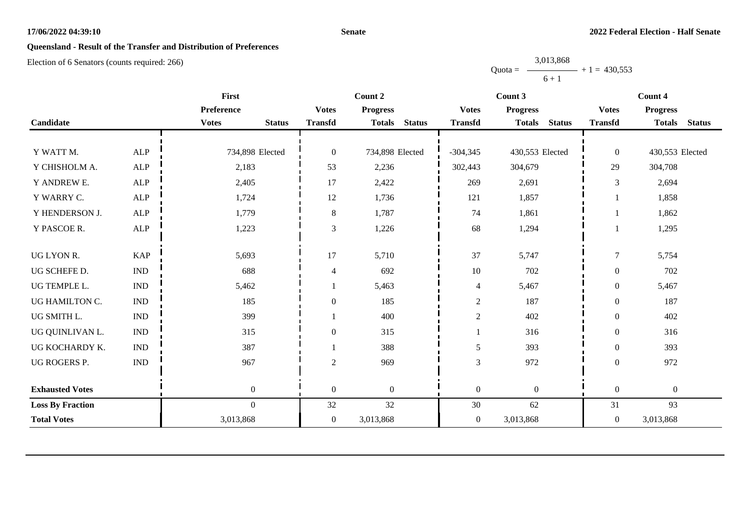#### **Senate**

# **Queensland - Result of the Transfer and Distribution of Preferences**

Election of 6 Senators (counts required: 266)

Quota =  $\longrightarrow$  + 1 = 430,553 3,013,868  $6 + 1$ 

|                         |                             | First                         |                  | Count 2                        |                  | Count 3                        | Count 4          |                                |  |
|-------------------------|-----------------------------|-------------------------------|------------------|--------------------------------|------------------|--------------------------------|------------------|--------------------------------|--|
|                         |                             | Preference                    | <b>Votes</b>     | <b>Progress</b>                | <b>Votes</b>     | <b>Progress</b>                | <b>Votes</b>     | <b>Progress</b>                |  |
| Candidate               |                             | <b>Votes</b><br><b>Status</b> | <b>Transfd</b>   | <b>Status</b><br><b>Totals</b> | <b>Transfd</b>   | <b>Totals</b><br><b>Status</b> | <b>Transfd</b>   | <b>Totals</b><br><b>Status</b> |  |
|                         |                             |                               |                  |                                |                  |                                |                  |                                |  |
| Y WATT M.               | <b>ALP</b>                  | 734,898 Elected               | $\boldsymbol{0}$ | 734,898 Elected                | $-304,345$       | 430,553 Elected                | $\boldsymbol{0}$ | 430,553 Elected                |  |
| Y CHISHOLM A.           | <b>ALP</b>                  | 2,183                         | 53               | 2,236                          | 302,443          | 304,679                        | 29               | 304,708                        |  |
| Y ANDREW E.             | ALP                         | 2,405                         | 17               | 2,422                          | 269              | 2,691                          | 3                | 2,694                          |  |
| Y WARRY C.              | <b>ALP</b>                  | 1,724                         | 12               | 1,736                          | 121              | 1,857                          |                  | 1,858                          |  |
| Y HENDERSON J.          | ALP                         | 1,779                         | $\,8\,$          | 1,787                          | 74               | 1,861                          |                  | 1,862                          |  |
| Y PASCOE R.             | ALP                         | 1,223                         | 3                | 1,226                          | 68               | 1,294                          |                  | 1,295                          |  |
| UG LYON R.              | <b>KAP</b>                  | 5,693                         | 17               | 5,710                          | 37               | 5,747                          | $\tau$           | 5,754                          |  |
| UG SCHEFE D.            | <b>IND</b>                  | 688                           | $\overline{4}$   | 692                            | $10\,$           | 702                            | $\boldsymbol{0}$ | 702                            |  |
| UG TEMPLE L.            | $\ensuremath{\text{IND}}$   | 5,462                         |                  | 5,463                          | $\overline{4}$   | 5,467                          | $\mathbf{0}$     | 5,467                          |  |
| UG HAMILTON C.          | <b>IND</b>                  | 185                           | $\boldsymbol{0}$ | 185                            | $\overline{c}$   | 187                            | $\theta$         | 187                            |  |
| UG SMITH L.             | $\mathop{\rm IND}\nolimits$ | 399                           |                  | 400                            | $\overline{c}$   | 402                            | $\theta$         | 402                            |  |
| UG QUINLIVAN L.         | <b>IND</b>                  | 315                           | $\boldsymbol{0}$ | 315                            |                  | 316                            | $\boldsymbol{0}$ | 316                            |  |
| UG KOCHARDY K.          | <b>IND</b>                  | 387                           |                  | 388                            | 5                | 393                            | $\theta$         | 393                            |  |
| UG ROGERS P.            | $\mathop{\rm IND}\nolimits$ | 967                           | $\overline{2}$   | 969                            | $\mathfrak{Z}$   | 972                            | $\boldsymbol{0}$ | 972                            |  |
| <b>Exhausted Votes</b>  |                             | $\boldsymbol{0}$              | $\mathbf{0}$     | $\overline{0}$                 | $\boldsymbol{0}$ | $\boldsymbol{0}$               | $\boldsymbol{0}$ | $\boldsymbol{0}$               |  |
| <b>Loss By Fraction</b> |                             | $\Omega$                      | 32               | 32                             | $30\,$           | 62                             | 31               | 93                             |  |
| <b>Total Votes</b>      |                             | 3,013,868                     | $\boldsymbol{0}$ | 3,013,868                      | $\boldsymbol{0}$ | 3,013,868                      | $\overline{0}$   | 3,013,868                      |  |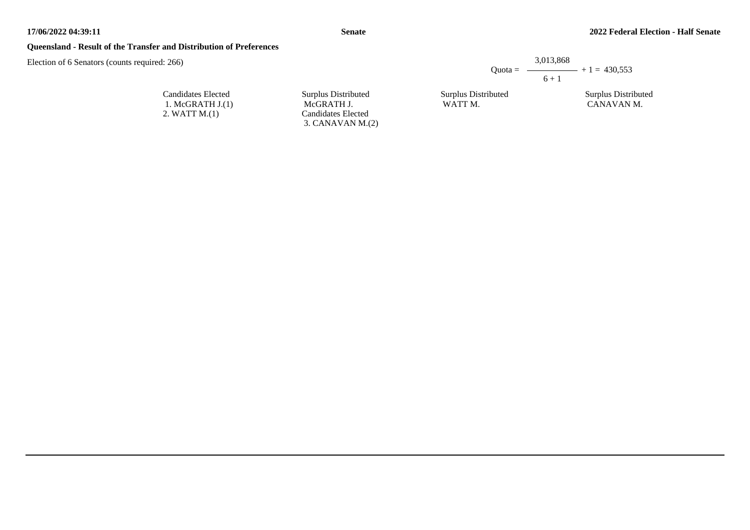#### **Queensland - Result of the Transfer and Distribution of Preferences**

Election of 6 Senators (counts required: 266)

| Ouota $=$           | 3.013.868 | $ +1 = 430.553$    |
|---------------------|-----------|--------------------|
|                     | $6 + 1$   |                    |
| Surplus Distributed |           | Surplus Distribute |

Surplus Distributed WATT M.

Surplus Distributed CANAVAN M.

Candidates Elected 1. McGRATH J.(1) 2. WATT M.(1)

Surplus Distributed McGRATH J. Candidates Elected 3. CANAVAN M.(2)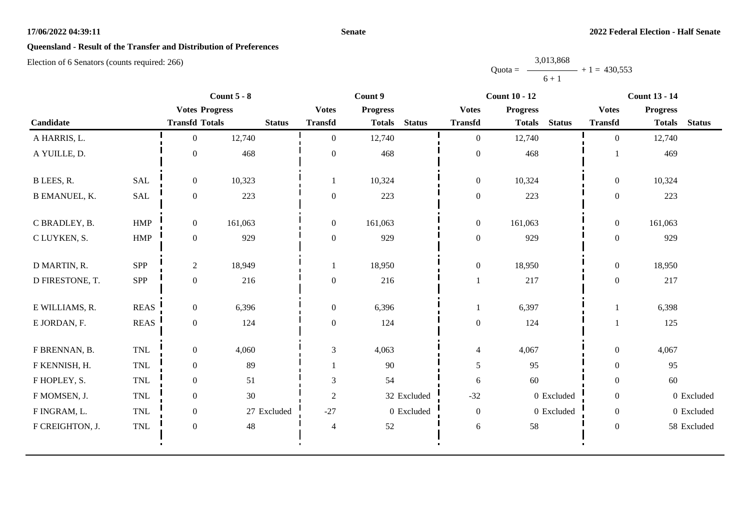#### **Senate**

# **Queensland - Result of the Transfer and Distribution of Preferences**

|           | 3,013,868 |                   |
|-----------|-----------|-------------------|
| $Quota =$ |           | $-$ + 1 = 430,553 |
|           | $6 + 1$   |                   |

|                      |             | Count $5 - 8$         |               |                  | Count 9         |               |                  | <b>Count 10 - 12</b>           |                  | <b>Count 13 - 14</b> |               |
|----------------------|-------------|-----------------------|---------------|------------------|-----------------|---------------|------------------|--------------------------------|------------------|----------------------|---------------|
|                      |             | <b>Votes Progress</b> |               | <b>Votes</b>     | <b>Progress</b> |               | <b>Votes</b>     | <b>Progress</b>                | <b>Votes</b>     | <b>Progress</b>      |               |
| Candidate            |             | <b>Transfd Totals</b> | <b>Status</b> | <b>Transfd</b>   | <b>Totals</b>   | <b>Status</b> | <b>Transfd</b>   | <b>Status</b><br><b>Totals</b> | <b>Transfd</b>   | <b>Totals</b>        | <b>Status</b> |
| A HARRIS, L.         |             | $\overline{0}$        | 12,740        | $\mathbf{0}$     | 12,740          |               | $\overline{0}$   | 12,740                         | $\overline{0}$   | 12,740               |               |
| A YUILLE, D.         |             | $\mathbf{0}$          | 468           | $\mathbf{0}$     | 468             |               | $\boldsymbol{0}$ | 468                            |                  | 469                  |               |
| B LEES, R.           | <b>SAL</b>  | $\boldsymbol{0}$      | 10,323        | -1               | 10,324          |               | $\boldsymbol{0}$ | 10,324                         | $\theta$         | 10,324               |               |
| <b>B EMANUEL, K.</b> | SAL         | $\boldsymbol{0}$      | 223           | $\boldsymbol{0}$ | 223             |               | $\boldsymbol{0}$ | 223                            | $\theta$         | 223                  |               |
| C BRADLEY, B.        | <b>HMP</b>  | $\boldsymbol{0}$      | 161,063       | $\boldsymbol{0}$ | 161,063         |               | $\boldsymbol{0}$ | 161,063                        | $\overline{0}$   | 161,063              |               |
| C LUYKEN, S.         | <b>HMP</b>  | $\overline{0}$        | 929           | $\boldsymbol{0}$ | 929             |               | $\boldsymbol{0}$ | 929                            | $\theta$         | 929                  |               |
| D MARTIN, R.         | SPP         | $\overline{2}$        | 18,949        |                  | 18,950          |               | $\boldsymbol{0}$ | 18,950                         | $\boldsymbol{0}$ | 18,950               |               |
| D FIRESTONE, T.      | SPP         | $\boldsymbol{0}$      | 216           | $\boldsymbol{0}$ | 216             |               | -1               | 217                            | $\boldsymbol{0}$ | 217                  |               |
| E WILLIAMS, R.       | <b>REAS</b> | $\boldsymbol{0}$      | 6,396         | $\boldsymbol{0}$ | 6,396           |               |                  | 6,397                          |                  | 6,398                |               |
| E JORDAN, F.         | <b>REAS</b> | $\boldsymbol{0}$      | 124           | $\boldsymbol{0}$ | 124             |               | $\boldsymbol{0}$ | 124                            |                  | 125                  |               |
| F BRENNAN, B.        | <b>TNL</b>  | $\boldsymbol{0}$      | 4,060         | $\mathfrak{Z}$   | 4,063           |               | $\overline{4}$   | 4,067                          | $\boldsymbol{0}$ | 4,067                |               |
| F KENNISH, H.        | <b>TNL</b>  | $\boldsymbol{0}$      | 89            |                  | 90              |               | $\mathfrak{S}$   | 95                             | $\theta$         | 95                   |               |
| F HOPLEY, S.         | <b>TNL</b>  | $\boldsymbol{0}$      | 51            | $\mathfrak{Z}$   | 54              |               | $\sqrt{6}$       | 60                             | $\theta$         | 60                   |               |
| F MOMSEN, J.         | <b>TNL</b>  | $\overline{0}$        | 30            | $\overline{c}$   |                 | 32 Excluded   | $-32$            | 0 Excluded                     | $\theta$         |                      | 0 Excluded    |
| F INGRAM, L.         | <b>TNL</b>  | $\boldsymbol{0}$      | 27 Excluded   | $-27$            |                 | 0 Excluded    | $\boldsymbol{0}$ | 0 Excluded                     | $\overline{0}$   |                      | 0 Excluded    |
| F CREIGHTON, J.      | <b>TNL</b>  | $\boldsymbol{0}$      | 48            | $\overline{4}$   | 52              |               | $\boldsymbol{6}$ | 58                             | $\theta$         |                      | 58 Excluded   |
|                      |             |                       |               |                  |                 |               |                  |                                |                  |                      |               |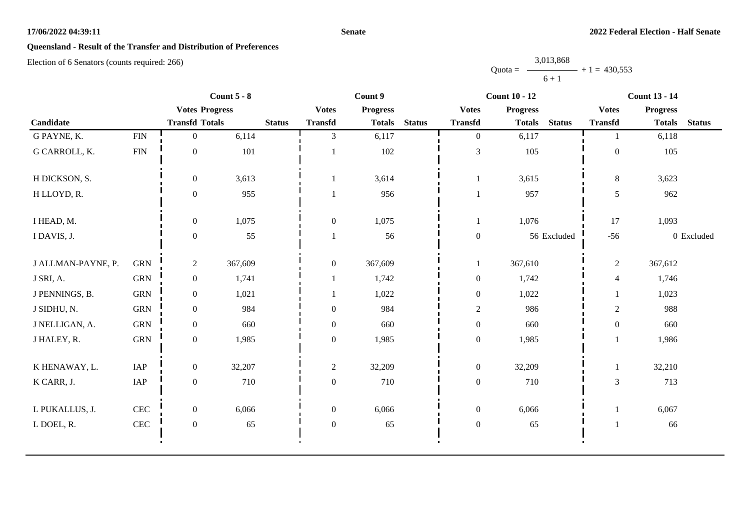#### **Senate**

# **Queensland - Result of the Transfer and Distribution of Preferences**

|           | 3,013,868 |                   |
|-----------|-----------|-------------------|
| $Quota =$ |           | $-$ + 1 = 430,553 |
|           | $6 + 1$   |                   |

|                    | Count $5 - 8$ |                       | Count 9 |               |                  | <b>Count 10 - 12</b> |               |                  | <b>Count 13 - 14</b> |               |                  |                 |               |
|--------------------|---------------|-----------------------|---------|---------------|------------------|----------------------|---------------|------------------|----------------------|---------------|------------------|-----------------|---------------|
|                    |               | <b>Votes Progress</b> |         |               | <b>Votes</b>     | <b>Progress</b>      |               | <b>Votes</b>     | <b>Progress</b>      |               | <b>Votes</b>     | <b>Progress</b> |               |
| Candidate          |               | <b>Transfd Totals</b> |         | <b>Status</b> | <b>Transfd</b>   | <b>Totals</b>        | <b>Status</b> | <b>Transfd</b>   | <b>Totals</b>        | <b>Status</b> | <b>Transfd</b>   | <b>Totals</b>   | <b>Status</b> |
| G PAYNE, K.        | ${\rm FIN}$   | $\overline{0}$        | 6,114   |               | 3                | 6,117                |               | $\overline{0}$   | 6,117                |               | $\mathbf{1}$     | 6,118           |               |
| G CARROLL, K.      | <b>FIN</b>    | $\mathbf{0}$          | 101     |               |                  | 102                  |               | $\mathfrak{Z}$   | 105                  |               | $\boldsymbol{0}$ | 105             |               |
| H DICKSON, S.      |               | $\overline{0}$        | 3,613   |               |                  | 3,614                |               | $\mathbf{1}$     | 3,615                |               | $8\,$            | 3,623           |               |
| H LLOYD, R.        |               | $\theta$              | 955     |               |                  | 956                  |               | 1                | 957                  |               | 5                | 962             |               |
| I HEAD, M.         |               | $\mathbf{0}$          | 1,075   |               | $\boldsymbol{0}$ | 1,075                |               | $\mathbf{1}$     | 1,076                |               | 17               | 1,093           |               |
| I DAVIS, J.        |               | $\overline{0}$        | 55      |               |                  | 56                   |               | $\boldsymbol{0}$ |                      | 56 Excluded   | $-56$            |                 | 0 Excluded    |
| J ALLMAN-PAYNE, P. | <b>GRN</b>    | $\overline{2}$        | 367,609 |               | $\mathbf{0}$     | 367,609              |               | $\mathbf{1}$     | 367,610              |               | $\overline{2}$   | 367,612         |               |
| J SRI, A.          | <b>GRN</b>    | $\overline{0}$        | 1,741   |               |                  | 1,742                |               | $\boldsymbol{0}$ | 1,742                |               | 4                | 1,746           |               |
| J PENNINGS, B.     | <b>GRN</b>    | $\overline{0}$        | 1,021   |               |                  | 1,022                |               | $\boldsymbol{0}$ | 1,022                |               | $\mathbf{1}$     | 1,023           |               |
| J SIDHU, N.        | <b>GRN</b>    | $\overline{0}$        | 984     |               | $\mathbf{0}$     | 984                  |               | $\mathbf{2}$     | 986                  |               | $\mathbf{2}$     | 988             |               |
| J NELLIGAN, A.     | <b>GRN</b>    | $\overline{0}$        | 660     |               | $\mathbf{0}$     | 660                  |               | $\boldsymbol{0}$ | 660                  |               | $\boldsymbol{0}$ | 660             |               |
| J HALEY, R.        | <b>GRN</b>    | $\overline{0}$        | 1,985   |               | $\boldsymbol{0}$ | 1,985                |               | $\boldsymbol{0}$ | 1,985                |               | $\mathbf{1}$     | 1,986           |               |
| K HENAWAY, L.      | IAP           | $\overline{0}$        | 32,207  |               | $\overline{2}$   | 32,209               |               | $\boldsymbol{0}$ | 32,209               |               | $\mathbf{1}$     | 32,210          |               |
| K CARR, J.         | IAP           | $\overline{0}$        | 710     |               | $\mathbf{0}$     | 710                  |               | $\boldsymbol{0}$ | 710                  |               | 3                | 713             |               |
| L PUKALLUS, J.     | $\mbox{CEC}$  | $\overline{0}$        | 6,066   |               | $\overline{0}$   | 6,066                |               | $\boldsymbol{0}$ | 6,066                |               |                  | 6,067           |               |
| L DOEL, R.         | $\mbox{CEC}$  | $\overline{0}$        | 65      |               | $\boldsymbol{0}$ | 65                   |               | $\boldsymbol{0}$ | 65                   |               |                  | 66              |               |
|                    |               |                       |         |               |                  |                      |               |                  |                      |               |                  |                 |               |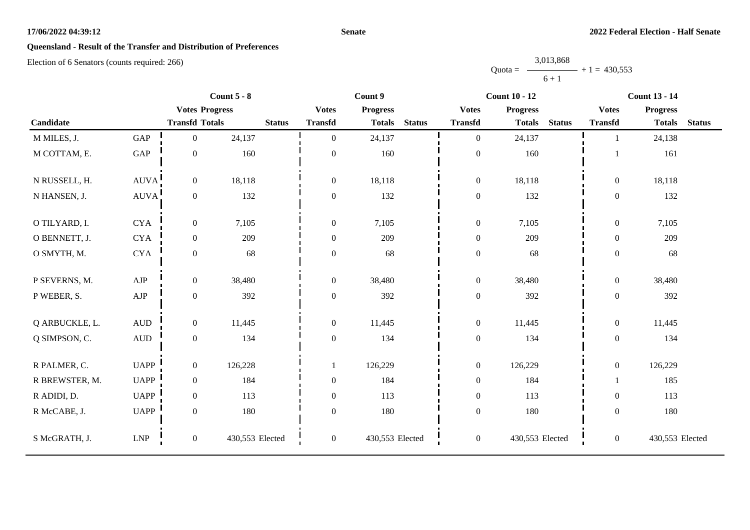#### **Senate**

# **Queensland - Result of the Transfer and Distribution of Preferences**

|           | 3,013,868 |                |
|-----------|-----------|----------------|
| $Quota =$ |           | $+1 = 430,553$ |
|           | $6 + 1$   |                |

|                |                             |                       | Count $5 - 8$   |                  | Count 9         |               |                  | <b>Count 10 - 12</b> |               |                  | <b>Count 13 - 14</b> |               |
|----------------|-----------------------------|-----------------------|-----------------|------------------|-----------------|---------------|------------------|----------------------|---------------|------------------|----------------------|---------------|
|                |                             | <b>Votes Progress</b> |                 | <b>Votes</b>     | <b>Progress</b> |               | <b>Votes</b>     | <b>Progress</b>      |               | <b>Votes</b>     | <b>Progress</b>      |               |
| Candidate      |                             | <b>Transfd Totals</b> | <b>Status</b>   | <b>Transfd</b>   | <b>Totals</b>   | <b>Status</b> | <b>Transfd</b>   | <b>Totals</b>        | <b>Status</b> | <b>Transfd</b>   | <b>Totals</b>        | <b>Status</b> |
| M MILES, J.    | GAP                         | $\overline{0}$        | 24,137          | $\overline{0}$   | 24,137          |               | $\overline{0}$   | 24,137               |               |                  | 24,138               |               |
| M COTTAM, E.   | GAP                         | $\boldsymbol{0}$      | 160             | $\overline{0}$   | 160             |               | $\boldsymbol{0}$ | 160                  |               |                  | 161                  |               |
| N RUSSELL, H.  | AUVA!                       | $\boldsymbol{0}$      | 18,118          | $\overline{0}$   | 18,118          |               | $\boldsymbol{0}$ | 18,118               |               | $\boldsymbol{0}$ | 18,118               |               |
| N HANSEN, J.   | AUVA                        | $\boldsymbol{0}$      | 132             | $\overline{0}$   | 132             |               | $\boldsymbol{0}$ | 132                  |               | $\overline{0}$   | 132                  |               |
| O TILYARD, I.  | <b>CYA</b>                  | $\boldsymbol{0}$      | 7,105           | $\boldsymbol{0}$ | 7,105           |               | $\mathbf{0}$     | 7,105                |               | $\boldsymbol{0}$ | 7,105                |               |
| O BENNETT, J.  | <b>CYA</b>                  | $\boldsymbol{0}$      | 209             | $\overline{0}$   | 209             |               | $\mathbf{0}$     | 209                  |               | $\overline{0}$   | 209                  |               |
| O SMYTH, M.    | <b>CYA</b>                  | $\mathbf{0}$          | 68              | $\boldsymbol{0}$ | 68              |               | $\boldsymbol{0}$ | 68                   |               | $\overline{0}$   | 68                   |               |
| P SEVERNS, M.  | ${\rm AJP}$                 | $\boldsymbol{0}$      | 38,480          | $\mathbf{0}$     | 38,480          |               | $\boldsymbol{0}$ | 38,480               |               | $\boldsymbol{0}$ | 38,480               |               |
| P WEBER, S.    | ${\rm AJP}$                 | $\boldsymbol{0}$      | 392             | $\boldsymbol{0}$ | 392             |               | $\boldsymbol{0}$ | 392                  |               | $\boldsymbol{0}$ | 392                  |               |
| Q ARBUCKLE, L. | $\mbox{\rm AUD}$            | $\boldsymbol{0}$      | 11,445          | $\overline{0}$   | 11,445          |               | $\mathbf{0}$     | 11,445               |               | $\overline{0}$   | 11,445               |               |
| Q SIMPSON, C.  | $\hbox{AUD}$                | $\boldsymbol{0}$      | 134             | $\boldsymbol{0}$ | 134             |               | $\boldsymbol{0}$ | 134                  |               | $\boldsymbol{0}$ | 134                  |               |
| R PALMER, C.   | <b>UAPP</b>                 | $\boldsymbol{0}$      | 126,228         |                  | 126,229         |               | $\boldsymbol{0}$ | 126,229              |               | $\boldsymbol{0}$ | 126,229              |               |
| R BREWSTER, M. | <b>UAPP</b>                 | $\overline{0}$        | 184             | $\boldsymbol{0}$ | 184             |               | $\boldsymbol{0}$ | 184                  |               |                  | 185                  |               |
| R ADIDI, D.    | <b>UAPP</b>                 | $\boldsymbol{0}$      | 113             | 0                | 113             |               | $\mathbf{0}$     | 113                  |               | $\overline{0}$   | 113                  |               |
| R McCABE, J.   | <b>UAPP</b>                 | $\boldsymbol{0}$      | 180             | $\boldsymbol{0}$ | 180             |               | $\boldsymbol{0}$ | 180                  |               | $\boldsymbol{0}$ | 180                  |               |
| S McGRATH, J.  | $\ensuremath{\mathrm{LNP}}$ | $\boldsymbol{0}$      | 430,553 Elected | $\mathbf{0}$     | 430,553 Elected |               | $\boldsymbol{0}$ | 430,553 Elected      |               | $\boldsymbol{0}$ | 430,553 Elected      |               |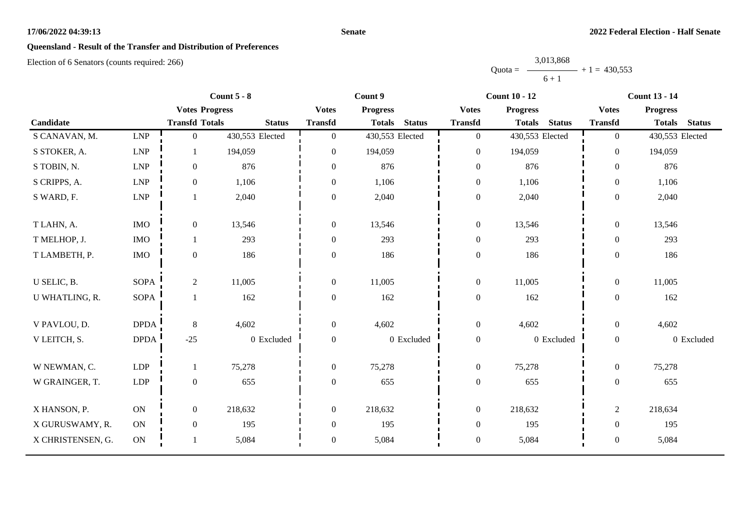#### **Senate**

# **Queensland - Result of the Transfer and Distribution of Preferences**

|           | 3,013,868 |                |
|-----------|-----------|----------------|
| $Quota =$ |           | $+1 = 430,553$ |
|           | $6 + 1$   |                |

|                   |                             |                       | Count $5 - 8$   | Count 9          |                 |               | <b>Count 10 - 12</b> |                 |               | <b>Count 13 - 14</b> |                 |               |
|-------------------|-----------------------------|-----------------------|-----------------|------------------|-----------------|---------------|----------------------|-----------------|---------------|----------------------|-----------------|---------------|
|                   |                             | <b>Votes Progress</b> |                 | <b>Votes</b>     | <b>Progress</b> |               | <b>Votes</b>         | <b>Progress</b> |               | <b>Votes</b>         | <b>Progress</b> |               |
| Candidate         |                             | <b>Transfd Totals</b> | <b>Status</b>   | <b>Transfd</b>   | <b>Totals</b>   | <b>Status</b> | <b>Transfd</b>       | <b>Totals</b>   | <b>Status</b> | <b>Transfd</b>       | <b>Totals</b>   | <b>Status</b> |
| S CANAVAN, M.     | LNP                         | $\mathbf{0}$          | 430,553 Elected | $\overline{0}$   | 430,553 Elected |               | $\boldsymbol{0}$     | 430,553 Elected |               | $\overline{0}$       | 430,553 Elected |               |
| S STOKER, A.      | $\ensuremath{\mathrm{LNP}}$ | 1                     | 194,059         | $\mathbf{0}$     | 194,059         |               | $\boldsymbol{0}$     | 194,059         |               | $\overline{0}$       | 194,059         |               |
| S TOBIN, N.       | $\ensuremath{\mathrm{LNP}}$ | $\mathbf{0}$          | 876             | $\boldsymbol{0}$ | 876             |               | $\boldsymbol{0}$     | 876             |               | $\boldsymbol{0}$     | 876             |               |
| S CRIPPS, A.      | $\ensuremath{\mathrm{LNP}}$ | $\mathbf{0}$          | 1,106           | $\theta$         | 1,106           |               | $\boldsymbol{0}$     | 1,106           |               | $\mathbf{0}$         | 1,106           |               |
| S WARD, F.        | LNP                         |                       | 2,040           | $\boldsymbol{0}$ | 2,040           |               | $\boldsymbol{0}$     | 2,040           |               | $\mathbf{0}$         | 2,040           |               |
| T LAHN, A.        | $\rm{IMO}$                  | $\mathbf{0}$          | 13,546          | $\boldsymbol{0}$ | 13,546          |               | $\boldsymbol{0}$     | 13,546          |               | $\overline{0}$       | 13,546          |               |
| T MELHOP, J.      | <b>IMO</b>                  | 1                     | 293             | $\mathbf{0}$     | 293             |               | $\boldsymbol{0}$     | 293             |               | $\overline{0}$       | 293             |               |
| T LAMBETH, P.     | $\rm{IMO}$                  | $\boldsymbol{0}$      | 186             | $\theta$         | 186             |               | $\boldsymbol{0}$     | 186             |               | $\overline{0}$       | 186             |               |
| U SELIC, B.       | <b>SOPA</b>                 | 2                     | 11,005          | $\boldsymbol{0}$ | 11,005          |               | $\boldsymbol{0}$     | 11,005          |               | $\overline{0}$       | 11,005          |               |
| U WHATLING, R.    | <b>SOPA</b>                 | 1                     | 162             | $\boldsymbol{0}$ | 162             |               | $\boldsymbol{0}$     | 162             |               | $\overline{0}$       | 162             |               |
| V PAVLOU, D.      | <b>DPDA</b>                 | $8\,$                 | 4,602           | $\mathbf{0}$     | 4,602           |               | $\boldsymbol{0}$     | 4,602           |               | $\overline{0}$       | 4,602           |               |
| V LEITCH, S.      | <b>DPDA</b>                 | $-25$                 | 0 Excluded      | $\mathbf{0}$     |                 | 0 Excluded    | $\boldsymbol{0}$     |                 | 0 Excluded    | $\overline{0}$       |                 | 0 Excluded    |
| W NEWMAN, C.      | <b>LDP</b>                  | 1                     | 75,278          | $\overline{0}$   | 75,278          |               | $\mathbf{0}$         | 75,278          |               | $\overline{0}$       | 75,278          |               |
| W GRAINGER, T.    | LDP                         | $\boldsymbol{0}$      | 655             | $\boldsymbol{0}$ | 655             |               | $\boldsymbol{0}$     | 655             |               | $\mathbf{0}$         | 655             |               |
| X HANSON, P.      | ON                          | $\boldsymbol{0}$      | 218,632         | $\boldsymbol{0}$ | 218,632         |               | $\boldsymbol{0}$     | 218,632         |               | $\overline{c}$       | 218,634         |               |
| X GURUSWAMY, R.   | <b>ON</b>                   | $\mathbf{0}$          | 195             | $\boldsymbol{0}$ | 195             |               | $\boldsymbol{0}$     | 195             |               | $\overline{0}$       | 195             |               |
| X CHRISTENSEN, G. | $\mathbf{ON}$               |                       | 5,084           | $\boldsymbol{0}$ | 5,084           |               | $\boldsymbol{0}$     | 5,084           |               | $\boldsymbol{0}$     | 5,084           |               |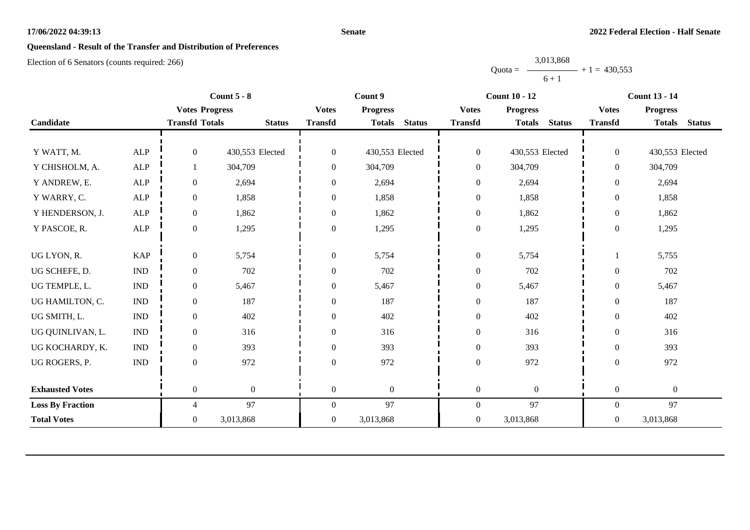#### **Senate**

# **Queensland - Result of the Transfer and Distribution of Preferences**

Election of 6 Senators (counts required: 266)

Quota = 3,013,868  $6 + 1$  $+ 1 = 430,553$ 

|                         |                           |                       | Count $5 - 8$    |                  | Count 9                        |                  | <b>Count 10 - 12</b>           | <b>Count 13 - 14</b> |                                |  |
|-------------------------|---------------------------|-----------------------|------------------|------------------|--------------------------------|------------------|--------------------------------|----------------------|--------------------------------|--|
|                         |                           | <b>Votes Progress</b> |                  | <b>Votes</b>     | <b>Progress</b>                | <b>Votes</b>     | <b>Progress</b>                | <b>Votes</b>         | <b>Progress</b>                |  |
| Candidate               |                           | <b>Transfd Totals</b> | <b>Status</b>    | <b>Transfd</b>   | <b>Status</b><br><b>Totals</b> | <b>Transfd</b>   | <b>Totals</b><br><b>Status</b> | <b>Transfd</b>       | <b>Totals</b><br><b>Status</b> |  |
|                         |                           |                       |                  |                  |                                |                  |                                |                      |                                |  |
| Y WATT, M.              | <b>ALP</b>                | $\overline{0}$        | 430,553 Elected  | $\boldsymbol{0}$ | 430,553 Elected                | $\boldsymbol{0}$ | 430,553 Elected                | $\overline{0}$       | 430,553 Elected                |  |
| Y CHISHOLM, A.          | ${\sf ALP}$               |                       | 304,709          | $\boldsymbol{0}$ | 304,709                        | $\overline{0}$   | 304,709                        | $\overline{0}$       | 304,709                        |  |
| Y ANDREW, E.            | <b>ALP</b>                | $\overline{0}$        | 2,694            | $\boldsymbol{0}$ | 2,694                          | $\boldsymbol{0}$ | 2,694                          | $\overline{0}$       | 2,694                          |  |
| Y WARRY, C.             | <b>ALP</b>                | $\overline{0}$        | 1,858            | $\theta$         | 1,858                          | $\boldsymbol{0}$ | 1,858                          | $\mathbf{0}$         | 1,858                          |  |
| Y HENDERSON, J.         | <b>ALP</b>                | $\overline{0}$        | 1,862            | $\boldsymbol{0}$ | 1,862                          | $\boldsymbol{0}$ | 1,862                          | $\boldsymbol{0}$     | 1,862                          |  |
| Y PASCOE, R.            | <b>ALP</b>                | $\overline{0}$        | 1,295            | $\boldsymbol{0}$ | 1,295                          | $\boldsymbol{0}$ | 1,295                          | $\boldsymbol{0}$     | 1,295                          |  |
|                         |                           |                       |                  |                  |                                |                  |                                |                      |                                |  |
| UG LYON, R.             | <b>KAP</b>                | $\mathbf{0}$          | 5,754            | $\boldsymbol{0}$ | 5,754                          | $\boldsymbol{0}$ | 5,754                          |                      | 5,755                          |  |
| UG SCHEFE, D.           | $\ensuremath{\text{IND}}$ | $\boldsymbol{0}$      | 702              | $\boldsymbol{0}$ | 702                            | $\boldsymbol{0}$ | 702                            | $\boldsymbol{0}$     | 702                            |  |
| UG TEMPLE, L.           | $\mathbf{IND}$            | $\overline{0}$        | 5,467            | $\boldsymbol{0}$ | 5,467                          | $\boldsymbol{0}$ | 5,467                          | $\overline{0}$       | 5,467                          |  |
| UG HAMILTON, C.         | <b>IND</b>                | $\overline{0}$        | 187              | $\theta$         | 187                            | $\boldsymbol{0}$ | 187                            | $\overline{0}$       | 187                            |  |
| UG SMITH, L.            | $\ensuremath{\text{IND}}$ | $\overline{0}$        | 402              | $\boldsymbol{0}$ | 402                            | $\boldsymbol{0}$ | 402                            | $\boldsymbol{0}$     | 402                            |  |
| UG QUINLIVAN, L.        | <b>IND</b>                | $\overline{0}$        | 316              | $\Omega$         | 316                            | $\boldsymbol{0}$ | 316                            | $\overline{0}$       | 316                            |  |
| UG KOCHARDY, K.         | $\ensuremath{\text{IND}}$ | $\overline{0}$        | 393              | $\theta$         | 393                            | $\boldsymbol{0}$ | 393                            | $\overline{0}$       | 393                            |  |
| UG ROGERS, P.           | $\ensuremath{\text{IND}}$ | $\overline{0}$        | 972              | $\boldsymbol{0}$ | 972                            | $\boldsymbol{0}$ | 972                            | $\boldsymbol{0}$     | 972                            |  |
|                         |                           |                       |                  |                  |                                |                  |                                |                      |                                |  |
| <b>Exhausted Votes</b>  |                           | $\overline{0}$        | $\boldsymbol{0}$ | $\mathbf{0}$     | $\overline{0}$                 | $\boldsymbol{0}$ | $\boldsymbol{0}$               | $\boldsymbol{0}$     | $\boldsymbol{0}$               |  |
| <b>Loss By Fraction</b> |                           | $\overline{4}$        | 97               | $\boldsymbol{0}$ | 97                             | $\boldsymbol{0}$ | 97                             | $\overline{0}$       | 97                             |  |
| <b>Total Votes</b>      |                           | $\overline{0}$        | 3,013,868        | $\boldsymbol{0}$ | 3,013,868                      | $\boldsymbol{0}$ | 3,013,868                      | $\boldsymbol{0}$     | 3,013,868                      |  |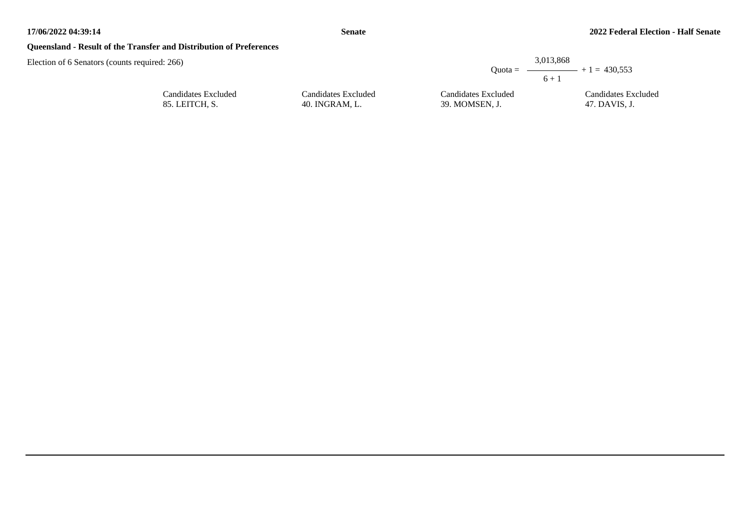# **Queensland - Result of the Transfer and Distribution of Preferences**

| red: 266)           |                     | $Quota =$           | 3,013,868<br>$ +1 = 430.553$<br>$6 + 1$ |
|---------------------|---------------------|---------------------|-----------------------------------------|
| Candidates Excluded | Candidates Excluded | Candidates Excluded | Candidates Excluded                     |
| 85. LEITCH, S.      | 40. INGRAM, L.      | 39. MOMSEN, J.      | 47. DAVIS, J.                           |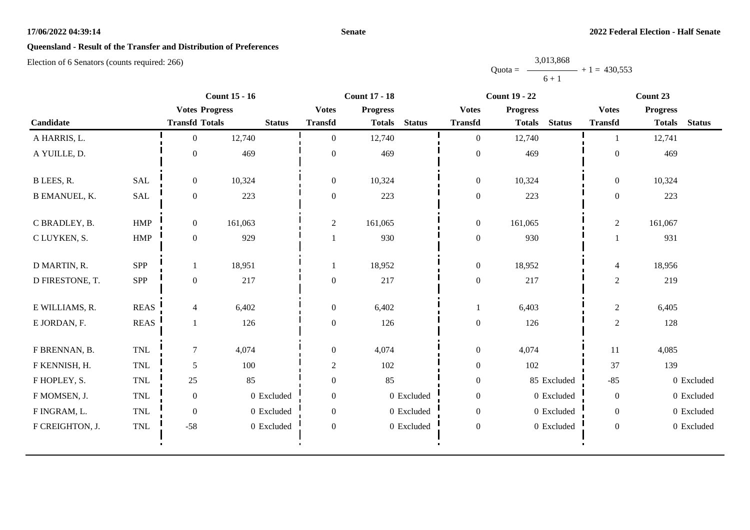#### **Senate**

# **Queensland - Result of the Transfer and Distribution of Preferences**

|           | 3,013,868 |                |
|-----------|-----------|----------------|
| $Quota =$ |           | $+1 = 430,553$ |
|           | $6 + 1$   |                |

|                      |              |                       | <b>Count 15 - 16</b> |                  | <b>Count 17 - 18</b> |               |                  | <b>Count 19 - 22</b>           |                  | Count 23        |               |  |
|----------------------|--------------|-----------------------|----------------------|------------------|----------------------|---------------|------------------|--------------------------------|------------------|-----------------|---------------|--|
|                      |              | <b>Votes Progress</b> |                      | <b>Votes</b>     | <b>Progress</b>      |               | <b>Votes</b>     | <b>Progress</b>                | <b>Votes</b>     | <b>Progress</b> |               |  |
| Candidate            |              | <b>Transfd Totals</b> | <b>Status</b>        | <b>Transfd</b>   | <b>Totals</b>        | <b>Status</b> | <b>Transfd</b>   | <b>Totals</b><br><b>Status</b> | <b>Transfd</b>   | <b>Totals</b>   | <b>Status</b> |  |
| A HARRIS, L.         |              | $\Omega$              | 12,740               | $\mathbf{0}$     | 12,740               |               | $\mathbf{0}$     | 12,740                         |                  | 12,741          |               |  |
| A YUILLE, D.         |              | $\overline{0}$        | 469                  | $\theta$         | 469                  |               | $\boldsymbol{0}$ | 469                            | $\Omega$         | 469             |               |  |
| B LEES, R.           | <b>SAL</b>   | $\overline{0}$        | 10,324               | $\boldsymbol{0}$ | 10,324               |               | $\boldsymbol{0}$ | 10,324                         | $\boldsymbol{0}$ | 10,324          |               |  |
| <b>B EMANUEL, K.</b> | SAL          | $\overline{0}$        | 223                  | $\boldsymbol{0}$ | 223                  |               | $\boldsymbol{0}$ | 223                            | $\boldsymbol{0}$ | 223             |               |  |
| C BRADLEY, B.        | HMP          | $\overline{0}$        | 161,063              | $\mathbf{2}$     | 161,065              |               | $\boldsymbol{0}$ | 161,065                        | $\sqrt{2}$       | 161,067         |               |  |
| C LUYKEN, S.         | <b>HMP</b>   | $\overline{0}$        | 929                  |                  | 930                  |               | $\boldsymbol{0}$ | 930                            |                  | 931             |               |  |
| D MARTIN, R.         | <b>SPP</b>   |                       | 18,951               |                  | 18,952               |               | $\boldsymbol{0}$ | 18,952                         | 4                | 18,956          |               |  |
| D FIRESTONE, T.      | SPP          | $\overline{0}$        | 217                  | $\boldsymbol{0}$ | 217                  |               | $\boldsymbol{0}$ | 217                            | 2                | 219             |               |  |
| E WILLIAMS, R.       | <b>REAS</b>  | $\overline{4}$        | 6,402                | $\boldsymbol{0}$ | 6,402                |               | 1                | 6,403                          | $\overline{2}$   | 6,405           |               |  |
| E JORDAN, F.         | <b>REAS</b>  |                       | 126                  | $\boldsymbol{0}$ | 126                  |               | $\boldsymbol{0}$ | 126                            | $\overline{2}$   | 128             |               |  |
| F BRENNAN, B.        | $\mbox{TNL}$ | $\tau$                | 4,074                | $\boldsymbol{0}$ | 4,074                |               | $\boldsymbol{0}$ | 4,074                          | 11               | 4,085           |               |  |
| F KENNISH, H.        | $\mbox{TNL}$ | 5                     | 100                  | $\overline{c}$   | 102                  |               | $\boldsymbol{0}$ | 102                            | 37               | 139             |               |  |
| F HOPLEY, S.         | <b>TNL</b>   | 25                    | 85                   | $\boldsymbol{0}$ | 85                   |               | $\boldsymbol{0}$ | 85 Excluded                    | $-85$            |                 | 0 Excluded    |  |
| F MOMSEN, J.         | <b>TNL</b>   | $\boldsymbol{0}$      | 0 Excluded           | $\boldsymbol{0}$ |                      | 0 Excluded    | $\boldsymbol{0}$ | 0 Excluded                     | $\overline{0}$   |                 | 0 Excluded    |  |
| F INGRAM, L.         | <b>TNL</b>   | $\boldsymbol{0}$      | 0 Excluded           | $\boldsymbol{0}$ |                      | 0 Excluded    | $\boldsymbol{0}$ | 0 Excluded                     | $\overline{0}$   |                 | 0 Excluded    |  |
| F CREIGHTON, J.      | TNL          | $-58$                 | 0 Excluded           | $\boldsymbol{0}$ |                      | 0 Excluded    | $\boldsymbol{0}$ | 0 Excluded                     | $\overline{0}$   |                 | 0 Excluded    |  |
|                      |              |                       |                      |                  |                      |               |                  |                                |                  |                 |               |  |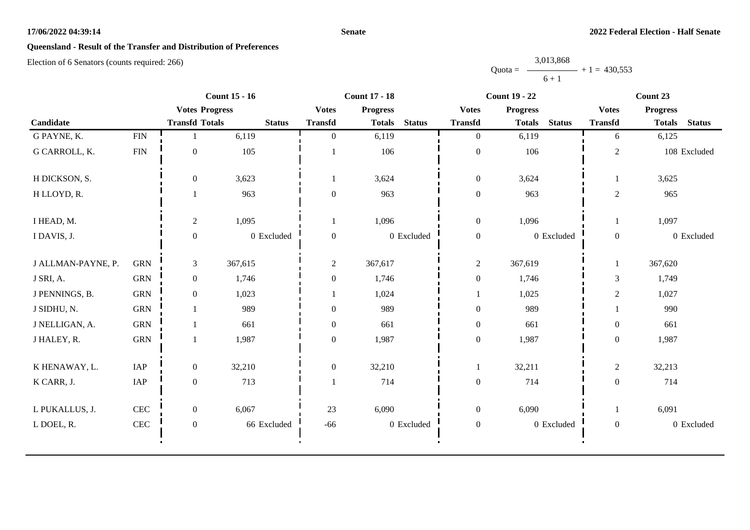#### **Senate**

# **Queensland - Result of the Transfer and Distribution of Preferences**

|           | 3,013,868 |                |
|-----------|-----------|----------------|
| $Quota =$ |           | $+1 = 430,553$ |
|           | $6 + 1$   |                |

|                    |              |                       | <b>Count 15 - 16</b> |                  | <b>Count 17 - 18</b><br><b>Count 19 - 22</b> |               |                  |                 |               | Count 23         |                 |               |
|--------------------|--------------|-----------------------|----------------------|------------------|----------------------------------------------|---------------|------------------|-----------------|---------------|------------------|-----------------|---------------|
|                    |              | <b>Votes Progress</b> |                      | <b>Votes</b>     | <b>Progress</b>                              |               | <b>Votes</b>     | <b>Progress</b> |               | <b>Votes</b>     | <b>Progress</b> |               |
| Candidate          |              | <b>Transfd Totals</b> | <b>Status</b>        | <b>Transfd</b>   | <b>Totals</b>                                | <b>Status</b> | <b>Transfd</b>   | <b>Totals</b>   | <b>Status</b> | <b>Transfd</b>   | <b>Totals</b>   | <b>Status</b> |
| G PAYNE, K.        | ${\rm FIN}$  |                       | 6,119                | $\Omega$         | 6,119                                        |               | $\overline{0}$   | 6,119           |               | 6                | 6,125           |               |
| G CARROLL, K.      | <b>FIN</b>   | $\mathbf{0}$          | 105                  |                  | 106                                          |               | $\boldsymbol{0}$ | 106             |               | $\overline{c}$   |                 | 108 Excluded  |
| H DICKSON, S.      |              | $\overline{0}$        | 3,623                |                  | 3,624                                        |               | $\boldsymbol{0}$ | 3,624           |               | 1                | 3,625           |               |
| H LLOYD, R.        |              |                       | 963                  | $\mathbf{0}$     | 963                                          |               | $\boldsymbol{0}$ | 963             |               | $\boldsymbol{2}$ | 965             |               |
| I HEAD, M.         |              | $\overline{2}$        | 1,095                | $\mathbf{1}$     | 1,096                                        |               | $\boldsymbol{0}$ | 1,096           |               | $\mathbf{1}$     | 1,097           |               |
| I DAVIS, J.        |              | $\mathbf{0}$          | 0 Excluded           | $\mathbf{0}$     |                                              | 0 Excluded    | $\boldsymbol{0}$ |                 | 0 Excluded    | $\boldsymbol{0}$ |                 | 0 Excluded    |
| J ALLMAN-PAYNE, P. | <b>GRN</b>   | $\mathfrak{Z}$        | 367,615              | $\overline{2}$   | 367,617                                      |               | $\overline{2}$   | 367,619         |               | $\mathbf{1}$     | 367,620         |               |
| J SRI, A.          | <b>GRN</b>   | $\overline{0}$        | 1,746                | $\overline{0}$   | 1,746                                        |               | $\boldsymbol{0}$ | 1,746           |               | 3                | 1,749           |               |
| J PENNINGS, B.     | <b>GRN</b>   | $\boldsymbol{0}$      | 1,023                |                  | 1,024                                        |               | 1                | 1,025           |               | $\overline{c}$   | 1,027           |               |
| J SIDHU, N.        | <b>GRN</b>   |                       | 989                  | $\boldsymbol{0}$ | 989                                          |               | $\boldsymbol{0}$ | 989             |               | $\mathbf{1}$     | 990             |               |
| J NELLIGAN, A.     | <b>GRN</b>   |                       | 661                  | $\boldsymbol{0}$ | 661                                          |               | $\boldsymbol{0}$ | 661             |               | $\boldsymbol{0}$ | 661             |               |
| J HALEY, R.        | <b>GRN</b>   | 1                     | 1,987                | $\mathbf{0}$     | 1,987                                        |               | $\boldsymbol{0}$ | 1,987           |               | $\boldsymbol{0}$ | 1,987           |               |
| K HENAWAY, L.      | IAP          | $\overline{0}$        | 32,210               | $\mathbf{0}$     | 32,210                                       |               | 1                | 32,211          |               | $\overline{c}$   | 32,213          |               |
| K CARR, J.         | IAP          | $\boldsymbol{0}$      | 713                  |                  | 714                                          |               | $\boldsymbol{0}$ | 714             |               | $\boldsymbol{0}$ | 714             |               |
| L PUKALLUS, J.     | $\mbox{CEC}$ | $\overline{0}$        | 6,067                | 23               | 6,090                                        |               | $\boldsymbol{0}$ | 6,090           |               | 1                | 6,091           |               |
| L DOEL, R.         | $\mbox{CEC}$ | $\boldsymbol{0}$      | 66 Excluded          | $-66$            |                                              | 0 Excluded    | $\boldsymbol{0}$ |                 | 0 Excluded    | $\overline{0}$   |                 | 0 Excluded    |
|                    |              |                       |                      |                  |                                              |               |                  |                 |               |                  |                 |               |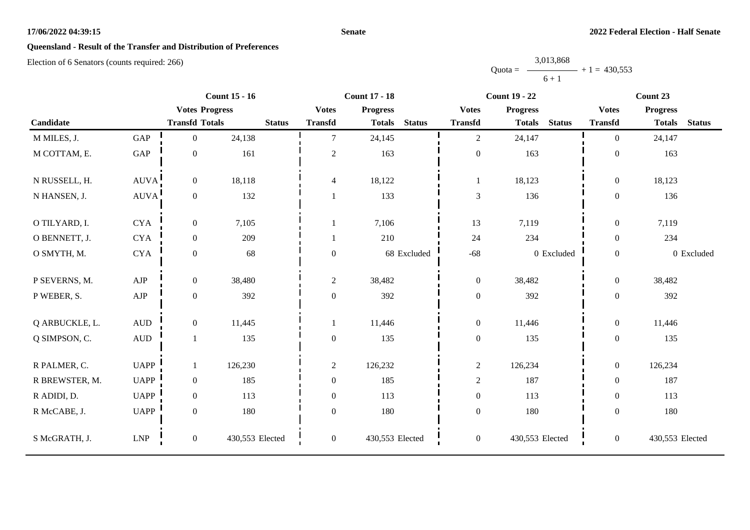#### **Senate**

# **Queensland - Result of the Transfer and Distribution of Preferences**

|           | 3,013,868 |                |
|-----------|-----------|----------------|
| $Quota =$ |           | $+1 = 430.553$ |
|           | $6 + 1$   |                |

|                |                      |                       | <b>Count 15 - 16</b> |                          | <b>Count 17 - 18</b> |               |                  | <b>Count 19 - 22</b> |               | Count 23       |                 |               |
|----------------|----------------------|-----------------------|----------------------|--------------------------|----------------------|---------------|------------------|----------------------|---------------|----------------|-----------------|---------------|
|                |                      | <b>Votes Progress</b> |                      | <b>Votes</b>             | <b>Progress</b>      |               | <b>Votes</b>     | <b>Progress</b>      |               | <b>Votes</b>   | <b>Progress</b> |               |
| Candidate      |                      | <b>Transfd Totals</b> | <b>Status</b>        | <b>Transfd</b>           | <b>Totals</b>        | <b>Status</b> | <b>Transfd</b>   | <b>Totals</b>        | <b>Status</b> | <b>Transfd</b> | <b>Totals</b>   | <b>Status</b> |
| M MILES, J.    | GAP                  | $\mathbf{0}$          | 24,138               | $\tau$                   | 24,145               |               | $\overline{2}$   | 24,147               |               | $\theta$       | 24,147          |               |
| M COTTAM, E.   | $\operatorname{GAP}$ | $\boldsymbol{0}$      | 161                  | $\overline{c}$           | 163                  |               | $\boldsymbol{0}$ | 163                  |               | $\mathbf{0}$   | 163             |               |
| N RUSSELL, H.  | <b>AUVA</b>          | $\boldsymbol{0}$      | 18,118               | $\overline{\mathcal{L}}$ | 18,122               |               | 1                | 18,123               |               | $\mathbf{0}$   | 18,123          |               |
| N HANSEN, J.   | <b>AUVA</b>          | $\boldsymbol{0}$      | 132                  |                          | 133                  |               | 3                | 136                  |               | $\mathbf{0}$   | 136             |               |
| O TILYARD, I.  | <b>CYA</b>           | $\boldsymbol{0}$      | 7,105                |                          | 7,106                |               | 13               | 7,119                |               | $\overline{0}$ | 7,119           |               |
| O BENNETT, J.  | <b>CYA</b>           | $\boldsymbol{0}$      | 209                  |                          | 210                  |               | 24               | 234                  |               | $\overline{0}$ | 234             |               |
| O SMYTH, M.    | CYA                  | $\boldsymbol{0}$      | 68                   | $\mathbf{0}$             |                      | 68 Excluded   | $-68$            |                      | 0 Excluded    | $\overline{0}$ |                 | 0 Excluded    |
| P SEVERNS, M.  | AJP                  | $\boldsymbol{0}$      | 38,480               | $\overline{2}$           | 38,482               |               | $\mathbf{0}$     | 38,482               |               | $\overline{0}$ | 38,482          |               |
| P WEBER, S.    | ${\rm AJP}$          | $\boldsymbol{0}$      | 392                  | $\boldsymbol{0}$         | 392                  |               | $\boldsymbol{0}$ | 392                  |               | $\overline{0}$ | 392             |               |
| Q ARBUCKLE, L. | $\mbox{AUD}$         | $\boldsymbol{0}$      | 11,445               |                          | 11,446               |               | $\boldsymbol{0}$ | 11,446               |               | $\overline{0}$ | 11,446          |               |
| Q SIMPSON, C.  | $\mbox{\rm AUD}$     | 1                     | 135                  | $\boldsymbol{0}$         | 135                  |               | $\boldsymbol{0}$ | 135                  |               | $\overline{0}$ | 135             |               |
| R PALMER, C.   | <b>UAPP</b>          | $\mathbf{1}$          | 126,230              | $\overline{c}$           | 126,232              |               | $\overline{c}$   | 126,234              |               | $\overline{0}$ | 126,234         |               |
| R BREWSTER, M. | <b>UAPP</b>          | $\boldsymbol{0}$      | 185                  | $\mathbf{0}$             | 185                  |               | $\sqrt{2}$       | 187                  |               | $\overline{0}$ | 187             |               |
| R ADIDI, D.    | <b>UAPP</b>          | $\boldsymbol{0}$      | 113                  | $\theta$                 | 113                  |               | $\boldsymbol{0}$ | 113                  |               | $\overline{0}$ | 113             |               |
| R McCABE, J.   | <b>UAPP</b>          | $\boldsymbol{0}$      | 180                  | $\boldsymbol{0}$         | 180                  |               | $\boldsymbol{0}$ | 180                  |               | $\mathbf{0}$   | 180             |               |
| S McGRATH, J.  | <b>LNP</b>           | $\boldsymbol{0}$      | 430,553 Elected      | $\mathbf{0}$             | 430,553 Elected      |               | $\boldsymbol{0}$ | 430,553 Elected      |               | $\mathbf{0}$   | 430,553 Elected |               |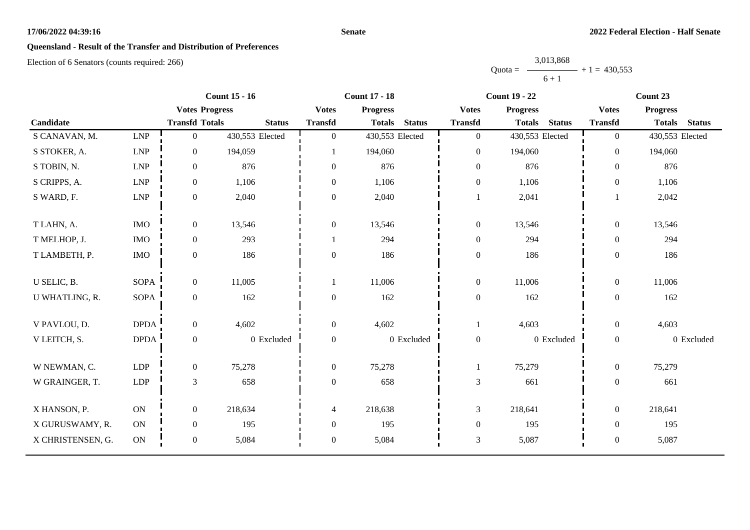#### **Senate**

# **Queensland - Result of the Transfer and Distribution of Preferences**

|           | 3,013,868      |  |
|-----------|----------------|--|
| $Quota =$ | $+1 = 430.553$ |  |
|           | $6 + 1$        |  |

|                   |                             |                       | <b>Count 15 - 16</b> |                  | <b>Count 17 - 18</b> |               | <b>Count 19 - 22</b> |                 |               | Count 23         |                 |               |
|-------------------|-----------------------------|-----------------------|----------------------|------------------|----------------------|---------------|----------------------|-----------------|---------------|------------------|-----------------|---------------|
|                   |                             | <b>Votes Progress</b> |                      | <b>Votes</b>     | <b>Progress</b>      |               | <b>Votes</b>         | <b>Progress</b> |               | <b>Votes</b>     | <b>Progress</b> |               |
| Candidate         |                             | <b>Transfd Totals</b> | <b>Status</b>        | <b>Transfd</b>   | <b>Totals</b>        | <b>Status</b> | <b>Transfd</b>       | <b>Totals</b>   | <b>Status</b> | <b>Transfd</b>   | <b>Totals</b>   | <b>Status</b> |
| S CANAVAN, M.     | <b>LNP</b>                  | $\mathbf{0}$          | 430,553 Elected      | $\overline{0}$   | 430,553 Elected      |               | $\overline{0}$       | 430,553 Elected |               | $\overline{0}$   | 430,553 Elected |               |
| S STOKER, A.      | $\ensuremath{\mathrm{LNP}}$ | $\mathbf{0}$          | 194,059              |                  | 194,060              |               | $\boldsymbol{0}$     | 194,060         |               | $\overline{0}$   | 194,060         |               |
| S TOBIN, N.       | $\ensuremath{\mathrm{LNP}}$ | $\boldsymbol{0}$      | 876                  | $\overline{0}$   | 876                  |               | $\boldsymbol{0}$     | 876             |               | $\overline{0}$   | 876             |               |
| S CRIPPS, A.      | <b>LNP</b>                  | $\mathbf{0}$          | 1,106                | $\Omega$         | 1,106                |               | $\boldsymbol{0}$     | 1,106           |               | $\Omega$         | 1,106           |               |
| S WARD, F.        | ${\rm LNP}$                 | $\boldsymbol{0}$      | 2,040                | $\Omega$         | 2,040                |               | $\mathbf{1}$         | 2,041           |               |                  | 2,042           |               |
| T LAHN, A.        | <b>IMO</b>                  | $\boldsymbol{0}$      | 13,546               | $\boldsymbol{0}$ | 13,546               |               | $\boldsymbol{0}$     | 13,546          |               | $\boldsymbol{0}$ | 13,546          |               |
| T MELHOP, J.      | <b>IMO</b>                  | $\mathbf{0}$          | 293                  |                  | 294                  |               | $\boldsymbol{0}$     | 294             |               | $\theta$         | 294             |               |
| T LAMBETH, P.     | <b>IMO</b>                  | $\boldsymbol{0}$      | 186                  | $\Omega$         | 186                  |               | $\boldsymbol{0}$     | 186             |               | $\boldsymbol{0}$ | 186             |               |
| U SELIC, B.       | <b>SOPA</b>                 | $\boldsymbol{0}$      | 11,005               |                  | 11,006               |               | $\boldsymbol{0}$     | 11,006          |               | $\boldsymbol{0}$ | 11,006          |               |
| U WHATLING, R.    | <b>SOPA</b>                 | $\boldsymbol{0}$      | 162                  | $\boldsymbol{0}$ | 162                  |               | $\boldsymbol{0}$     | 162             |               | $\boldsymbol{0}$ | 162             |               |
| V PAVLOU, D.      | <b>DPDA</b>                 | $\boldsymbol{0}$      | 4,602                | $\overline{0}$   | 4,602                |               | $\mathbf{1}$         | 4,603           |               | $\overline{0}$   | 4,603           |               |
| V LEITCH, S.      | <b>DPDA</b>                 | $\boldsymbol{0}$      | 0 Excluded           | $\overline{0}$   |                      | 0 Excluded    | $\boldsymbol{0}$     |                 | 0 Excluded    | $\boldsymbol{0}$ |                 | 0 Excluded    |
| W NEWMAN, C.      | LDP                         | $\boldsymbol{0}$      | 75,278               | $\overline{0}$   | 75,278               |               | $\mathbf{1}$         | 75,279          |               | $\mathbf{0}$     | 75,279          |               |
| W GRAINGER, T.    | ${\rm LDP}$                 | $\mathfrak{Z}$        | 658                  | $\overline{0}$   | 658                  |               | $\mathfrak{Z}$       | 661             |               | $\boldsymbol{0}$ | 661             |               |
| X HANSON, P.      | ON                          | $\boldsymbol{0}$      | 218,634              | 4                | 218,638              |               | $\mathfrak{Z}$       | 218,641         |               | $\boldsymbol{0}$ | 218,641         |               |
| X GURUSWAMY, R.   | ON                          | $\boldsymbol{0}$      | 195                  | $\overline{0}$   | 195                  |               | $\boldsymbol{0}$     | 195             |               | $\overline{0}$   | 195             |               |
| X CHRISTENSEN, G. | ON                          | $\boldsymbol{0}$      | 5,084                | $\overline{0}$   | 5,084                |               | $\mathfrak 3$        | 5,087           |               | $\boldsymbol{0}$ | 5,087           |               |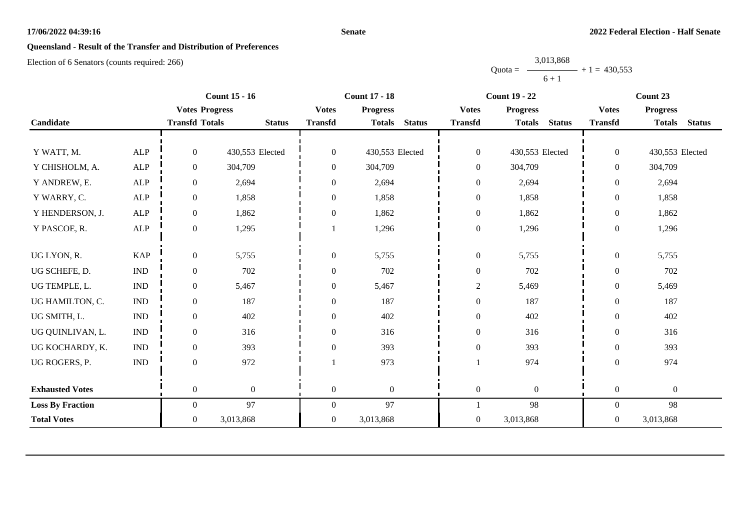#### **Senate**

# **Queensland - Result of the Transfer and Distribution of Preferences**

Election of 6 Senators (counts required: 266)

Quota = 3,013,868  $6 + 1$  $+ 1 = 430,553$ 

|                         |                           |                       | <b>Count 15 - 16</b> |                  | <b>Count 17 - 18</b> |               | <b>Count 19 - 22</b> |                  | Count 23      |                  |                  |               |
|-------------------------|---------------------------|-----------------------|----------------------|------------------|----------------------|---------------|----------------------|------------------|---------------|------------------|------------------|---------------|
|                         |                           | <b>Votes Progress</b> |                      | <b>Votes</b>     | <b>Progress</b>      |               | <b>Votes</b>         | <b>Progress</b>  |               | <b>Votes</b>     | <b>Progress</b>  |               |
| Candidate               |                           | <b>Transfd Totals</b> | <b>Status</b>        | <b>Transfd</b>   | <b>Totals</b>        | <b>Status</b> | <b>Transfd</b>       | <b>Totals</b>    | <b>Status</b> | <b>Transfd</b>   | <b>Totals</b>    | <b>Status</b> |
|                         |                           |                       |                      |                  |                      |               |                      |                  |               |                  |                  |               |
| Y WATT, M.              | <b>ALP</b>                | $\mathbf{0}$          | 430,553 Elected      | $\mathbf{0}$     | 430,553 Elected      |               | $\boldsymbol{0}$     | 430,553 Elected  |               | $\overline{0}$   | 430,553 Elected  |               |
| Y CHISHOLM, A.          | ALP                       | $\mathbf{0}$          | 304,709              | $\boldsymbol{0}$ | 304,709              |               | $\boldsymbol{0}$     | 304,709          |               | $\overline{0}$   | 304,709          |               |
| Y ANDREW, E.            | ${\sf ALP}$               | $\boldsymbol{0}$      | 2,694                | $\overline{0}$   | 2,694                |               | $\boldsymbol{0}$     | 2,694            |               | $\boldsymbol{0}$ | 2,694            |               |
| Y WARRY, C.             | ALP                       | $\theta$              | 1,858                | $\overline{0}$   | 1,858                |               | $\boldsymbol{0}$     | 1,858            |               | $\overline{0}$   | 1,858            |               |
| Y HENDERSON, J.         | <b>ALP</b>                | $\boldsymbol{0}$      | 1,862                | $\boldsymbol{0}$ | 1,862                |               | $\boldsymbol{0}$     | 1,862            |               | $\boldsymbol{0}$ | 1,862            |               |
| Y PASCOE, R.            | ${\sf ALP}$               | $\boldsymbol{0}$      | 1,295                |                  | 1,296                |               | $\boldsymbol{0}$     | 1,296            |               | $\boldsymbol{0}$ | 1,296            |               |
|                         |                           |                       |                      |                  |                      |               |                      |                  |               |                  |                  |               |
| UG LYON, R.             | <b>KAP</b>                | $\theta$              | 5,755                | $\overline{0}$   | 5,755                |               | $\boldsymbol{0}$     | 5,755            |               | $\boldsymbol{0}$ | 5,755            |               |
| UG SCHEFE, D.           | <b>IND</b>                | $\boldsymbol{0}$      | 702                  | $\boldsymbol{0}$ | 702                  |               | $\boldsymbol{0}$     | 702              |               | $\boldsymbol{0}$ | 702              |               |
| UG TEMPLE, L.           | $\ensuremath{\text{IND}}$ | $\boldsymbol{0}$      | 5,467                | $\boldsymbol{0}$ | 5,467                |               | $\overline{c}$       | 5,469            |               | $\boldsymbol{0}$ | 5,469            |               |
| UG HAMILTON, C.         | <b>IND</b>                | $\boldsymbol{0}$      | 187                  | $\boldsymbol{0}$ | 187                  |               | $\boldsymbol{0}$     | 187              |               | $\mathbf{0}$     | 187              |               |
| UG SMITH, L.            | $\ensuremath{\text{IND}}$ | $\boldsymbol{0}$      | 402                  | $\boldsymbol{0}$ | 402                  |               | $\boldsymbol{0}$     | 402              |               | $\boldsymbol{0}$ | 402              |               |
| UG QUINLIVAN, L.        | <b>IND</b>                | $\theta$              | 316                  | $\overline{0}$   | 316                  |               | $\boldsymbol{0}$     | 316              |               | $\overline{0}$   | 316              |               |
| UG KOCHARDY, K.         | <b>IND</b>                | $\boldsymbol{0}$      | 393                  | $\boldsymbol{0}$ | 393                  |               | $\boldsymbol{0}$     | 393              |               | $\boldsymbol{0}$ | 393              |               |
| UG ROGERS, P.           | $\ensuremath{\text{IND}}$ | $\theta$              | 972                  |                  | 973                  |               |                      | 974              |               | $\boldsymbol{0}$ | 974              |               |
|                         |                           |                       |                      |                  |                      |               |                      |                  |               |                  |                  |               |
| <b>Exhausted Votes</b>  |                           | $\overline{0}$        | $\boldsymbol{0}$     | $\mathbf{0}$     | $\overline{0}$       |               | $\boldsymbol{0}$     | $\boldsymbol{0}$ |               | $\boldsymbol{0}$ | $\boldsymbol{0}$ |               |
| <b>Loss By Fraction</b> |                           | $\overline{0}$        | 97                   | $\overline{0}$   | 97                   |               | 1                    | 98               |               | $\overline{0}$   | 98               |               |
| <b>Total Votes</b>      |                           | $\overline{0}$        | 3,013,868            | $\overline{0}$   | 3,013,868            |               | $\boldsymbol{0}$     | 3,013,868        |               | $\overline{0}$   | 3,013,868        |               |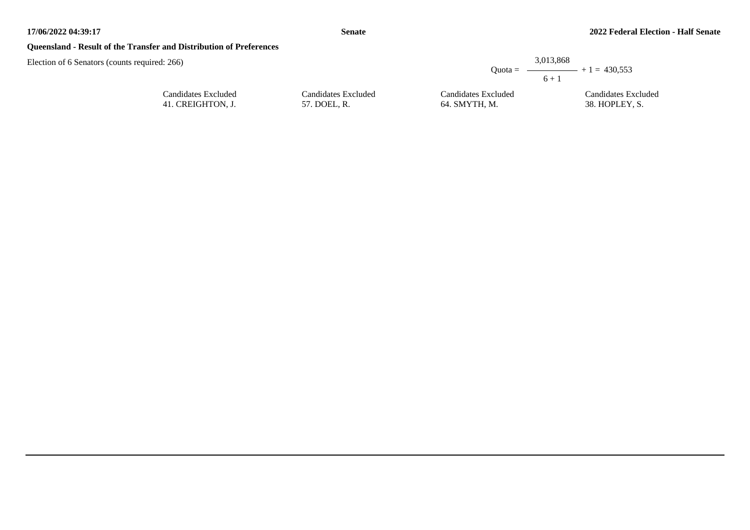# **Queensland - Result of the Transfer and Distribution of Preferences**

|                     |                     | 3,013,868<br>Ouota = $\longrightarrow$ + 1 = 430.553<br>$6 + 1$ |
|---------------------|---------------------|-----------------------------------------------------------------|
| Candidates Excluded | Candidates Excluded | Candidates Excluded                                             |
| 57. DOEL, R.        | 64. SMYTH, M.       | 38. HOPLEY, S.                                                  |

| Candidates Excluded |  |
|---------------------|--|
| 41. CREIGHTON, J.   |  |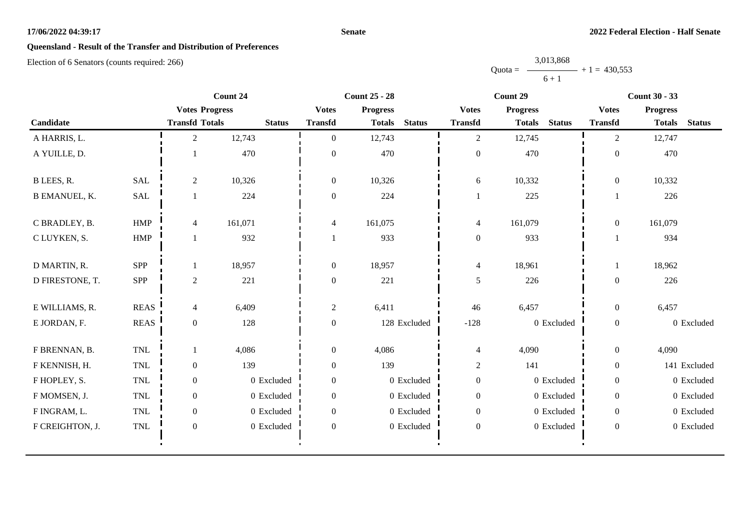#### **Senate**

# **Queensland - Result of the Transfer and Distribution of Preferences**

Election of 6 Senators (counts required: 266)

Quota =  $\longrightarrow$  + 1 = 430,553 3,013,868  $6 + 1$ 

|                      |                      | Count 24              |               | <b>Count 25 - 28</b> |                                |                  | Count 29                       | <b>Count 30 - 33</b> |                                |  |
|----------------------|----------------------|-----------------------|---------------|----------------------|--------------------------------|------------------|--------------------------------|----------------------|--------------------------------|--|
|                      |                      | <b>Votes Progress</b> |               | <b>Votes</b>         | <b>Progress</b>                | <b>Votes</b>     | <b>Progress</b>                | <b>Votes</b>         | <b>Progress</b>                |  |
| Candidate            |                      | <b>Transfd Totals</b> | <b>Status</b> | <b>Transfd</b>       | <b>Status</b><br><b>Totals</b> | <b>Transfd</b>   | <b>Status</b><br><b>Totals</b> | <b>Transfd</b>       | <b>Status</b><br><b>Totals</b> |  |
| A HARRIS, L.         |                      | $\mathfrak{2}$        | 12,743        | $\mathbf{0}$         | 12,743                         | 2                | 12,745                         | $\overline{2}$       | 12,747                         |  |
| A YUILLE, D.         |                      |                       | 470           | $\theta$             | 470                            | $\boldsymbol{0}$ | 470                            | $\overline{0}$       | 470                            |  |
| B LEES, R.           | <b>SAL</b>           | $\sqrt{2}$            | 10,326        | $\boldsymbol{0}$     | 10,326                         | 6                | 10,332                         | $\mathbf{0}$         | 10,332                         |  |
| <b>B EMANUEL, K.</b> | $\operatorname{SAL}$ |                       | 224           | $\boldsymbol{0}$     | 224                            | $\mathbf{1}$     | 225                            |                      | 226                            |  |
| C BRADLEY, B.        | <b>HMP</b>           | $\overline{4}$        | 161,071       | $\overline{4}$       | 161,075                        | $\overline{4}$   | 161,079                        | $\mathbf{0}$         | 161,079                        |  |
| C LUYKEN, S.         | <b>HMP</b>           |                       | 932           | $\overline{1}$       | 933                            | $\boldsymbol{0}$ | 933                            |                      | 934                            |  |
| D MARTIN, R.         | SPP                  |                       | 18,957        | $\boldsymbol{0}$     | 18,957                         | $\overline{4}$   | 18,961                         |                      | 18,962                         |  |
| D FIRESTONE, T.      | <b>SPP</b>           | $\mathfrak{2}$        | 221           | $\boldsymbol{0}$     | 221                            | $\mathfrak{H}$   | 226                            | $\mathbf{0}$         | 226                            |  |
| E WILLIAMS, R.       | <b>REAS</b>          | $\overline{4}$        | 6,409         | $\overline{2}$       | 6,411                          | 46               | 6,457                          | $\mathbf{0}$         | 6,457                          |  |
| E JORDAN, F.         | <b>REAS</b>          | $\mathbf{0}$          | 128           | $\boldsymbol{0}$     | 128 Excluded                   | $-128$           | 0 Excluded                     | $\boldsymbol{0}$     | 0 Excluded                     |  |
| F BRENNAN, B.        | <b>TNL</b>           |                       | 4,086         | $\boldsymbol{0}$     | 4,086                          | $\overline{4}$   | 4,090                          | $\mathbf{0}$         | 4,090                          |  |
| F KENNISH, H.        | <b>TNL</b>           | $\boldsymbol{0}$      | 139           | $\boldsymbol{0}$     | 139                            | $\overline{c}$   | 141                            | $\overline{0}$       | 141 Excluded                   |  |
| F HOPLEY, S.         | <b>TNL</b>           | $\boldsymbol{0}$      | 0 Excluded    | $\boldsymbol{0}$     | 0 Excluded                     | $\boldsymbol{0}$ | 0 Excluded                     | $\boldsymbol{0}$     | 0 Excluded                     |  |
| F MOMSEN, J.         | <b>TNL</b>           | $\mathbf{0}$          | 0 Excluded    | $\boldsymbol{0}$     | 0 Excluded                     | $\boldsymbol{0}$ | 0 Excluded                     | $\overline{0}$       | 0 Excluded                     |  |
| F INGRAM, L.         | <b>TNL</b>           | $\boldsymbol{0}$      | 0 Excluded    | $\boldsymbol{0}$     | 0 Excluded                     | $\boldsymbol{0}$ | 0 Excluded                     | $\overline{0}$       | 0 Excluded                     |  |
| F CREIGHTON, J.      | <b>TNL</b>           | $\boldsymbol{0}$      | 0 Excluded    | $\boldsymbol{0}$     | 0 Excluded                     | $\boldsymbol{0}$ | 0 Excluded                     | $\mathbf{0}$         | 0 Excluded                     |  |
|                      |                      |                       |               |                      |                                |                  |                                |                      |                                |  |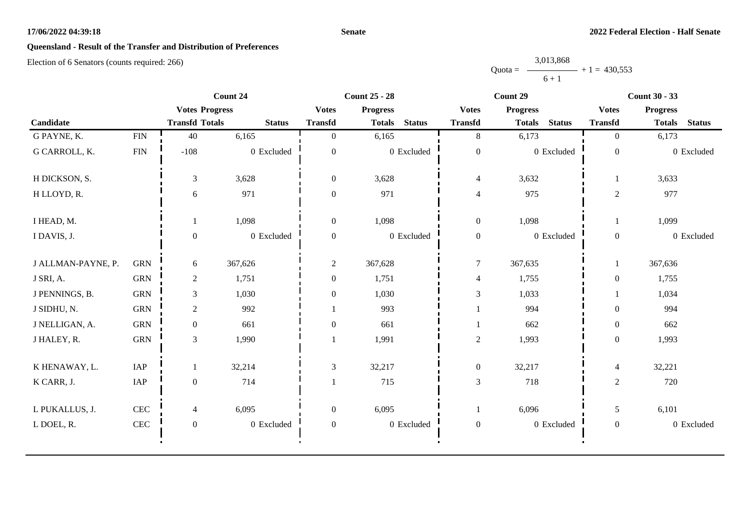#### **Senate**

# **Queensland - Result of the Transfer and Distribution of Preferences**

Election of 6 Senators (counts required: 266)

Quota =  $-$ 3,013,868  $6 + 1$  $+ 1 = 430,553$ 

|                    |            | Count 24              |               | <b>Count 25 - 28</b> |                 |               | Count 29         |                 |               | <b>Count 30 - 33</b> |                 |               |
|--------------------|------------|-----------------------|---------------|----------------------|-----------------|---------------|------------------|-----------------|---------------|----------------------|-----------------|---------------|
|                    |            | <b>Votes Progress</b> |               | <b>Votes</b>         | <b>Progress</b> |               | <b>Votes</b>     | <b>Progress</b> |               | <b>Votes</b>         | <b>Progress</b> |               |
| Candidate          |            | <b>Transfd Totals</b> | <b>Status</b> | <b>Transfd</b>       | <b>Totals</b>   | <b>Status</b> | <b>Transfd</b>   | <b>Totals</b>   | <b>Status</b> | <b>Transfd</b>       | <b>Totals</b>   | <b>Status</b> |
| G PAYNE, K.        | FIN        | 40                    | 6,165         | $\overline{0}$       | 6,165           |               | 8                | 6,173           |               | $\overline{0}$       | 6,173           |               |
| G CARROLL, K.      | <b>FIN</b> | $-108$                | 0 Excluded    | $\overline{0}$       |                 | 0 Excluded    | $\boldsymbol{0}$ |                 | 0 Excluded    | $\mathbf{0}$         |                 | 0 Excluded    |
| H DICKSON, S.      |            | 3                     | 3,628         | $\boldsymbol{0}$     | 3,628           |               | $\overline{4}$   | 3,632           |               |                      | 3,633           |               |
| H LLOYD, R.        |            | 6                     | 971           | $\boldsymbol{0}$     | 971             |               | $\overline{4}$   | 975             |               | $\overline{c}$       | 977             |               |
| I HEAD, M.         |            |                       | 1,098         | $\boldsymbol{0}$     | 1,098           |               | $\boldsymbol{0}$ | 1,098           |               |                      | 1,099           |               |
| I DAVIS, J.        |            | $\boldsymbol{0}$      | 0 Excluded    | $\overline{0}$       |                 | 0 Excluded    | $\boldsymbol{0}$ |                 | 0 Excluded    | $\mathbf{0}$         |                 | 0 Excluded    |
| J ALLMAN-PAYNE, P. | <b>GRN</b> | 6                     | 367,626       | $\overline{c}$       | 367,628         |               | $\boldsymbol{7}$ | 367,635         |               |                      | 367,636         |               |
| J SRI, A.          | <b>GRN</b> | $\overline{2}$        | 1,751         | $\boldsymbol{0}$     | 1,751           |               | $\overline{4}$   | 1,755           |               | $\boldsymbol{0}$     | 1,755           |               |
| J PENNINGS, B.     | <b>GRN</b> | 3                     | 1,030         | $\boldsymbol{0}$     | 1,030           |               | 3                | 1,033           |               |                      | 1,034           |               |
| J SIDHU, N.        | <b>GRN</b> | $\sqrt{2}$            | 992           |                      | 993             |               |                  | 994             |               | $\mathbf{0}$         | 994             |               |
| J NELLIGAN, A.     | <b>GRN</b> | $\boldsymbol{0}$      | 661           | $\boldsymbol{0}$     | 661             |               | 1                | 662             |               | $\boldsymbol{0}$     | 662             |               |
| J HALEY, R.        | <b>GRN</b> | 3                     | 1,990         |                      | 1,991           |               | $\sqrt{2}$       | 1,993           |               | $\boldsymbol{0}$     | 1,993           |               |
| K HENAWAY, L.      | IAP        |                       | 32,214        | $\mathfrak{Z}$       | 32,217          |               | $\boldsymbol{0}$ | 32,217          |               | $\overline{4}$       | 32,221          |               |
| K CARR, J.         | IAP        | $\boldsymbol{0}$      | 714           |                      | 715             |               | $\mathfrak 3$    | 718             |               | $\sqrt{2}$           | 720             |               |
| L PUKALLUS, J.     | <b>CEC</b> | $\overline{4}$        | 6,095         | $\boldsymbol{0}$     | 6,095           |               | $\mathbf{1}$     | 6,096           |               | 5                    | 6,101           |               |
| L DOEL, R.         | <b>CEC</b> | $\boldsymbol{0}$      | 0 Excluded    | $\boldsymbol{0}$     |                 | 0 Excluded    | $\boldsymbol{0}$ |                 | 0 Excluded    | $\boldsymbol{0}$     |                 | 0 Excluded    |
|                    |            |                       |               |                      |                 |               |                  |                 |               |                      |                 |               |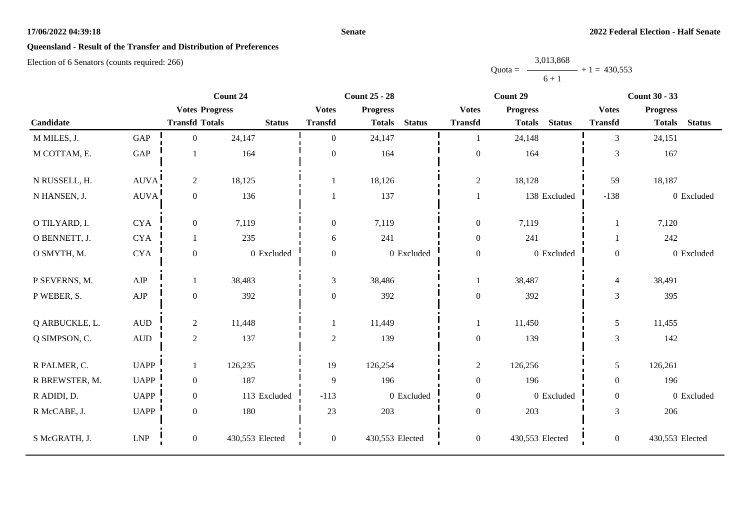#### **Senate**

# **Queensland - Result of the Transfer and Distribution of Preferences**

|           | 3,013,868 |                |
|-----------|-----------|----------------|
| $Quota =$ |           | $+1 = 430.553$ |
|           | $6 + 1$   |                |

|                |                      |                       | Count 24        | <b>Count 25 - 28</b> |                 | Count 29      |                  |                 | <b>Count 30 - 33</b> |                  |                 |               |
|----------------|----------------------|-----------------------|-----------------|----------------------|-----------------|---------------|------------------|-----------------|----------------------|------------------|-----------------|---------------|
|                |                      | <b>Votes Progress</b> |                 | <b>Votes</b>         | <b>Progress</b> |               | <b>Votes</b>     | <b>Progress</b> |                      | <b>Votes</b>     | <b>Progress</b> |               |
| Candidate      |                      | <b>Transfd Totals</b> | <b>Status</b>   | <b>Transfd</b>       | <b>Totals</b>   | <b>Status</b> | <b>Transfd</b>   | <b>Totals</b>   | <b>Status</b>        | <b>Transfd</b>   | <b>Totals</b>   | <b>Status</b> |
| M MILES, J.    | GAP                  | $\mathbf{0}$          | 24,147          | $\Omega$             | 24,147          |               | $\mathbf{1}$     | 24,148          |                      | $\overline{3}$   | 24,151          |               |
| M COTTAM, E.   | $\operatorname{GAP}$ |                       | 164             | $\boldsymbol{0}$     | 164             |               | $\boldsymbol{0}$ | 164             |                      | 3                | 167             |               |
| N RUSSELL, H.  | <b>AUVA</b>          | $\overline{2}$        | 18,125          |                      | 18,126          |               | $\sqrt{2}$       | 18,128          |                      | 59               | 18,187          |               |
| N HANSEN, J.   | <b>AUVA</b>          | $\boldsymbol{0}$      | 136             |                      | 137             |               | $\mathbf{1}$     |                 | 138 Excluded         | $-138$           |                 | 0 Excluded    |
| O TILYARD, I.  | <b>CYA</b>           | $\boldsymbol{0}$      | 7,119           | $\boldsymbol{0}$     | 7,119           |               | $\boldsymbol{0}$ | 7,119           |                      |                  | 7,120           |               |
| O BENNETT, J.  | <b>CYA</b>           |                       | 235             | 6                    | 241             |               | $\boldsymbol{0}$ | 241             |                      |                  | 242             |               |
| O SMYTH, M.    | <b>CYA</b>           | $\mathbf{0}$          | 0 Excluded      | $\boldsymbol{0}$     |                 | 0 Excluded    | $\boldsymbol{0}$ |                 | 0 Excluded           | $\overline{0}$   |                 | 0 Excluded    |
| P SEVERNS, M.  | ${\rm AJP}$          | 1                     | 38,483          | 3                    | 38,486          |               | -1               | 38,487          |                      | $\overline{4}$   | 38,491          |               |
| P WEBER, S.    | ${\rm AJP}$          | $\boldsymbol{0}$      | 392             | $\boldsymbol{0}$     | 392             |               | $\boldsymbol{0}$ | 392             |                      | 3                | 395             |               |
| Q ARBUCKLE, L. | $\mbox{\rm AUD}$     | $\overline{2}$        | 11,448          |                      | 11,449          |               | $\mathbf{1}$     | 11,450          |                      | 5                | 11,455          |               |
| Q SIMPSON, C.  | $\mbox{\rm AUD}$     | $\overline{2}$        | 137             | $\overline{c}$       | 139             |               | $\boldsymbol{0}$ | 139             |                      | 3                | 142             |               |
| R PALMER, C.   | <b>UAPP</b>          | 1                     | 126,235         | 19                   | 126,254         |               | $\boldsymbol{2}$ | 126,256         |                      | 5                | 126,261         |               |
| R BREWSTER, M. | <b>UAPP</b>          | $\mathbf{0}$          | 187             | 9                    | 196             |               | $\boldsymbol{0}$ | 196             |                      | $\Omega$         | 196             |               |
| R ADIDI, D.    | <b>UAPP</b>          | $\mathbf{0}$          | 113 Excluded    | $-113$               |                 | 0 Excluded    | $\boldsymbol{0}$ |                 | 0 Excluded           | $\overline{0}$   |                 | 0 Excluded    |
| R McCABE, J.   | <b>UAPP</b>          | $\mathbf{0}$          | 180             | 23                   | 203             |               | $\boldsymbol{0}$ | 203             |                      | 3                | 206             |               |
| S McGRATH, J.  | ${\rm LNP}$          | $\mathbf{0}$          | 430,553 Elected | $\mathbf{0}$         | 430,553 Elected |               | $\boldsymbol{0}$ | 430,553 Elected |                      | $\boldsymbol{0}$ | 430,553 Elected |               |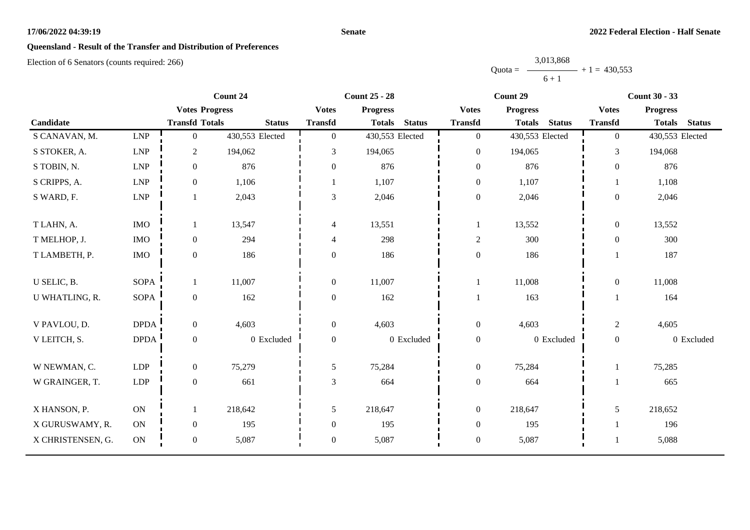#### **Senate**

# **Queensland - Result of the Transfer and Distribution of Preferences**

|           | 3,013,868 |                |
|-----------|-----------|----------------|
| $Quota =$ |           | $+1 = 430,553$ |
|           | $6 + 1$   |                |

|                   |                             |                       | Count 24<br><b>Count 25 - 28</b> |                  |                 | Count 29      |                  |                 | <b>Count 30 - 33</b> |                  |                 |               |
|-------------------|-----------------------------|-----------------------|----------------------------------|------------------|-----------------|---------------|------------------|-----------------|----------------------|------------------|-----------------|---------------|
|                   |                             | <b>Votes Progress</b> |                                  | <b>Votes</b>     | <b>Progress</b> |               | <b>Votes</b>     | <b>Progress</b> |                      | <b>Votes</b>     | <b>Progress</b> |               |
| Candidate         |                             | <b>Transfd Totals</b> | <b>Status</b>                    | <b>Transfd</b>   | <b>Totals</b>   | <b>Status</b> | <b>Transfd</b>   | <b>Totals</b>   | <b>Status</b>        | <b>Transfd</b>   | <b>Totals</b>   | <b>Status</b> |
| S CANAVAN, M.     | LNP                         | $\overline{0}$        | 430,553 Elected                  | $\overline{0}$   | 430,553 Elected |               | $\overline{0}$   | 430,553 Elected |                      | $\overline{0}$   | 430,553 Elected |               |
| S STOKER, A.      | $\ensuremath{\mathrm{LNP}}$ | $\overline{2}$        | 194,062                          | 3                | 194,065         |               | $\mathbf{0}$     | 194,065         |                      | $\overline{3}$   | 194,068         |               |
| S TOBIN, N.       | LNP                         | $\boldsymbol{0}$      | 876                              | $\boldsymbol{0}$ | 876             |               | $\boldsymbol{0}$ | 876             |                      | $\mathbf{0}$     | 876             |               |
| S CRIPPS, A.      | $\ensuremath{\mathrm{LNP}}$ | $\boldsymbol{0}$      | 1,106                            |                  | 1,107           |               | $\boldsymbol{0}$ | 1,107           |                      |                  | 1,108           |               |
| S WARD, F.        | LNP                         | $\mathbf{1}$          | 2,043                            | 3                | 2,046           |               | $\boldsymbol{0}$ | 2,046           |                      | $\boldsymbol{0}$ | 2,046           |               |
| T LAHN, A.        | <b>IMO</b>                  | 1                     | 13,547                           | $\overline{4}$   | 13,551          |               | 1                | 13,552          |                      | $\overline{0}$   | 13,552          |               |
|                   |                             |                       |                                  |                  |                 |               |                  |                 |                      |                  |                 |               |
| T MELHOP, J.      | $\rm{IMO}$                  | $\boldsymbol{0}$      | 294                              | $\overline{4}$   | 298             |               | $\sqrt{2}$       | 300             |                      | $\overline{0}$   | 300             |               |
| T LAMBETH, P.     | <b>IMO</b>                  | $\boldsymbol{0}$      | 186                              | $\boldsymbol{0}$ | 186             |               | $\boldsymbol{0}$ | 186             |                      |                  | 187             |               |
| U SELIC, B.       | <b>SOPA</b>                 | $\mathbf{1}$          | 11,007                           | $\boldsymbol{0}$ | 11,007          |               | 1                | 11,008          |                      | $\boldsymbol{0}$ | 11,008          |               |
| U WHATLING, R.    | <b>SOPA</b>                 | $\boldsymbol{0}$      | 162                              | $\overline{0}$   | 162             |               |                  | 163             |                      | $\mathbf{1}$     | 164             |               |
|                   |                             |                       |                                  |                  |                 |               |                  |                 |                      |                  |                 |               |
| V PAVLOU, D.      | <b>DPDA</b>                 | $\boldsymbol{0}$      | 4,603                            | $\mathbf{0}$     | 4,603           |               | $\boldsymbol{0}$ | 4,603           |                      | $\overline{2}$   | 4,605           |               |
| V LEITCH, S.      | <b>DPDA</b>                 | $\boldsymbol{0}$      | 0 Excluded                       | $\boldsymbol{0}$ |                 | 0 Excluded    | $\boldsymbol{0}$ |                 | 0 Excluded           | $\boldsymbol{0}$ |                 | 0 Excluded    |
|                   |                             |                       |                                  |                  |                 |               |                  |                 |                      |                  |                 |               |
| W NEWMAN, C.      | <b>LDP</b>                  | $\overline{0}$        | 75,279                           | 5                | 75,284          |               | $\overline{0}$   | 75,284          |                      | 1                | 75,285          |               |
| W GRAINGER, T.    | <b>LDP</b>                  | $\boldsymbol{0}$      | 661                              | 3                | 664             |               | $\boldsymbol{0}$ | 664             |                      |                  | 665             |               |
| X HANSON, P.      | <b>ON</b>                   | 1                     | 218,642                          | 5                | 218,647         |               | $\boldsymbol{0}$ | 218,647         |                      | 5                | 218,652         |               |
| X GURUSWAMY, R.   | <b>ON</b>                   | $\boldsymbol{0}$      | 195                              | $\boldsymbol{0}$ | 195             |               | $\boldsymbol{0}$ | 195             |                      |                  | 196             |               |
|                   |                             |                       |                                  |                  |                 |               |                  |                 |                      |                  |                 |               |
| X CHRISTENSEN, G. | $\mathbf{ON}$               | $\boldsymbol{0}$      | 5,087                            | $\boldsymbol{0}$ | 5,087           |               | $\boldsymbol{0}$ | 5,087           |                      |                  | 5,088           |               |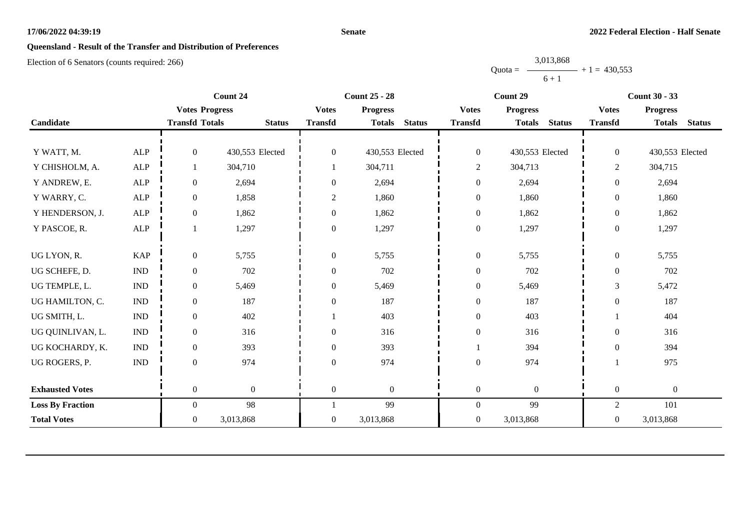#### **Senate**

# **Queensland - Result of the Transfer and Distribution of Preferences**

Election of 6 Senators (counts required: 266)

Quota =  $\longrightarrow$  + 1 = 430,553 3,013,868  $6 + 1$ 

|                         |                             |                       | Count 24        | <b>Count 25 - 28</b><br>Count 29 |                 |               | <b>Count 30 - 33</b> |                 |               |                  |                  |               |
|-------------------------|-----------------------------|-----------------------|-----------------|----------------------------------|-----------------|---------------|----------------------|-----------------|---------------|------------------|------------------|---------------|
|                         |                             | <b>Votes Progress</b> |                 | <b>Votes</b>                     | <b>Progress</b> |               | <b>Votes</b>         | <b>Progress</b> |               | <b>Votes</b>     | <b>Progress</b>  |               |
| Candidate               |                             | <b>Transfd Totals</b> | <b>Status</b>   | <b>Transfd</b>                   | <b>Totals</b>   | <b>Status</b> | <b>Transfd</b>       | <b>Totals</b>   | <b>Status</b> | <b>Transfd</b>   | <b>Totals</b>    | <b>Status</b> |
|                         |                             |                       |                 |                                  |                 |               |                      |                 |               |                  |                  |               |
| Y WATT, M.              | <b>ALP</b>                  | $\theta$              | 430,553 Elected | $\mathbf{0}$                     | 430,553 Elected |               | $\boldsymbol{0}$     | 430,553 Elected |               | $\overline{0}$   | 430,553 Elected  |               |
| Y CHISHOLM, A.          | <b>ALP</b>                  |                       | 304,710         |                                  | 304,711         |               | $\overline{c}$       | 304,713         |               | $\overline{2}$   | 304,715          |               |
| Y ANDREW, E.            | ${\sf ALP}$                 | $\boldsymbol{0}$      | 2,694           | $\boldsymbol{0}$                 | 2,694           |               | $\boldsymbol{0}$     | 2,694           |               | $\boldsymbol{0}$ | 2,694            |               |
| Y WARRY, C.             | <b>ALP</b>                  | $\boldsymbol{0}$      | 1,858           | 2                                | 1,860           |               | $\mathbf{0}$         | 1,860           |               | $\overline{0}$   | 1,860            |               |
| Y HENDERSON, J.         | <b>ALP</b>                  | $\boldsymbol{0}$      | 1,862           | $\boldsymbol{0}$                 | 1,862           |               | $\boldsymbol{0}$     | 1,862           |               | $\boldsymbol{0}$ | 1,862            |               |
| Y PASCOE, R.            | <b>ALP</b>                  |                       | 1,297           | $\boldsymbol{0}$                 | 1,297           |               | $\boldsymbol{0}$     | 1,297           |               | $\boldsymbol{0}$ | 1,297            |               |
|                         |                             |                       |                 |                                  |                 |               |                      |                 |               |                  |                  |               |
| UG LYON, R.             | <b>KAP</b>                  | $\boldsymbol{0}$      | 5,755           | $\boldsymbol{0}$                 | 5,755           |               | $\boldsymbol{0}$     | 5,755           |               | $\boldsymbol{0}$ | 5,755            |               |
| UG SCHEFE, D.           | $\mathop{\rm IND}\nolimits$ | $\mathbf{0}$          | 702             | $\boldsymbol{0}$                 | 702             |               | $\boldsymbol{0}$     | 702             |               | $\boldsymbol{0}$ | 702              |               |
| UG TEMPLE, L.           | $\mathop{\rm IND}\nolimits$ | $\overline{0}$        | 5,469           | $\theta$                         | 5,469           |               | $\boldsymbol{0}$     | 5,469           |               | 3                | 5,472            |               |
| UG HAMILTON, C.         | $\mathop{\rm IND}\nolimits$ | $\overline{0}$        | 187             | $\theta$                         | 187             |               | $\boldsymbol{0}$     | 187             |               | $\overline{0}$   | 187              |               |
| UG SMITH, L.            | $\mathop{\rm IND}\nolimits$ | $\boldsymbol{0}$      | 402             |                                  | 403             |               | $\boldsymbol{0}$     | 403             |               |                  | 404              |               |
| UG QUINLIVAN, L.        | $\mathop{\rm IND}\nolimits$ | $\overline{0}$        | 316             | $\overline{0}$                   | 316             |               | $\boldsymbol{0}$     | 316             |               | $\overline{0}$   | 316              |               |
| UG KOCHARDY, K.         | $\ensuremath{\text{IND}}$   | $\boldsymbol{0}$      | 393             | $\boldsymbol{0}$                 | 393             |               |                      | 394             |               | $\overline{0}$   | 394              |               |
| UG ROGERS, P.           | $\mathop{\rm IND}\nolimits$ | $\overline{0}$        | 974             | $\overline{0}$                   | 974             |               | $\boldsymbol{0}$     | 974             |               |                  | 975              |               |
|                         |                             |                       |                 |                                  |                 |               |                      |                 |               |                  |                  |               |
| <b>Exhausted Votes</b>  |                             | $\overline{0}$        | $\overline{0}$  | $\boldsymbol{0}$                 | $\theta$        |               | $\overline{0}$       | $\theta$        |               | $\boldsymbol{0}$ | $\boldsymbol{0}$ |               |
| <b>Loss By Fraction</b> |                             | $\overline{0}$        | 98              |                                  | 99              |               | $\boldsymbol{0}$     | 99              |               | $\mathfrak{2}$   | 101              |               |
| <b>Total Votes</b>      |                             | $\overline{0}$        | 3,013,868       | $\boldsymbol{0}$                 | 3,013,868       |               | $\boldsymbol{0}$     | 3,013,868       |               | $\boldsymbol{0}$ | 3,013,868        |               |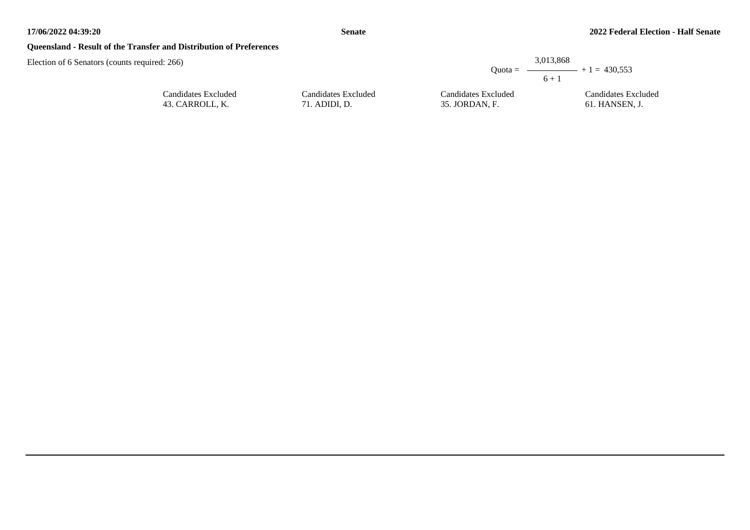## **Queensland - Result of the Transfer and Distribution of Preferences**

Candidates Excluded 43. CARROLL, K.

|                     |                     | 3,013,868<br>Ouota = $\longrightarrow$ + 1 = 430.553<br>$6 + 1$ |
|---------------------|---------------------|-----------------------------------------------------------------|
| Candidates Excluded | Candidates Excluded | Candidates Excluded                                             |
| 71. ADIDI, D.       | 35. JORDAN, F.      | 61. HANSEN, J.                                                  |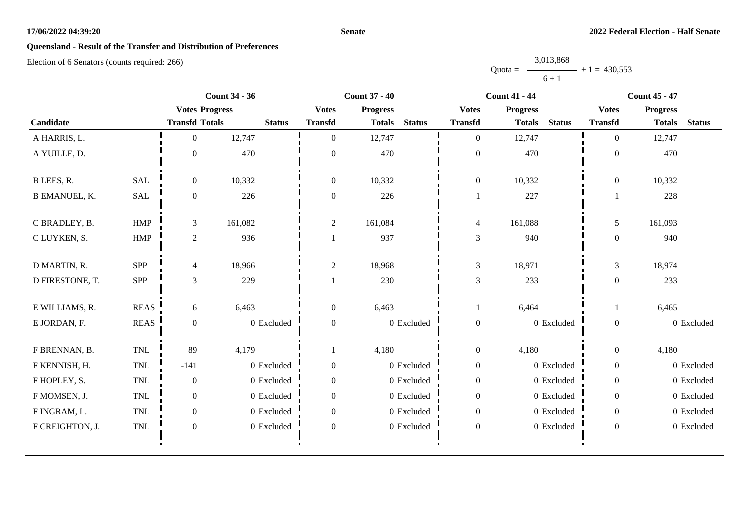#### **Senate**

# **Queensland - Result of the Transfer and Distribution of Preferences**

|           | 3,013,868      |  |
|-----------|----------------|--|
| $Quota =$ | $+1 = 430,553$ |  |
|           | $6 + 1$        |  |

|                      |                             | <b>Count 34 - 36</b>  |               |                  | <b>Count 37 - 40</b>           |                  | <b>Count 41 - 44</b>           | <b>Count 45 - 47</b> |                 |               |
|----------------------|-----------------------------|-----------------------|---------------|------------------|--------------------------------|------------------|--------------------------------|----------------------|-----------------|---------------|
|                      |                             | <b>Votes Progress</b> |               | <b>Votes</b>     | <b>Progress</b>                | <b>Votes</b>     | <b>Progress</b>                | <b>Votes</b>         | <b>Progress</b> |               |
| Candidate            |                             | <b>Transfd Totals</b> | <b>Status</b> | <b>Transfd</b>   | <b>Status</b><br><b>Totals</b> | <b>Transfd</b>   | <b>Status</b><br><b>Totals</b> | <b>Transfd</b>       | <b>Totals</b>   | <b>Status</b> |
| A HARRIS, L.         |                             | $\overline{0}$        | 12,747        | $\boldsymbol{0}$ | 12,747                         | $\mathbf{0}$     | 12,747                         | $\overline{0}$       | 12,747          |               |
| A YUILLE, D.         |                             | $\theta$              | 470           | $\overline{0}$   | 470                            | $\boldsymbol{0}$ | 470                            | $\overline{0}$       | 470             |               |
| B LEES, R.           | <b>SAL</b>                  | $\overline{0}$        | 10,332        | $\boldsymbol{0}$ | 10,332                         | $\boldsymbol{0}$ | 10,332                         | $\boldsymbol{0}$     | 10,332          |               |
| <b>B EMANUEL, K.</b> | SAL                         | $\boldsymbol{0}$      | 226           | $\boldsymbol{0}$ | 226                            | $\mathbf{1}$     | 227                            |                      | 228             |               |
| C BRADLEY, B.        | <b>HMP</b>                  | 3                     | 161,082       | $\overline{c}$   | 161,084                        | $\overline{4}$   | 161,088                        | 5                    | 161,093         |               |
| C LUYKEN, S.         | HMP                         | 2                     | 936           |                  | 937                            | $\mathfrak 3$    | 940                            | $\mathbf{0}$         | 940             |               |
| D MARTIN, R.         | <b>SPP</b>                  | 4                     | 18,966        | $\overline{c}$   | 18,968                         | $\mathfrak{Z}$   | 18,971                         | $\mathfrak{Z}$       | 18,974          |               |
| D FIRESTONE, T.      | <b>SPP</b>                  | $\mathfrak{Z}$        | 229           |                  | 230                            | $\mathfrak{Z}$   | 233                            | $\mathbf{0}$         | 233             |               |
| E WILLIAMS, R.       | <b>REAS</b>                 | 6                     | 6,463         | $\boldsymbol{0}$ | 6,463                          |                  | 6,464                          |                      | 6,465           |               |
| E JORDAN, F.         | <b>REAS</b>                 | $\overline{0}$        | 0 Excluded    | $\boldsymbol{0}$ | 0 Excluded                     | $\boldsymbol{0}$ | 0 Excluded                     | $\boldsymbol{0}$     |                 | 0 Excluded    |
| F BRENNAN, B.        | $\ensuremath{\mathsf{TNL}}$ | 89                    | 4,179         |                  | 4,180                          | $\boldsymbol{0}$ | 4,180                          | $\overline{0}$       | 4,180           |               |
| F KENNISH, H.        | $\mbox{TNL}$                | $-141$                | 0 Excluded    | $\boldsymbol{0}$ | 0 Excluded                     | $\boldsymbol{0}$ | 0 Excluded                     | $\overline{0}$       |                 | 0 Excluded    |
| F HOPLEY, S.         | <b>TNL</b>                  | $\overline{0}$        | 0 Excluded    | $\boldsymbol{0}$ | 0 Excluded                     | $\boldsymbol{0}$ | 0 Excluded                     | $\overline{0}$       |                 | 0 Excluded    |
| F MOMSEN, J.         | $\mbox{TNL}$                | $\overline{0}$        | 0 Excluded    | $\theta$         | 0 Excluded                     | $\boldsymbol{0}$ | 0 Excluded                     | $\Omega$             |                 | 0 Excluded    |
| F INGRAM, L.         | <b>TNL</b>                  | $\overline{0}$        | 0 Excluded    | $\theta$         | 0 Excluded                     | $\overline{0}$   | 0 Excluded                     | $\overline{0}$       |                 | 0 Excluded    |
| F CREIGHTON, J.      | TNL                         | $\boldsymbol{0}$      | 0 Excluded    | $\boldsymbol{0}$ | 0 Excluded                     | $\boldsymbol{0}$ | 0 Excluded                     | $\overline{0}$       |                 | 0 Excluded    |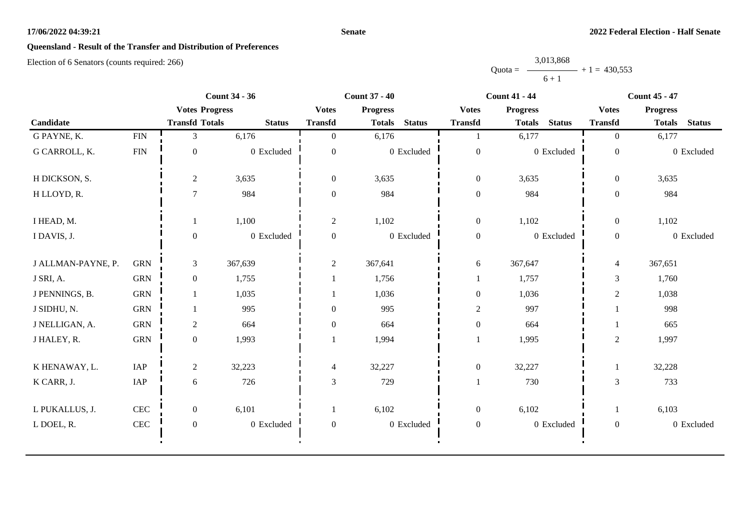#### **Senate**

# **Queensland - Result of the Transfer and Distribution of Preferences**

|           | 3,013,868 |                |
|-----------|-----------|----------------|
| $Quota =$ |           | $+1 = 430.553$ |
|           | $6 + 1$   |                |

|                    |              | <b>Count 34 - 36</b>  |               | <b>Count 37 - 40</b> |                 |               | <b>Count 41 - 44</b> |                 |               | <b>Count 45 - 47</b> |                 |               |
|--------------------|--------------|-----------------------|---------------|----------------------|-----------------|---------------|----------------------|-----------------|---------------|----------------------|-----------------|---------------|
|                    |              | <b>Votes Progress</b> |               | <b>Votes</b>         | <b>Progress</b> |               | <b>Votes</b>         | <b>Progress</b> |               | <b>Votes</b>         | <b>Progress</b> |               |
| Candidate          |              | <b>Transfd Totals</b> | <b>Status</b> | <b>Transfd</b>       | <b>Totals</b>   | <b>Status</b> | <b>Transfd</b>       | <b>Totals</b>   | <b>Status</b> | <b>Transfd</b>       | <b>Totals</b>   | <b>Status</b> |
| G PAYNE, K.        | ${\rm FIN}$  | 3                     | 6,176         | $\overline{0}$       | 6,176           |               |                      | 6,177           |               | $\overline{0}$       | 6,177           |               |
| G CARROLL, K.      | <b>FIN</b>   | $\boldsymbol{0}$      | 0 Excluded    | $\mathbf{0}$         |                 | 0 Excluded    | $\boldsymbol{0}$     |                 | 0 Excluded    | $\mathbf{0}$         |                 | 0 Excluded    |
| H DICKSON, S.      |              | $\overline{2}$        | 3,635         | $\overline{0}$       | 3,635           |               | $\boldsymbol{0}$     | 3,635           |               | $\overline{0}$       | 3,635           |               |
| H LLOYD, R.        |              | $\tau$                | 984           | $\theta$             | 984             |               | $\boldsymbol{0}$     | 984             |               | $\mathbf{0}$         | 984             |               |
| I HEAD, M.         |              | 1                     | 1,100         | $\overline{2}$       | 1,102           |               | $\boldsymbol{0}$     | 1,102           |               | $\overline{0}$       | 1,102           |               |
| I DAVIS, J.        |              | $\boldsymbol{0}$      | 0 Excluded    | $\mathbf{0}$         |                 | 0 Excluded    | $\mathbf{0}$         |                 | 0 Excluded    | $\overline{0}$       |                 | 0 Excluded    |
| J ALLMAN-PAYNE, P. | <b>GRN</b>   | $\mathfrak{Z}$        | 367,639       | $\overline{2}$       | 367,641         |               | 6                    | 367,647         |               | $\overline{4}$       | 367,651         |               |
| J SRI, A.          | <b>GRN</b>   | $\overline{0}$        | 1,755         |                      | 1,756           |               |                      | 1,757           |               | 3                    | 1,760           |               |
| J PENNINGS, B.     | <b>GRN</b>   |                       | 1,035         |                      | 1,036           |               | $\boldsymbol{0}$     | 1,036           |               | $\boldsymbol{2}$     | 1,038           |               |
| J SIDHU, N.        | <b>GRN</b>   |                       | 995           | $\mathbf{0}$         | 995             |               | $\overline{2}$       | 997             |               |                      | 998             |               |
| J NELLIGAN, A.     | <b>GRN</b>   | $\overline{2}$        | 664           | $\boldsymbol{0}$     | 664             |               | $\boldsymbol{0}$     | 664             |               |                      | 665             |               |
| J HALEY, R.        | <b>GRN</b>   | $\overline{0}$        | 1,993         |                      | 1,994           |               | -1                   | 1,995           |               | $\overline{c}$       | 1,997           |               |
| K HENAWAY, L.      | IAP          | $\overline{2}$        | 32,223        | $\overline{4}$       | 32,227          |               | $\boldsymbol{0}$     | 32,227          |               | 1                    | 32,228          |               |
| K CARR, J.         | IAP          | 6                     | 726           | 3                    | 729             |               |                      | 730             |               | 3                    | 733             |               |
| L PUKALLUS, J.     | $\mbox{CEC}$ | $\overline{0}$        | 6,101         | 1                    | 6,102           |               | $\boldsymbol{0}$     | 6,102           |               | 1                    | 6,103           |               |
| L DOEL, R.         | $\mbox{CEC}$ | $\boldsymbol{0}$      | 0 Excluded    | $\boldsymbol{0}$     |                 | 0 Excluded    | $\boldsymbol{0}$     |                 | 0 Excluded    | $\boldsymbol{0}$     |                 | 0 Excluded    |
|                    |              |                       |               |                      |                 |               |                      |                 |               |                      |                 |               |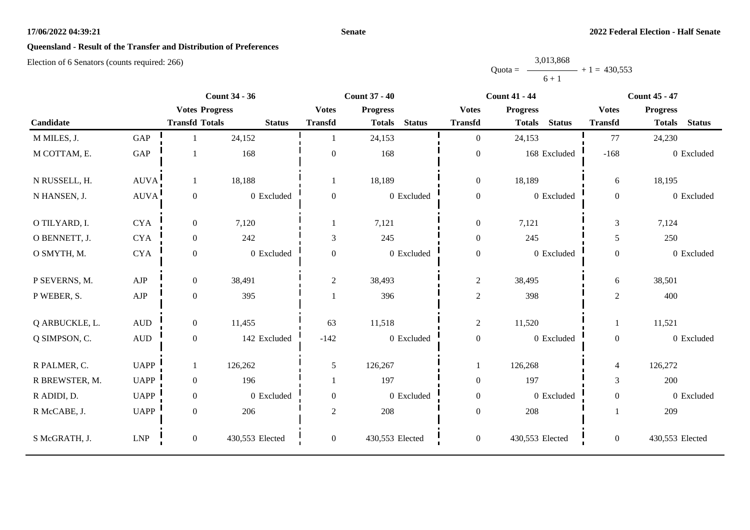#### **Senate**

# **Queensland - Result of the Transfer and Distribution of Preferences**

|           | 3,013,868 |                |
|-----------|-----------|----------------|
| $Quota =$ |           | $+1 = 430,553$ |
|           | $6 + 1$   |                |

|                |                             |                       | <b>Count 34 - 36</b> |                  | <b>Count 37 - 40</b> |               |                  | <b>Count 41 - 44</b>           |                  | <b>Count 45 - 47</b>           |
|----------------|-----------------------------|-----------------------|----------------------|------------------|----------------------|---------------|------------------|--------------------------------|------------------|--------------------------------|
|                |                             | <b>Votes Progress</b> |                      | <b>Votes</b>     | <b>Progress</b>      |               | <b>Votes</b>     | <b>Progress</b>                | <b>Votes</b>     | <b>Progress</b>                |
| Candidate      |                             | <b>Transfd Totals</b> | <b>Status</b>        | <b>Transfd</b>   | <b>Totals</b>        | <b>Status</b> | <b>Transfd</b>   | <b>Status</b><br><b>Totals</b> | <b>Transfd</b>   | <b>Status</b><br><b>Totals</b> |
| M MILES, J.    | GAP                         |                       | 24,152               |                  | 24,153               |               | $\overline{0}$   | 24,153                         | 77               | 24,230                         |
| M COTTAM, E.   | GAP                         |                       | 168                  | $\mathbf{0}$     | 168                  |               | $\boldsymbol{0}$ | 168 Excluded                   | $-168$           | 0 Excluded                     |
| N RUSSELL, H.  | <b>AUVA</b>                 | $\mathbf{1}$          | 18,188               |                  | 18,189               |               | $\boldsymbol{0}$ | 18,189                         | 6                | 18,195                         |
| N HANSEN, J.   | AUVA!                       | $\boldsymbol{0}$      | 0 Excluded           | $\overline{0}$   | 0 Excluded           |               | $\boldsymbol{0}$ | 0 Excluded                     | $\overline{0}$   | 0 Excluded                     |
| O TILYARD, I.  | <b>CYA</b>                  | $\boldsymbol{0}$      | 7,120                |                  | 7,121                |               | $\boldsymbol{0}$ | 7,121                          | 3                | 7,124                          |
| O BENNETT, J.  | <b>CYA</b>                  | $\boldsymbol{0}$      | 242                  | 3                | 245                  |               | $\boldsymbol{0}$ | 245                            | 5                | 250                            |
| O SMYTH, M.    | <b>CYA</b>                  | $\mathbf{0}$          | 0 Excluded           | $\overline{0}$   | 0 Excluded           |               | $\boldsymbol{0}$ | 0 Excluded                     | $\overline{0}$   | 0 Excluded                     |
| P SEVERNS, M.  | AJP                         | $\boldsymbol{0}$      | 38,491               | $\overline{2}$   | 38,493               |               | $\overline{2}$   | 38,495                         | 6                | 38,501                         |
| P WEBER, S.    | ${\rm AJP}$                 | $\boldsymbol{0}$      | 395                  |                  | 396                  |               | $\mathbf{2}$     | 398                            | $\overline{c}$   | 400                            |
| Q ARBUCKLE, L. | $\hbox{AUD}$                | $\boldsymbol{0}$      | 11,455               | 63               | 11,518               |               | $\overline{2}$   | 11,520                         | $\mathbf{1}$     | 11,521                         |
| Q SIMPSON, C.  | $\mbox{AUD}$                | $\overline{0}$        | 142 Excluded         | $-142$           | 0 Excluded           |               | $\boldsymbol{0}$ | 0 Excluded                     | $\overline{0}$   | 0 Excluded                     |
| R PALMER, C.   | <b>UAPP</b>                 | $\mathbf{1}$          | 126,262              | 5                | 126,267              |               | 1                | 126,268                        | 4                | 126,272                        |
| R BREWSTER, M. | <b>UAPP</b>                 | $\mathbf{0}$          | 196                  |                  | 197                  |               | $\boldsymbol{0}$ | 197                            | $\overline{3}$   | 200                            |
| R ADIDI, D.    | <b>UAPP</b>                 | $\boldsymbol{0}$      | 0 Excluded           | $\overline{0}$   | 0 Excluded           |               | $\boldsymbol{0}$ | 0 Excluded                     | $\boldsymbol{0}$ | 0 Excluded                     |
| R McCABE, J.   | <b>UAPP</b>                 | $\boldsymbol{0}$      | 206                  | $\overline{2}$   | 208                  |               | $\boldsymbol{0}$ | 208                            |                  | 209                            |
| S McGRATH, J.  | $\ensuremath{\mathrm{LNP}}$ | $\boldsymbol{0}$      | 430,553 Elected      | $\boldsymbol{0}$ | 430,553 Elected      |               | $\boldsymbol{0}$ | 430,553 Elected                | $\overline{0}$   | 430,553 Elected                |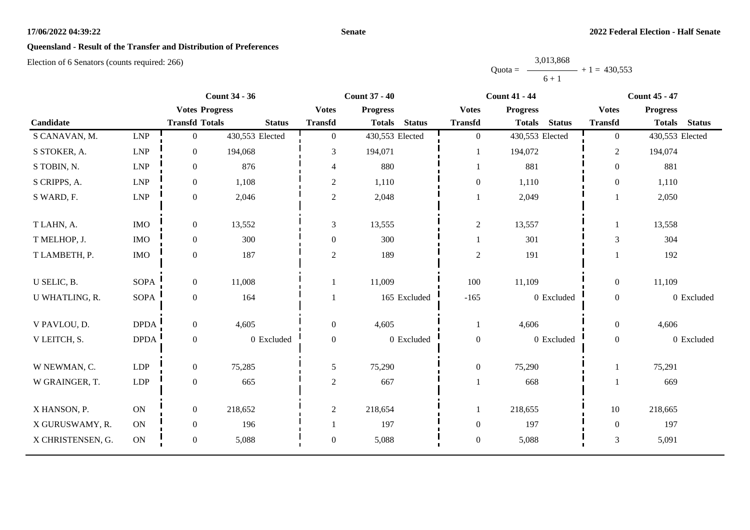#### **Senate**

# **Queensland - Result of the Transfer and Distribution of Preferences**

|           | 3,013,868      |  |
|-----------|----------------|--|
| $Quota =$ | $+1 = 430,553$ |  |
|           | $6 + 1$        |  |

|                   |             |                       | <b>Count 34 - 36</b> |                          | <b>Count 37 - 40</b>           |                |                  | <b>Count 41 - 44</b>           |                  | <b>Count 45 - 47</b> |               |
|-------------------|-------------|-----------------------|----------------------|--------------------------|--------------------------------|----------------|------------------|--------------------------------|------------------|----------------------|---------------|
|                   |             | <b>Votes Progress</b> |                      | <b>Votes</b>             | <b>Progress</b>                |                | <b>Votes</b>     | <b>Progress</b>                | <b>Votes</b>     | <b>Progress</b>      |               |
| Candidate         |             | <b>Transfd Totals</b> | <b>Status</b>        | <b>Transfd</b>           | <b>Status</b><br><b>Totals</b> | <b>Transfd</b> |                  | <b>Status</b><br><b>Totals</b> | <b>Transfd</b>   | <b>Totals</b>        | <b>Status</b> |
| S CANAVAN, M.     | LNP         | $\mathbf{0}$          | 430,553 Elected      | $\overline{0}$           | 430,553 Elected                |                | $\boldsymbol{0}$ | 430,553 Elected                | $\overline{0}$   | 430,553 Elected      |               |
| S STOKER, A.      | LNP         | $\boldsymbol{0}$      | 194,068              | 3                        | 194,071                        |                |                  | 194,072                        | $\overline{2}$   | 194,074              |               |
| S TOBIN, N.       | ${\rm LNP}$ | $\boldsymbol{0}$      | 876                  | $\overline{\mathcal{L}}$ | 880                            |                | 1                | 881                            | $\overline{0}$   | 881                  |               |
| S CRIPPS, A.      | LNP         | $\boldsymbol{0}$      | 1,108                | $\overline{c}$           | 1,110                          |                | $\boldsymbol{0}$ | 1,110                          | $\theta$         | 1,110                |               |
| S WARD, F.        | LNP         | $\boldsymbol{0}$      | 2,046                | $\overline{c}$           | 2,048                          |                |                  | 2,049                          |                  | 2,050                |               |
| T LAHN, A.        | <b>IMO</b>  | $\boldsymbol{0}$      | 13,552               | 3                        | 13,555                         |                | $\sqrt{2}$       | 13,557                         | 1                | 13,558               |               |
| T MELHOP, J.      | <b>IMO</b>  | $\boldsymbol{0}$      | 300                  | $\boldsymbol{0}$         | 300                            |                | 1                | 301                            | 3                | 304                  |               |
| T LAMBETH, P.     | $\rm{IMO}$  | $\boldsymbol{0}$      | 187                  | $\overline{c}$           | 189                            |                | $\sqrt{2}$       | 191                            |                  | 192                  |               |
| U SELIC, B.       | <b>SOPA</b> | $\boldsymbol{0}$      | 11,008               |                          | 11,009                         |                | 100              | 11,109                         | $\overline{0}$   | 11,109               |               |
| U WHATLING, R.    | <b>SOPA</b> | $\boldsymbol{0}$      | 164                  |                          | 165 Excluded                   |                | $-165$           | 0 Excluded                     | $\boldsymbol{0}$ |                      | 0 Excluded    |
| V PAVLOU, D.      | <b>DPDA</b> | $\boldsymbol{0}$      | 4,605                | $\overline{0}$           | 4,605                          |                |                  | 4,606                          | $\overline{0}$   | 4,606                |               |
| V LEITCH, S.      | <b>DPDA</b> | $\boldsymbol{0}$      | 0 Excluded           | $\boldsymbol{0}$         | 0 Excluded                     |                | $\boldsymbol{0}$ | 0 Excluded                     | $\overline{0}$   |                      | 0 Excluded    |
| W NEWMAN, C.      | LDP         | $\boldsymbol{0}$      | 75,285               | 5                        | 75,290                         |                | $\boldsymbol{0}$ | 75,290                         |                  | 75,291               |               |
| W GRAINGER, T.    | LDP         | $\boldsymbol{0}$      | 665                  | $\overline{c}$           | 667                            |                | $\mathbf{1}$     | 668                            |                  | 669                  |               |
| X HANSON, P.      | ON          | $\boldsymbol{0}$      | 218,652              | $\overline{2}$           | 218,654                        |                | 1                | 218,655                        | 10               | 218,665              |               |
| X GURUSWAMY, R.   | ON          | $\boldsymbol{0}$      | 196                  |                          | 197                            |                | $\boldsymbol{0}$ | 197                            | $\mathbf{0}$     | 197                  |               |
| X CHRISTENSEN, G. | ON          | $\boldsymbol{0}$      | 5,088                | $\boldsymbol{0}$         | 5,088                          |                | $\boldsymbol{0}$ | 5,088                          | 3                | 5,091                |               |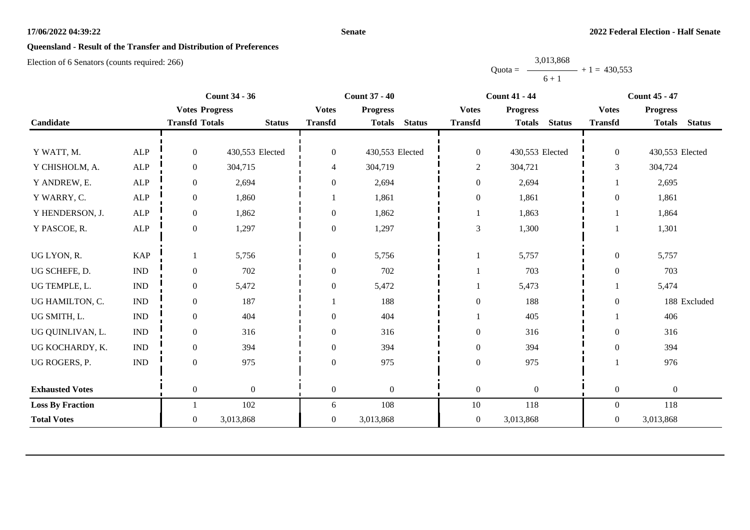#### **Senate**

# **Queensland - Result of the Transfer and Distribution of Preferences**

|           | 3,013,868 |                |
|-----------|-----------|----------------|
| $Quota =$ |           | $+1 = 430,553$ |
|           | $6 + 1$   |                |

|                         | <b>Count 34 - 36</b><br><b>Count 37 - 40</b><br><b>Count 41 - 44</b> |                       |                  | <b>Count 45 - 47</b> |                 |               |                  |                  |               |                  |                  |               |
|-------------------------|----------------------------------------------------------------------|-----------------------|------------------|----------------------|-----------------|---------------|------------------|------------------|---------------|------------------|------------------|---------------|
|                         |                                                                      | <b>Votes Progress</b> |                  | <b>Votes</b>         | <b>Progress</b> |               | <b>Votes</b>     | <b>Progress</b>  |               | <b>Votes</b>     | <b>Progress</b>  |               |
| Candidate               |                                                                      | <b>Transfd Totals</b> | <b>Status</b>    | <b>Transfd</b>       | <b>Totals</b>   | <b>Status</b> | <b>Transfd</b>   | <b>Totals</b>    | <b>Status</b> | <b>Transfd</b>   | <b>Totals</b>    | <b>Status</b> |
|                         |                                                                      |                       |                  |                      |                 |               |                  |                  |               |                  |                  |               |
| Y WATT, M.              | <b>ALP</b>                                                           | $\overline{0}$        | 430,553 Elected  | $\mathbf{0}$         | 430,553 Elected |               | $\boldsymbol{0}$ | 430,553 Elected  |               | $\boldsymbol{0}$ | 430,553 Elected  |               |
| Y CHISHOLM, A.          | ALP                                                                  | $\mathbf{0}$          | 304,715          | 4                    | 304,719         |               | $\overline{c}$   | 304,721          |               | 3                | 304,724          |               |
| Y ANDREW, E.            | ${\sf ALP}$                                                          | $\boldsymbol{0}$      | 2,694            | $\overline{0}$       | 2,694           |               | $\boldsymbol{0}$ | 2,694            |               |                  | 2,695            |               |
| Y WARRY, C.             | ALP                                                                  | $\overline{0}$        | 1,860            |                      | 1,861           |               | $\boldsymbol{0}$ | 1,861            |               | $\boldsymbol{0}$ | 1,861            |               |
| Y HENDERSON, J.         | <b>ALP</b>                                                           | $\boldsymbol{0}$      | 1,862            | $\boldsymbol{0}$     | 1,862           |               | 1                | 1,863            |               |                  | 1,864            |               |
| Y PASCOE, R.            | ${\sf ALP}$                                                          | $\boldsymbol{0}$      | 1,297            | $\overline{0}$       | 1,297           |               | 3                | 1,300            |               |                  | 1,301            |               |
|                         |                                                                      |                       |                  |                      |                 |               |                  |                  |               |                  |                  |               |
| UG LYON, R.             | <b>KAP</b>                                                           |                       | 5,756            | $\overline{0}$       | 5,756           |               |                  | 5,757            |               | $\boldsymbol{0}$ | 5,757            |               |
| UG SCHEFE, D.           | $\mathbf{IND}\xspace$                                                | $\boldsymbol{0}$      | 702              | $\boldsymbol{0}$     | 702             |               |                  | 703              |               | $\boldsymbol{0}$ | 703              |               |
| UG TEMPLE, L.           | $\ensuremath{\text{IND}}$                                            | $\boldsymbol{0}$      | 5,472            | $\overline{0}$       | 5,472           |               |                  | 5,473            |               |                  | 5,474            |               |
| UG HAMILTON, C.         | <b>IND</b>                                                           | $\mathbf{0}$          | 187              |                      | 188             |               | $\boldsymbol{0}$ | 188              |               | $\boldsymbol{0}$ |                  | 188 Excluded  |
| UG SMITH, L.            | $\ensuremath{\text{IND}}$                                            | $\boldsymbol{0}$      | 404              | $\overline{0}$       | 404             |               |                  | 405              |               |                  | 406              |               |
| UG QUINLIVAN, L.        | <b>IND</b>                                                           | $\overline{0}$        | 316              | $\overline{0}$       | 316             |               | $\boldsymbol{0}$ | 316              |               | $\boldsymbol{0}$ | 316              |               |
| UG KOCHARDY, K.         | <b>IND</b>                                                           | $\boldsymbol{0}$      | 394              | $\boldsymbol{0}$     | 394             |               | $\boldsymbol{0}$ | 394              |               | $\boldsymbol{0}$ | 394              |               |
| UG ROGERS, P.           | $\ensuremath{\text{IND}}$                                            | $\overline{0}$        | 975              | $\overline{0}$       | 975             |               | $\boldsymbol{0}$ | 975              |               |                  | 976              |               |
|                         |                                                                      |                       |                  |                      |                 |               |                  |                  |               |                  |                  |               |
| <b>Exhausted Votes</b>  |                                                                      | $\overline{0}$        | $\boldsymbol{0}$ | $\mathbf{0}$         | $\overline{0}$  |               | $\boldsymbol{0}$ | $\boldsymbol{0}$ |               | $\boldsymbol{0}$ | $\boldsymbol{0}$ |               |
| <b>Loss By Fraction</b> |                                                                      |                       | 102              | 6                    | 108             |               | $10\,$           | 118              |               | $\overline{0}$   | 118              |               |
| <b>Total Votes</b>      |                                                                      | $\overline{0}$        | 3,013,868        | $\overline{0}$       | 3,013,868       |               | $\boldsymbol{0}$ | 3,013,868        |               | $\overline{0}$   | 3,013,868        |               |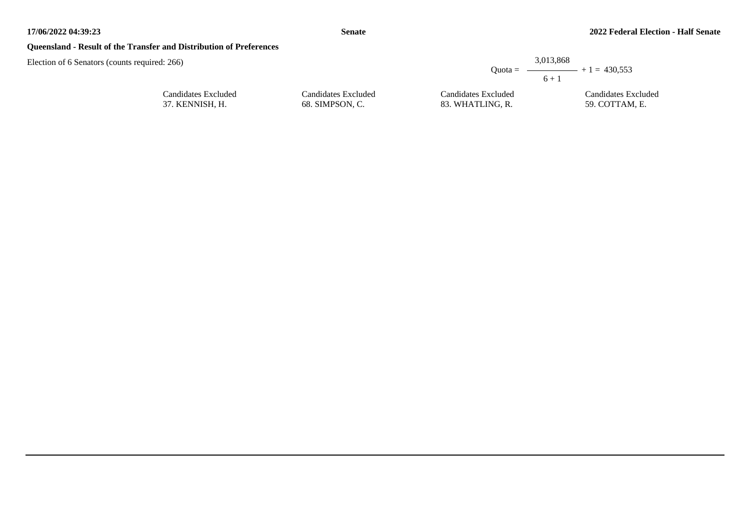## **Queensland - Result of the Transfer and Distribution of Preferences**

| ounts required: 266) |                     |                     | 3,013,868<br>Quota = $\longrightarrow$ + 1 = 430,553<br>$6 + 1$ |
|----------------------|---------------------|---------------------|-----------------------------------------------------------------|
| Candidates Excluded  | Candidates Excluded | Candidates Excluded | Candidates Excluded                                             |
| 37. KENNISH, H.      | 68. SIMPSON. C.     | 83. WHATLING, R.    | 59. COTTAM. E.                                                  |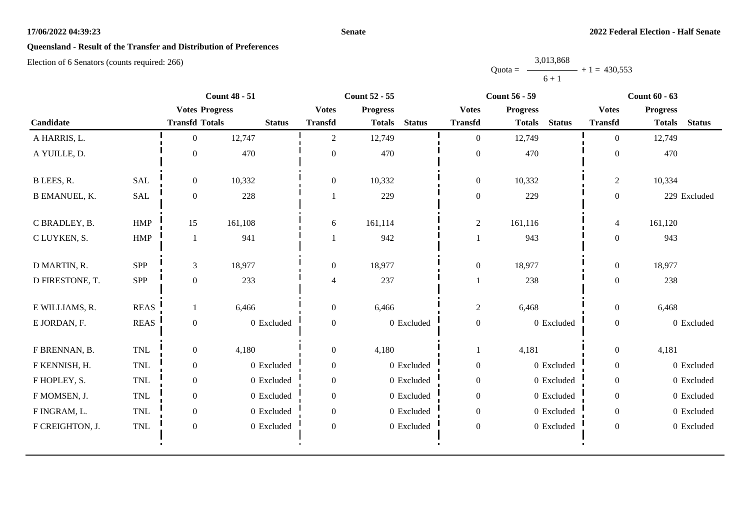#### **Senate**

# **Queensland - Result of the Transfer and Distribution of Preferences**

|           | 3,013,868 |                |
|-----------|-----------|----------------|
| $Quota =$ |           | $+1 = 430,553$ |
|           | $6 + 1$   |                |

|                      |                       |                       | <b>Count 48 - 51</b> |                  | <b>Count 52 - 55</b>           |                  | <b>Count 56 - 59</b>           |                  | <b>Count 60 - 63</b>           |
|----------------------|-----------------------|-----------------------|----------------------|------------------|--------------------------------|------------------|--------------------------------|------------------|--------------------------------|
|                      |                       | <b>Votes Progress</b> |                      | <b>Votes</b>     | <b>Progress</b>                | <b>Votes</b>     | <b>Progress</b>                | <b>Votes</b>     | <b>Progress</b>                |
| Candidate            |                       | <b>Transfd Totals</b> | <b>Status</b>        | <b>Transfd</b>   | <b>Status</b><br><b>Totals</b> | <b>Transfd</b>   | <b>Status</b><br><b>Totals</b> | <b>Transfd</b>   | <b>Status</b><br><b>Totals</b> |
| A HARRIS, L.         |                       | $\Omega$              | 12,747               | $\overline{2}$   | 12,749                         | $\overline{0}$   | 12,749                         | $\theta$         | 12,749                         |
| A YUILLE, D.         |                       | $\mathbf{0}$          | 470                  | $\boldsymbol{0}$ | 470                            | $\boldsymbol{0}$ | 470                            | $\Omega$         | 470                            |
| B LEES, R.           | <b>SAL</b>            | $\overline{0}$        | 10,332               | $\overline{0}$   | 10,332                         | $\boldsymbol{0}$ | 10,332                         | $\overline{2}$   | 10,334                         |
| <b>B EMANUEL, K.</b> | SAL                   | $\boldsymbol{0}$      | 228                  |                  | 229                            | $\boldsymbol{0}$ | 229                            | $\boldsymbol{0}$ | 229 Excluded                   |
| C BRADLEY, B.        | <b>HMP</b>            | 15                    | 161,108              | 6                | 161,114                        | $\overline{c}$   | 161,116                        | $\overline{4}$   | 161,120                        |
| C LUYKEN, S.         | ${\rm HMP}$           | $\mathbf{1}$          | 941                  |                  | 942                            |                  | 943                            | $\overline{0}$   | 943                            |
| D MARTIN, R.         | SPP                   | 3                     | 18,977               | $\boldsymbol{0}$ | 18,977                         | $\boldsymbol{0}$ | 18,977                         | $\mathbf{0}$     | 18,977                         |
| D FIRESTONE, T.      | SPP                   | $\boldsymbol{0}$      | 233                  | 4                | 237                            |                  | 238                            | $\boldsymbol{0}$ | 238                            |
| E WILLIAMS, R.       | <b>REAS</b>           |                       | 6,466                | $\boldsymbol{0}$ | 6,466                          | $\overline{c}$   | 6,468                          | $\mathbf{0}$     | 6,468                          |
| E JORDAN, F.         | $\operatorname{REAS}$ | $\boldsymbol{0}$      | 0 Excluded           | $\boldsymbol{0}$ | 0 Excluded                     | $\boldsymbol{0}$ | 0 Excluded                     | $\boldsymbol{0}$ | 0 Excluded                     |
| F BRENNAN, B.        | TNL                   | $\overline{0}$        | 4,180                | $\boldsymbol{0}$ | 4,180                          | -1               | 4,181                          | $\boldsymbol{0}$ | 4,181                          |
| F KENNISH, H.        | TNL                   | $\boldsymbol{0}$      | 0 Excluded           | $\boldsymbol{0}$ | 0 Excluded                     | $\boldsymbol{0}$ | 0 Excluded                     | $\boldsymbol{0}$ | 0 Excluded                     |
| F HOPLEY, S.         | <b>TNL</b>            | $\boldsymbol{0}$      | 0 Excluded           | $\overline{0}$   | 0 Excluded                     | $\boldsymbol{0}$ | 0 Excluded                     | $\boldsymbol{0}$ | 0 Excluded                     |
| F MOMSEN, J.         | TNL                   | $\boldsymbol{0}$      | 0 Excluded           | $\Omega$         | 0 Excluded                     | $\boldsymbol{0}$ | $0$ Excluded                   | $\overline{0}$   | 0 Excluded                     |
| F INGRAM, L.         | TNL                   | $\boldsymbol{0}$      | 0 Excluded           | $\overline{0}$   | 0 Excluded                     | $\boldsymbol{0}$ | 0 Excluded                     | $\boldsymbol{0}$ | 0 Excluded                     |
| F CREIGHTON, J.      | TNL                   | $\boldsymbol{0}$      | 0 Excluded           | $\boldsymbol{0}$ | 0 Excluded                     | $\boldsymbol{0}$ | 0 Excluded                     | $\overline{0}$   | 0 Excluded                     |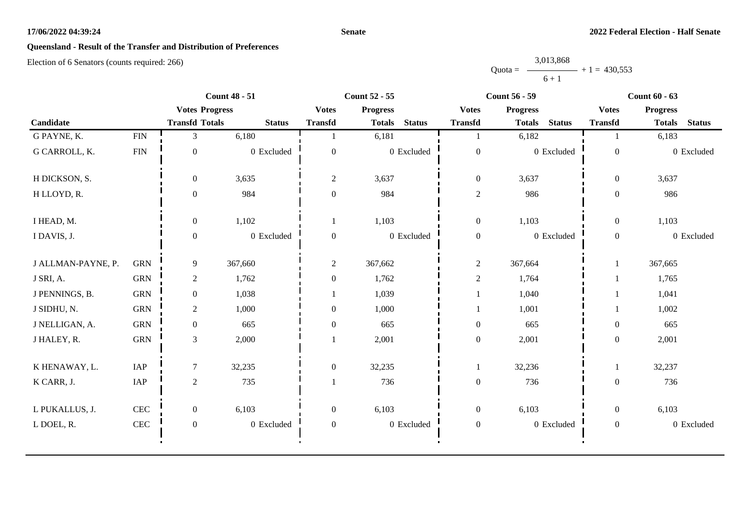#### **Senate**

# **Queensland - Result of the Transfer and Distribution of Preferences**

|           | 3,013,868 |                |
|-----------|-----------|----------------|
| $Quota =$ |           | $+1 = 430.553$ |
|           | $6 + 1$   |                |

|                    |              |                       | <b>Count 48 - 51</b> |                  | <b>Count 52 - 55</b> |               |                  | <b>Count 56 - 59</b> |               |                  | <b>Count 60 - 63</b> |               |
|--------------------|--------------|-----------------------|----------------------|------------------|----------------------|---------------|------------------|----------------------|---------------|------------------|----------------------|---------------|
|                    |              | <b>Votes Progress</b> |                      | <b>Votes</b>     | <b>Progress</b>      |               | <b>Votes</b>     | <b>Progress</b>      |               | <b>Votes</b>     | <b>Progress</b>      |               |
| Candidate          |              | <b>Transfd Totals</b> | <b>Status</b>        | <b>Transfd</b>   | <b>Totals</b>        | <b>Status</b> | <b>Transfd</b>   | <b>Totals</b>        | <b>Status</b> | <b>Transfd</b>   | <b>Totals</b>        | <b>Status</b> |
| G PAYNE, K.        | ${\rm FIN}$  | 3                     | 6,180                |                  | 6,181                |               |                  | 6,182                |               |                  | 6,183                |               |
| G CARROLL, K.      | <b>FIN</b>   | $\boldsymbol{0}$      | 0 Excluded           | $\Omega$         |                      | 0 Excluded    | $\boldsymbol{0}$ |                      | 0 Excluded    | $\mathbf{0}$     |                      | 0 Excluded    |
| H DICKSON, S.      |              | $\boldsymbol{0}$      | 3,635                | $\overline{2}$   | 3,637                |               | $\boldsymbol{0}$ | 3,637                |               | $\overline{0}$   | 3,637                |               |
| H LLOYD, R.        |              | $\Omega$              | 984                  | $\Omega$         | 984                  |               | $\sqrt{2}$       | 986                  |               | $\mathbf{0}$     | 986                  |               |
| I HEAD, M.         |              | $\boldsymbol{0}$      | 1,102                | 1                | 1,103                |               | $\boldsymbol{0}$ | 1,103                |               | $\boldsymbol{0}$ | 1,103                |               |
| I DAVIS, J.        |              | $\boldsymbol{0}$      | 0 Excluded           | $\mathbf{0}$     |                      | $0$ Excluded  | $\boldsymbol{0}$ |                      | 0 Excluded    | $\mathbf{0}$     |                      | 0 Excluded    |
| J ALLMAN-PAYNE, P. | <b>GRN</b>   | 9                     | 367,660              | $\overline{2}$   | 367,662              |               | $\overline{c}$   | 367,664              |               |                  | 367,665              |               |
| J SRI, A.          | <b>GRN</b>   | $\overline{c}$        | 1,762                | $\boldsymbol{0}$ | 1,762                |               | $\sqrt{2}$       | 1,764                |               |                  | 1,765                |               |
| J PENNINGS, B.     | <b>GRN</b>   | $\overline{0}$        | 1,038                |                  | 1,039                |               |                  | 1,040                |               |                  | 1,041                |               |
| J SIDHU, N.        | ${\rm GRN}$  | $\overline{c}$        | 1,000                | $\boldsymbol{0}$ | 1,000                |               |                  | 1,001                |               |                  | 1,002                |               |
| J NELLIGAN, A.     | <b>GRN</b>   | $\boldsymbol{0}$      | 665                  | $\boldsymbol{0}$ | 665                  |               | $\boldsymbol{0}$ | 665                  |               | $\boldsymbol{0}$ | 665                  |               |
| J HALEY, R.        | <b>GRN</b>   | 3                     | 2,000                |                  | 2,001                |               | $\boldsymbol{0}$ | 2,001                |               | $\boldsymbol{0}$ | 2,001                |               |
| K HENAWAY, L.      | IAP          | $\tau$                | 32,235               | $\boldsymbol{0}$ | 32,235               |               | -1               | 32,236               |               | 1                | 32,237               |               |
| K CARR, J.         | IAP          | $\overline{2}$        | 735                  |                  | 736                  |               | $\boldsymbol{0}$ | 736                  |               | $\boldsymbol{0}$ | 736                  |               |
| L PUKALLUS, J.     | $\mbox{CEC}$ | $\overline{0}$        | 6,103                | $\overline{0}$   | 6,103                |               | $\boldsymbol{0}$ | 6,103                |               | $\overline{0}$   | 6,103                |               |
| L DOEL, R.         | $\mbox{CEC}$ | $\boldsymbol{0}$      | 0 Excluded           | $\boldsymbol{0}$ |                      | 0 Excluded    | $\boldsymbol{0}$ |                      | 0 Excluded    | $\mathbf{0}$     |                      | 0 Excluded    |
|                    |              |                       |                      |                  |                      |               |                  |                      |               |                  |                      |               |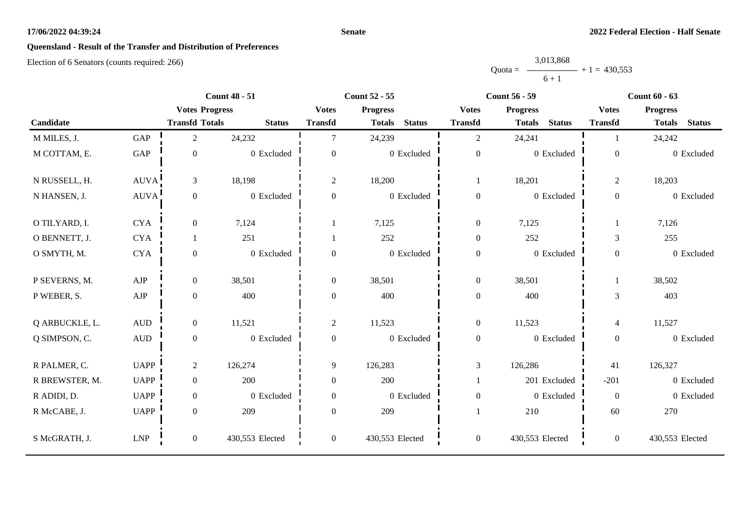#### **Senate**

# **Queensland - Result of the Transfer and Distribution of Preferences**

|           | 3,013,868 |                |
|-----------|-----------|----------------|
| $Quota =$ |           | $+1 = 430,553$ |
|           | $6 + 1$   |                |

|                |                             |                       | <b>Count 48 - 51</b> |                | <b>Count 52 - 55</b>           |                  | <b>Count 56 - 59</b>           |                  | <b>Count 60 - 63</b>           |
|----------------|-----------------------------|-----------------------|----------------------|----------------|--------------------------------|------------------|--------------------------------|------------------|--------------------------------|
|                |                             | <b>Votes Progress</b> |                      | <b>Votes</b>   | <b>Progress</b>                | <b>Votes</b>     | <b>Progress</b>                | <b>Votes</b>     | <b>Progress</b>                |
| Candidate      |                             | <b>Transfd Totals</b> | <b>Status</b>        | <b>Transfd</b> | <b>Status</b><br><b>Totals</b> | <b>Transfd</b>   | <b>Status</b><br><b>Totals</b> | <b>Transfd</b>   | <b>Status</b><br><b>Totals</b> |
| M MILES, J.    | GAP                         | $\overline{2}$        | 24,232               | $\tau$         | 24,239                         | $\overline{2}$   | 24,241                         |                  | 24,242                         |
| M COTTAM, E.   | GAP                         | $\boldsymbol{0}$      | 0 Excluded           | $\overline{0}$ | 0 Excluded                     | $\boldsymbol{0}$ | 0 Excluded                     | $\boldsymbol{0}$ | 0 Excluded                     |
| N RUSSELL, H.  | <b>AUVA</b>                 | $\mathfrak{Z}$        | 18,198               | $\overline{2}$ | 18,200                         | $\mathbf{1}$     | 18,201                         | $\overline{2}$   | 18,203                         |
| N HANSEN, J.   | AUVA!                       | $\boldsymbol{0}$      | 0 Excluded           | $\overline{0}$ | 0 Excluded                     | $\boldsymbol{0}$ | 0 Excluded                     | $\overline{0}$   | 0 Excluded                     |
| O TILYARD, I.  | <b>CYA</b>                  | $\boldsymbol{0}$      | 7,124                |                | 7,125                          | $\boldsymbol{0}$ | 7,125                          |                  | 7,126                          |
| O BENNETT, J.  | <b>CYA</b>                  |                       | 251                  |                | 252                            | $\boldsymbol{0}$ | 252                            | 3                | 255                            |
| O SMYTH, M.    | <b>CYA</b>                  | $\boldsymbol{0}$      | 0 Excluded           | $\overline{0}$ | 0 Excluded                     | $\boldsymbol{0}$ | 0 Excluded                     | $\overline{0}$   | 0 Excluded                     |
| P SEVERNS, M.  | ${\rm AJP}$                 | $\mathbf{0}$          | 38,501               | $\overline{0}$ | 38,501                         | $\boldsymbol{0}$ | 38,501                         | 1                | 38,502                         |
| P WEBER, S.    | ${\rm AJP}$                 | $\boldsymbol{0}$      | 400                  | 0              | 400                            | $\boldsymbol{0}$ | 400                            | 3                | 403                            |
| Q ARBUCKLE, L. | $\hbox{AUD}$                | $\boldsymbol{0}$      | 11,521               | $\overline{2}$ | 11,523                         | $\boldsymbol{0}$ | 11,523                         | $\overline{4}$   | 11,527                         |
| Q SIMPSON, C.  | $\mbox{AUD}$                | $\boldsymbol{0}$      | 0 Excluded           | $\overline{0}$ | 0 Excluded                     | $\boldsymbol{0}$ | 0 Excluded                     | $\overline{0}$   | 0 Excluded                     |
| R PALMER, C.   | <b>UAPP</b>                 | $\overline{2}$        | 126,274              | 9              | 126,283                        | $\mathfrak{Z}$   | 126,286                        | 41               | 126,327                        |
| R BREWSTER, M. | <b>UAPP</b>                 | $\mathbf{0}$          | 200                  | $\Omega$       | 200                            | 1                | 201 Excluded                   | $-201$           | 0 Excluded                     |
| R ADIDI, D.    | <b>UAPP</b>                 | $\boldsymbol{0}$      | 0 Excluded           | $\overline{0}$ | 0 Excluded                     | $\boldsymbol{0}$ | 0 Excluded                     | $\mathbf{0}$     | 0 Excluded                     |
| R McCABE, J.   | <b>UAPP</b>                 | $\boldsymbol{0}$      | 209                  | $\theta$       | 209                            |                  | 210                            | 60               | 270                            |
| S McGRATH, J.  | $\ensuremath{\mathrm{LNP}}$ | $\boldsymbol{0}$      | 430,553 Elected      | $\overline{0}$ | 430,553 Elected                | $\boldsymbol{0}$ | 430,553 Elected                | $\overline{0}$   | 430,553 Elected                |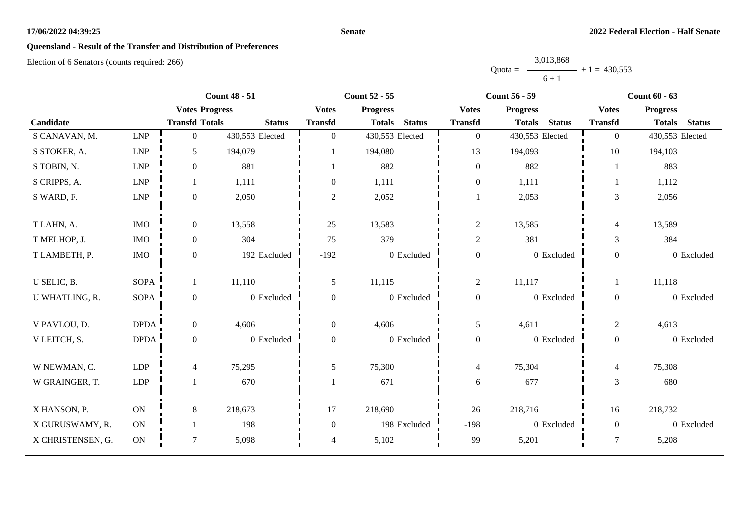#### **Senate**

# **Queensland - Result of the Transfer and Distribution of Preferences**

|           | 3,013,868 |                |
|-----------|-----------|----------------|
| $Quota =$ |           | $+1 = 430,553$ |
|           | $6 + 1$   |                |

|                   |                             |                       | <b>Count 48 - 51</b> |                  | <b>Count 52 - 55</b>           |                  | <b>Count 56 - 59</b>           |                         | <b>Count 60 - 63</b>           |
|-------------------|-----------------------------|-----------------------|----------------------|------------------|--------------------------------|------------------|--------------------------------|-------------------------|--------------------------------|
|                   |                             | <b>Votes Progress</b> |                      | <b>Votes</b>     | <b>Progress</b>                | <b>Votes</b>     | <b>Progress</b>                | <b>Votes</b>            | <b>Progress</b>                |
| Candidate         |                             | <b>Transfd Totals</b> | <b>Status</b>        | <b>Transfd</b>   | <b>Status</b><br><b>Totals</b> | <b>Transfd</b>   | <b>Status</b><br><b>Totals</b> | <b>Transfd</b>          | <b>Status</b><br><b>Totals</b> |
| S CANAVAN, M.     | $\ensuremath{\mathrm{LNP}}$ | $\overline{0}$        | 430,553 Elected      | $\Omega$         | 430,553 Elected                | $\overline{0}$   | 430,553 Elected                | $\overline{0}$          | 430,553 Elected                |
| S STOKER, A.      | ${\rm LNP}$                 | 5                     | 194,079              |                  | 194,080                        | 13               | 194,093                        | 10                      | 194,103                        |
| S TOBIN, N.       | $\ensuremath{\mathrm{LNP}}$ | $\mathbf{0}$          | 881                  |                  | 882                            | $\boldsymbol{0}$ | 882                            |                         | 883                            |
| S CRIPPS, A.      | <b>LNP</b>                  | 1                     | 1,111                | $\Omega$         | 1,111                          | $\boldsymbol{0}$ | 1,111                          |                         | 1,112                          |
| S WARD, F.        | ${\rm LNP}$                 | $\boldsymbol{0}$      | 2,050                | $\overline{2}$   | 2,052                          | 1                | 2,053                          | 3                       | 2,056                          |
| T LAHN, A.        | <b>IMO</b>                  | $\boldsymbol{0}$      | 13,558               | 25               | 13,583                         | $\sqrt{2}$       | 13,585                         | $\overline{\mathbf{4}}$ | 13,589                         |
| T MELHOP, J.      | <b>IMO</b>                  | $\mathbf{0}$          | 304                  | 75               | 379                            | $\sqrt{2}$       | 381                            | 3                       | 384                            |
| T LAMBETH, P.     | <b>IMO</b>                  | $\boldsymbol{0}$      | 192 Excluded         | $-192$           | 0 Excluded                     | $\boldsymbol{0}$ | 0 Excluded                     | $\boldsymbol{0}$        | 0 Excluded                     |
| U SELIC, B.       | <b>SOPA</b>                 | $\mathbf{1}$          | 11,110               | 5                | 11,115                         | $\overline{c}$   | 11,117                         |                         | 11,118                         |
| U WHATLING, R.    | <b>SOPA</b>                 | $\boldsymbol{0}$      | 0 Excluded           | $\boldsymbol{0}$ | 0 Excluded                     | $\boldsymbol{0}$ | 0 Excluded                     | $\boldsymbol{0}$        | 0 Excluded                     |
| V PAVLOU, D.      | <b>DPDA</b>                 | $\boldsymbol{0}$      | 4,606                | $\Omega$         | 4,606                          | 5                | 4,611                          | $\overline{c}$          | 4,613                          |
| V LEITCH, S.      | <b>DPDA</b>                 | $\boldsymbol{0}$      | 0 Excluded           | $\overline{0}$   | 0 Excluded                     | $\boldsymbol{0}$ | 0 Excluded                     | $\overline{0}$          | 0 Excluded                     |
| W NEWMAN, C.      | <b>LDP</b>                  | 4                     | 75,295               | 5                | 75,300                         | $\overline{4}$   | 75,304                         | 4                       | 75,308                         |
| W GRAINGER, T.    | LDP                         |                       | 670                  |                  | 671                            | $\sqrt{6}$       | 677                            | 3                       | 680                            |
| X HANSON, P.      | ON                          | $8\,$                 | 218,673              | 17               | 218,690                        | 26               | 218,716                        | 16                      | 218,732                        |
| X GURUSWAMY, R.   | ON                          |                       | 198                  | $\overline{0}$   | 198 Excluded                   | $-198$           | 0 Excluded                     | $\overline{0}$          | 0 Excluded                     |
| X CHRISTENSEN, G. | $\mathbf{ON}$               | $\overline{7}$        | 5,098                | 4                | 5,102                          | 99               | 5,201                          | $\overline{7}$          | 5,208                          |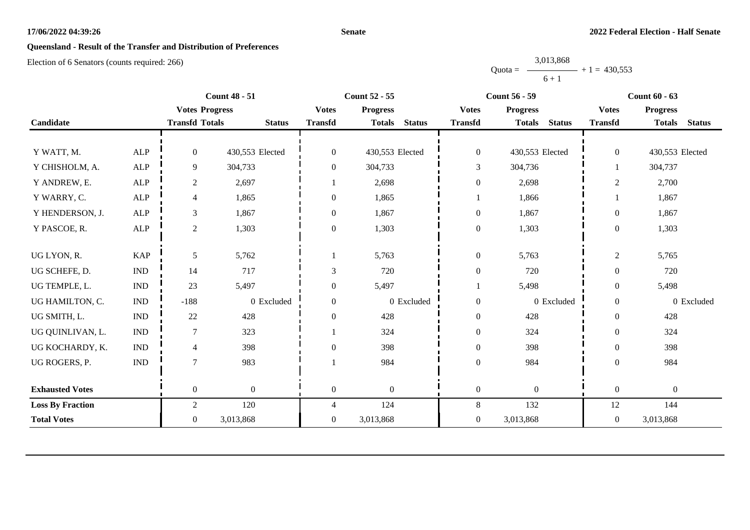#### **Senate**

# **Queensland - Result of the Transfer and Distribution of Preferences**

|           | 3,013,868 |                |
|-----------|-----------|----------------|
| $Quota =$ |           | $+1 = 430.553$ |
|           | $6 + 1$   |                |

| <b>Count 48 - 51</b>    |                             | <b>Count 52 - 55</b>  |                  |                  | <b>Count 56 - 59</b>           | <b>Count 60 - 63</b> |                                |                  |                                |
|-------------------------|-----------------------------|-----------------------|------------------|------------------|--------------------------------|----------------------|--------------------------------|------------------|--------------------------------|
|                         |                             | <b>Votes Progress</b> |                  | <b>Votes</b>     | <b>Progress</b>                | <b>Votes</b>         | <b>Progress</b>                | <b>Votes</b>     | <b>Progress</b>                |
| Candidate               |                             | <b>Transfd Totals</b> | <b>Status</b>    | <b>Transfd</b>   | <b>Status</b><br><b>Totals</b> | <b>Transfd</b>       | <b>Status</b><br><b>Totals</b> | <b>Transfd</b>   | <b>Status</b><br><b>Totals</b> |
|                         |                             |                       |                  |                  |                                |                      |                                |                  |                                |
| Y WATT, M.              | <b>ALP</b>                  | $\overline{0}$        | 430,553 Elected  | $\mathbf{0}$     | 430,553 Elected                | $\boldsymbol{0}$     | 430,553 Elected                | $\overline{0}$   | 430,553 Elected                |
| Y CHISHOLM, A.          | ${\sf ALP}$                 | 9                     | 304,733          | $\boldsymbol{0}$ | 304,733                        | 3                    | 304,736                        |                  | 304,737                        |
| Y ANDREW, E.            | ${\sf ALP}$                 | $\overline{c}$        | 2,697            |                  | 2,698                          | $\boldsymbol{0}$     | 2,698                          | $\overline{2}$   | 2,700                          |
| Y WARRY, C.             | <b>ALP</b>                  | 4                     | 1,865            | $\overline{0}$   | 1,865                          |                      | 1,866                          |                  | 1,867                          |
| Y HENDERSON, J.         | ALP                         | 3                     | 1,867            | $\boldsymbol{0}$ | 1,867                          | $\boldsymbol{0}$     | 1,867                          | $\boldsymbol{0}$ | 1,867                          |
| Y PASCOE, R.            | ALP                         | $\overline{c}$        | 1,303            | $\overline{0}$   | 1,303                          | $\boldsymbol{0}$     | 1,303                          | $\boldsymbol{0}$ | 1,303                          |
|                         |                             |                       |                  |                  |                                |                      |                                |                  |                                |
| UG LYON, R.             | <b>KAP</b>                  | 5                     | 5,762            |                  | 5,763                          | $\boldsymbol{0}$     | 5,763                          | $\overline{2}$   | 5,765                          |
| UG SCHEFE, D.           | $\mathop{\rm IND}\nolimits$ | 14                    | 717              | 3                | 720                            | $\boldsymbol{0}$     | 720                            | $\theta$         | 720                            |
| UG TEMPLE, L.           | <b>IND</b>                  | 23                    | 5,497            | $\overline{0}$   | 5,497                          |                      | 5,498                          | $\theta$         | 5,498                          |
| UG HAMILTON, C.         | <b>IND</b>                  | $-188$                | 0 Excluded       | $\overline{0}$   | 0 Excluded                     | $\boldsymbol{0}$     | 0 Excluded                     | $\boldsymbol{0}$ | 0 Excluded                     |
| UG SMITH, L.            | $\ensuremath{\text{IND}}$   | $22\,$                | 428              | $\overline{0}$   | 428                            | $\boldsymbol{0}$     | 428                            | $\theta$         | 428                            |
| UG QUINLIVAN, L.        | <b>IND</b>                  |                       | 323              |                  | 324                            | $\boldsymbol{0}$     | 324                            | $\overline{0}$   | 324                            |
| UG KOCHARDY, K.         | $\ensuremath{\text{IND}}$   | 4                     | 398              | $\overline{0}$   | 398                            | $\boldsymbol{0}$     | 398                            | $\boldsymbol{0}$ | 398                            |
| UG ROGERS, P.           | <b>IND</b>                  | $\overline{7}$        | 983              |                  | 984                            | $\boldsymbol{0}$     | 984                            | $\theta$         | 984                            |
|                         |                             |                       |                  |                  |                                |                      |                                |                  |                                |
| <b>Exhausted Votes</b>  |                             | $\overline{0}$        | $\boldsymbol{0}$ | $\mathbf{0}$     | $\overline{0}$                 | $\boldsymbol{0}$     | $\boldsymbol{0}$               | $\boldsymbol{0}$ | $\boldsymbol{0}$               |
| <b>Loss By Fraction</b> |                             | $\overline{2}$        | 120              | 4                | 124                            | $8\,$                | 132                            | 12               | 144                            |
| <b>Total Votes</b>      |                             | $\overline{0}$        | 3,013,868        | $\overline{0}$   | 3,013,868                      | $\overline{0}$       | 3,013,868                      | $\overline{0}$   | 3,013,868                      |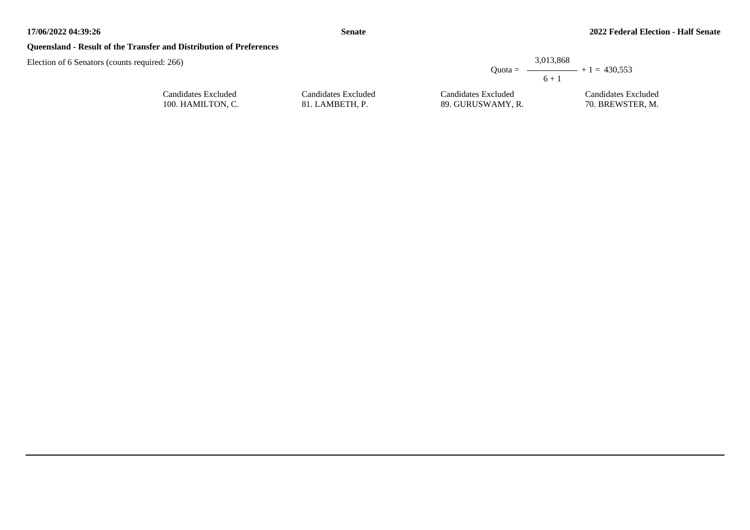#### **Queensland - Result of the Transfer and Distribution of Preferences**

Election of 6 Senators (counts required: 266)

|           | 3,013,868       |
|-----------|-----------------|
| $Quota =$ | $ +1 = 430,553$ |
|           | $6 + 1$         |
|           |                 |

Candidates Excluded 89. GURUSWAMY, R. Candidates Excluded 70. BREWSTER, M.

Candidates Excluded 100. HAMILTON, C.

Candidates Excluded 81. LAMBETH, P.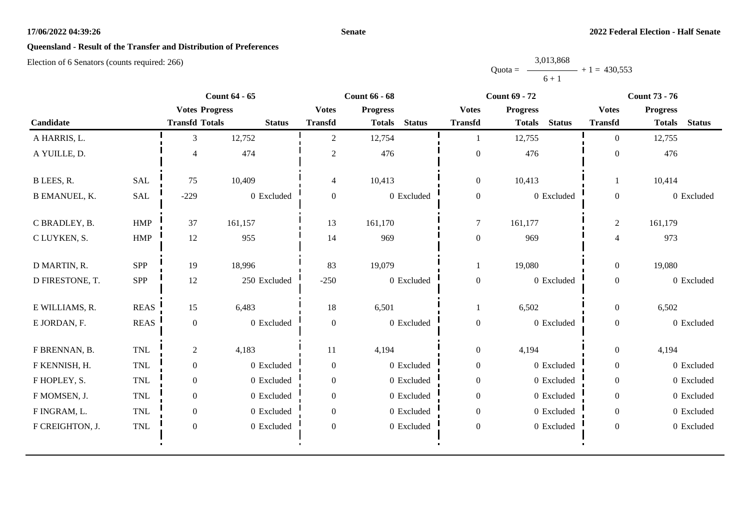#### **Senate**

# **Queensland - Result of the Transfer and Distribution of Preferences**

|           | 3,013,868 |                |
|-----------|-----------|----------------|
| $Quota =$ |           | $+1 = 430,553$ |
|           | $6 + 1$   |                |

|                      |              |                       | <b>Count 64 - 65</b> |                  | <b>Count 66 - 68</b> |               |                  | <b>Count 69 - 72</b> |               |                  | <b>Count 73 - 76</b> |               |
|----------------------|--------------|-----------------------|----------------------|------------------|----------------------|---------------|------------------|----------------------|---------------|------------------|----------------------|---------------|
|                      |              | <b>Votes Progress</b> |                      | <b>Votes</b>     | <b>Progress</b>      |               | <b>Votes</b>     | <b>Progress</b>      |               | <b>Votes</b>     | <b>Progress</b>      |               |
| Candidate            |              | <b>Transfd Totals</b> | <b>Status</b>        | <b>Transfd</b>   | <b>Totals</b>        | <b>Status</b> | <b>Transfd</b>   | <b>Totals</b>        | <b>Status</b> | <b>Transfd</b>   | <b>Totals</b>        | <b>Status</b> |
| A HARRIS, L.         |              | 3                     | 12,752               | $\overline{2}$   | 12,754               |               |                  | 12,755               |               | $\overline{0}$   | 12,755               |               |
| A YUILLE, D.         |              | 4                     | 474                  | 2                | 476                  |               | $\boldsymbol{0}$ | 476                  |               | $\overline{0}$   | 476                  |               |
| B LEES, R.           | <b>SAL</b>   | 75                    | 10,409               | 4                | 10,413               |               | $\boldsymbol{0}$ | 10,413               |               |                  | 10,414               |               |
| <b>B EMANUEL, K.</b> | <b>SAL</b>   | $-229$                | 0 Excluded           | $\overline{0}$   |                      | 0 Excluded    | $\boldsymbol{0}$ |                      | 0 Excluded    | $\overline{0}$   |                      | 0 Excluded    |
| C BRADLEY, B.        | HMP          | 37                    | 161,157              | 13               | 161,170              |               | $\boldsymbol{7}$ | 161,177              |               | $\boldsymbol{2}$ | 161,179              |               |
| C LUYKEN, S.         | ${\rm HMP}$  | 12                    | 955                  | 14               | 969                  |               | $\boldsymbol{0}$ | 969                  |               | $\overline{4}$   | 973                  |               |
| D MARTIN, R.         | <b>SPP</b>   | 19                    | 18,996               | 83               | 19,079               |               | 1                | 19,080               |               | $\boldsymbol{0}$ | 19,080               |               |
| D FIRESTONE, T.      | SPP          | $12\,$                | 250 Excluded         | $-250$           |                      | 0 Excluded    | $\boldsymbol{0}$ |                      | 0 Excluded    | $\boldsymbol{0}$ |                      | 0 Excluded    |
| E WILLIAMS, R.       | <b>REAS</b>  | 15                    | 6,483                | 18               | 6,501                |               | 1                | 6,502                |               | $\boldsymbol{0}$ | 6,502                |               |
| E JORDAN, F.         | <b>REAS</b>  | $\boldsymbol{0}$      | 0 Excluded           | $\boldsymbol{0}$ |                      | 0 Excluded    | $\boldsymbol{0}$ |                      | 0 Excluded    | $\boldsymbol{0}$ |                      | 0 Excluded    |
| F BRENNAN, B.        | TNL          | $\overline{2}$        | 4,183                | 11               | 4,194                |               | $\boldsymbol{0}$ | 4,194                |               | $\boldsymbol{0}$ | 4,194                |               |
| F KENNISH, H.        | TNL          | $\overline{0}$        | 0 Excluded           | $\overline{0}$   |                      | 0 Excluded    | $\boldsymbol{0}$ |                      | 0 Excluded    | $\overline{0}$   |                      | 0 Excluded    |
| F HOPLEY, S.         | TNL          | $\boldsymbol{0}$      | 0 Excluded           | $\overline{0}$   |                      | 0 Excluded    | $\boldsymbol{0}$ |                      | 0 Excluded    | $\boldsymbol{0}$ |                      | 0 Excluded    |
| F MOMSEN, J.         | $\mbox{TNL}$ | $\boldsymbol{0}$      | 0 Excluded           | $\overline{0}$   |                      | 0 Excluded    | $\boldsymbol{0}$ |                      | 0 Excluded    | $\overline{0}$   |                      | 0 Excluded    |
| F INGRAM, L.         | TNL          | $\overline{0}$        | 0 Excluded           | $\overline{0}$   |                      | 0 Excluded    | $\overline{0}$   |                      | 0 Excluded    | $\overline{0}$   |                      | 0 Excluded    |
| F CREIGHTON, J.      | TNL          | $\boldsymbol{0}$      | 0 Excluded           | $\mathbf{0}$     |                      | 0 Excluded    | $\boldsymbol{0}$ |                      | 0 Excluded    | $\boldsymbol{0}$ |                      | 0 Excluded    |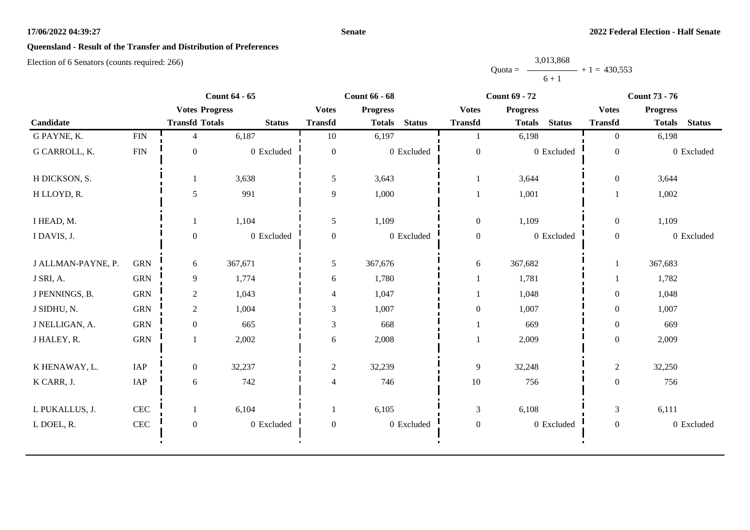#### **Senate**

# **Queensland - Result of the Transfer and Distribution of Preferences**

|           | 3,013,868 |                |
|-----------|-----------|----------------|
| $Quota =$ |           | $+1 = 430,553$ |
|           | $6 + 1$   |                |

|                    |              |                       | <b>Count 64 - 65</b> |                  | <b>Count 66 - 68</b> |               |                  | <b>Count 69 - 72</b> |               |                  | <b>Count 73 - 76</b> |               |
|--------------------|--------------|-----------------------|----------------------|------------------|----------------------|---------------|------------------|----------------------|---------------|------------------|----------------------|---------------|
|                    |              | <b>Votes Progress</b> |                      | <b>Votes</b>     | <b>Progress</b>      |               | <b>Votes</b>     | <b>Progress</b>      |               | <b>Votes</b>     | <b>Progress</b>      |               |
| Candidate          |              | <b>Transfd Totals</b> | <b>Status</b>        | <b>Transfd</b>   | <b>Totals</b>        | <b>Status</b> | <b>Transfd</b>   | <b>Totals</b>        | <b>Status</b> | <b>Transfd</b>   | <b>Totals</b>        | <b>Status</b> |
| G PAYNE, K.        | ${\rm FIN}$  | 4                     | 6,187                | $10\,$           | 6,197                |               |                  | 6,198                |               | $\overline{0}$   | 6,198                |               |
| G CARROLL, K.      | <b>FIN</b>   | $\mathbf{0}$          | 0 Excluded           | $\mathbf{0}$     |                      | 0 Excluded    | $\boldsymbol{0}$ |                      | 0 Excluded    | $\mathbf{0}$     |                      | 0 Excluded    |
| H DICKSON, S.      |              | 1                     | 3,638                | 5                | 3,643                |               |                  | 3,644                |               | $\mathbf{0}$     | 3,644                |               |
| H LLOYD, R.        |              | 5                     | 991                  | 9                | 1,000                |               |                  | 1,001                |               |                  | 1,002                |               |
| I HEAD, M.         |              | 1                     | 1,104                | 5                | 1,109                |               | $\boldsymbol{0}$ | 1,109                |               | $\overline{0}$   | 1,109                |               |
| I DAVIS, J.        |              | $\mathbf{0}$          | 0 Excluded           | $\overline{0}$   |                      | 0 Excluded    | $\boldsymbol{0}$ |                      | 0 Excluded    | $\mathbf{0}$     |                      | 0 Excluded    |
| J ALLMAN-PAYNE, P. | <b>GRN</b>   | 6                     | 367,671              | 5                | 367,676              |               | 6                | 367,682              |               |                  | 367,683              |               |
| J SRI, A.          | <b>GRN</b>   | 9                     | 1,774                | 6                | 1,780                |               |                  | 1,781                |               |                  | 1,782                |               |
| J PENNINGS, B.     | <b>GRN</b>   | $\overline{2}$        | 1,043                | $\overline{4}$   | 1,047                |               |                  | 1,048                |               | $\overline{0}$   | 1,048                |               |
| J SIDHU, N.        | <b>GRN</b>   | $\overline{2}$        | 1,004                | 3                | 1,007                |               | $\boldsymbol{0}$ | 1,007                |               | $\boldsymbol{0}$ | 1,007                |               |
| J NELLIGAN, A.     | <b>GRN</b>   | $\boldsymbol{0}$      | 665                  | $\mathfrak{Z}$   | 668                  |               |                  | 669                  |               | $\boldsymbol{0}$ | 669                  |               |
| J HALEY, R.        | ${\rm GRN}$  | 1                     | 2,002                | 6                | 2,008                |               |                  | 2,009                |               | $\boldsymbol{0}$ | 2,009                |               |
| K HENAWAY, L.      | IAP          | $\overline{0}$        | 32,237               | $\overline{2}$   | 32,239               |               | $\overline{9}$   | 32,248               |               | $\overline{c}$   | 32,250               |               |
| K CARR, J.         | IAP          | 6                     | 742                  | $\overline{4}$   | 746                  |               | $10\,$           | 756                  |               | $\boldsymbol{0}$ | 756                  |               |
| L PUKALLUS, J.     | $\mbox{CEC}$ | $\mathbf{1}$          | 6,104                | 1                | 6,105                |               | $\mathfrak{Z}$   | 6,108                |               | 3                | 6,111                |               |
| L DOEL, R.         | $\mbox{CEC}$ | $\boldsymbol{0}$      | 0 Excluded           | $\boldsymbol{0}$ |                      | 0 Excluded    | $\boldsymbol{0}$ |                      | 0 Excluded    | $\overline{0}$   |                      | 0 Excluded    |
|                    |              |                       |                      |                  |                      |               |                  |                      |               |                  |                      |               |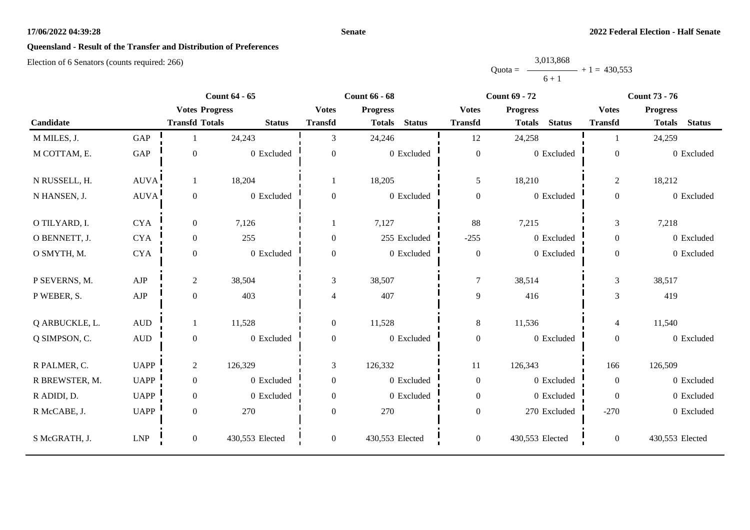#### **Senate**

# **Queensland - Result of the Transfer and Distribution of Preferences**

|           | 3,013,868 |                |
|-----------|-----------|----------------|
| $Quota =$ |           | $+1 = 430.553$ |
|           | $6 + 1$   |                |

|                |                      |                       | <b>Count 64 - 65</b> |                | <b>Count 66 - 68</b>           |                  | <b>Count 69 - 72</b>           |                | <b>Count 73 - 76</b>           |
|----------------|----------------------|-----------------------|----------------------|----------------|--------------------------------|------------------|--------------------------------|----------------|--------------------------------|
|                |                      | <b>Votes Progress</b> |                      | <b>Votes</b>   | <b>Progress</b>                | <b>Votes</b>     | <b>Progress</b>                | <b>Votes</b>   | <b>Progress</b>                |
| Candidate      |                      | <b>Transfd Totals</b> | <b>Status</b>        | <b>Transfd</b> | <b>Status</b><br><b>Totals</b> | <b>Transfd</b>   | <b>Status</b><br><b>Totals</b> | <b>Transfd</b> | <b>Status</b><br><b>Totals</b> |
| M MILES, J.    | GAP                  |                       | 24,243               | 3              | 24,246                         | 12               | 24,258                         |                | 24,259                         |
| M COTTAM, E.   | $\operatorname{GAP}$ | $\boldsymbol{0}$      | 0 Excluded           | $\theta$       | 0 Excluded                     | $\boldsymbol{0}$ | 0 Excluded                     | $\theta$       | 0 Excluded                     |
| N RUSSELL, H.  | AUVA                 | 1                     | 18,204               |                | 18,205                         | $\mathfrak{S}$   | 18,210                         | $\overline{2}$ | 18,212                         |
| N HANSEN, J.   | AUVA                 | $\boldsymbol{0}$      | 0 Excluded           | $\Omega$       | 0 Excluded                     | $\boldsymbol{0}$ | 0 Excluded                     | $\Omega$       | 0 Excluded                     |
| O TILYARD, I.  | <b>CYA</b>           | $\mathbf{0}$          | 7,126                |                | 7,127                          | 88               | 7,215                          | 3              | 7,218                          |
| O BENNETT, J.  | <b>CYA</b>           | $\boldsymbol{0}$      | 255                  | $\Omega$       | 255 Excluded                   | $-255$           | 0 Excluded                     | $\overline{0}$ | 0 Excluded                     |
| O SMYTH, M.    | <b>CYA</b>           | $\overline{0}$        | 0 Excluded           | $\overline{0}$ | 0 Excluded                     | $\boldsymbol{0}$ | 0 Excluded                     | $\overline{0}$ | 0 Excluded                     |
| P SEVERNS, M.  | AJP                  | $\overline{2}$        | 38,504               | $\mathfrak{Z}$ | 38,507                         | $\tau$           | 38,514                         | 3              | 38,517                         |
| P WEBER, S.    | ${\rm AJP}$          | $\boldsymbol{0}$      | 403                  | $\overline{4}$ | 407                            | $\overline{9}$   | 416                            | 3              | 419                            |
| Q ARBUCKLE, L. | $\mbox{AUD}$         | 1                     | 11,528               | $\Omega$       | 11,528                         | $8\,$            | 11,536                         | $\overline{4}$ | 11,540                         |
| Q SIMPSON, C.  | $\mbox{\rm AUD}$     | $\boldsymbol{0}$      | 0 Excluded           | $\overline{0}$ | 0 Excluded                     | $\boldsymbol{0}$ | 0 Excluded                     | $\overline{0}$ | 0 Excluded                     |
| R PALMER, C.   | <b>UAPP</b>          | $\overline{2}$        | 126,329              | $\mathfrak{Z}$ | 126,332                        | $11\,$           | 126,343                        | 166            | 126,509                        |
| R BREWSTER, M. | <b>UAPP</b>          | $\overline{0}$        | 0 Excluded           | $\Omega$       | $0\,$ Excluded                 | $\boldsymbol{0}$ | 0 Excluded                     | $\Omega$       | 0 Excluded                     |
| R ADIDI, D.    | <b>UAPP</b>          | $\boldsymbol{0}$      | 0 Excluded           | $\Omega$       | 0 Excluded                     | $\boldsymbol{0}$ | 0 Excluded                     | $\overline{0}$ | 0 Excluded                     |
| R McCABE, J.   | <b>UAPP</b>          | $\boldsymbol{0}$      | 270                  | $\Omega$       | 270                            | $\boldsymbol{0}$ | 270 Excluded                   | $-270$         | 0 Excluded                     |
| S McGRATH, J.  | ${\rm LNP}$          | $\overline{0}$        | 430,553 Elected      | $\overline{0}$ | 430,553 Elected                | $\mathbf{0}$     | 430,553 Elected                | $\overline{0}$ | 430,553 Elected                |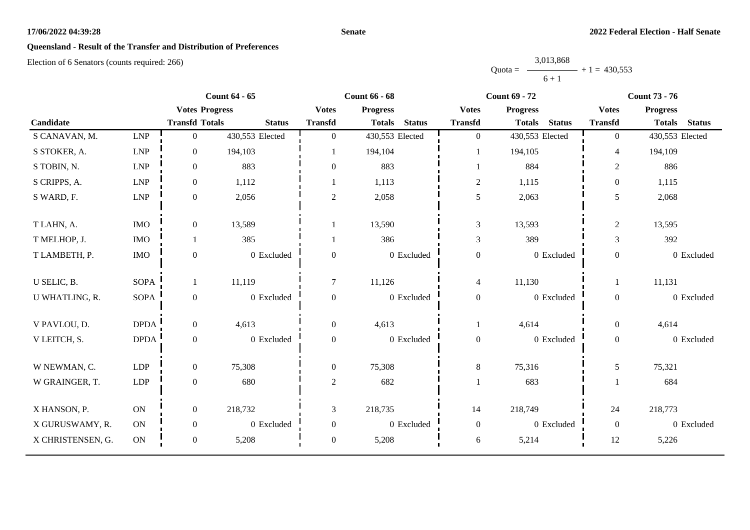#### **Senate**

# **Queensland - Result of the Transfer and Distribution of Preferences**

|           | 3,013,868 |                |
|-----------|-----------|----------------|
| $Quota =$ |           | $+1 = 430,553$ |
|           | $6 + 1$   |                |

|                   |             |                       | <b>Count 64 - 65</b> |                  | <b>Count 66 - 68</b>           |                  | <b>Count 69 - 72</b>           |                | <b>Count 73 - 76</b>           |
|-------------------|-------------|-----------------------|----------------------|------------------|--------------------------------|------------------|--------------------------------|----------------|--------------------------------|
|                   |             | <b>Votes Progress</b> |                      | <b>Votes</b>     | <b>Progress</b>                | <b>Votes</b>     | <b>Progress</b>                | <b>Votes</b>   | <b>Progress</b>                |
| Candidate         |             | <b>Transfd Totals</b> | <b>Status</b>        | <b>Transfd</b>   | <b>Status</b><br><b>Totals</b> | <b>Transfd</b>   | <b>Status</b><br><b>Totals</b> | <b>Transfd</b> | <b>Status</b><br><b>Totals</b> |
| S CANAVAN, M.     | LNP         | $\mathbf{0}$          | 430,553 Elected      | $\overline{0}$   | 430,553 Elected                | $\mathbf{0}$     | 430,553 Elected                | $\Omega$       | 430,553 Elected                |
| S STOKER, A.      | LNP         | $\mathbf{0}$          | 194,103              |                  | 194,104                        |                  | 194,105                        | $\overline{4}$ | 194,109                        |
| S TOBIN, N.       | LNP         | $\mathbf{0}$          | 883                  | $\theta$         | 883                            | -1               | 884                            | $\overline{c}$ | 886                            |
| S CRIPPS, A.      | LNP         | $\boldsymbol{0}$      | 1,112                |                  | 1,113                          | $\mathbf{2}$     | 1,115                          | $\theta$       | 1,115                          |
| S WARD, F.        | LNP         | $\mathbf{0}$          | 2,056                | $\overline{2}$   | 2,058                          | 5                | 2,063                          | 5              | 2,068                          |
| T LAHN, A.        | <b>IMO</b>  | $\boldsymbol{0}$      | 13,589               |                  | 13,590                         | $\mathfrak{Z}$   | 13,593                         | $\overline{c}$ | 13,595                         |
| T MELHOP, J.      | <b>IMO</b>  | $\mathbf{1}$          | 385                  |                  | 386                            | 3                | 389                            | 3              | 392                            |
| T LAMBETH, P.     | $\rm{IMO}$  | $\boldsymbol{0}$      | 0 Excluded           | $\theta$         | 0 Excluded                     | $\boldsymbol{0}$ | 0 Excluded                     | $\overline{0}$ | 0 Excluded                     |
| U SELIC, B.       | <b>SOPA</b> | 1                     | 11,119               | $\tau$           | 11,126                         | $\overline{4}$   | 11,130                         | 1              | 11,131                         |
| U WHATLING, R.    | <b>SOPA</b> | $\boldsymbol{0}$      | 0 Excluded           | $\boldsymbol{0}$ | 0 Excluded                     | $\boldsymbol{0}$ | 0 Excluded                     | $\overline{0}$ | 0 Excluded                     |
| V PAVLOU, D.      | <b>DPDA</b> | $\mathbf{0}$          | 4,613                | $\overline{0}$   | 4,613                          |                  | 4,614                          | $\overline{0}$ | 4,614                          |
| V LEITCH, S.      | <b>DPDA</b> | $\mathbf{0}$          | 0 Excluded           | $\mathbf{0}$     | 0 Excluded                     | $\mathbf{0}$     | 0 Excluded                     | $\overline{0}$ | 0 Excluded                     |
| W NEWMAN, C.      | LDP         | $\overline{0}$        | 75,308               | $\overline{0}$   | 75,308                         | $8\,$            | 75,316                         | 5              | 75,321                         |
| W GRAINGER, T.    | LDP         | $\boldsymbol{0}$      | 680                  | $\overline{c}$   | 682                            | $\mathbf{1}$     | 683                            |                | 684                            |
| X HANSON, P.      | ON          | $\boldsymbol{0}$      | 218,732              | 3                | 218,735                        | 14               | 218,749                        | 24             | 218,773                        |
| X GURUSWAMY, R.   | ON          | $\mathbf{0}$          | 0 Excluded           | $\boldsymbol{0}$ | 0 Excluded                     | $\boldsymbol{0}$ | 0 Excluded                     | $\overline{0}$ | 0 Excluded                     |
| X CHRISTENSEN, G. | ON          | $\boldsymbol{0}$      | 5,208                | $\mathbf{0}$     | 5,208                          | 6                | 5,214                          | $12\,$         | 5,226                          |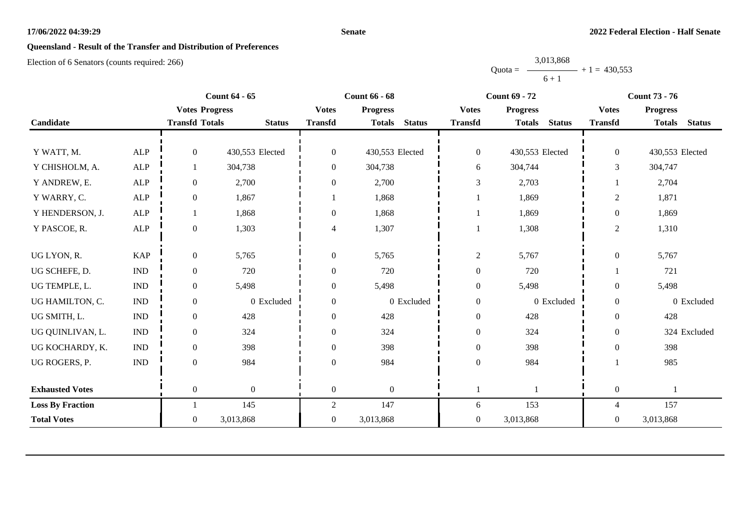#### **Senate**

# **Queensland - Result of the Transfer and Distribution of Preferences**

|           | 3,013,868 |                |
|-----------|-----------|----------------|
| $Quota =$ |           | $+1 = 430,553$ |
|           | $6 + 1$   |                |

|                         |                             |                       | <b>Count 64 - 65</b> |                  | <b>Count 66 - 68</b>           |                  | <b>Count 69 - 72</b>           |                  | <b>Count 73 - 76</b>           |
|-------------------------|-----------------------------|-----------------------|----------------------|------------------|--------------------------------|------------------|--------------------------------|------------------|--------------------------------|
|                         |                             | <b>Votes Progress</b> |                      | <b>Votes</b>     | <b>Progress</b>                | <b>Votes</b>     | <b>Progress</b>                | <b>Votes</b>     | <b>Progress</b>                |
| Candidate               |                             | <b>Transfd Totals</b> | <b>Status</b>        | <b>Transfd</b>   | <b>Status</b><br><b>Totals</b> | <b>Transfd</b>   | <b>Status</b><br><b>Totals</b> | <b>Transfd</b>   | <b>Status</b><br><b>Totals</b> |
|                         |                             |                       |                      |                  |                                |                  |                                |                  |                                |
| Y WATT, M.              | <b>ALP</b>                  | $\overline{0}$        | 430,553 Elected      | $\boldsymbol{0}$ | 430,553 Elected                | $\overline{0}$   | 430,553 Elected                | $\overline{0}$   | 430,553 Elected                |
| Y CHISHOLM, A.          | <b>ALP</b>                  |                       | 304,738              | $\mathbf{0}$     | 304,738                        | 6                | 304,744                        | 3                | 304,747                        |
| Y ANDREW, E.            | ${\sf ALP}$                 | $\overline{0}$        | 2,700                | $\overline{0}$   | 2,700                          | 3                | 2,703                          |                  | 2,704                          |
| Y WARRY, C.             | <b>ALP</b>                  | $\overline{0}$        | 1,867                |                  | 1,868                          |                  | 1,869                          | $\overline{2}$   | 1,871                          |
| Y HENDERSON, J.         | <b>ALP</b>                  |                       | 1,868                | $\boldsymbol{0}$ | 1,868                          |                  | 1,869                          | $\boldsymbol{0}$ | 1,869                          |
| Y PASCOE, R.            | <b>ALP</b>                  | $\overline{0}$        | 1,303                | 4                | 1,307                          |                  | 1,308                          | $\overline{2}$   | 1,310                          |
|                         |                             |                       |                      |                  |                                |                  |                                |                  |                                |
| UG LYON, R.             | <b>KAP</b>                  | $\overline{0}$        | 5,765                | $\overline{0}$   | 5,765                          | $\overline{c}$   | 5,767                          | $\overline{0}$   | 5,767                          |
| UG SCHEFE, D.           | $\mathop{\rm IND}\nolimits$ | $\overline{0}$        | 720                  | $\theta$         | 720                            | $\boldsymbol{0}$ | 720                            |                  | 721                            |
| UG TEMPLE, L.           | $\mathop{\rm IND}\nolimits$ | $\overline{0}$        | 5,498                | $\boldsymbol{0}$ | 5,498                          | $\boldsymbol{0}$ | 5,498                          | $\theta$         | 5,498                          |
| UG HAMILTON, C.         | $\mathop{\rm IND}\nolimits$ | $\boldsymbol{0}$      | 0 Excluded           | $\boldsymbol{0}$ | 0 Excluded                     | $\boldsymbol{0}$ | 0 Excluded                     | $\boldsymbol{0}$ | 0 Excluded                     |
| UG SMITH, L.            | $\mathop{\rm IND}\nolimits$ | $\overline{0}$        | 428                  | $\overline{0}$   | 428                            | $\boldsymbol{0}$ | 428                            | $\theta$         | 428                            |
| UG QUINLIVAN, L.        | <b>IND</b>                  | $\overline{0}$        | 324                  | $\overline{0}$   | 324                            | $\boldsymbol{0}$ | 324                            | $\theta$         | 324 Excluded                   |
| UG KOCHARDY, K.         | $\mathop{\rm IND}\nolimits$ | $\overline{0}$        | 398                  | $\boldsymbol{0}$ | 398                            | $\boldsymbol{0}$ | 398                            | $\theta$         | 398                            |
| UG ROGERS, P.           | $\mathop{\rm IND}\nolimits$ | $\overline{0}$        | 984                  | $\theta$         | 984                            | $\boldsymbol{0}$ | 984                            |                  | 985                            |
|                         |                             |                       |                      |                  |                                |                  |                                |                  |                                |
| <b>Exhausted Votes</b>  |                             | $\overline{0}$        | $\overline{0}$       | $\mathbf{0}$     | $\overline{0}$                 |                  |                                | $\boldsymbol{0}$ |                                |
| <b>Loss By Fraction</b> |                             |                       | 145                  | $\overline{2}$   | 147                            | 6                | 153                            | $\overline{4}$   | 157                            |
| <b>Total Votes</b>      |                             | $\overline{0}$        | 3,013,868            | $\overline{0}$   | 3,013,868                      | $\overline{0}$   | 3,013,868                      | $\theta$         | 3,013,868                      |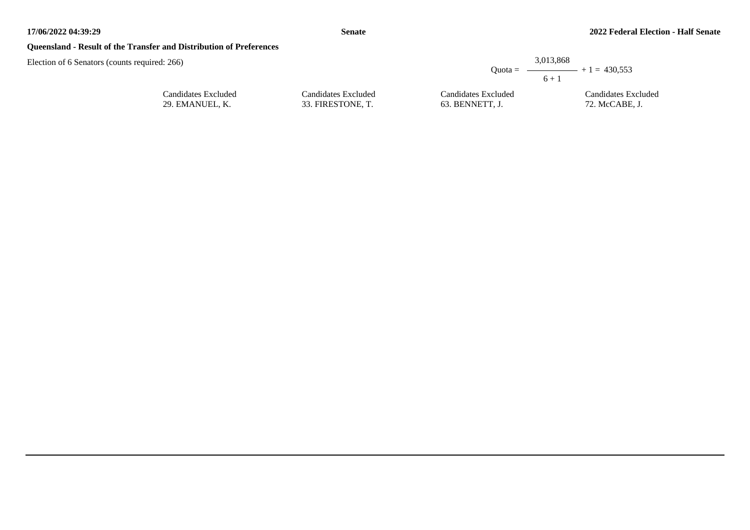## **Queensland - Result of the Transfer and Distribution of Preferences**

| ired: 266)          |                     |                     | 3.013.868<br>Quota = $\longrightarrow$ + 1 = 430,553<br>$6 + 1$ |
|---------------------|---------------------|---------------------|-----------------------------------------------------------------|
| Candidates Excluded | Candidates Excluded | Candidates Excluded | Candidates Excluded                                             |
| 29. EMANUEL, K.     | 33. FIRESTONE, T.   | 63. BENNETT, J.     | 72. McCABE, J.                                                  |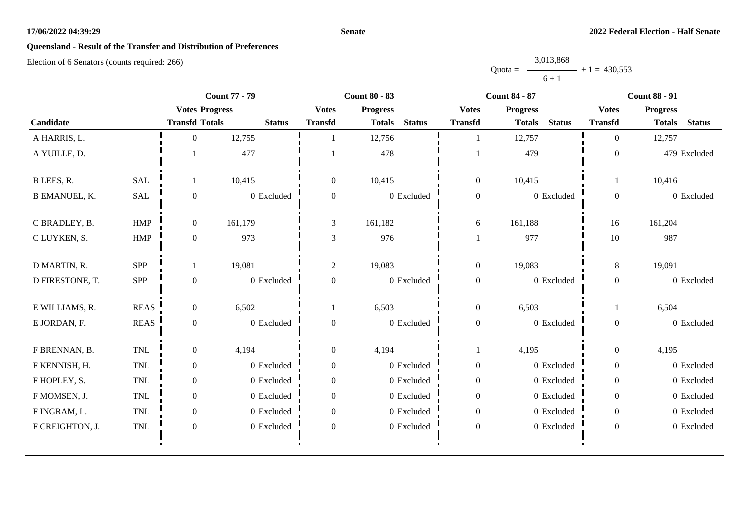#### **Senate**

# **Queensland - Result of the Transfer and Distribution of Preferences**

|           | 3,013,868 |                |
|-----------|-----------|----------------|
| $Quota =$ |           | $+1 = 430.553$ |
|           | $6 + 1$   |                |

|                      |              | <b>Count 77 - 79</b>  |               | <b>Count 80 - 83</b> |                 |               | <b>Count 84 - 87</b> |                 | <b>Count 88 - 91</b> |                  |                 |               |
|----------------------|--------------|-----------------------|---------------|----------------------|-----------------|---------------|----------------------|-----------------|----------------------|------------------|-----------------|---------------|
|                      |              | <b>Votes Progress</b> |               | <b>Votes</b>         | <b>Progress</b> |               | <b>Votes</b>         | <b>Progress</b> |                      | <b>Votes</b>     | <b>Progress</b> |               |
| Candidate            |              | <b>Transfd Totals</b> | <b>Status</b> | <b>Transfd</b>       | <b>Totals</b>   | <b>Status</b> | <b>Transfd</b>       | <b>Totals</b>   | <b>Status</b>        | <b>Transfd</b>   | <b>Totals</b>   | <b>Status</b> |
| A HARRIS, L.         |              | $\Omega$              | 12,755        |                      | 12,756          |               | 1                    | 12,757          |                      | $\Omega$         | 12,757          |               |
| A YUILLE, D.         |              |                       | 477           |                      | 478             |               |                      | 479             |                      | $\boldsymbol{0}$ |                 | 479 Excluded  |
| B LEES, R.           | <b>SAL</b>   |                       | 10,415        | $\overline{0}$       | 10,415          |               | $\mathbf{0}$         | 10,415          |                      | 1                | 10,416          |               |
| <b>B EMANUEL, K.</b> | SAL          | $\boldsymbol{0}$      | 0 Excluded    | $\boldsymbol{0}$     | 0 Excluded      |               | $\boldsymbol{0}$     |                 | 0 Excluded           | $\overline{0}$   |                 | 0 Excluded    |
| C BRADLEY, B.        | <b>HMP</b>   | $\overline{0}$        | 161,179       | 3                    | 161,182         |               | 6                    | 161,188         |                      | 16               | 161,204         |               |
| C LUYKEN, S.         | HMP          | $\overline{0}$        | 973           | $\mathfrak{Z}$       | 976             |               | $\mathbf{1}$         | 977             |                      | 10               | 987             |               |
| D MARTIN, R.         | <b>SPP</b>   |                       | 19,081        | $\overline{2}$       | 19,083          |               | $\mathbf{0}$         | 19,083          |                      | 8                | 19,091          |               |
| D FIRESTONE, T.      | <b>SPP</b>   | $\overline{0}$        | 0 Excluded    | $\mathbf{0}$         | 0 Excluded      |               | $\boldsymbol{0}$     |                 | 0 Excluded           | $\boldsymbol{0}$ |                 | 0 Excluded    |
| E WILLIAMS, R.       | <b>REAS</b>  | $\overline{0}$        | 6,502         |                      | 6,503           |               | $\boldsymbol{0}$     | 6,503           |                      |                  | 6,504           |               |
| E JORDAN, F.         | <b>REAS</b>  | $\overline{0}$        | 0 Excluded    | $\boldsymbol{0}$     | 0 Excluded      |               | $\boldsymbol{0}$     |                 | 0 Excluded           | $\boldsymbol{0}$ |                 | 0 Excluded    |
| F BRENNAN, B.        | TNL          | $\overline{0}$        | 4,194         | $\overline{0}$       | 4,194           |               | $\mathbf{1}$         | 4,195           |                      | $\overline{0}$   | 4,195           |               |
| F KENNISH, H.        | TNL          | $\overline{0}$        | 0 Excluded    | $\boldsymbol{0}$     | 0 Excluded      |               | $\boldsymbol{0}$     |                 | 0 Excluded           | $\overline{0}$   |                 | 0 Excluded    |
| F HOPLEY, S.         | <b>TNL</b>   | $\overline{0}$        | 0 Excluded    | $\overline{0}$       | 0 Excluded      |               | $\boldsymbol{0}$     |                 | 0 Excluded           | $\overline{0}$   |                 | 0 Excluded    |
| F MOMSEN, J.         | $\mbox{TNL}$ | $\overline{0}$        | 0 Excluded    | $\Omega$             | 0 Excluded      |               | $\boldsymbol{0}$     |                 | $0$ Excluded         | $\overline{0}$   |                 | 0 Excluded    |
| F INGRAM, L.         | <b>TNL</b>   | $\overline{0}$        | 0 Excluded    | $\mathbf{0}$         | 0 Excluded      |               | $\boldsymbol{0}$     |                 | 0 Excluded           | $\overline{0}$   |                 | 0 Excluded    |
| F CREIGHTON, J.      | $\mbox{TNL}$ | $\overline{0}$        | 0 Excluded    | $\boldsymbol{0}$     | 0 Excluded      |               | $\boldsymbol{0}$     |                 | $0$ Excluded         | $\boldsymbol{0}$ |                 | 0 Excluded    |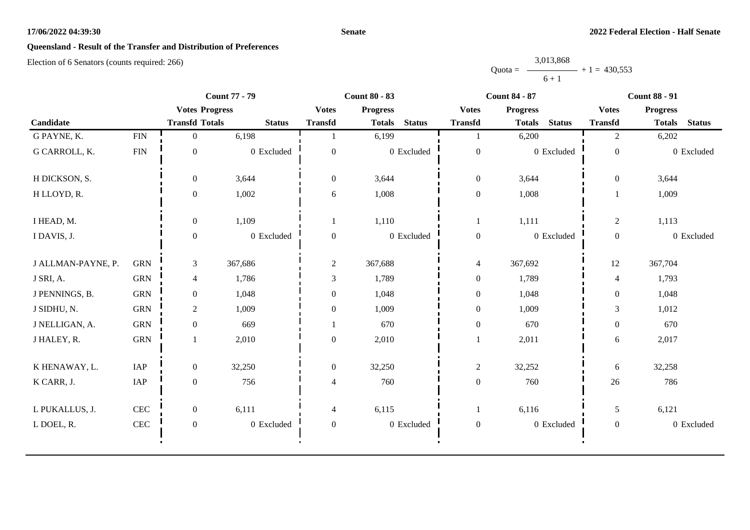#### **Senate**

# **Queensland - Result of the Transfer and Distribution of Preferences**

|           | 3,013,868 |                |
|-----------|-----------|----------------|
| $Quota =$ |           | $+1 = 430,553$ |
|           | $6 + 1$   |                |

| <b>Count 77 - 79</b> |              |                       |               | <b>Count 80 - 83</b> |                 |               |                  | <b>Count 84 - 87</b>           | <b>Count 88 - 91</b> |                 |               |
|----------------------|--------------|-----------------------|---------------|----------------------|-----------------|---------------|------------------|--------------------------------|----------------------|-----------------|---------------|
|                      |              | <b>Votes Progress</b> |               | <b>Votes</b>         | <b>Progress</b> |               | <b>Votes</b>     | <b>Progress</b>                | <b>Votes</b>         | <b>Progress</b> |               |
| Candidate            |              | <b>Transfd Totals</b> | <b>Status</b> | <b>Transfd</b>       | <b>Totals</b>   | <b>Status</b> | <b>Transfd</b>   | <b>Status</b><br><b>Totals</b> | <b>Transfd</b>       | <b>Totals</b>   | <b>Status</b> |
| G PAYNE, K.          | ${\rm FIN}$  | $\overline{0}$        | 6,198         |                      | 6,199           |               |                  | 6,200                          | $\overline{2}$       | 6,202           |               |
| G CARROLL, K.        | <b>FIN</b>   | $\boldsymbol{0}$      | 0 Excluded    | $\mathbf{0}$         |                 | 0 Excluded    | $\boldsymbol{0}$ | 0 Excluded                     | $\boldsymbol{0}$     |                 | 0 Excluded    |
| H DICKSON, S.        |              | $\boldsymbol{0}$      | 3,644         | $\overline{0}$       | 3,644           |               | $\boldsymbol{0}$ | 3,644                          | $\boldsymbol{0}$     | 3,644           |               |
| H LLOYD, R.          |              | $\overline{0}$        | 1,002         | 6                    | 1,008           |               | $\boldsymbol{0}$ | 1,008                          |                      | 1,009           |               |
| I HEAD, M.           |              | $\boldsymbol{0}$      | 1,109         |                      | 1,110           |               | 1                | 1,111                          | $\overline{c}$       | 1,113           |               |
| I DAVIS, J.          |              | $\boldsymbol{0}$      | 0 Excluded    | $\overline{0}$       |                 | 0 Excluded    | $\boldsymbol{0}$ | 0 Excluded                     | $\mathbf{0}$         |                 | 0 Excluded    |
| J ALLMAN-PAYNE, P.   | <b>GRN</b>   | 3                     | 367,686       | $\sqrt{2}$           | 367,688         |               | $\overline{4}$   | 367,692                        | 12                   | 367,704         |               |
| J SRI, A.            | <b>GRN</b>   | 4                     | 1,786         | 3                    | 1,789           |               | $\boldsymbol{0}$ | 1,789                          | 4                    | 1,793           |               |
| J PENNINGS, B.       | <b>GRN</b>   | $\boldsymbol{0}$      | 1,048         | $\boldsymbol{0}$     | 1,048           |               | $\boldsymbol{0}$ | 1,048                          | $\boldsymbol{0}$     | 1,048           |               |
| J SIDHU, N.          | <b>GRN</b>   | $\overline{c}$        | 1,009         | $\boldsymbol{0}$     | 1,009           |               | $\boldsymbol{0}$ | 1,009                          | $\mathfrak{Z}$       | 1,012           |               |
| J NELLIGAN, A.       | <b>GRN</b>   | $\overline{0}$        | 669           |                      | 670             |               | $\boldsymbol{0}$ | 670                            | $\boldsymbol{0}$     | 670             |               |
| J HALEY, R.          | <b>GRN</b>   |                       | 2,010         | $\overline{0}$       | 2,010           |               |                  | 2,011                          | 6                    | 2,017           |               |
| K HENAWAY, L.        | IAP          | $\boldsymbol{0}$      | 32,250        | $\mathbf{0}$         | 32,250          |               | $\mathbf{2}$     | 32,252                         | 6                    | 32,258          |               |
| K CARR, J.           | IAP          | $\boldsymbol{0}$      | 756           | 4                    | 760             |               | $\boldsymbol{0}$ | 760                            | 26                   | 786             |               |
| L PUKALLUS, J.       | CEC          | $\overline{0}$        | 6,111         | 4                    | 6,115           |               | 1                | 6,116                          | 5                    | 6,121           |               |
| L DOEL, R.           | $\mbox{CEC}$ | $\boldsymbol{0}$      | 0 Excluded    | $\mathbf{0}$         |                 | 0 Excluded    | $\boldsymbol{0}$ | 0 Excluded                     | $\overline{0}$       |                 | 0 Excluded    |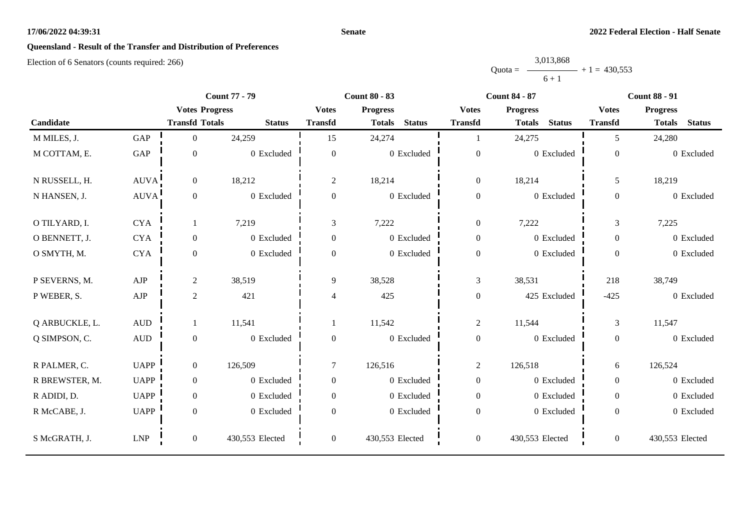#### **Senate**

# **Queensland - Result of the Transfer and Distribution of Preferences**

|           | 3,013,868 |                |
|-----------|-----------|----------------|
| $Quota =$ |           | $+1 = 430,553$ |
|           | $6 + 1$   |                |

| <b>Count 77 - 79</b> |                      | <b>Count 80 - 83</b>  |                 |                  | <b>Count 84 - 87</b>           | <b>Count 88 - 91</b> |                                |                |                                |
|----------------------|----------------------|-----------------------|-----------------|------------------|--------------------------------|----------------------|--------------------------------|----------------|--------------------------------|
|                      |                      | <b>Votes Progress</b> |                 | <b>Votes</b>     | <b>Progress</b>                | <b>Votes</b>         | <b>Progress</b>                | <b>Votes</b>   | <b>Progress</b>                |
| Candidate            |                      | <b>Transfd Totals</b> | <b>Status</b>   | <b>Transfd</b>   | <b>Status</b><br><b>Totals</b> | <b>Transfd</b>       | <b>Status</b><br><b>Totals</b> | <b>Transfd</b> | <b>Status</b><br><b>Totals</b> |
| M MILES, J.          | GAP                  | $\overline{0}$        | 24,259          | 15               | 24,274                         | -1                   | 24,275                         | 5              | 24,280                         |
| M COTTAM, E.         | $\operatorname{GAP}$ | $\overline{0}$        | 0 Excluded      | $\boldsymbol{0}$ | 0 Excluded                     | $\boldsymbol{0}$     | 0 Excluded                     | $\mathbf{0}$   | 0 Excluded                     |
| N RUSSELL, H.        | AUVA!                | $\overline{0}$        | 18,212          | $\sqrt{2}$       | 18,214                         | $\boldsymbol{0}$     | 18,214                         | 5              | 18,219                         |
| N HANSEN, J.         | <b>AUVA</b>          | $\Omega$              | 0 Excluded      | $\mathbf{0}$     | 0 Excluded                     | $\boldsymbol{0}$     | 0 Excluded                     | $\mathbf{0}$   | 0 Excluded                     |
| O TILYARD, I.        | <b>CYA</b>           |                       | 7,219           | 3                | 7,222                          | $\boldsymbol{0}$     | 7,222                          | 3              | 7,225                          |
| O BENNETT, J.        | <b>CYA</b>           | $\overline{0}$        | 0 Excluded      | $\overline{0}$   | 0 Excluded                     | $\boldsymbol{0}$     | 0 Excluded                     | $\overline{0}$ | 0 Excluded                     |
| O SMYTH, M.          | <b>CYA</b>           | $\overline{0}$        | 0 Excluded      | $\overline{0}$   | 0 Excluded                     | $\boldsymbol{0}$     | 0 Excluded                     | $\overline{0}$ | 0 Excluded                     |
| P SEVERNS, M.        | ${\rm AJP}$          | $\overline{c}$        | 38,519          | 9                | 38,528                         | $\mathfrak{Z}$       | 38,531                         | 218            | 38,749                         |
| P WEBER, S.          | ${\rm AJP}$          | $\mathbf{2}$          | 421             | 4                | 425                            | $\boldsymbol{0}$     | 425 Excluded                   | $-425$         | 0 Excluded                     |
| Q ARBUCKLE, L.       | $\mbox{AUD}$         |                       | 11,541          |                  | 11,542                         | $\overline{c}$       | 11,544                         | 3              | 11,547                         |
| Q SIMPSON, C.        | $\hbox{AUD}$         | $\overline{0}$        | 0 Excluded      | $\mathbf{0}$     | 0 Excluded                     | $\boldsymbol{0}$     | 0 Excluded                     | $\mathbf{0}$   | 0 Excluded                     |
| R PALMER, C.         | <b>UAPP</b>          | $\overline{0}$        | 126,509         | $\tau$           | 126,516                        | $\overline{c}$       | 126,518                        | 6              | 126,524                        |
| R BREWSTER, M.       | <b>UAPP</b>          | $\overline{0}$        | 0 Excluded      | $\boldsymbol{0}$ | 0 Excluded                     | $\boldsymbol{0}$     | 0 Excluded                     | $\overline{0}$ | 0 Excluded                     |
| R ADIDI, D.          | <b>UAPP</b>          | $\overline{0}$        | 0 Excluded      | $\mathbf{0}$     | 0 Excluded                     | $\boldsymbol{0}$     | 0 Excluded                     | $\overline{0}$ | 0 Excluded                     |
| R McCABE, J.         | <b>UAPP</b>          | $\overline{0}$        | 0 Excluded      | $\theta$         | $0\,$ Excluded                 | $\boldsymbol{0}$     | 0 Excluded                     | $\mathbf{0}$   | 0 Excluded                     |
| S McGRATH, J.        | <b>LNP</b>           | $\boldsymbol{0}$      | 430,553 Elected | $\boldsymbol{0}$ | 430,553 Elected                | $\boldsymbol{0}$     | 430,553 Elected                | $\overline{0}$ | 430,553 Elected                |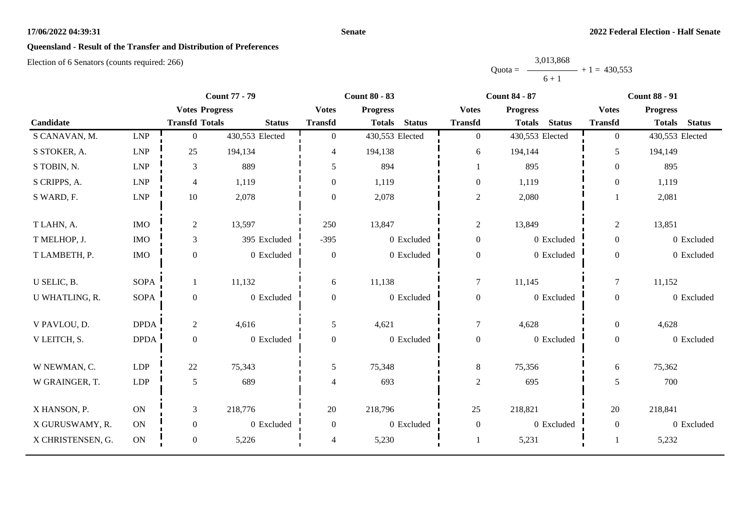#### **Senate**

## **Queensland - Result of the Transfer and Distribution of Preferences**

|           | 3,013,868 |                |
|-----------|-----------|----------------|
| $Quota =$ |           | $+1 = 430,553$ |
|           | $6 + 1$   |                |

|                   |                             | <b>Count 77 - 79</b>  |                 | <b>Count 80 - 83</b> |                                |                  | <b>Count 84 - 87</b>           | <b>Count 88 - 91</b> |                                |  |
|-------------------|-----------------------------|-----------------------|-----------------|----------------------|--------------------------------|------------------|--------------------------------|----------------------|--------------------------------|--|
|                   |                             | <b>Votes Progress</b> |                 | <b>Votes</b>         | <b>Progress</b>                | <b>Votes</b>     | <b>Progress</b>                | <b>Votes</b>         | <b>Progress</b>                |  |
| Candidate         |                             | <b>Transfd Totals</b> | <b>Status</b>   | <b>Transfd</b>       | <b>Status</b><br><b>Totals</b> | <b>Transfd</b>   | <b>Status</b><br><b>Totals</b> | <b>Transfd</b>       | <b>Status</b><br><b>Totals</b> |  |
| S CANAVAN, M.     | LNP                         | $\mathbf{0}$          | 430,553 Elected | $\overline{0}$       | 430,553 Elected                | $\mathbf{0}$     | 430,553 Elected                | $\overline{0}$       | 430,553 Elected                |  |
| S STOKER, A.      | $\ensuremath{\mathrm{LNP}}$ | 25                    | 194,134         | 4                    | 194,138                        | 6                | 194,144                        | 5                    | 194,149                        |  |
| S TOBIN, N.       | <b>LNP</b>                  | 3                     | 889             | 5                    | 894                            | 1                | 895                            | $\overline{0}$       | 895                            |  |
| S CRIPPS, A.      | LNP                         | $\overline{4}$        | 1,119           | $\Omega$             | 1,119                          | $\mathbf{0}$     | 1,119                          | $\Omega$             | 1,119                          |  |
| S WARD, F.        | ${\rm LNP}$                 | $10\,$                | 2,078           | $\Omega$             | 2,078                          | $\sqrt{2}$       | 2,080                          |                      | 2,081                          |  |
| T LAHN, A.        | <b>IMO</b>                  | $\overline{c}$        | 13,597          | 250                  | 13,847                         | $\sqrt{2}$       | 13,849                         | $\overline{c}$       | 13,851                         |  |
|                   |                             |                       |                 |                      |                                |                  |                                |                      |                                |  |
| T MELHOP, J.      | <b>IMO</b>                  | 3                     | 395 Excluded    | $-395$               | 0 Excluded                     | $\boldsymbol{0}$ | 0 Excluded                     | $\overline{0}$       | 0 Excluded                     |  |
| T LAMBETH, P.     | $\rm{IMO}$                  | $\boldsymbol{0}$      | 0 Excluded      | $\boldsymbol{0}$     | 0 Excluded                     | $\boldsymbol{0}$ | 0 Excluded                     | $\overline{0}$       | 0 Excluded                     |  |
| U SELIC, B.       | <b>SOPA</b>                 | $\mathbf{1}$          | 11,132          | 6                    | 11,138                         | $\tau$           | 11,145                         | $\tau$               | 11,152                         |  |
| U WHATLING, R.    | <b>SOPA</b>                 | $\boldsymbol{0}$      | 0 Excluded      | $\overline{0}$       | 0 Excluded                     | $\boldsymbol{0}$ | 0 Excluded                     | $\overline{0}$       | 0 Excluded                     |  |
|                   |                             |                       |                 |                      |                                |                  |                                |                      |                                |  |
| V PAVLOU, D.      | <b>DPDA</b>                 | $\overline{c}$        | 4,616           | 5                    | 4,621                          | 7                | 4,628                          | $\overline{0}$       | 4,628                          |  |
| V LEITCH, S.      | <b>DPDA</b>                 | $\boldsymbol{0}$      | 0 Excluded      | $\boldsymbol{0}$     | 0 Excluded                     | $\boldsymbol{0}$ | 0 Excluded                     | $\overline{0}$       | 0 Excluded                     |  |
|                   |                             |                       |                 |                      |                                |                  |                                |                      |                                |  |
| W NEWMAN, C.      | <b>LDP</b>                  | 22                    | 75,343          | 5                    | 75,348                         | $8\,$            | 75,356                         | 6                    | 75,362                         |  |
| W GRAINGER, T.    | ${\rm LDP}$                 | $\mathfrak{S}$        | 689             | 4                    | 693                            | $\mathbf{2}$     | 695                            | 5                    | 700                            |  |
| X HANSON, P.      | ON                          | 3                     | 218,776         | 20                   | 218,796                        | 25               | 218,821                        | 20                   | 218,841                        |  |
|                   |                             |                       |                 |                      |                                |                  |                                |                      |                                |  |
| X GURUSWAMY, R.   | ON                          | $\boldsymbol{0}$      | 0 Excluded      | $\mathbf{0}$         | 0 Excluded                     | $\boldsymbol{0}$ | 0 Excluded                     | $\overline{0}$       | 0 Excluded                     |  |
| X CHRISTENSEN, G. | ON                          | $\boldsymbol{0}$      | 5,226           | 4                    | 5,230                          |                  | 5,231                          |                      | 5,232                          |  |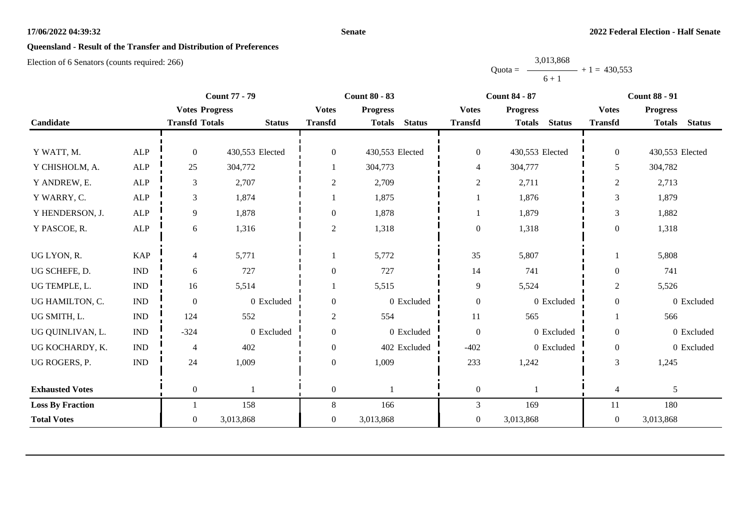#### **Senate**

## **Queensland - Result of the Transfer and Distribution of Preferences**

Election of 6 Senators (counts required: 266)

Quota = 3,013,868  $6 + 1$  $+ 1 = 430,553$ 

|                         |                             | <b>Count 77 - 79</b><br><b>Count 80 - 83</b><br><b>Count 84 - 87</b> |                 |                  | <b>Count 88 - 91</b>           |                  |                                |                  |                                |
|-------------------------|-----------------------------|----------------------------------------------------------------------|-----------------|------------------|--------------------------------|------------------|--------------------------------|------------------|--------------------------------|
|                         |                             | <b>Votes Progress</b>                                                |                 | <b>Votes</b>     | <b>Progress</b>                | <b>Votes</b>     | <b>Progress</b>                | <b>Votes</b>     | <b>Progress</b>                |
| Candidate               |                             | <b>Transfd Totals</b>                                                | <b>Status</b>   | <b>Transfd</b>   | <b>Status</b><br><b>Totals</b> | <b>Transfd</b>   | <b>Status</b><br><b>Totals</b> | <b>Transfd</b>   | <b>Status</b><br><b>Totals</b> |
|                         |                             |                                                                      |                 |                  |                                |                  |                                |                  |                                |
| Y WATT, M.              | <b>ALP</b>                  | $\Omega$                                                             | 430,553 Elected | $\overline{0}$   | 430,553 Elected                | $\boldsymbol{0}$ | 430,553 Elected                | $\overline{0}$   | 430,553 Elected                |
| Y CHISHOLM, A.          | <b>ALP</b>                  | 25                                                                   | 304,772         |                  | 304,773                        | 4                | 304,777                        | 5                | 304,782                        |
| Y ANDREW, E.            | ${\sf ALP}$                 | 3                                                                    | 2,707           | $\sqrt{2}$       | 2,709                          | $\sqrt{2}$       | 2,711                          | $\sqrt{2}$       | 2,713                          |
| Y WARRY, C.             | <b>ALP</b>                  | 3                                                                    | 1,874           |                  | 1,875                          |                  | 1,876                          | 3                | 1,879                          |
| Y HENDERSON, J.         | <b>ALP</b>                  | 9                                                                    | 1,878           | $\boldsymbol{0}$ | 1,878                          |                  | 1,879                          | 3                | 1,882                          |
| Y PASCOE, R.            | <b>ALP</b>                  | 6                                                                    | 1,316           | 2                | 1,318                          | $\boldsymbol{0}$ | 1,318                          | $\theta$         | 1,318                          |
|                         |                             |                                                                      |                 |                  |                                |                  |                                |                  |                                |
| UG LYON, R.             | <b>KAP</b>                  | 4                                                                    | 5,771           |                  | 5,772                          | 35               | 5,807                          |                  | 5,808                          |
| UG SCHEFE, D.           | <b>IND</b>                  | 6                                                                    | 727             | $\overline{0}$   | 727                            | 14               | 741                            | $\theta$         | 741                            |
| UG TEMPLE, L.           | <b>IND</b>                  | 16                                                                   | 5,514           |                  | 5,515                          | 9                | 5,524                          | $\overline{2}$   | 5,526                          |
| UG HAMILTON, C.         | <b>IND</b>                  | $\theta$                                                             | 0 Excluded      | $\boldsymbol{0}$ | 0 Excluded                     | $\boldsymbol{0}$ | 0 Excluded                     | $\theta$         | 0 Excluded                     |
| UG SMITH, L.            | $\mathop{\rm IND}\nolimits$ | 124                                                                  | 552             | $\overline{c}$   | 554                            | $11\,$           | 565                            |                  | 566                            |
| UG QUINLIVAN, L.        | <b>IND</b>                  | $-324$                                                               | 0 Excluded      | $\theta$         | 0 Excluded                     | $\boldsymbol{0}$ | 0 Excluded                     | $\Omega$         | 0 Excluded                     |
| UG KOCHARDY, K.         | <b>IND</b>                  | 4                                                                    | 402             | $\overline{0}$   | 402 Excluded                   | $-402$           | 0 Excluded                     | $\overline{0}$   | 0 Excluded                     |
| UG ROGERS, P.           | $\ensuremath{\text{IND}}$   | 24                                                                   | 1,009           | $\mathbf{0}$     | 1,009                          | 233              | 1,242                          | 3                | 1,245                          |
|                         |                             |                                                                      |                 |                  |                                |                  |                                |                  |                                |
| <b>Exhausted Votes</b>  |                             | $\overline{0}$                                                       |                 | $\boldsymbol{0}$ |                                | $\boldsymbol{0}$ |                                | $\overline{4}$   | 5                              |
| <b>Loss By Fraction</b> |                             |                                                                      | 158             | 8                | 166                            | 3                | 169                            | 11               | 180                            |
| <b>Total Votes</b>      |                             | $\overline{0}$                                                       | 3,013,868       | $\boldsymbol{0}$ | 3,013,868                      | $\boldsymbol{0}$ | 3,013,868                      | $\boldsymbol{0}$ | 3,013,868                      |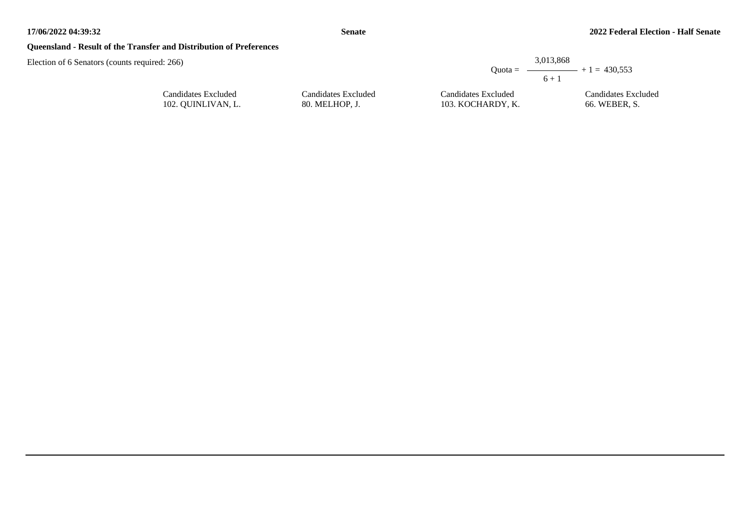## **Queensland - Result of the Transfer and Distribution of Preferences**

Candidates Excluded 102. QUINLIVAN, L.

|                     | 3,013,868<br>$6 + 1$ | Ouota = $\longrightarrow$ + 1 = 430.553 |
|---------------------|----------------------|-----------------------------------------|
| Candidates Excluded | Candidates Excluded  | Candidates Excluded                     |
| 80. MELHOP. J.      | 103. KOCHARDY, K.    | 66. WEBER, S.                           |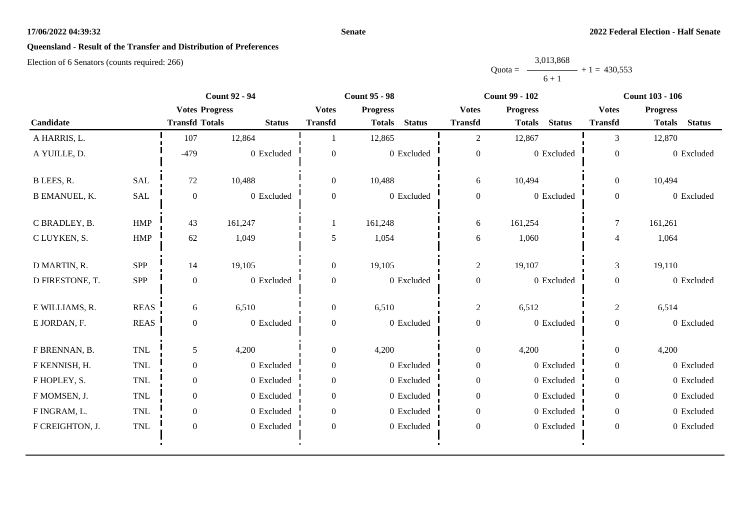#### **Senate**

# **Queensland - Result of the Transfer and Distribution of Preferences**

|           | 3,013,868 |                |
|-----------|-----------|----------------|
| $Quota =$ |           | $+1 = 430.553$ |
|           | $6 + 1$   |                |

| <b>Count 92 - 94</b> |             | <b>Count 95 - 98</b>  |               |                  | <b>Count 99 - 102</b>          | <b>Count 103 - 106</b> |                                |                  |                                |
|----------------------|-------------|-----------------------|---------------|------------------|--------------------------------|------------------------|--------------------------------|------------------|--------------------------------|
|                      |             | <b>Votes Progress</b> |               | <b>Votes</b>     | <b>Progress</b>                | <b>Votes</b>           | <b>Progress</b>                | <b>Votes</b>     | <b>Progress</b>                |
| Candidate            |             | <b>Transfd Totals</b> | <b>Status</b> | <b>Transfd</b>   | <b>Status</b><br><b>Totals</b> | <b>Transfd</b>         | <b>Status</b><br><b>Totals</b> | <b>Transfd</b>   | <b>Status</b><br><b>Totals</b> |
| A HARRIS, L.         |             | 107                   | 12,864        |                  | 12,865                         | $\overline{2}$         | 12,867                         | 3                | 12,870                         |
| A YUILLE, D.         |             | $-479$                | 0 Excluded    | $\theta$         | 0 Excluded                     | $\boldsymbol{0}$       | 0 Excluded                     | $\overline{0}$   | 0 Excluded                     |
| B LEES, R.           | <b>SAL</b>  | 72                    | 10,488        | $\overline{0}$   | 10,488                         | 6                      | 10,494                         | $\overline{0}$   | 10,494                         |
| <b>B EMANUEL, K.</b> | SAL         | $\boldsymbol{0}$      | 0 Excluded    | $\overline{0}$   | 0 Excluded                     | $\boldsymbol{0}$       | 0 Excluded                     | $\boldsymbol{0}$ | 0 Excluded                     |
| C BRADLEY, B.        | <b>HMP</b>  | 43                    | 161,247       |                  | 161,248                        | 6                      | 161,254                        | $\tau$           | 161,261                        |
| C LUYKEN, S.         | HMP         | 62                    | 1,049         | 5                | 1,054                          | 6                      | 1,060                          | $\overline{4}$   | 1,064                          |
| D MARTIN, R.         | SPP         | 14                    | 19,105        | $\overline{0}$   | 19,105                         | $\overline{2}$         | 19,107                         | 3                | 19,110                         |
| D FIRESTONE, T.      | SPP         | $\theta$              | 0 Excluded    | $\Omega$         | 0 Excluded                     | $\boldsymbol{0}$       | 0 Excluded                     | $\overline{0}$   | 0 Excluded                     |
| E WILLIAMS, R.       | <b>REAS</b> | 6                     | 6,510         | $\boldsymbol{0}$ | 6,510                          | $\mathbf{2}$           | 6,512                          | $\mathbf{2}$     | 6,514                          |
| E JORDAN, F.         | <b>REAS</b> | $\overline{0}$        | 0 Excluded    | $\overline{0}$   | 0 Excluded                     | $\boldsymbol{0}$       | 0 Excluded                     | $\overline{0}$   | 0 Excluded                     |
| F BRENNAN, B.        | TNL         | 5                     | 4,200         | $\overline{0}$   | 4,200                          | $\boldsymbol{0}$       | 4,200                          | $\overline{0}$   | 4,200                          |
| F KENNISH, H.        | <b>TNL</b>  | $\boldsymbol{0}$      | 0 Excluded    | $\overline{0}$   | 0 Excluded                     | $\boldsymbol{0}$       | 0 Excluded                     | $\overline{0}$   | 0 Excluded                     |
| F HOPLEY, S.         | <b>TNL</b>  | $\theta$              | 0 Excluded    | $\Omega$         | 0 Excluded                     | $\boldsymbol{0}$       | 0 Excluded                     | $\overline{0}$   | 0 Excluded                     |
| F MOMSEN, J.         | <b>TNL</b>  | $\boldsymbol{0}$      | 0 Excluded    | $\Omega$         | 0 Excluded                     | $\boldsymbol{0}$       | 0 Excluded                     | $\overline{0}$   | 0 Excluded                     |
| F INGRAM, L.         | TNL         | $\overline{0}$        | 0 Excluded    | $\overline{0}$   | 0 Excluded                     | $\boldsymbol{0}$       | 0 Excluded                     | $\overline{0}$   | 0 Excluded                     |
| F CREIGHTON, J.      | TNL         | $\boldsymbol{0}$      | 0 Excluded    | $\mathbf{0}$     | 0 Excluded                     | $\boldsymbol{0}$       | 0 Excluded                     | $\boldsymbol{0}$ | 0 Excluded                     |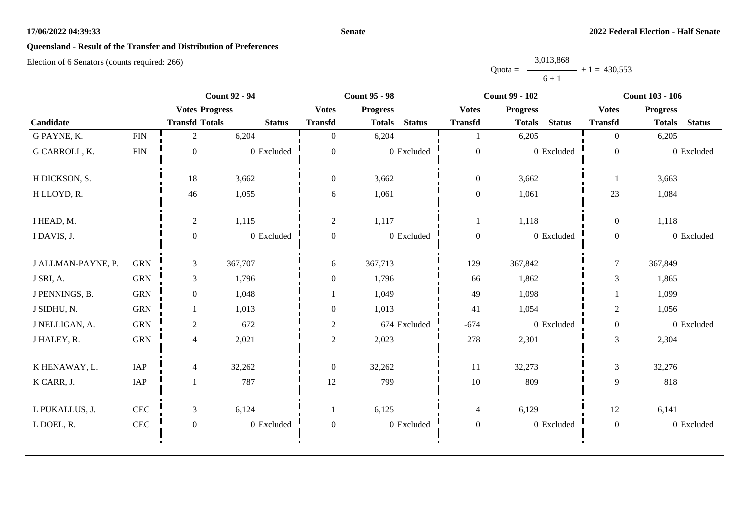#### **Senate**

# **Queensland - Result of the Transfer and Distribution of Preferences**

|           | 3,013,868 |                |
|-----------|-----------|----------------|
| $Quota =$ |           | $+1 = 430.553$ |
|           | $6 + 1$   |                |

|                    |              | <b>Count 92 - 94</b>  |               | <b>Count 95 - 98</b> |                 |               | <b>Count 99 - 102</b> |                 |               | <b>Count 103 - 106</b> |                 |               |
|--------------------|--------------|-----------------------|---------------|----------------------|-----------------|---------------|-----------------------|-----------------|---------------|------------------------|-----------------|---------------|
|                    |              | <b>Votes Progress</b> |               | <b>Votes</b>         | <b>Progress</b> |               | <b>Votes</b>          | <b>Progress</b> |               | <b>Votes</b>           | <b>Progress</b> |               |
| Candidate          |              | <b>Transfd Totals</b> | <b>Status</b> | <b>Transfd</b>       | <b>Totals</b>   | <b>Status</b> | <b>Transfd</b>        | <b>Totals</b>   | <b>Status</b> | <b>Transfd</b>         | <b>Totals</b>   | <b>Status</b> |
| G PAYNE, K.        | <b>FIN</b>   | $\overline{2}$        | 6,204         | $\Omega$             | 6,204           |               |                       | 6,205           |               | $\overline{0}$         | 6,205           |               |
| G CARROLL, K.      | <b>FIN</b>   | $\mathbf{0}$          | 0 Excluded    | $\Omega$             |                 | 0 Excluded    | $\boldsymbol{0}$      |                 | 0 Excluded    | $\mathbf{0}$           |                 | 0 Excluded    |
| H DICKSON, S.      |              | 18                    | 3,662         | $\mathbf{0}$         | 3,662           |               | $\boldsymbol{0}$      | 3,662           |               |                        | 3,663           |               |
| H LLOYD, R.        |              | 46                    | 1,055         | 6                    | 1,061           |               | $\boldsymbol{0}$      | 1,061           |               | 23                     | 1,084           |               |
| I HEAD, M.         |              | $\sqrt{2}$            | 1,115         | $\overline{2}$       | 1,117           |               |                       | 1,118           |               | $\overline{0}$         | 1,118           |               |
| I DAVIS, J.        |              | $\boldsymbol{0}$      | 0 Excluded    | $\boldsymbol{0}$     |                 | 0 Excluded    | $\boldsymbol{0}$      |                 | 0 Excluded    | $\boldsymbol{0}$       |                 | 0 Excluded    |
| J ALLMAN-PAYNE, P. | <b>GRN</b>   | 3                     | 367,707       | 6                    | 367,713         |               | 129                   | 367,842         |               | $\overline{7}$         | 367,849         |               |
| J SRI, A.          | <b>GRN</b>   | 3                     | 1,796         | $\boldsymbol{0}$     | 1,796           |               | 66                    | 1,862           |               | 3                      | 1,865           |               |
| J PENNINGS, B.     | <b>GRN</b>   | $\overline{0}$        | 1,048         |                      | 1,049           |               | 49                    | 1,098           |               |                        | 1,099           |               |
| J SIDHU, N.        | <b>GRN</b>   |                       | 1,013         | $\boldsymbol{0}$     | 1,013           |               | 41                    | 1,054           |               | $\mathbf{2}$           | 1,056           |               |
| J NELLIGAN, A.     | <b>GRN</b>   | $\mathbf{2}$          | 672           | $\mathbf{2}$         |                 | 674 Excluded  | $-674$                |                 | 0 Excluded    | $\boldsymbol{0}$       |                 | 0 Excluded    |
| J HALEY, R.        | <b>GRN</b>   | 4                     | 2,021         | $\overline{2}$       | 2,023           |               | 278                   | 2,301           |               | $\overline{3}$         | 2,304           |               |
| K HENAWAY, L.      | IAP          | 4                     | 32,262        | $\boldsymbol{0}$     | 32,262          |               | 11                    | 32,273          |               | $\mathfrak{Z}$         | 32,276          |               |
| K CARR, J.         | IAP          |                       | 787           | 12                   | 799             |               | $10\,$                | 809             |               | 9                      | 818             |               |
| L PUKALLUS, J.     | CEC          | 3                     | 6,124         | $\mathbf{1}$         | 6,125           |               | $\overline{4}$        | 6,129           |               | 12                     | 6,141           |               |
| L DOEL, R.         | $\mbox{CEC}$ | $\mathbf{0}$          | 0 Excluded    | $\overline{0}$       |                 | 0 Excluded    | $\boldsymbol{0}$      |                 | 0 Excluded    | $\boldsymbol{0}$       |                 | 0 Excluded    |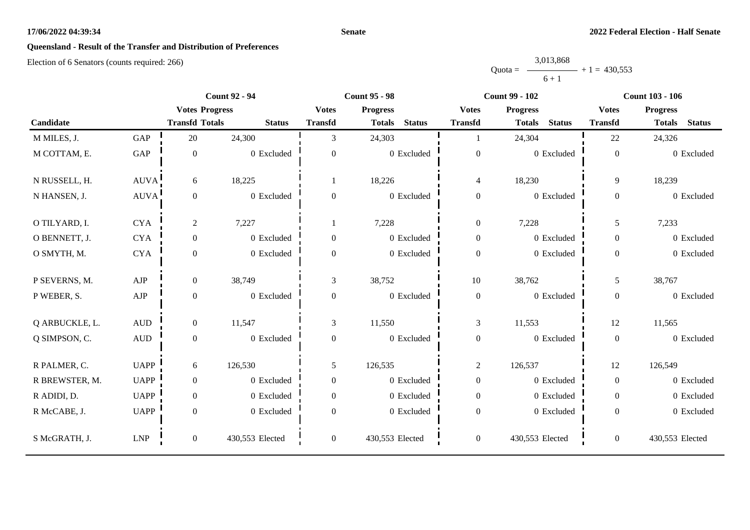#### **Senate**

# **Queensland - Result of the Transfer and Distribution of Preferences**

|           | 3,013,868 |                |
|-----------|-----------|----------------|
| $Quota =$ |           | $+1 = 430.553$ |
|           | $6 + 1$   |                |

|                |                      | <b>Count 92 - 94</b>  |                 | <b>Count 95 - 98</b> |                                |                  | <b>Count 99 - 102</b>          | <b>Count 103 - 106</b> |                                |  |
|----------------|----------------------|-----------------------|-----------------|----------------------|--------------------------------|------------------|--------------------------------|------------------------|--------------------------------|--|
|                |                      | <b>Votes Progress</b> |                 | <b>Votes</b>         | <b>Progress</b>                | <b>Votes</b>     | <b>Progress</b>                | <b>Votes</b>           | <b>Progress</b>                |  |
| Candidate      |                      | <b>Transfd Totals</b> | <b>Status</b>   | <b>Transfd</b>       | <b>Status</b><br><b>Totals</b> | <b>Transfd</b>   | <b>Status</b><br><b>Totals</b> | <b>Transfd</b>         | <b>Status</b><br><b>Totals</b> |  |
| M MILES, J.    | GAP                  | 20                    | 24,300          | 3                    | 24,303                         |                  | 24,304                         | 22                     | 24,326                         |  |
| M COTTAM, E.   | $\operatorname{GAP}$ | $\boldsymbol{0}$      | 0 Excluded      | $\overline{0}$       | $0$ Excluded                   | $\boldsymbol{0}$ | 0 Excluded                     | $\boldsymbol{0}$       | 0 Excluded                     |  |
| N RUSSELL, H.  | AUVA                 | 6                     | 18,225          |                      | 18,226                         | $\overline{4}$   | 18,230                         | 9                      | 18,239                         |  |
| N HANSEN, J.   | <b>AUVA</b>          | $\overline{0}$        | 0 Excluded      | $\overline{0}$       | 0 Excluded                     | $\boldsymbol{0}$ | 0 Excluded                     | $\mathbf{0}$           | 0 Excluded                     |  |
| O TILYARD, I.  | <b>CYA</b>           | $\overline{c}$        | 7,227           |                      | 7,228                          | $\boldsymbol{0}$ | 7,228                          | 5                      | 7,233                          |  |
| O BENNETT, J.  | <b>CYA</b>           | $\overline{0}$        | 0 Excluded      | $\boldsymbol{0}$     | 0 Excluded                     | $\boldsymbol{0}$ | 0 Excluded                     | $\mathbf{0}$           | 0 Excluded                     |  |
| O SMYTH, M.    | <b>CYA</b>           | $\overline{0}$        | 0 Excluded      | $\overline{0}$       | 0 Excluded                     | $\boldsymbol{0}$ | 0 Excluded                     | $\overline{0}$         | 0 Excluded                     |  |
| P SEVERNS, M.  | ${\rm AJP}$          | $\overline{0}$        | 38,749          | 3                    | 38,752                         | $10\,$           | 38,762                         | 5                      | 38,767                         |  |
| P WEBER, S.    | ${\rm AJP}$          | $\overline{0}$        | 0 Excluded      | $\boldsymbol{0}$     | 0 Excluded                     | $\boldsymbol{0}$ | 0 Excluded                     | $\boldsymbol{0}$       | 0 Excluded                     |  |
| Q ARBUCKLE, L. | <b>AUD</b>           | $\overline{0}$        | 11,547          | 3                    | 11,550                         | 3                | 11,553                         | 12                     | 11,565                         |  |
| Q SIMPSON, C.  | $\mbox{AUD}$         | $\boldsymbol{0}$      | $0$ Excluded    | $\boldsymbol{0}$     | 0 Excluded                     | $\boldsymbol{0}$ | 0 Excluded                     | $\mathbf{0}$           | 0 Excluded                     |  |
| R PALMER, C.   | <b>UAPP</b>          | 6                     | 126,530         | 5                    | 126,535                        | $\overline{c}$   | 126,537                        | 12                     | 126,549                        |  |
| R BREWSTER, M. | <b>UAPP</b>          | $\overline{0}$        | 0 Excluded      | $\overline{0}$       | 0 Excluded                     | $\boldsymbol{0}$ | 0 Excluded                     | $\overline{0}$         | 0 Excluded                     |  |
| R ADIDI, D.    | <b>UAPP</b>          | $\overline{0}$        | 0 Excluded      | $\overline{0}$       | 0 Excluded                     | $\boldsymbol{0}$ | 0 Excluded                     | $\overline{0}$         | 0 Excluded                     |  |
| R McCABE, J.   | <b>UAPP</b>          | $\overline{0}$        | 0 Excluded      | $\overline{0}$       | 0 Excluded                     | $\boldsymbol{0}$ | 0 Excluded                     | $\overline{0}$         | 0 Excluded                     |  |
| S McGRATH, J.  | <b>LNP</b>           | $\boldsymbol{0}$      | 430,553 Elected | $\boldsymbol{0}$     | 430,553 Elected                | $\boldsymbol{0}$ | 430,553 Elected                | $\boldsymbol{0}$       | 430,553 Elected                |  |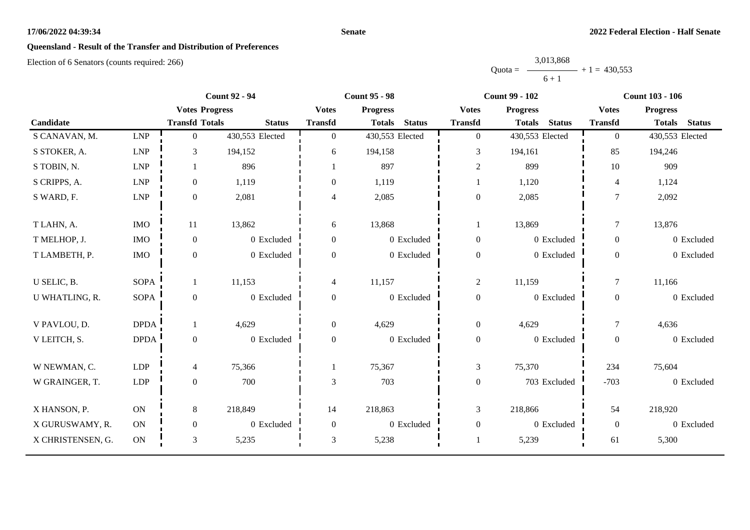#### **Senate**

# **Queensland - Result of the Transfer and Distribution of Preferences**

|           | 3,013,868      |  |
|-----------|----------------|--|
| $Quota =$ | $+1 = 430.553$ |  |
|           | $6 + 1$        |  |

|                   | <b>Count 92 - 94</b>        |                       |                 | <b>Count 95 - 98</b> |                                | <b>Count 99 - 102</b> | <b>Count 103 - 106</b>         |                |                                |
|-------------------|-----------------------------|-----------------------|-----------------|----------------------|--------------------------------|-----------------------|--------------------------------|----------------|--------------------------------|
|                   |                             | <b>Votes Progress</b> |                 | <b>Votes</b>         | <b>Progress</b>                | <b>Votes</b>          | <b>Progress</b>                | <b>Votes</b>   | <b>Progress</b>                |
| Candidate         |                             | <b>Transfd Totals</b> | <b>Status</b>   | <b>Transfd</b>       | <b>Status</b><br><b>Totals</b> | <b>Transfd</b>        | <b>Status</b><br><b>Totals</b> | <b>Transfd</b> | <b>Status</b><br><b>Totals</b> |
| S CANAVAN, M.     | <b>LNP</b>                  | $\mathbf{0}$          | 430,553 Elected | $\overline{0}$       | 430,553 Elected                | $\overline{0}$        | 430,553 Elected                | $\overline{0}$ | 430,553 Elected                |
| S STOKER, A.      | $\ensuremath{\mathrm{LNP}}$ | 3                     | 194,152         | 6                    | 194,158                        | 3                     | 194,161                        | 85             | 194,246                        |
| S TOBIN, N.       | LNP                         |                       | 896             |                      | 897                            | $\overline{2}$        | 899                            | 10             | 909                            |
| S CRIPPS, A.      | <b>LNP</b>                  | $\boldsymbol{0}$      | 1,119           | $\Omega$             | 1,119                          |                       | 1,120                          | 4              | 1,124                          |
| S WARD, F.        | $\ensuremath{\mathrm{LNP}}$ | $\boldsymbol{0}$      | 2,081           | 4                    | 2,085                          | $\boldsymbol{0}$      | 2,085                          | $\overline{7}$ | 2,092                          |
| T LAHN, A.        | $\rm{IMO}$                  | 11                    | 13,862          | 6                    | 13,868                         | 1                     | 13,869                         | $\overline{7}$ | 13,876                         |
| T MELHOP, J.      | <b>IMO</b>                  | $\boldsymbol{0}$      | 0 Excluded      | $\overline{0}$       | 0 Excluded                     | $\boldsymbol{0}$      | 0 Excluded                     | $\overline{0}$ | 0 Excluded                     |
| T LAMBETH, P.     | $\rm{IMO}$                  | $\boldsymbol{0}$      | 0 Excluded      | $\Omega$             | 0 Excluded                     | $\boldsymbol{0}$      | 0 Excluded                     | $\overline{0}$ | 0 Excluded                     |
| U SELIC, B.       | <b>SOPA</b>                 | $\mathbf{1}$          | 11,153          | 4                    | 11,157                         | $\sqrt{2}$            | 11,159                         | $\overline{7}$ | 11,166                         |
| U WHATLING, R.    | <b>SOPA</b>                 | $\boldsymbol{0}$      | 0 Excluded      | $\boldsymbol{0}$     | 0 Excluded                     | $\boldsymbol{0}$      | 0 Excluded                     | $\overline{0}$ | 0 Excluded                     |
| V PAVLOU, D.      | <b>DPDA</b>                 |                       | 4,629           | $\overline{0}$       | 4,629                          | $\boldsymbol{0}$      | 4,629                          | $\tau$         | 4,636                          |
| V LEITCH, S.      | <b>DPDA</b>                 | $\boldsymbol{0}$      | 0 Excluded      | $\overline{0}$       | 0 Excluded                     | $\boldsymbol{0}$      | 0 Excluded                     | $\overline{0}$ | 0 Excluded                     |
| W NEWMAN, C.      | <b>LDP</b>                  | 4                     | 75,366          |                      | 75,367                         | $\mathfrak{Z}$        | 75,370                         | 234            | 75,604                         |
| W GRAINGER, T.    | LDP                         | $\boldsymbol{0}$      | 700             | 3                    | 703                            | $\boldsymbol{0}$      | 703 Excluded                   | $-703$         | 0 Excluded                     |
| X HANSON, P.      | ON                          | 8                     | 218,849         | 14                   | 218,863                        | 3                     | 218,866                        | 54             | 218,920                        |
| X GURUSWAMY, R.   | <b>ON</b>                   | $\mathbf{0}$          | 0 Excluded      | $\Omega$             | 0 Excluded                     | $\boldsymbol{0}$      | 0 Excluded                     | $\overline{0}$ | 0 Excluded                     |
| X CHRISTENSEN, G. | $\mathbf{ON}$               | $\mathfrak{Z}$        | 5,235           | 3                    | 5,238                          |                       | 5,239                          | 61             | 5,300                          |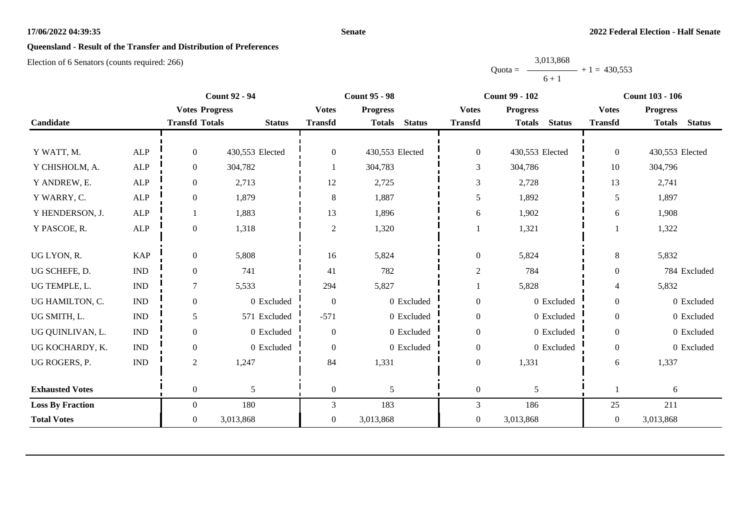#### **Senate**

# **Queensland - Result of the Transfer and Distribution of Preferences**

|           | 3,013,868 |                |
|-----------|-----------|----------------|
| $Quota =$ |           | $+1 = 430.553$ |
|           | $6 + 1$   |                |

|                         |                             |                       | <b>Count 92 - 94</b> |                  | <b>Count 95 - 98</b>           |                  | <b>Count 99 - 102</b>          | <b>Count 103 - 106</b> |                                |  |
|-------------------------|-----------------------------|-----------------------|----------------------|------------------|--------------------------------|------------------|--------------------------------|------------------------|--------------------------------|--|
|                         |                             | <b>Votes Progress</b> |                      | <b>Votes</b>     | <b>Progress</b>                | <b>Votes</b>     | <b>Progress</b>                | <b>Votes</b>           | <b>Progress</b>                |  |
| Candidate               |                             | <b>Transfd Totals</b> | <b>Status</b>        | <b>Transfd</b>   | <b>Status</b><br><b>Totals</b> | <b>Transfd</b>   | <b>Totals</b><br><b>Status</b> | <b>Transfd</b>         | <b>Totals</b><br><b>Status</b> |  |
|                         |                             |                       |                      |                  |                                |                  |                                |                        |                                |  |
| Y WATT, M.              | <b>ALP</b>                  | $\overline{0}$        | 430,553 Elected      | $\overline{0}$   | 430,553 Elected                | $\boldsymbol{0}$ | 430,553 Elected                | $\overline{0}$         | 430,553 Elected                |  |
| Y CHISHOLM, A.          | <b>ALP</b>                  | $\boldsymbol{0}$      | 304,782              |                  | 304,783                        | 3                | 304,786                        | 10                     | 304,796                        |  |
| Y ANDREW, E.            | ${\sf ALP}$                 | $\boldsymbol{0}$      | 2,713                | 12               | 2,725                          | $\mathfrak{Z}$   | 2,728                          | 13                     | 2,741                          |  |
| Y WARRY, C.             | <b>ALP</b>                  | $\overline{0}$        | 1,879                | 8                | 1,887                          | 5                | 1,892                          | 5                      | 1,897                          |  |
| Y HENDERSON, J.         | <b>ALP</b>                  |                       | 1,883                | 13               | 1,896                          | $\sqrt{6}$       | 1,902                          | 6                      | 1,908                          |  |
| Y PASCOE, R.            | <b>ALP</b>                  | $\mathbf{0}$          | 1,318                | $\overline{2}$   | 1,320                          | 1                | 1,321                          |                        | 1,322                          |  |
|                         |                             |                       |                      |                  |                                |                  |                                |                        |                                |  |
| UG LYON, R.             | <b>KAP</b>                  | $\boldsymbol{0}$      | 5,808                | 16               | 5,824                          | $\boldsymbol{0}$ | 5,824                          | $8\,$                  | 5,832                          |  |
| UG SCHEFE, D.           | $\ensuremath{\text{IND}}$   | $\boldsymbol{0}$      | 741                  | 41               | 782                            | $\sqrt{2}$       | 784                            | $\boldsymbol{0}$       | 784 Excluded                   |  |
| UG TEMPLE, L.           | $\mathop{\rm IND}\nolimits$ | 7                     | 5,533                | 294              | 5,827                          |                  | 5,828                          | 4                      | 5,832                          |  |
| UG HAMILTON, C.         | $\ensuremath{\text{IND}}$   | $\mathbf{0}$          | 0 Excluded           | $\overline{0}$   | 0 Excluded                     | $\boldsymbol{0}$ | 0 Excluded                     | $\overline{0}$         | 0 Excluded                     |  |
| UG SMITH, L.            | $\mathop{\rm IND}\nolimits$ | 5                     | 571 Excluded         | $-571$           | 0 Excluded                     | $\boldsymbol{0}$ | 0 Excluded                     | $\boldsymbol{0}$       | 0 Excluded                     |  |
| UG QUINLIVAN, L.        | <b>IND</b>                  | $\mathbf{0}$          | 0 Excluded           | $\theta$         | 0 Excluded                     | $\boldsymbol{0}$ | 0 Excluded                     | $\overline{0}$         | 0 Excluded                     |  |
| UG KOCHARDY, K.         | <b>IND</b>                  | $\boldsymbol{0}$      | 0 Excluded           | $\overline{0}$   | 0 Excluded                     | $\boldsymbol{0}$ | 0 Excluded                     | $\boldsymbol{0}$       | 0 Excluded                     |  |
| UG ROGERS, P.           | <b>IND</b>                  | $\overline{c}$        | 1,247                | 84               | 1,331                          | $\boldsymbol{0}$ | 1,331                          | 6                      | 1,337                          |  |
|                         |                             |                       |                      |                  |                                |                  |                                |                        |                                |  |
| <b>Exhausted Votes</b>  |                             | $\overline{0}$        | 5                    | $\boldsymbol{0}$ | 5                              | $\boldsymbol{0}$ | 5                              |                        | 6                              |  |
| <b>Loss By Fraction</b> |                             | $\overline{0}$        | 180                  | 3                | 183                            | 3                | 186                            | 25                     | 211                            |  |
| <b>Total Votes</b>      |                             | $\overline{0}$        | 3,013,868            | $\overline{0}$   | 3,013,868                      | $\boldsymbol{0}$ | 3,013,868                      | $\boldsymbol{0}$       | 3,013,868                      |  |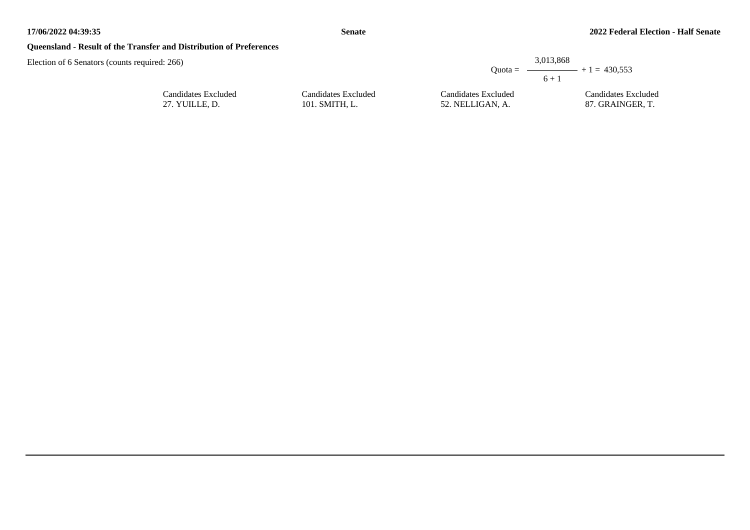## **Queensland - Result of the Transfer and Distribution of Preferences**

| d: 266)             |                     |                     | 3,013,868<br>Quota = $\longrightarrow$ + 1 = 430.553<br>$6 + 1$ |
|---------------------|---------------------|---------------------|-----------------------------------------------------------------|
| Candidates Excluded | Candidates Excluded | Candidates Excluded | Candidates Excluded                                             |
| 27. YUILLE, D.      | 101. SMITH, L.      | 52. NELLIGAN, A.    | 87. GRAINGER, T.                                                |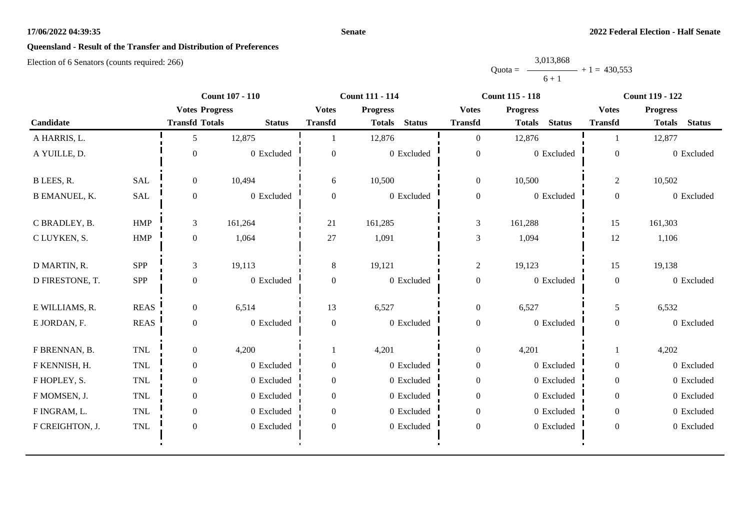#### **Senate**

# **Queensland - Result of the Transfer and Distribution of Preferences**

|           | 3,013,868 |                |
|-----------|-----------|----------------|
| $Quota =$ |           | $+1 = 430.553$ |
|           | $6 + 1$   |                |

|                      |             | <b>Count 107 - 110</b> |               | <b>Count 111 - 114</b> |                                |                  | <b>Count 115 - 118</b>         | <b>Count 119 - 122</b> |                                |  |
|----------------------|-------------|------------------------|---------------|------------------------|--------------------------------|------------------|--------------------------------|------------------------|--------------------------------|--|
|                      |             | <b>Votes Progress</b>  |               | <b>Votes</b>           | <b>Progress</b>                | <b>Votes</b>     | <b>Progress</b>                | <b>Votes</b>           | <b>Progress</b>                |  |
| Candidate            |             | <b>Transfd Totals</b>  | <b>Status</b> | <b>Transfd</b>         | <b>Status</b><br><b>Totals</b> | <b>Transfd</b>   | <b>Status</b><br><b>Totals</b> | <b>Transfd</b>         | <b>Status</b><br><b>Totals</b> |  |
| A HARRIS, L.         |             | 5                      | 12,875        |                        | 12,876                         | $\overline{0}$   | 12,876                         |                        | 12,877                         |  |
| A YUILLE, D.         |             | $\theta$               | $0$ Excluded  | $\theta$               | $0$ Excluded                   | $\boldsymbol{0}$ | 0 Excluded                     | $\mathbf{0}$           | 0 Excluded                     |  |
| B LEES, R.           | <b>SAL</b>  | $\overline{0}$         | 10,494        | 6                      | 10,500                         | $\boldsymbol{0}$ | 10,500                         | 2                      | 10,502                         |  |
| <b>B EMANUEL, K.</b> | SAL         | $\boldsymbol{0}$       | 0 Excluded    | $\overline{0}$         | 0 Excluded                     | $\boldsymbol{0}$ | 0 Excluded                     | $\overline{0}$         | 0 Excluded                     |  |
| C BRADLEY, B.        | <b>HMP</b>  | 3                      | 161,264       | 21                     | 161,285                        | 3                | 161,288                        | 15                     | 161,303                        |  |
| C LUYKEN, S.         | HMP         | $\overline{0}$         | 1,064         | 27                     | 1,091                          | $\mathfrak{Z}$   | 1,094                          | 12                     | 1,106                          |  |
| D MARTIN, R.         | SPP         | 3                      | 19,113        | $\,8\,$                | 19,121                         | $\sqrt{2}$       | 19,123                         | 15                     | 19,138                         |  |
| D FIRESTONE, T.      | SPP         | $\overline{0}$         | 0 Excluded    | $\Omega$               | 0 Excluded                     | $\boldsymbol{0}$ | 0 Excluded                     | $\overline{0}$         | 0 Excluded                     |  |
| E WILLIAMS, R.       | <b>REAS</b> | $\overline{0}$         | 6,514         | 13                     | 6,527                          | $\boldsymbol{0}$ | 6,527                          | 5                      | 6,532                          |  |
| E JORDAN, F.         | <b>REAS</b> | $\overline{0}$         | 0 Excluded    | $\boldsymbol{0}$       | 0 Excluded                     | $\boldsymbol{0}$ | 0 Excluded                     | $\overline{0}$         | 0 Excluded                     |  |
| F BRENNAN, B.        | TNL         | $\overline{0}$         | 4,200         |                        | 4,201                          | $\boldsymbol{0}$ | 4,201                          |                        | 4,202                          |  |
| F KENNISH, H.        | <b>TNL</b>  | $\overline{0}$         | 0 Excluded    | $\overline{0}$         | 0 Excluded                     | $\overline{0}$   | 0 Excluded                     | $\overline{0}$         | 0 Excluded                     |  |
| F HOPLEY, S.         | <b>TNL</b>  | $\overline{0}$         | 0 Excluded    | $\Omega$               | 0 Excluded                     | $\boldsymbol{0}$ | 0 Excluded                     | $\Omega$               | 0 Excluded                     |  |
| F MOMSEN, J.         | TNL         | $\overline{0}$         | 0 Excluded    | $\Omega$               | 0 Excluded                     | $\boldsymbol{0}$ | 0 Excluded                     | $\overline{0}$         | 0 Excluded                     |  |
| F INGRAM, L.         | TNL         | $\overline{0}$         | 0 Excluded    | $\overline{0}$         | 0 Excluded                     | $\overline{0}$   | 0 Excluded                     | $\overline{0}$         | 0 Excluded                     |  |
| F CREIGHTON, J.      | TNL         | $\boldsymbol{0}$       | 0 Excluded    | $\boldsymbol{0}$       | 0 Excluded                     | $\boldsymbol{0}$ | 0 Excluded                     | $\boldsymbol{0}$       | 0 Excluded                     |  |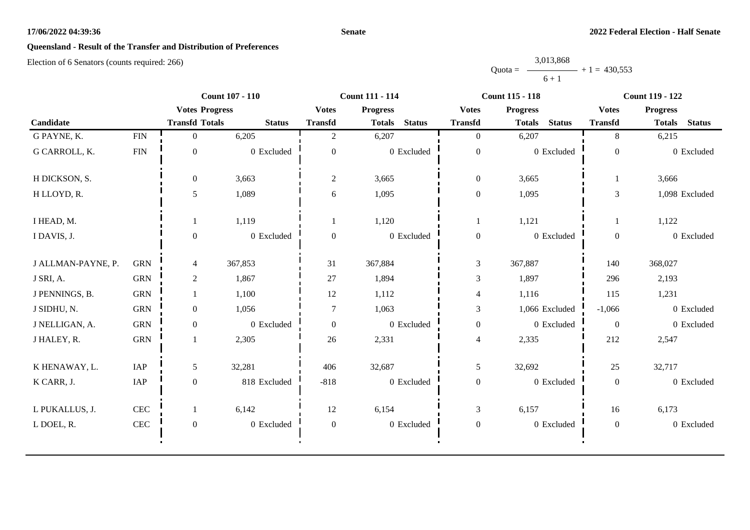#### **Senate**

# **Queensland - Result of the Transfer and Distribution of Preferences**

|           | 3,013,868 |                |
|-----------|-----------|----------------|
| $Quota =$ |           | $+1 = 430.553$ |
|           | $6 + 1$   |                |

|                    |              | <b>Count 107 - 110</b> |               | <b>Count 111 - 114</b> |                                |                  | <b>Count 115 - 118</b>         | <b>Count 119 - 122</b> |                                |
|--------------------|--------------|------------------------|---------------|------------------------|--------------------------------|------------------|--------------------------------|------------------------|--------------------------------|
|                    |              | <b>Votes Progress</b>  |               | <b>Votes</b>           | <b>Progress</b>                | <b>Votes</b>     | <b>Progress</b>                | <b>Votes</b>           | <b>Progress</b>                |
| Candidate          |              | <b>Transfd Totals</b>  | <b>Status</b> | <b>Transfd</b>         | <b>Status</b><br><b>Totals</b> | <b>Transfd</b>   | <b>Status</b><br><b>Totals</b> | <b>Transfd</b>         | <b>Status</b><br><b>Totals</b> |
| G PAYNE, K.        | ${\rm FIN}$  | $\overline{0}$         | 6,205         | 2                      | 6,207                          | $\overline{0}$   | 6,207                          | 8                      | 6,215                          |
| G CARROLL, K.      | <b>FIN</b>   | $\mathbf{0}$           | 0 Excluded    | $\mathbf{0}$           | 0 Excluded                     | $\boldsymbol{0}$ | 0 Excluded                     | $\mathbf{0}$           | 0 Excluded                     |
| H DICKSON, S.      |              | $\overline{0}$         | 3,663         | $\overline{c}$         | 3,665                          | $\boldsymbol{0}$ | 3,665                          |                        | 3,666                          |
| H LLOYD, R.        |              | 5                      | 1,089         | 6                      | 1,095                          | $\boldsymbol{0}$ | 1,095                          | 3                      | 1,098 Excluded                 |
| I HEAD, M.         |              |                        | 1,119         |                        | 1,120                          |                  | 1,121                          |                        | 1,122                          |
| I DAVIS, J.        |              | $\Omega$               | 0 Excluded    | $\mathbf{0}$           | 0 Excluded                     | $\boldsymbol{0}$ | 0 Excluded                     | $\mathbf{0}$           | 0 Excluded                     |
| J ALLMAN-PAYNE, P. | <b>GRN</b>   | 4                      | 367,853       | 31                     | 367,884                        | $\mathfrak{Z}$   | 367,887                        | 140                    | 368,027                        |
| J SRI, A.          | <b>GRN</b>   | $\overline{2}$         | 1,867         | 27                     | 1,894                          | 3                | 1,897                          | 296                    | 2,193                          |
| J PENNINGS, B.     | <b>GRN</b>   |                        | 1,100         | 12                     | 1,112                          | $\overline{4}$   | 1,116                          | 115                    | 1,231                          |
| J SIDHU, N.        | <b>GRN</b>   | $\overline{0}$         | 1,056         | $\overline{7}$         | 1,063                          | $\mathfrak{Z}$   | 1,066 Excluded                 | $-1,066$               | 0 Excluded                     |
| J NELLIGAN, A.     | <b>GRN</b>   | $\overline{0}$         | 0 Excluded    | $\overline{0}$         | 0 Excluded                     | $\boldsymbol{0}$ | 0 Excluded                     | $\boldsymbol{0}$       | 0 Excluded                     |
| J HALEY, R.        | <b>GRN</b>   |                        | 2,305         | 26                     | 2,331                          | $\overline{4}$   | 2,335                          | 212                    | 2,547                          |
| K HENAWAY, L.      | IAP          | 5                      | 32,281        | 406                    | 32,687                         | $\mathfrak{S}$   | 32,692                         | 25                     | 32,717                         |
| K CARR, J.         | IAP          | $\overline{0}$         | 818 Excluded  | $-818$                 | 0 Excluded                     | $\boldsymbol{0}$ | 0 Excluded                     | $\mathbf{0}$           | 0 Excluded                     |
| L PUKALLUS, J.     | $\mbox{CEC}$ |                        | 6,142         | 12                     | 6,154                          | $\mathfrak{Z}$   | 6,157                          | 16                     | 6,173                          |
| L DOEL, R.         | CEC          | $\mathbf{0}$           | 0 Excluded    | $\theta$               | 0 Excluded                     | $\mathbf{0}$     | 0 Excluded                     | $\boldsymbol{0}$       | 0 Excluded                     |
|                    |              |                        |               |                        |                                |                  |                                |                        |                                |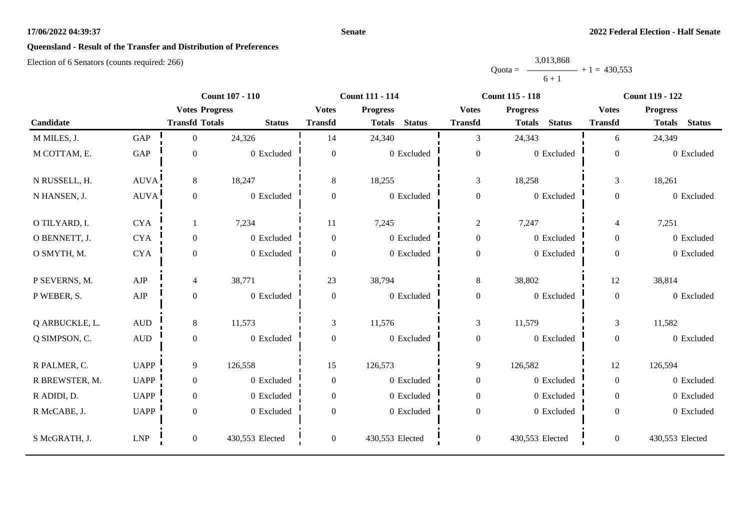#### **Senate**

# **Queensland - Result of the Transfer and Distribution of Preferences**

|           | 3,013,868 |                |
|-----------|-----------|----------------|
| $Quota =$ |           | $+1 = 430.553$ |
|           | $6 + 1$   |                |

|                |                      |                       | <b>Count 107 - 110</b> |                | <b>Count 111 - 114</b>         |                  | <b>Count 115 - 118</b>         |                | <b>Count 119 - 122</b>         |
|----------------|----------------------|-----------------------|------------------------|----------------|--------------------------------|------------------|--------------------------------|----------------|--------------------------------|
|                |                      | <b>Votes Progress</b> |                        | <b>Votes</b>   | <b>Progress</b>                | <b>Votes</b>     | <b>Progress</b>                | <b>Votes</b>   | <b>Progress</b>                |
| Candidate      |                      | <b>Transfd Totals</b> | <b>Status</b>          | <b>Transfd</b> | <b>Status</b><br><b>Totals</b> | <b>Transfd</b>   | <b>Status</b><br><b>Totals</b> | <b>Transfd</b> | <b>Status</b><br><b>Totals</b> |
| M MILES, J.    | GAP                  | $\overline{0}$        | 24,326                 | 14             | 24,340                         | 3                | 24,343                         | 6              | 24,349                         |
| M COTTAM, E.   | $\operatorname{GAP}$ | $\boldsymbol{0}$      | 0 Excluded             | $\overline{0}$ | 0 Excluded                     | $\overline{0}$   | 0 Excluded                     | $\overline{0}$ | 0 Excluded                     |
| N RUSSELL, H.  | <b>AUVA</b>          | 8                     | 18,247                 | 8              | 18,255                         | $\mathfrak{Z}$   | 18,258                         | $\mathfrak{Z}$ | 18,261                         |
| N HANSEN, J.   | <b>AUVA</b>          | $\boldsymbol{0}$      | 0 Excluded             | $\Omega$       | 0 Excluded                     | $\boldsymbol{0}$ | 0 Excluded                     | $\overline{0}$ | 0 Excluded                     |
| O TILYARD, I.  | <b>CYA</b>           | 1                     | 7,234                  | 11             | 7,245                          | $\overline{2}$   | 7,247                          | $\overline{4}$ | 7,251                          |
| O BENNETT, J.  | <b>CYA</b>           | $\boldsymbol{0}$      | 0 Excluded             | $\overline{0}$ | 0 Excluded                     | $\boldsymbol{0}$ | 0 Excluded                     | $\overline{0}$ | 0 Excluded                     |
| O SMYTH, M.    | <b>CYA</b>           | $\boldsymbol{0}$      | 0 Excluded             | $\overline{0}$ | 0 Excluded                     | $\boldsymbol{0}$ | 0 Excluded                     | $\overline{0}$ | 0 Excluded                     |
| P SEVERNS, M.  | AJP                  | $\overline{4}$        | 38,771                 | 23             | 38,794                         | 8                | 38,802                         | 12             | 38,814                         |
| P WEBER, S.    | ${\rm AJP}$          | $\boldsymbol{0}$      | 0 Excluded             | $\overline{0}$ | 0 Excluded                     | $\boldsymbol{0}$ | 0 Excluded                     | $\overline{0}$ | 0 Excluded                     |
| Q ARBUCKLE, L. | $\mbox{\rm AUD}$     | 8                     | 11,573                 | 3              | 11,576                         | $\overline{3}$   | 11,579                         | 3              | 11,582                         |
| Q SIMPSON, C.  | $\mbox{\rm AUD}$     | $\boldsymbol{0}$      | 0 Excluded             | $\overline{0}$ | 0 Excluded                     | $\overline{0}$   | 0 Excluded                     | $\overline{0}$ | 0 Excluded                     |
| R PALMER, C.   | <b>UAPP</b>          | 9                     | 126,558                | 15             | 126,573                        | $\mathbf{9}$     | 126,582                        | 12             | 126,594                        |
| R BREWSTER, M. | <b>UAPP</b>          | $\boldsymbol{0}$      | 0 Excluded             | $\overline{0}$ | 0 Excluded                     | $\boldsymbol{0}$ | 0 Excluded                     | $\Omega$       | 0 Excluded                     |
| R ADIDI, D.    | <b>UAPP</b>          | $\boldsymbol{0}$      | 0 Excluded             | $\overline{0}$ | 0 Excluded                     | $\boldsymbol{0}$ | 0 Excluded                     | $\overline{0}$ | 0 Excluded                     |
| R McCABE, J.   | <b>UAPP</b>          | $\boldsymbol{0}$      | 0 Excluded             | $\Omega$       | 0 Excluded                     | $\boldsymbol{0}$ | 0 Excluded                     | $\Omega$       | 0 Excluded                     |
| S McGRATH, J.  | <b>LNP</b>           | $\overline{0}$        | 430,553 Elected        | $\overline{0}$ | 430,553 Elected                | $\boldsymbol{0}$ | 430,553 Elected                | $\overline{0}$ | 430,553 Elected                |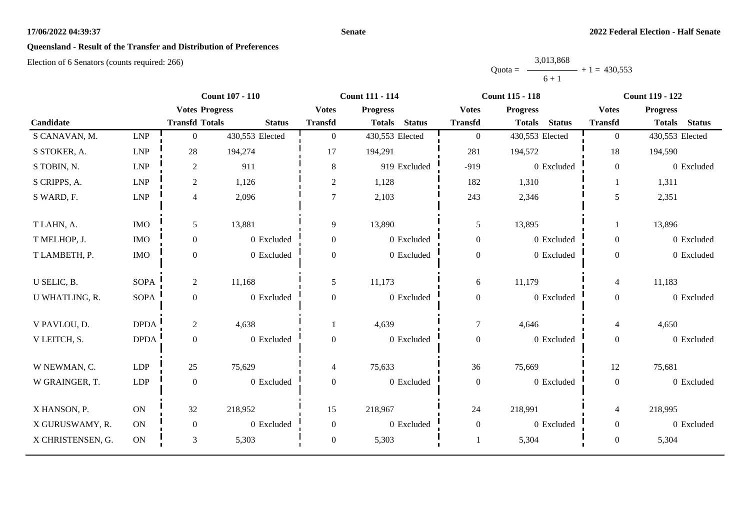#### **Senate**

# **Queensland - Result of the Transfer and Distribution of Preferences**

|           | 3,013,868 |                |
|-----------|-----------|----------------|
| $Quota =$ |           | $+1 = 430.553$ |
|           | $6 + 1$   |                |

|                   |                             | <b>Count 107 - 110</b> |                 | <b>Count 111 - 114</b> |                                | <b>Count 115 - 118</b> |                                | <b>Count 119 - 122</b> |                                |
|-------------------|-----------------------------|------------------------|-----------------|------------------------|--------------------------------|------------------------|--------------------------------|------------------------|--------------------------------|
|                   |                             | <b>Votes Progress</b>  |                 | <b>Votes</b>           | <b>Progress</b>                | <b>Votes</b>           | <b>Progress</b>                | <b>Votes</b>           | <b>Progress</b>                |
| Candidate         |                             | <b>Transfd Totals</b>  | <b>Status</b>   | <b>Transfd</b>         | <b>Status</b><br><b>Totals</b> | <b>Transfd</b>         | <b>Status</b><br><b>Totals</b> | <b>Transfd</b>         | <b>Status</b><br><b>Totals</b> |
| S CANAVAN, M.     | <b>LNP</b>                  | $\overline{0}$         | 430,553 Elected | $\Omega$               | 430,553 Elected                | $\mathbf{0}$           | 430,553 Elected                | $\theta$               | 430,553 Elected                |
| S STOKER, A.      | <b>LNP</b>                  | 28                     | 194,274         | 17                     | 194,291                        | 281                    | 194,572                        | 18                     | 194,590                        |
| S TOBIN, N.       | <b>LNP</b>                  | $\overline{2}$         | 911             | 8                      | 919 Excluded                   | $-919$                 | 0 Excluded                     | $\overline{0}$         | 0 Excluded                     |
| S CRIPPS, A.      | <b>LNP</b>                  | $\overline{c}$         | 1,126           | $\overline{2}$         | 1,128                          | 182                    | 1,310                          |                        | 1,311                          |
| S WARD, F.        | $\ensuremath{\mathrm{LNP}}$ | $\overline{4}$         | 2,096           | $\tau$                 | 2,103                          | 243                    | 2,346                          | 5                      | 2,351                          |
| T LAHN, A.        | <b>IMO</b>                  | $5\overline{)}$        | 13,881          | 9                      | 13,890                         | 5                      | 13,895                         |                        | 13,896                         |
| T MELHOP, J.      | <b>IMO</b>                  | $\boldsymbol{0}$       | 0 Excluded      | 0                      | 0 Excluded                     | $\boldsymbol{0}$       | 0 Excluded                     | $\overline{0}$         | 0 Excluded                     |
| T LAMBETH, P.     | <b>IMO</b>                  | $\boldsymbol{0}$       | 0 Excluded      | $\Omega$               | 0 Excluded                     | $\boldsymbol{0}$       | 0 Excluded                     | $\overline{0}$         | 0 Excluded                     |
| U SELIC, B.       | <b>SOPA</b>                 | $\overline{2}$         | 11,168          | 5                      | 11,173                         | 6                      | 11,179                         | $\overline{4}$         | 11,183                         |
| U WHATLING, R.    | <b>SOPA</b>                 | $\boldsymbol{0}$       | 0 Excluded      | 0                      | 0 Excluded                     | $\boldsymbol{0}$       | 0 Excluded                     | $\overline{0}$         | 0 Excluded                     |
| V PAVLOU, D.      | <b>DPDA</b>                 | $\overline{2}$         | 4,638           |                        | 4,639                          | $\tau$                 | 4,646                          | $\overline{4}$         | 4,650                          |
| V LEITCH, S.      | <b>DPDA</b>                 | $\boldsymbol{0}$       | 0 Excluded      | $\Omega$               | 0 Excluded                     | $\boldsymbol{0}$       | 0 Excluded                     | $\Omega$               | 0 Excluded                     |
| W NEWMAN, C.      | <b>LDP</b>                  | 25                     | 75,629          | $\overline{4}$         | 75,633                         | 36                     | 75,669                         | 12                     | 75,681                         |
| W GRAINGER, T.    | ${\rm LDP}$                 | $\boldsymbol{0}$       | 0 Excluded      | $\overline{0}$         | 0 Excluded                     | $\boldsymbol{0}$       | 0 Excluded                     | $\overline{0}$         | 0 Excluded                     |
| X HANSON, P.      | <b>ON</b>                   | 32                     | 218,952         | 15                     | 218,967                        | 24                     | 218,991                        | $\overline{4}$         | 218,995                        |
| X GURUSWAMY, R.   | <b>ON</b>                   | $\boldsymbol{0}$       | 0 Excluded      | $\overline{0}$         | 0 Excluded                     | $\boldsymbol{0}$       | 0 Excluded                     | $\overline{0}$         | 0 Excluded                     |
| X CHRISTENSEN, G. | $\rm ON$                    | $\mathfrak{Z}$         | 5,303           | $\overline{0}$         | 5,303                          |                        | 5,304                          | $\theta$               | 5,304                          |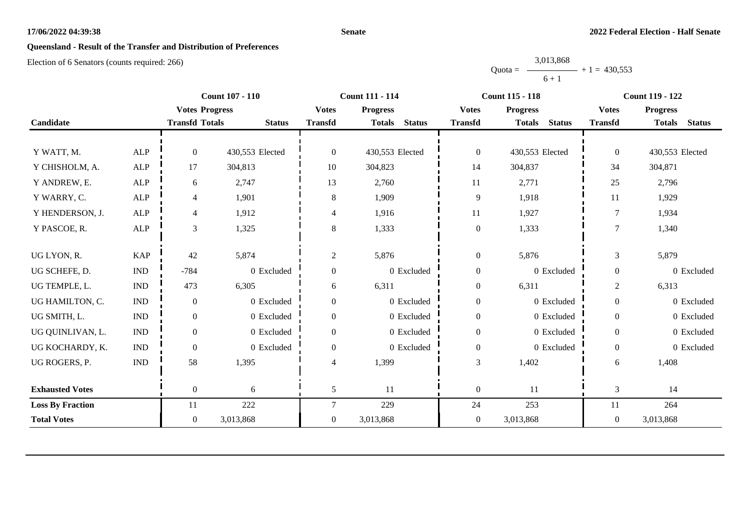#### **Senate**

# **Queensland - Result of the Transfer and Distribution of Preferences**

|           | 3,013,868 |                |
|-----------|-----------|----------------|
| $Quota =$ |           | $+1 = 430.553$ |
|           | $6 + 1$   |                |

|                         |                             |                       | <b>Count 107 - 110</b> |                | <b>Count 111 - 114</b>         |                  | <b>Count 115 - 118</b>         |                  | <b>Count 119 - 122</b>         |
|-------------------------|-----------------------------|-----------------------|------------------------|----------------|--------------------------------|------------------|--------------------------------|------------------|--------------------------------|
|                         |                             | <b>Votes Progress</b> |                        | <b>Votes</b>   | <b>Progress</b>                | <b>Votes</b>     | <b>Progress</b>                | <b>Votes</b>     | <b>Progress</b>                |
| Candidate               |                             | <b>Transfd Totals</b> | <b>Status</b>          | <b>Transfd</b> | <b>Status</b><br><b>Totals</b> | <b>Transfd</b>   | <b>Status</b><br><b>Totals</b> | <b>Transfd</b>   | <b>Status</b><br><b>Totals</b> |
|                         |                             |                       |                        |                |                                |                  |                                |                  |                                |
| Y WATT, M.              | ALP                         | $\Omega$              | 430,553 Elected        | $\overline{0}$ | 430,553 Elected                | $\boldsymbol{0}$ | 430,553 Elected                | $\overline{0}$   | 430,553 Elected                |
| Y CHISHOLM, A.          | ${\sf ALP}$                 | 17                    | 304,813                | 10             | 304,823                        | 14               | 304,837                        | 34               | 304,871                        |
| Y ANDREW, E.            | <b>ALP</b>                  | 6                     | 2,747                  | 13             | 2,760                          | 11               | 2,771                          | 25               | 2,796                          |
| Y WARRY, C.             | ALP                         | 4                     | 1,901                  | 8              | 1,909                          | 9                | 1,918                          | 11               | 1,929                          |
| Y HENDERSON, J.         | ALP                         | 4                     | 1,912                  | 4              | 1,916                          | 11               | 1,927                          | 7                | 1,934                          |
| Y PASCOE, R.            | ALP                         | 3                     | 1,325                  | 8              | 1,333                          | $\boldsymbol{0}$ | 1,333                          | 7                | 1,340                          |
|                         |                             |                       |                        |                |                                |                  |                                |                  |                                |
| UG LYON, R.             | <b>KAP</b>                  | 42                    | 5,874                  | $\overline{2}$ | 5,876                          | $\boldsymbol{0}$ | 5,876                          | 3                | 5,879                          |
| UG SCHEFE, D.           | $\mathop{\rm IND}\nolimits$ | $-784$                | 0 Excluded             | $\overline{0}$ | 0 Excluded                     | $\boldsymbol{0}$ | 0 Excluded                     | $\boldsymbol{0}$ | 0 Excluded                     |
| UG TEMPLE, L.           | $\mathop{\rm IND}\nolimits$ | 473                   | 6,305                  | 6              | 6,311                          | $\boldsymbol{0}$ | 6,311                          | $\overline{c}$   | 6,313                          |
| UG HAMILTON, C.         | $\mathop{\rm IND}\nolimits$ | $\boldsymbol{0}$      | 0 Excluded             | $\overline{0}$ | 0 Excluded                     | $\boldsymbol{0}$ | 0 Excluded                     | $\boldsymbol{0}$ | 0 Excluded                     |
| UG SMITH, L.            | $\mathop{\rm IND}\nolimits$ | $\boldsymbol{0}$      | 0 Excluded             | $\overline{0}$ | $0\,$ Excluded                 | $\boldsymbol{0}$ | 0 Excluded                     | $\mathbf{0}$     | 0 Excluded                     |
| UG QUINLIVAN, L.        | <b>IND</b>                  | $\Omega$              | 0 Excluded             | $\Omega$       | 0 Excluded                     | $\boldsymbol{0}$ | 0 Excluded                     | $\overline{0}$   | 0 Excluded                     |
| UG KOCHARDY, K.         | $\ensuremath{\text{IND}}$   | $\mathbf{0}$          | 0 Excluded             | $\overline{0}$ | 0 Excluded                     | $\boldsymbol{0}$ | 0 Excluded                     | $\boldsymbol{0}$ | 0 Excluded                     |
| UG ROGERS, P.           | <b>IND</b>                  | 58                    | 1,395                  | 4              | 1,399                          | 3                | 1,402                          | 6                | 1,408                          |
|                         |                             |                       |                        |                |                                |                  |                                |                  |                                |
| <b>Exhausted Votes</b>  |                             | $\overline{0}$        | 6                      | 5              | 11                             | $\boldsymbol{0}$ | 11                             | 3                | 14                             |
| <b>Loss By Fraction</b> |                             | 11                    | 222                    | 7              | 229                            | 24               | 253                            | 11               | 264                            |
| <b>Total Votes</b>      |                             | $\overline{0}$        | 3,013,868              | $\overline{0}$ | 3,013,868                      | $\boldsymbol{0}$ | 3,013,868                      | $\overline{0}$   | 3,013,868                      |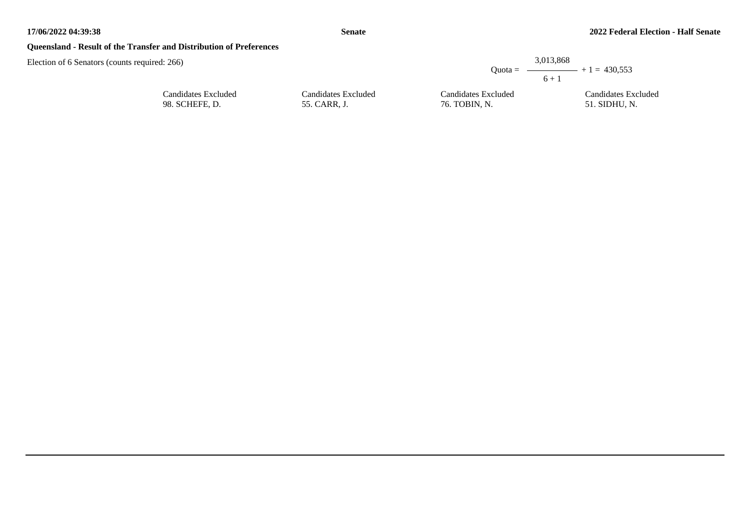## **Queensland - Result of the Transfer and Distribution of Preferences**

| : 266                                 |                                     |                                      | 3,013,868<br>Ouota = $\longrightarrow$ + 1 = 430.553 |
|---------------------------------------|-------------------------------------|--------------------------------------|------------------------------------------------------|
|                                       |                                     |                                      | $6 + 1$                                              |
| Candidates Excluded<br>98. SCHEFE, D. | Candidates Excluded<br>55. CARR, J. | Candidates Excluded<br>76. TOBIN, N. | Candidates Excluded<br>51. SIDHU, N.                 |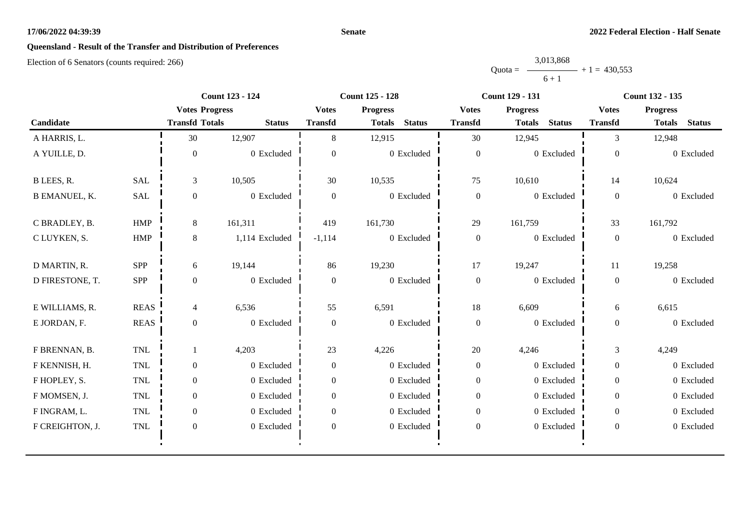#### **Senate**

# **Queensland - Result of the Transfer and Distribution of Preferences**

|           | 3,013,868 |                |
|-----------|-----------|----------------|
| $Quota =$ |           | $+1 = 430.553$ |
|           | $6 + 1$   |                |

|                      |             | Count 123 - 124       |                | Count 125 - 128  |                                | <b>Count 129 - 131</b> |                                | Count 132 - 135  |                                |
|----------------------|-------------|-----------------------|----------------|------------------|--------------------------------|------------------------|--------------------------------|------------------|--------------------------------|
|                      |             | <b>Votes Progress</b> |                | <b>Votes</b>     | <b>Progress</b>                | <b>Votes</b>           | <b>Progress</b>                | <b>Votes</b>     | <b>Progress</b>                |
| Candidate            |             | <b>Transfd Totals</b> | <b>Status</b>  | <b>Transfd</b>   | <b>Status</b><br><b>Totals</b> | <b>Transfd</b>         | <b>Status</b><br><b>Totals</b> | <b>Transfd</b>   | <b>Status</b><br><b>Totals</b> |
| A HARRIS, L.         |             | 30                    | 12,907         | 8                | 12,915                         | 30                     | 12,945                         | 3                | 12,948                         |
| A YUILLE, D.         |             | $\mathbf{0}$          | 0 Excluded     | $\theta$         | 0 Excluded                     | $\boldsymbol{0}$       | 0 Excluded                     | $\theta$         | 0 Excluded                     |
| B LEES, R.           | <b>SAL</b>  | 3                     | 10,505         | 30               | 10,535                         | 75                     | 10,610                         | 14               | 10,624                         |
| <b>B EMANUEL, K.</b> | <b>SAL</b>  | $\overline{0}$        | 0 Excluded     | $\mathbf{0}$     | 0 Excluded                     | $\boldsymbol{0}$       | 0 Excluded                     | $\overline{0}$   | 0 Excluded                     |
| C BRADLEY, B.        | HMP         | 8                     | 161,311        | 419              | 161,730                        | 29                     | 161,759                        | 33               | 161,792                        |
| C LUYKEN, S.         | HMP         | 8                     | 1,114 Excluded | $-1,114$         | 0 Excluded                     | $\boldsymbol{0}$       | 0 Excluded                     | $\overline{0}$   | 0 Excluded                     |
| D MARTIN, R.         | SPP         | 6                     | 19,144         | 86               | 19,230                         | 17                     | 19,247                         | 11               | 19,258                         |
| D FIRESTONE, T.      | SPP         | $\overline{0}$        | 0 Excluded     | $\Omega$         | 0 Excluded                     | $\boldsymbol{0}$       | 0 Excluded                     | $\mathbf{0}$     | 0 Excluded                     |
| E WILLIAMS, R.       | <b>REAS</b> | $\overline{4}$        | 6,536          | 55               | 6,591                          | $18\,$                 | 6,609                          | 6                | 6,615                          |
| E JORDAN, F.         | <b>REAS</b> | $\overline{0}$        | 0 Excluded     | $\theta$         | 0 Excluded                     | $\boldsymbol{0}$       | 0 Excluded                     | $\overline{0}$   | 0 Excluded                     |
| F BRENNAN, B.        | <b>TNL</b>  |                       | 4,203          | 23               | 4,226                          | 20                     | 4,246                          | $\mathfrak{Z}$   | 4,249                          |
| F KENNISH, H.        | <b>TNL</b>  | $\overline{0}$        | 0 Excluded     | $\boldsymbol{0}$ | 0 Excluded                     | $\boldsymbol{0}$       | 0 Excluded                     | $\boldsymbol{0}$ | 0 Excluded                     |
| F HOPLEY, S.         | TNL         | $\overline{0}$        | 0 Excluded     | $\overline{0}$   | 0 Excluded                     | $\boldsymbol{0}$       | 0 Excluded                     | $\boldsymbol{0}$ | 0 Excluded                     |
| F MOMSEN, J.         | <b>TNL</b>  | $\overline{0}$        | 0 Excluded     | $\Omega$         | 0 Excluded                     | $\overline{0}$         | 0 Excluded                     | $\overline{0}$   | 0 Excluded                     |
| F INGRAM, L.         | <b>TNL</b>  | $\overline{0}$        | 0 Excluded     | $\Omega$         | 0 Excluded                     | $\mathbf{0}$           | 0 Excluded                     | $\overline{0}$   | 0 Excluded                     |
| F CREIGHTON, J.      | <b>TNL</b>  | $\boldsymbol{0}$      | 0 Excluded     | $\boldsymbol{0}$ | 0 Excluded                     | $\boldsymbol{0}$       | 0 Excluded                     | $\boldsymbol{0}$ | 0 Excluded                     |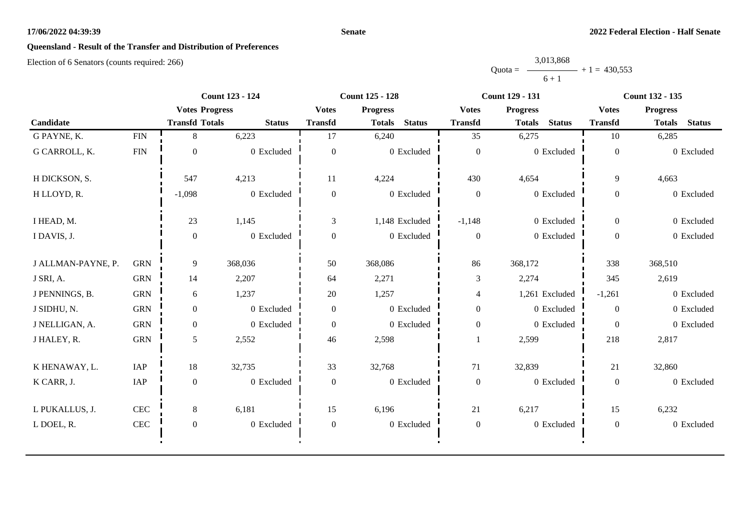#### **Senate**

# **Queensland - Result of the Transfer and Distribution of Preferences**

|           | 3,013,868 |                |
|-----------|-----------|----------------|
| $Quota =$ |           | $+1 = 430.553$ |
|           | $6 + 1$   |                |

|                    | <b>Count 123 - 124</b> |                       | <b>Count 125 - 128</b> |                  | <b>Count 129 - 131</b>         |                  | <b>Count 132 - 135</b>         |                  |                                |
|--------------------|------------------------|-----------------------|------------------------|------------------|--------------------------------|------------------|--------------------------------|------------------|--------------------------------|
|                    |                        | <b>Votes Progress</b> |                        | <b>Votes</b>     | <b>Progress</b>                | <b>Votes</b>     | <b>Progress</b>                | <b>Votes</b>     | <b>Progress</b>                |
| Candidate          |                        | <b>Transfd Totals</b> | <b>Status</b>          | <b>Transfd</b>   | <b>Status</b><br><b>Totals</b> | <b>Transfd</b>   | <b>Status</b><br><b>Totals</b> | <b>Transfd</b>   | <b>Status</b><br><b>Totals</b> |
| G PAYNE, K.        | <b>FIN</b>             | 8                     | 6,223                  | 17               | 6,240                          | 35               | 6,275                          | 10               | 6,285                          |
| G CARROLL, K.      | <b>FIN</b>             | $\boldsymbol{0}$      | 0 Excluded             | $\mathbf{0}$     | 0 Excluded                     | $\boldsymbol{0}$ | 0 Excluded                     | $\mathbf{0}$     | 0 Excluded                     |
| H DICKSON, S.      |                        | 547                   | 4,213                  | 11               | 4,224                          | 430              | 4,654                          | 9                | 4,663                          |
| H LLOYD, R.        |                        | $-1,098$              | 0 Excluded             | $\boldsymbol{0}$ | 0 Excluded                     | $\boldsymbol{0}$ | 0 Excluded                     | $\boldsymbol{0}$ | 0 Excluded                     |
| I HEAD, M.         |                        | 23                    | 1,145                  | 3                | 1,148 Excluded                 | $-1,148$         | 0 Excluded                     | $\boldsymbol{0}$ | 0 Excluded                     |
| I DAVIS, J.        |                        | $\mathbf{0}$          | 0 Excluded             | $\boldsymbol{0}$ | 0 Excluded                     | $\boldsymbol{0}$ | 0 Excluded                     | $\overline{0}$   | 0 Excluded                     |
| J ALLMAN-PAYNE, P. | <b>GRN</b>             | 9                     | 368,036                | 50               | 368,086                        | 86               | 368,172                        | 338              | 368,510                        |
| J SRI, A.          | <b>GRN</b>             | 14                    | 2,207                  | 64               | 2,271                          | 3                | 2,274                          | 345              | 2,619                          |
| J PENNINGS, B.     | <b>GRN</b>             | 6                     | 1,237                  | 20               | 1,257                          | $\overline{4}$   | 1,261 Excluded                 | $-1,261$         | 0 Excluded                     |
| J SIDHU, N.        | <b>GRN</b>             | $\overline{0}$        | 0 Excluded             | $\overline{0}$   | 0 Excluded                     | $\boldsymbol{0}$ | 0 Excluded                     | $\theta$         | 0 Excluded                     |
| J NELLIGAN, A.     | <b>GRN</b>             | $\overline{0}$        | 0 Excluded             | $\overline{0}$   | 0 Excluded                     | $\boldsymbol{0}$ | 0 Excluded                     | $\theta$         | 0 Excluded                     |
| J HALEY, R.        | <b>GRN</b>             | 5                     | 2,552                  | 46               | 2,598                          |                  | 2,599                          | 218              | 2,817                          |
| K HENAWAY, L.      | IAP                    | 18                    | 32,735                 | 33               | 32,768                         | 71               | 32,839                         | 21               | 32,860                         |
| K CARR, J.         | IAP                    | $\boldsymbol{0}$      | 0 Excluded             | $\boldsymbol{0}$ | 0 Excluded                     | $\boldsymbol{0}$ | 0 Excluded                     | $\boldsymbol{0}$ | 0 Excluded                     |
| L PUKALLUS, J.     | CEC                    | 8                     | 6,181                  | 15               | 6,196                          | 21               | 6,217                          | 15               | 6,232                          |
| L DOEL, R.         | $\mbox{CEC}$           | $\boldsymbol{0}$      | 0 Excluded             | $\boldsymbol{0}$ | 0 Excluded                     | $\boldsymbol{0}$ | 0 Excluded                     | $\boldsymbol{0}$ | 0 Excluded                     |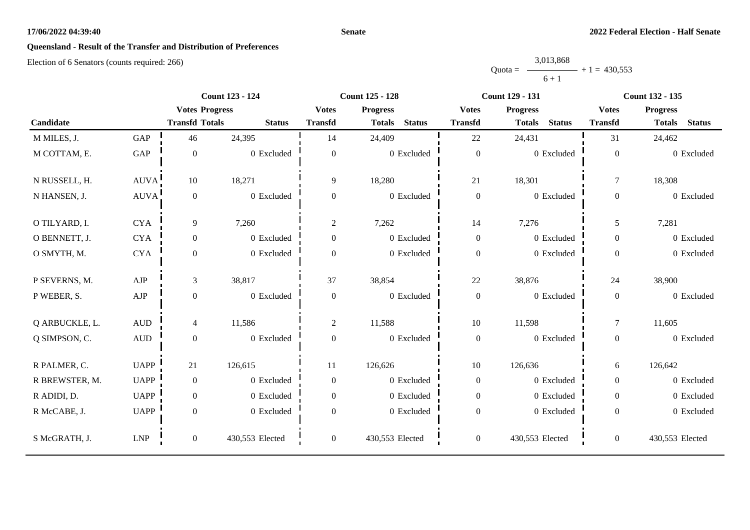#### **Senate**

# **Queensland - Result of the Transfer and Distribution of Preferences**

|           | 3,013,868 |                |
|-----------|-----------|----------------|
| $Quota =$ |           | $+1 = 430.553$ |
|           | $6 + 1$   |                |

|                |                  |                       | <b>Count 123 - 124</b> |                  | <b>Count 125 - 128</b>         |                  | <b>Count 129 - 131</b>         |                  | <b>Count 132 - 135</b>         |
|----------------|------------------|-----------------------|------------------------|------------------|--------------------------------|------------------|--------------------------------|------------------|--------------------------------|
|                |                  | <b>Votes Progress</b> |                        | <b>Votes</b>     | <b>Progress</b>                | <b>Votes</b>     | <b>Progress</b>                | <b>Votes</b>     | <b>Progress</b>                |
| Candidate      |                  | <b>Transfd Totals</b> | <b>Status</b>          | <b>Transfd</b>   | <b>Status</b><br><b>Totals</b> | <b>Transfd</b>   | <b>Status</b><br><b>Totals</b> | <b>Transfd</b>   | <b>Status</b><br><b>Totals</b> |
| M MILES, J.    | GAP              | 46                    | 24,395                 | 14               | 24,409                         | 22               | 24,431                         | 31               | 24,462                         |
| M COTTAM, E.   | GAP              | $\boldsymbol{0}$      | 0 Excluded             | $\overline{0}$   | 0 Excluded                     | $\boldsymbol{0}$ | 0 Excluded                     | $\boldsymbol{0}$ | 0 Excluded                     |
| N RUSSELL, H.  | AUVA!            | $10\,$                | 18,271                 | 9                | 18,280                         | 21               | 18,301                         | $\overline{7}$   | 18,308                         |
| N HANSEN, J.   | <b>AUVA</b>      | $\boldsymbol{0}$      | 0 Excluded             | $\boldsymbol{0}$ | 0 Excluded                     | $\boldsymbol{0}$ | 0 Excluded                     | $\overline{0}$   | 0 Excluded                     |
| O TILYARD, I.  | <b>CYA</b>       | 9                     | 7,260                  | $\overline{2}$   | 7,262                          | 14               | 7,276                          | 5                | 7,281                          |
| O BENNETT, J.  | <b>CYA</b>       | $\boldsymbol{0}$      | 0 Excluded             | $\overline{0}$   | 0 Excluded                     | $\boldsymbol{0}$ | 0 Excluded                     | $\overline{0}$   | 0 Excluded                     |
| O SMYTH, M.    | <b>CYA</b>       | $\boldsymbol{0}$      | 0 Excluded             | $\boldsymbol{0}$ | 0 Excluded                     | $\boldsymbol{0}$ | 0 Excluded                     | $\overline{0}$   | 0 Excluded                     |
| P SEVERNS, M.  | AJP              | $\mathfrak{Z}$        | 38,817                 | 37               | 38,854                         | 22               | 38,876                         | 24               | 38,900                         |
| P WEBER, S.    | ${\rm AJP}$      | $\boldsymbol{0}$      | 0 Excluded             | $\boldsymbol{0}$ | 0 Excluded                     | $\boldsymbol{0}$ | 0 Excluded                     | $\boldsymbol{0}$ | 0 Excluded                     |
| Q ARBUCKLE, L. | $\mbox{\rm AUD}$ | $\overline{4}$        | 11,586                 | $\overline{c}$   | 11,588                         | 10               | 11,598                         | $\tau$           | 11,605                         |
| Q SIMPSON, C.  | $\mbox{\rm AUD}$ | $\boldsymbol{0}$      | 0 Excluded             | $\overline{0}$   | 0 Excluded                     | $\boldsymbol{0}$ | 0 Excluded                     | $\overline{0}$   | 0 Excluded                     |
| R PALMER, C.   | <b>UAPP</b>      | 21                    | 126,615                | 11               | 126,626                        | $10\,$           | 126,636                        | 6                | 126,642                        |
| R BREWSTER, M. | <b>UAPP</b>      | $\boldsymbol{0}$      | 0 Excluded             | $\boldsymbol{0}$ | 0 Excluded                     | $\boldsymbol{0}$ | 0 Excluded                     | $\overline{0}$   | 0 Excluded                     |
| R ADIDI, D.    | <b>UAPP</b>      | $\boldsymbol{0}$      | 0 Excluded             | $\overline{0}$   | 0 Excluded                     | $\boldsymbol{0}$ | 0 Excluded                     | $\overline{0}$   | 0 Excluded                     |
| R McCABE, J.   | <b>UAPP</b>      | $\boldsymbol{0}$      | 0 Excluded             | $\Omega$         | 0 Excluded                     | $\boldsymbol{0}$ | 0 Excluded                     | $\overline{0}$   | 0 Excluded                     |
| S McGRATH, J.  | <b>LNP</b>       | $\boldsymbol{0}$      | 430,553 Elected        | $\overline{0}$   | 430,553 Elected                | $\boldsymbol{0}$ | 430,553 Elected                | $\overline{0}$   | 430,553 Elected                |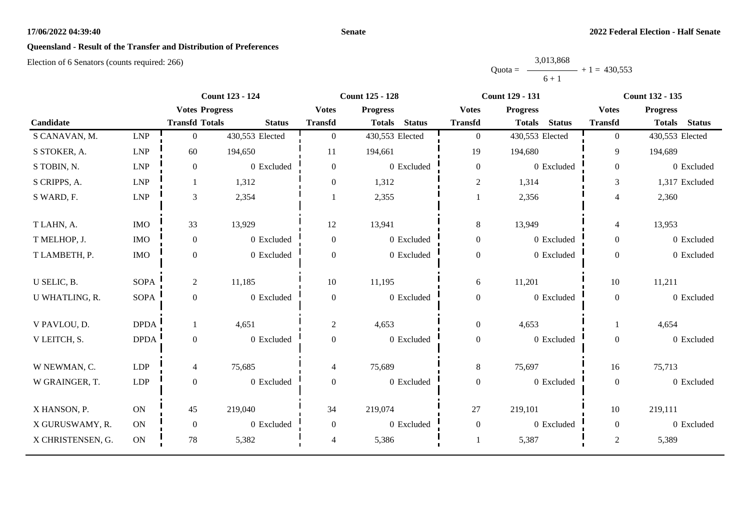#### **Senate**

# **Queensland - Result of the Transfer and Distribution of Preferences**

|           | 3,013,868 |                |
|-----------|-----------|----------------|
| $Quota =$ |           | $+1 = 430.553$ |
|           | $6 + 1$   |                |

|                   |             | <b>Count 123 - 124</b> |                 | <b>Count 125 - 128</b> |                                | <b>Count 129 - 131</b> |                                | <b>Count 132 - 135</b> |                                |
|-------------------|-------------|------------------------|-----------------|------------------------|--------------------------------|------------------------|--------------------------------|------------------------|--------------------------------|
|                   |             | <b>Votes Progress</b>  |                 | <b>Votes</b>           | <b>Progress</b>                | <b>Votes</b>           | <b>Progress</b>                | <b>Votes</b>           | <b>Progress</b>                |
| Candidate         |             | <b>Transfd Totals</b>  | <b>Status</b>   | <b>Transfd</b>         | <b>Status</b><br><b>Totals</b> | <b>Transfd</b>         | <b>Status</b><br><b>Totals</b> | <b>Transfd</b>         | <b>Status</b><br><b>Totals</b> |
| S CANAVAN, M.     | <b>LNP</b>  | $\overline{0}$         | 430,553 Elected | $\overline{0}$         | 430,553 Elected                | $\boldsymbol{0}$       | 430,553 Elected                | $\overline{0}$         | 430,553 Elected                |
| S STOKER, A.      | <b>LNP</b>  | 60                     | 194,650         | 11                     | 194,661                        | 19                     | 194,680                        | 9                      | 194,689                        |
| S TOBIN, N.       | <b>LNP</b>  | $\boldsymbol{0}$       | 0 Excluded      | $\boldsymbol{0}$       | 0 Excluded                     | $\boldsymbol{0}$       | 0 Excluded                     | $\overline{0}$         | 0 Excluded                     |
| S CRIPPS, A.      | LNP         | -1                     | 1,312           | $\overline{0}$         | 1,312                          | $\sqrt{2}$             | 1,314                          | 3                      | 1,317 Excluded                 |
| S WARD, F.        | LNP         | $\mathfrak{Z}$         | 2,354           |                        | 2,355                          | $\mathbf{1}$           | 2,356                          | $\overline{4}$         | 2,360                          |
| T LAHN, A.        | <b>IMO</b>  | 33                     | 13,929          | 12                     | 13,941                         | $\,8\,$                | 13,949                         | $\overline{4}$         | 13,953                         |
| T MELHOP, J.      | <b>IMO</b>  | $\boldsymbol{0}$       | 0 Excluded      | $\boldsymbol{0}$       | 0 Excluded                     | $\boldsymbol{0}$       | 0 Excluded                     | $\overline{0}$         | 0 Excluded                     |
| T LAMBETH, P.     | <b>IMO</b>  | $\boldsymbol{0}$       | 0 Excluded      | $\Omega$               | 0 Excluded                     | $\boldsymbol{0}$       | 0 Excluded                     | $\overline{0}$         | 0 Excluded                     |
| U SELIC, B.       | <b>SOPA</b> | $\overline{2}$         | 11,185          | 10                     | 11,195                         | 6                      | 11,201                         | 10                     | 11,211                         |
| U WHATLING, R.    | <b>SOPA</b> | $\boldsymbol{0}$       | 0 Excluded      | $\boldsymbol{0}$       | 0 Excluded                     | $\boldsymbol{0}$       | 0 Excluded                     | $\overline{0}$         | 0 Excluded                     |
| V PAVLOU, D.      | <b>DPDA</b> | 1                      | 4,651           | $\overline{2}$         | 4,653                          | $\boldsymbol{0}$       | 4,653                          |                        | 4,654                          |
| V LEITCH, S.      | <b>DPDA</b> | $\boldsymbol{0}$       | 0 Excluded      | $\overline{0}$         | 0 Excluded                     | $\boldsymbol{0}$       | 0 Excluded                     | $\overline{0}$         | 0 Excluded                     |
| W NEWMAN, C.      | <b>LDP</b>  | $\overline{4}$         | 75,685          | 4                      | 75,689                         | 8                      | 75,697                         | 16                     | 75,713                         |
| W GRAINGER, T.    | <b>LDP</b>  | $\boldsymbol{0}$       | 0 Excluded      | $\boldsymbol{0}$       | 0 Excluded                     | $\boldsymbol{0}$       | 0 Excluded                     | $\overline{0}$         | 0 Excluded                     |
| X HANSON, P.      | ON          | 45                     | 219,040         | 34                     | 219,074                        | 27                     | 219,101                        | 10                     | 219,111                        |
| X GURUSWAMY, R.   | ON          | $\boldsymbol{0}$       | 0 Excluded      | $\overline{0}$         | 0 Excluded                     | $\boldsymbol{0}$       | 0 Excluded                     | $\overline{0}$         | 0 Excluded                     |
| X CHRISTENSEN, G. | $\rm ON$    | 78                     | 5,382           | 4                      | 5,386                          |                        | 5,387                          | $\sqrt{2}$             | 5,389                          |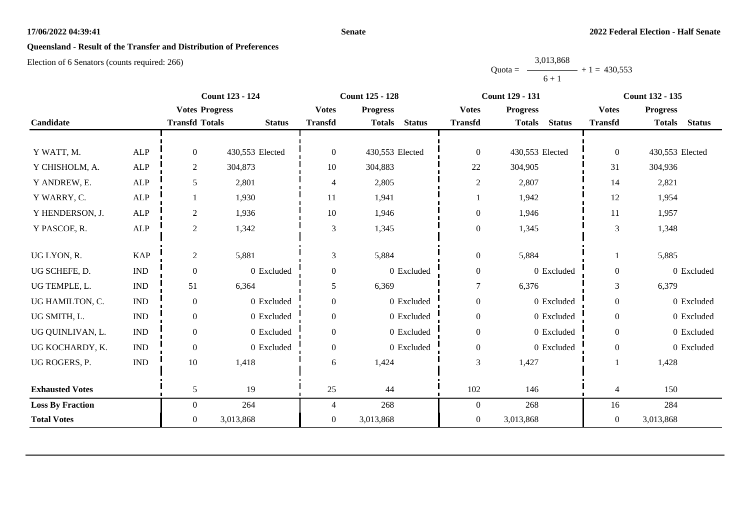#### **Senate**

# **Queensland - Result of the Transfer and Distribution of Preferences**

|           | 3,013,868 |                |
|-----------|-----------|----------------|
| $Quota =$ |           | $+1 = 430.553$ |
|           | $6 + 1$   |                |

|                         |                             |                       | <b>Count 123 - 124</b> |                | <b>Count 125 - 128</b>         |                  | <b>Count 129 - 131</b>         |                  | <b>Count 132 - 135</b>         |
|-------------------------|-----------------------------|-----------------------|------------------------|----------------|--------------------------------|------------------|--------------------------------|------------------|--------------------------------|
|                         |                             | <b>Votes Progress</b> |                        | <b>Votes</b>   | <b>Progress</b>                | <b>Votes</b>     | <b>Progress</b>                | <b>Votes</b>     | <b>Progress</b>                |
| Candidate               |                             | <b>Transfd Totals</b> | <b>Status</b>          | <b>Transfd</b> | <b>Status</b><br><b>Totals</b> | <b>Transfd</b>   | <b>Status</b><br><b>Totals</b> | <b>Transfd</b>   | <b>Totals</b><br><b>Status</b> |
|                         |                             |                       |                        |                |                                |                  |                                |                  |                                |
| Y WATT, M.              | <b>ALP</b>                  | $\Omega$              | 430,553 Elected        | $\overline{0}$ | 430,553 Elected                | $\boldsymbol{0}$ | 430,553 Elected                | $\overline{0}$   | 430,553 Elected                |
| Y CHISHOLM, A.          | ${\sf ALP}$                 | $\overline{c}$        | 304,873                | 10             | 304,883                        | 22               | 304,905                        | 31               | 304,936                        |
| Y ANDREW, E.            | ALP                         | 5                     | 2,801                  | 4              | 2,805                          | $\boldsymbol{2}$ | 2,807                          | 14               | 2,821                          |
| Y WARRY, C.             | ALP                         |                       | 1,930                  | 11             | 1,941                          |                  | 1,942                          | 12               | 1,954                          |
| Y HENDERSON, J.         | ALP                         | $\overline{2}$        | 1,936                  | 10             | 1,946                          | $\boldsymbol{0}$ | 1,946                          | 11               | 1,957                          |
| Y PASCOE, R.            | ALP                         | $\overline{2}$        | 1,342                  | 3              | 1,345                          | $\boldsymbol{0}$ | 1,345                          | 3                | 1,348                          |
|                         |                             |                       |                        |                |                                |                  |                                |                  |                                |
| UG LYON, R.             | <b>KAP</b>                  | $\overline{2}$        | 5,881                  | 3              | 5,884                          | $\boldsymbol{0}$ | 5,884                          |                  | 5,885                          |
| UG SCHEFE, D.           | $\mathop{\rm IND}\nolimits$ | $\mathbf{0}$          | $0$ Excluded           | $\mathbf{0}$   | 0 Excluded                     | $\boldsymbol{0}$ | 0 Excluded                     | $\overline{0}$   | 0 Excluded                     |
| UG TEMPLE, L.           | $\mathbf{IND}\xspace$       | 51                    | 6,364                  | 5              | 6,369                          | $\overline{7}$   | 6,376                          | 3                | 6,379                          |
| UG HAMILTON, C.         | <b>IND</b>                  | $\boldsymbol{0}$      | 0 Excluded             | $\overline{0}$ | 0 Excluded                     | $\boldsymbol{0}$ | 0 Excluded                     | $\boldsymbol{0}$ | 0 Excluded                     |
| UG SMITH, L.            | <b>IND</b>                  | $\boldsymbol{0}$      | 0 Excluded             | $\overline{0}$ | 0 Excluded                     | $\boldsymbol{0}$ | 0 Excluded                     | $\boldsymbol{0}$ | 0 Excluded                     |
| UG QUINLIVAN, L.        | <b>IND</b>                  | $\theta$              | 0 Excluded             | $\Omega$       | 0 Excluded                     | $\boldsymbol{0}$ | 0 Excluded                     | $\overline{0}$   | 0 Excluded                     |
| UG KOCHARDY, K.         | <b>IND</b>                  | $\mathbf{0}$          | 0 Excluded             | $\overline{0}$ | 0 Excluded                     | $\boldsymbol{0}$ | 0 Excluded                     | $\overline{0}$   | 0 Excluded                     |
| UG ROGERS, P.           | <b>IND</b>                  | 10                    | 1,418                  | 6              | 1,424                          | 3                | 1,427                          |                  | 1,428                          |
|                         |                             |                       |                        |                |                                |                  |                                |                  |                                |
| <b>Exhausted Votes</b>  |                             | 5                     | 19                     | 25             | 44                             | 102              | 146                            | 4                | 150                            |
| <b>Loss By Fraction</b> |                             | $\overline{0}$        | 264                    | 4              | 268                            | $\overline{0}$   | 268                            | 16               | 284                            |
| <b>Total Votes</b>      |                             | $\mathbf{0}$          | 3,013,868              | $\overline{0}$ | 3,013,868                      | $\boldsymbol{0}$ | 3,013,868                      | $\mathbf{0}$     | 3,013,868                      |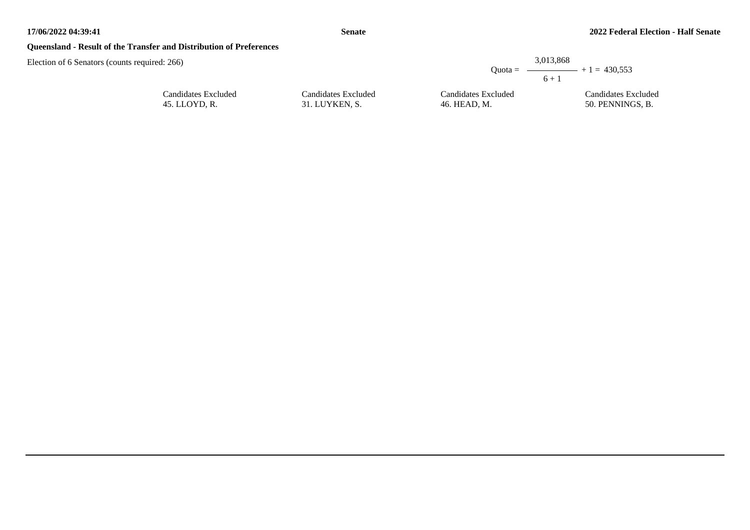## **Queensland - Result of the Transfer and Distribution of Preferences**

Election of 6 Senators (counts required: 266)

|                     | 3.013.868           |                                         |  |  |
|---------------------|---------------------|-----------------------------------------|--|--|
|                     |                     | Ouota = $\longrightarrow$ + 1 = 430.553 |  |  |
|                     | $6 + 1$             |                                         |  |  |
| Candidates Excluded | Candidates Excluded | Candidates Excluded                     |  |  |
| 31. LUYKEN, S.      | 46. HEAD, M.        | 50. PENNINGS, B.                        |  |  |

| Candidates Excluded |  |
|---------------------|--|
| 45. LLOYD, R.       |  |

31. LUYKEN, S.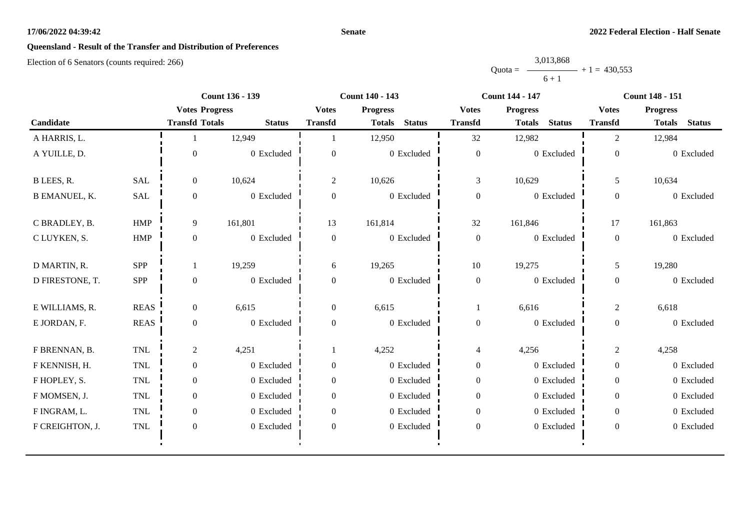#### **Senate**

# **Queensland - Result of the Transfer and Distribution of Preferences**

|           | 3,013,868 |                |
|-----------|-----------|----------------|
| $Quota =$ |           | $+1 = 430.553$ |
|           | $6 + 1$   |                |

|                      |             | <b>Count 136 - 139</b> |               | Count 140 - 143  |                                |                  | <b>Count 144 - 147</b>         | <b>Count 148 - 151</b> |                                |
|----------------------|-------------|------------------------|---------------|------------------|--------------------------------|------------------|--------------------------------|------------------------|--------------------------------|
|                      |             | <b>Votes Progress</b>  |               | <b>Votes</b>     | <b>Progress</b>                | <b>Votes</b>     | <b>Progress</b>                | <b>Votes</b>           | <b>Progress</b>                |
| Candidate            |             | <b>Transfd Totals</b>  | <b>Status</b> | <b>Transfd</b>   | <b>Status</b><br><b>Totals</b> | <b>Transfd</b>   | <b>Status</b><br><b>Totals</b> | <b>Transfd</b>         | <b>Status</b><br><b>Totals</b> |
| A HARRIS, L.         |             |                        | 12,949        |                  | 12,950                         | 32               | 12,982                         | $\overline{2}$         | 12,984                         |
| A YUILLE, D.         |             | $\Omega$               | 0 Excluded    | $\overline{0}$   | 0 Excluded                     | $\boldsymbol{0}$ | 0 Excluded                     | $\overline{0}$         | 0 Excluded                     |
| B LEES, R.           | <b>SAL</b>  | $\overline{0}$         | 10,624        | $\overline{2}$   | 10,626                         | 3                | 10,629                         | 5                      | 10,634                         |
| <b>B EMANUEL, K.</b> | SAL         | $\boldsymbol{0}$       | 0 Excluded    | $\boldsymbol{0}$ | 0 Excluded                     | $\boldsymbol{0}$ | 0 Excluded                     | $\boldsymbol{0}$       | 0 Excluded                     |
| C BRADLEY, B.        | <b>HMP</b>  | 9                      | 161,801       | 13               | 161,814                        | 32               | 161,846                        | 17                     | 161,863                        |
| C LUYKEN, S.         | HMP         | $\mathbf{0}$           | 0 Excluded    | $\boldsymbol{0}$ | 0 Excluded                     | $\boldsymbol{0}$ | 0 Excluded                     | $\overline{0}$         | 0 Excluded                     |
| D MARTIN, R.         | SPP         |                        | 19,259        | 6                | 19,265                         | $10\,$           | 19,275                         | 5                      | 19,280                         |
| D FIRESTONE, T.      | SPP         | $\mathbf{0}$           | 0 Excluded    | $\overline{0}$   | 0 Excluded                     | $\boldsymbol{0}$ | 0 Excluded                     | $\overline{0}$         | 0 Excluded                     |
| E WILLIAMS, R.       | <b>REAS</b> | $\overline{0}$         | 6,615         | $\overline{0}$   | 6,615                          |                  | 6,616                          | $\overline{c}$         | 6,618                          |
| E JORDAN, F.         | <b>REAS</b> | $\boldsymbol{0}$       | 0 Excluded    | $\boldsymbol{0}$ | 0 Excluded                     | $\boldsymbol{0}$ | 0 Excluded                     | $\boldsymbol{0}$       | 0 Excluded                     |
| F BRENNAN, B.        | TNL         | $\overline{c}$         | 4,251         |                  | 4,252                          | $\overline{4}$   | 4,256                          | $\overline{2}$         | 4,258                          |
| F KENNISH, H.        | TNL         | $\overline{0}$         | 0 Excluded    | $\overline{0}$   | 0 Excluded                     | $\boldsymbol{0}$ | 0 Excluded                     | $\overline{0}$         | 0 Excluded                     |
| F HOPLEY, S.         | <b>TNL</b>  | $\overline{0}$         | 0 Excluded    | $\overline{0}$   | 0 Excluded                     | $\boldsymbol{0}$ | 0 Excluded                     | $\mathbf{0}$           | 0 Excluded                     |
| F MOMSEN, J.         | <b>TNL</b>  | $\overline{0}$         | 0 Excluded    | $\Omega$         | 0 Excluded                     | $\mathbf{0}$     | 0 Excluded                     | $\overline{0}$         | 0 Excluded                     |
| F INGRAM, L.         | <b>TNL</b>  | $\overline{0}$         | 0 Excluded    | $\overline{0}$   | 0 Excluded                     | $\mathbf{0}$     | 0 Excluded                     | $\overline{0}$         | 0 Excluded                     |
| F CREIGHTON, J.      | <b>TNL</b>  | $\boldsymbol{0}$       | 0 Excluded    | $\boldsymbol{0}$ | 0 Excluded                     | $\boldsymbol{0}$ | 0 Excluded                     | $\overline{0}$         | 0 Excluded                     |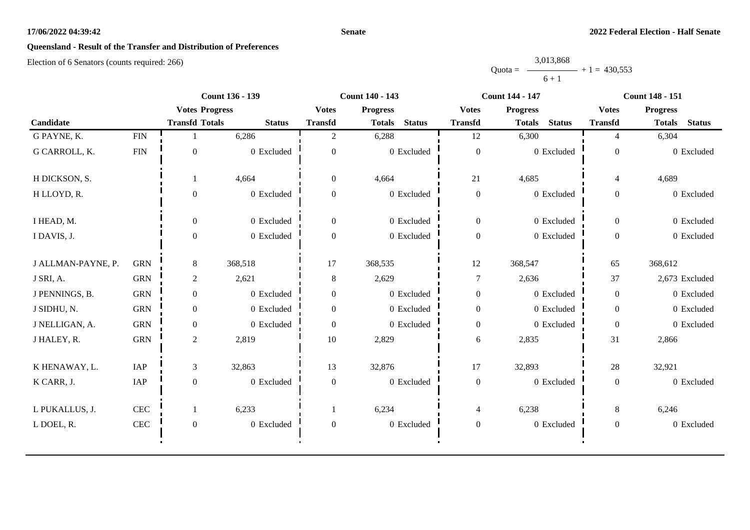#### **Senate**

# **Queensland - Result of the Transfer and Distribution of Preferences**

|           | 3,013,868 |                |
|-----------|-----------|----------------|
| $Quota =$ |           | $+1 = 430.553$ |
|           | $6 + 1$   |                |

|                    |              | <b>Count 136 - 139</b> |               | Count 140 - 143 |                                |                  | <b>Count 144 - 147</b>         | <b>Count 148 - 151</b> |                                |
|--------------------|--------------|------------------------|---------------|-----------------|--------------------------------|------------------|--------------------------------|------------------------|--------------------------------|
|                    |              | <b>Votes Progress</b>  |               | <b>Votes</b>    | <b>Progress</b>                | <b>Votes</b>     | <b>Progress</b>                | <b>Votes</b>           | <b>Progress</b>                |
| Candidate          |              | <b>Transfd Totals</b>  | <b>Status</b> | <b>Transfd</b>  | <b>Status</b><br><b>Totals</b> | <b>Transfd</b>   | <b>Status</b><br><b>Totals</b> | <b>Transfd</b>         | <b>Status</b><br><b>Totals</b> |
| G PAYNE, K.        | <b>FIN</b>   |                        | 6,286         | 2               | 6,288                          | 12               | 6,300                          | $\overline{4}$         | 6,304                          |
| G CARROLL, K.      | <b>FIN</b>   | $\mathbf{0}$           | 0 Excluded    | $\mathbf{0}$    | 0 Excluded                     | $\boldsymbol{0}$ | 0 Excluded                     | $\overline{0}$         | 0 Excluded                     |
| H DICKSON, S.      |              |                        | 4,664         | $\overline{0}$  | 4,664                          | 21               | 4,685                          | $\overline{4}$         | 4,689                          |
| H LLOYD, R.        |              | $\Omega$               | 0 Excluded    | $\mathbf{0}$    | 0 Excluded                     | $\boldsymbol{0}$ | 0 Excluded                     | $\overline{0}$         | 0 Excluded                     |
| I HEAD, M.         |              | $\overline{0}$         | 0 Excluded    | $\overline{0}$  | 0 Excluded                     | $\boldsymbol{0}$ | 0 Excluded                     | $\mathbf{0}$           | 0 Excluded                     |
| I DAVIS, J.        |              | $\Omega$               | 0 Excluded    | $\Omega$        | 0 Excluded                     | $\boldsymbol{0}$ | 0 Excluded                     | $\overline{0}$         | 0 Excluded                     |
| J ALLMAN-PAYNE, P. | <b>GRN</b>   | 8                      | 368,518       | 17              | 368,535                        | 12               | 368,547                        | 65                     | 368,612                        |
| J SRI, A.          | <b>GRN</b>   | $\overline{c}$         | 2,621         | $8\,$           | 2,629                          | $\overline{7}$   | 2,636                          | 37                     | 2,673 Excluded                 |
| J PENNINGS, B.     | <b>GRN</b>   | $\boldsymbol{0}$       | 0 Excluded    | $\overline{0}$  | 0 Excluded                     | $\boldsymbol{0}$ | 0 Excluded                     | $\overline{0}$         | 0 Excluded                     |
| J SIDHU, N.        | <b>GRN</b>   | $\overline{0}$         | 0 Excluded    | $\overline{0}$  | 0 Excluded                     | $\boldsymbol{0}$ | 0 Excluded                     | $\overline{0}$         | 0 Excluded                     |
| J NELLIGAN, A.     | <b>GRN</b>   | $\boldsymbol{0}$       | 0 Excluded    | $\mathbf{0}$    | 0 Excluded                     | $\boldsymbol{0}$ | 0 Excluded                     | $\boldsymbol{0}$       | 0 Excluded                     |
| J HALEY, R.        | <b>GRN</b>   | $\overline{2}$         | 2,819         | 10              | 2,829                          | $6\,$            | 2,835                          | 31                     | 2,866                          |
| K HENAWAY, L.      | IAP          | 3                      | 32,863        | 13              | 32,876                         | 17               | 32,893                         | 28                     | 32,921                         |
| K CARR, J.         | IAP          | $\mathbf{0}$           | 0 Excluded    | $\theta$        | 0 Excluded                     | $\boldsymbol{0}$ | 0 Excluded                     | $\boldsymbol{0}$       | 0 Excluded                     |
| L PUKALLUS, J.     | $\mbox{CEC}$ |                        | 6,233         |                 | 6,234                          | $\overline{4}$   | 6,238                          | 8                      | 6,246                          |
| L DOEL, R.         | $\mbox{CEC}$ | $\mathbf{0}$           | 0 Excluded    | $\mathbf{0}$    | 0 Excluded                     | $\boldsymbol{0}$ | 0 Excluded                     | $\mathbf{0}$           | 0 Excluded                     |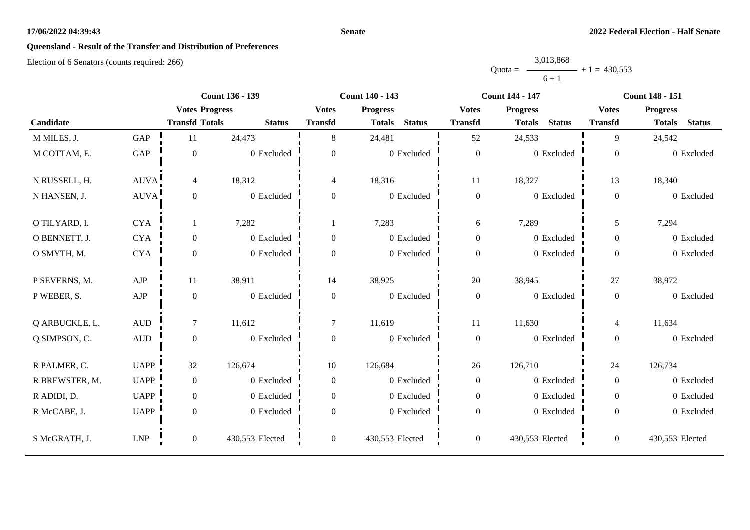#### **Senate**

# **Queensland - Result of the Transfer and Distribution of Preferences**

|           | 3,013,868 |                |
|-----------|-----------|----------------|
| $Quota =$ |           | $+1 = 430.553$ |
|           | $6 + 1$   |                |

|                |                  |                       | <b>Count 136 - 139</b> |                  | <b>Count 140 - 143</b>         |                  | <b>Count 144 - 147</b>         |                  | <b>Count 148 - 151</b>         |
|----------------|------------------|-----------------------|------------------------|------------------|--------------------------------|------------------|--------------------------------|------------------|--------------------------------|
|                |                  | <b>Votes Progress</b> |                        | <b>Votes</b>     | <b>Progress</b>                | <b>Votes</b>     | <b>Progress</b>                | <b>Votes</b>     | <b>Progress</b>                |
| Candidate      |                  | <b>Transfd Totals</b> | <b>Status</b>          | <b>Transfd</b>   | <b>Status</b><br><b>Totals</b> | <b>Transfd</b>   | <b>Status</b><br><b>Totals</b> | <b>Transfd</b>   | <b>Status</b><br><b>Totals</b> |
| M MILES, J.    | GAP              | 11                    | 24,473                 | 8                | 24,481                         | 52               | 24,533                         | 9                | 24,542                         |
| M COTTAM, E.   | GAP              | $\boldsymbol{0}$      | 0 Excluded             | $\overline{0}$   | 0 Excluded                     | $\boldsymbol{0}$ | 0 Excluded                     | $\boldsymbol{0}$ | 0 Excluded                     |
| N RUSSELL, H.  | AUVA!            | $\overline{4}$        | 18,312                 | 4                | 18,316                         | 11               | 18,327                         | 13               | 18,340                         |
| N HANSEN, J.   | AUVA!            | $\boldsymbol{0}$      | 0 Excluded             | $\boldsymbol{0}$ | $0\,$ Excluded                 | $\boldsymbol{0}$ | 0 Excluded                     | $\overline{0}$   | 0 Excluded                     |
| O TILYARD, I.  | <b>CYA</b>       | 1                     | 7,282                  |                  | 7,283                          | 6                | 7,289                          | 5                | 7,294                          |
| O BENNETT, J.  | <b>CYA</b>       | $\boldsymbol{0}$      | 0 Excluded             | $\boldsymbol{0}$ | 0 Excluded                     | $\boldsymbol{0}$ | 0 Excluded                     | $\overline{0}$   | 0 Excluded                     |
| O SMYTH, M.    | <b>CYA</b>       | $\boldsymbol{0}$      | 0 Excluded             | $\boldsymbol{0}$ | 0 Excluded                     | $\boldsymbol{0}$ | 0 Excluded                     | $\overline{0}$   | 0 Excluded                     |
| P SEVERNS, M.  | AJP              | 11                    | 38,911                 | 14               | 38,925                         | 20               | 38,945                         | 27               | 38,972                         |
| P WEBER, S.    | ${\rm AJP}$      | $\boldsymbol{0}$      | 0 Excluded             | $\boldsymbol{0}$ | 0 Excluded                     | $\boldsymbol{0}$ | 0 Excluded                     | $\boldsymbol{0}$ | 0 Excluded                     |
| Q ARBUCKLE, L. | $\mbox{\rm AUD}$ | $\tau$                | 11,612                 | $\overline{7}$   | 11,619                         | 11               | 11,630                         | $\overline{4}$   | 11,634                         |
| Q SIMPSON, C.  | <b>AUD</b>       | $\boldsymbol{0}$      | 0 Excluded             | $\boldsymbol{0}$ | 0 Excluded                     | $\boldsymbol{0}$ | 0 Excluded                     | $\boldsymbol{0}$ | 0 Excluded                     |
| R PALMER, C.   | <b>UAPP</b>      | 32                    | 126,674                | 10               | 126,684                        | 26               | 126,710                        | 24               | 126,734                        |
| R BREWSTER, M. | <b>UAPP</b>      | $\boldsymbol{0}$      | 0 Excluded             | $\boldsymbol{0}$ | 0 Excluded                     | $\boldsymbol{0}$ | $0\,$ Excluded                 | $\overline{0}$   | 0 Excluded                     |
| R ADIDI, D.    | <b>UAPP</b>      | $\boldsymbol{0}$      | 0 Excluded             | $\overline{0}$   | 0 Excluded                     | $\boldsymbol{0}$ | 0 Excluded                     | $\overline{0}$   | 0 Excluded                     |
| R McCABE, J.   | <b>UAPP</b>      | $\boldsymbol{0}$      | 0 Excluded             | $\Omega$         | $0\,$ Excluded                 | $\boldsymbol{0}$ | 0 Excluded                     | $\overline{0}$   | 0 Excluded                     |
| S McGRATH, J.  | <b>LNP</b>       | $\mathbf{0}$          | 430,553 Elected        | $\overline{0}$   | 430,553 Elected                | $\boldsymbol{0}$ | 430,553 Elected                | $\overline{0}$   | 430,553 Elected                |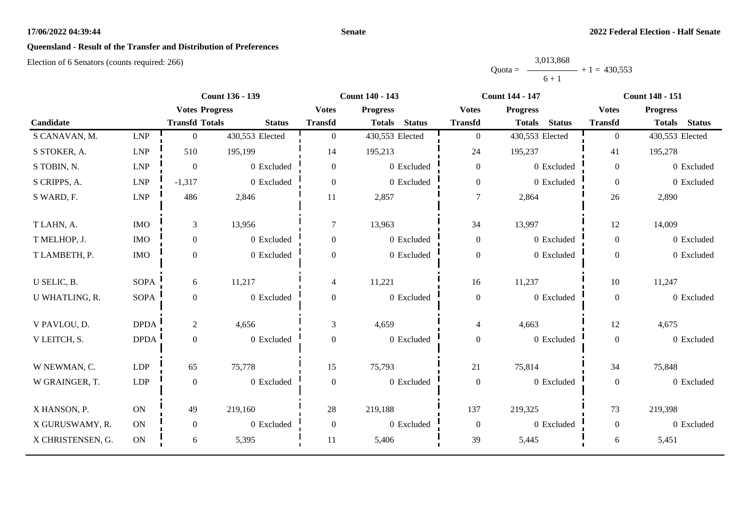#### **Senate**

# **Queensland - Result of the Transfer and Distribution of Preferences**

|           | 3,013,868 |                |
|-----------|-----------|----------------|
| $Quota =$ |           | $+1 = 430.553$ |
|           | $6 + 1$   |                |

|                   |             | <b>Count 136 - 139</b><br><b>Count 140 - 143</b> |                 |                |                                | <b>Count 144 - 147</b> | <b>Count 148 - 151</b>         |                |                                |
|-------------------|-------------|--------------------------------------------------|-----------------|----------------|--------------------------------|------------------------|--------------------------------|----------------|--------------------------------|
|                   |             | <b>Votes Progress</b>                            |                 | <b>Votes</b>   | <b>Progress</b>                | <b>Votes</b>           | <b>Progress</b>                | <b>Votes</b>   | <b>Progress</b>                |
| Candidate         |             | <b>Transfd Totals</b>                            | <b>Status</b>   | <b>Transfd</b> | <b>Status</b><br><b>Totals</b> | <b>Transfd</b>         | <b>Status</b><br><b>Totals</b> | <b>Transfd</b> | <b>Status</b><br><b>Totals</b> |
| S CANAVAN, M.     | <b>LNP</b>  | $\mathbf{0}$                                     | 430,553 Elected | $\overline{0}$ | 430,553 Elected                | $\overline{0}$         | 430,553 Elected                | $\overline{0}$ | 430,553 Elected                |
| S STOKER, A.      | <b>LNP</b>  | 510                                              | 195,199         | 14             | 195,213                        | 24                     | 195,237                        | 41             | 195,278                        |
| S TOBIN, N.       | <b>LNP</b>  | $\boldsymbol{0}$                                 | 0 Excluded      | $\overline{0}$ | 0 Excluded                     | $\overline{0}$         | 0 Excluded                     | $\overline{0}$ | 0 Excluded                     |
| S CRIPPS, A.      | <b>LNP</b>  | $-1,317$                                         | 0 Excluded      | $\overline{0}$ | 0 Excluded                     | $\boldsymbol{0}$       | 0 Excluded                     | $\overline{0}$ | 0 Excluded                     |
| S WARD, F.        | <b>LNP</b>  | 486                                              | 2,846           | 11             | 2,857                          | $\overline{7}$         | 2,864                          | 26             | 2,890                          |
| T LAHN, A.        | <b>IMO</b>  | 3                                                | 13,956          | 7              | 13,963                         | 34                     | 13,997                         | 12             | 14,009                         |
| T MELHOP, J.      | <b>IMO</b>  | $\boldsymbol{0}$                                 | 0 Excluded      | $\overline{0}$ | 0 Excluded                     | $\boldsymbol{0}$       | 0 Excluded                     | $\overline{0}$ | 0 Excluded                     |
| T LAMBETH, P.     | <b>IMO</b>  | $\boldsymbol{0}$                                 | 0 Excluded      | $\Omega$       | 0 Excluded                     | $\boldsymbol{0}$       | 0 Excluded                     | $\overline{0}$ | 0 Excluded                     |
| U SELIC, B.       | <b>SOPA</b> | 6                                                | 11,217          | 4              | 11,221                         | 16                     | 11,237                         | 10             | 11,247                         |
| U WHATLING, R.    | <b>SOPA</b> | $\boldsymbol{0}$                                 | 0 Excluded      | $\overline{0}$ | 0 Excluded                     | $\boldsymbol{0}$       | 0 Excluded                     | $\overline{0}$ | 0 Excluded                     |
| V PAVLOU, D.      | <b>DPDA</b> | $\overline{2}$                                   | 4,656           | 3              | 4,659                          | $\overline{4}$         | 4,663                          | 12             | 4,675                          |
| V LEITCH, S.      | <b>DPDA</b> | $\boldsymbol{0}$                                 | 0 Excluded      | $\overline{0}$ | 0 Excluded                     | $\overline{0}$         | 0 Excluded                     | $\overline{0}$ | 0 Excluded                     |
| W NEWMAN, C.      | LDP         | 65                                               | 75,778          | 15             | 75,793                         | 21                     | 75,814                         | 34             | 75,848                         |
| W GRAINGER, T.    | <b>LDP</b>  | $\boldsymbol{0}$                                 | 0 Excluded      | $\overline{0}$ | 0 Excluded                     | $\boldsymbol{0}$       | 0 Excluded                     | $\overline{0}$ | 0 Excluded                     |
| X HANSON, P.      | ON          | 49                                               | 219,160         | 28             | 219,188                        | 137                    | 219,325                        | 73             | 219,398                        |
| X GURUSWAMY, R.   | ON          | $\boldsymbol{0}$                                 | 0 Excluded      | $\Omega$       | 0 Excluded                     | $\boldsymbol{0}$       | 0 Excluded                     | $\theta$       | 0 Excluded                     |
| X CHRISTENSEN, G. | $\rm ON$    | 6                                                | 5,395           | 11             | 5,406                          | 39                     | 5,445                          | 6              | 5,451                          |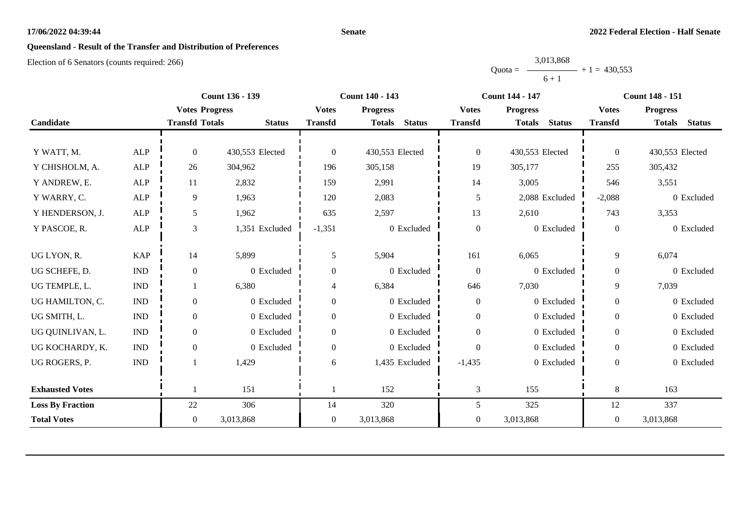#### **Senate**

# **Queensland - Result of the Transfer and Distribution of Preferences**

|           | 3,013,868 |                |
|-----------|-----------|----------------|
| $Quota =$ |           | $+1 = 430.553$ |
|           | $6 + 1$   |                |

|                         |                             |                       | <b>Count 136 - 139</b> | <b>Count 140 - 143</b> |                                | <b>Count 144 - 147</b> |                                | <b>Count 148 - 151</b> |                                |
|-------------------------|-----------------------------|-----------------------|------------------------|------------------------|--------------------------------|------------------------|--------------------------------|------------------------|--------------------------------|
|                         |                             | <b>Votes Progress</b> |                        | <b>Votes</b>           | <b>Progress</b>                | <b>Votes</b>           | <b>Progress</b>                | <b>Votes</b>           | <b>Progress</b>                |
| Candidate               |                             | <b>Transfd Totals</b> | <b>Status</b>          | <b>Transfd</b>         | <b>Status</b><br><b>Totals</b> | <b>Transfd</b>         | <b>Totals</b><br><b>Status</b> | <b>Transfd</b>         | <b>Status</b><br><b>Totals</b> |
|                         |                             |                       |                        |                        |                                |                        |                                |                        |                                |
| Y WATT, M.              | <b>ALP</b>                  | $\Omega$              | 430,553 Elected        | $\Omega$               | 430,553 Elected                | $\boldsymbol{0}$       | 430,553 Elected                | $\overline{0}$         | 430,553 Elected                |
| Y CHISHOLM, A.          | <b>ALP</b>                  | 26                    | 304,962                | 196                    | 305,158                        | 19                     | 305,177                        | 255                    | 305,432                        |
| Y ANDREW, E.            | <b>ALP</b>                  | 11                    | 2,832                  | 159                    | 2,991                          | 14                     | 3,005                          | 546                    | 3,551                          |
| Y WARRY, C.             | <b>ALP</b>                  | 9                     | 1,963                  | 120                    | 2,083                          | 5                      | 2,088 Excluded                 | $-2,088$               | 0 Excluded                     |
| Y HENDERSON, J.         | ALP                         | 5                     | 1,962                  | 635                    | 2,597                          | 13                     | 2,610                          | 743                    | 3,353                          |
| Y PASCOE, R.            | <b>ALP</b>                  | 3                     | 1,351 Excluded         | $-1,351$               | 0 Excluded                     | $\boldsymbol{0}$       | 0 Excluded                     | $\overline{0}$         | 0 Excluded                     |
|                         |                             |                       |                        |                        |                                |                        |                                |                        |                                |
| UG LYON, R.             | <b>KAP</b>                  | 14                    | 5,899                  | 5                      | 5,904                          | 161                    | 6,065                          | 9                      | 6,074                          |
| UG SCHEFE, D.           | $\ensuremath{\text{IND}}$   | $\boldsymbol{0}$      | 0 Excluded             | 0                      | 0 Excluded                     | $\boldsymbol{0}$       | 0 Excluded                     | $\boldsymbol{0}$       | 0 Excluded                     |
| UG TEMPLE, L.           | $\mathop{\rm IND}\nolimits$ |                       | 6,380                  | 4                      | 6,384                          | 646                    | 7,030                          | 9                      | 7,039                          |
| UG HAMILTON, C.         | $\mathop{\rm IND}\nolimits$ | $\mathbf{0}$          | 0 Excluded             | $\overline{0}$         | 0 Excluded                     | $\boldsymbol{0}$       | 0 Excluded                     | $\mathbf{0}$           | 0 Excluded                     |
| UG SMITH, L.            | $\mathop{\rm IND}\nolimits$ | $\boldsymbol{0}$      | 0 Excluded             | $\mathbf{0}$           | 0 Excluded                     | $\boldsymbol{0}$       | 0 Excluded                     | $\overline{0}$         | 0 Excluded                     |
| UG QUINLIVAN, L.        | $\mathop{\rm IND}\nolimits$ | $\Omega$              | 0 Excluded             | $\Omega$               | 0 Excluded                     | $\boldsymbol{0}$       | 0 Excluded                     | $\theta$               | 0 Excluded                     |
| UG KOCHARDY, K.         | $\ensuremath{\text{IND}}$   | $\mathbf{0}$          | 0 Excluded             | $\overline{0}$         | 0 Excluded                     | $\boldsymbol{0}$       | 0 Excluded                     | $\overline{0}$         | 0 Excluded                     |
| UG ROGERS, P.           | <b>IND</b>                  |                       | 1,429                  | 6                      | 1,435 Excluded                 | $-1,435$               | 0 Excluded                     | $\theta$               | 0 Excluded                     |
|                         |                             |                       |                        |                        |                                |                        |                                |                        |                                |
| <b>Exhausted Votes</b>  |                             |                       | 151                    |                        | 152                            | $\mathfrak{Z}$         | 155                            | $\,8\,$                | 163                            |
| <b>Loss By Fraction</b> |                             | 22                    | 306                    | 14                     | 320                            | 5                      | 325                            | 12                     | 337                            |
| <b>Total Votes</b>      |                             | $\overline{0}$        | 3,013,868              | $\overline{0}$         | 3,013,868                      | $\overline{0}$         | 3,013,868                      | $\overline{0}$         | 3,013,868                      |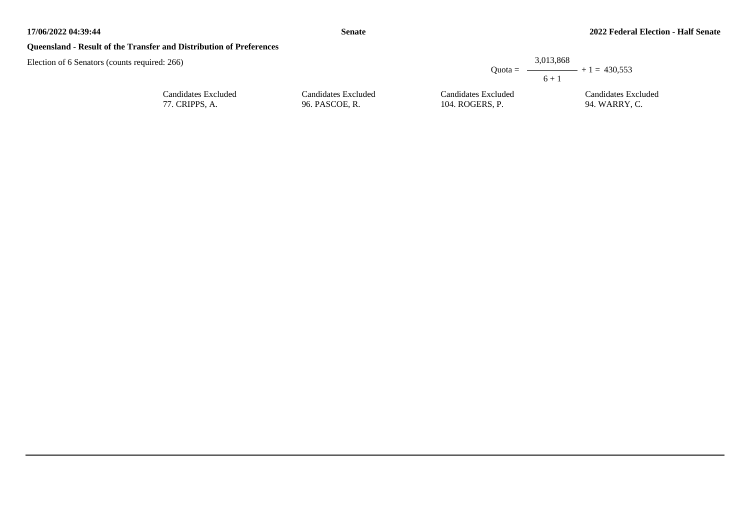## **Queensland - Result of the Transfer and Distribution of Preferences**

| : 266               |                     |                     | 3,013,868<br>Quota = $\longrightarrow$ + 1 = 430,553<br>$6 + 1$ |
|---------------------|---------------------|---------------------|-----------------------------------------------------------------|
| Candidates Excluded | Candidates Excluded | Candidates Excluded | Candidates Excluded                                             |
| 77. CRIPPS, A.      | 96. PASCOE, R.      | 104. ROGERS, P.     | 94. WARRY, C.                                                   |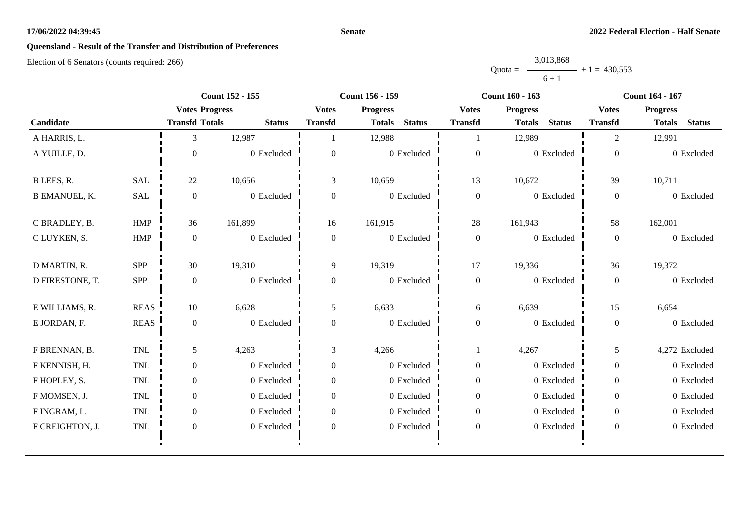#### **Senate**

# **Queensland - Result of the Transfer and Distribution of Preferences**

|           | 3,013,868 |                |
|-----------|-----------|----------------|
| $Quota =$ |           | $+1 = 430.553$ |
|           | $6 + 1$   |                |

|                      |             |                       | <b>Count 152 - 155</b> |                  | Count 156 - 159                |                  | <b>Count 160 - 163</b>         |                  | <b>Count 164 - 167</b>         |
|----------------------|-------------|-----------------------|------------------------|------------------|--------------------------------|------------------|--------------------------------|------------------|--------------------------------|
|                      |             | <b>Votes Progress</b> |                        | <b>Votes</b>     | <b>Progress</b>                | <b>Votes</b>     | <b>Progress</b>                | <b>Votes</b>     | <b>Progress</b>                |
| Candidate            |             | <b>Transfd Totals</b> | <b>Status</b>          | <b>Transfd</b>   | <b>Status</b><br><b>Totals</b> | <b>Transfd</b>   | <b>Status</b><br><b>Totals</b> | <b>Transfd</b>   | <b>Status</b><br><b>Totals</b> |
| A HARRIS, L.         |             | 3                     | 12,987                 |                  | 12,988                         |                  | 12,989                         | $\overline{2}$   | 12,991                         |
| A YUILLE, D.         |             | $\Omega$              | 0 Excluded             | $\overline{0}$   | 0 Excluded                     | $\boldsymbol{0}$ | 0 Excluded                     | $\boldsymbol{0}$ | 0 Excluded                     |
| B LEES, R.           | <b>SAL</b>  | 22                    | 10,656                 | 3                | 10,659                         | 13               | 10,672                         | 39               | 10,711                         |
| <b>B EMANUEL, K.</b> | <b>SAL</b>  | $\boldsymbol{0}$      | 0 Excluded             | $\overline{0}$   | 0 Excluded                     | $\boldsymbol{0}$ | 0 Excluded                     | $\overline{0}$   | 0 Excluded                     |
| C BRADLEY, B.        | <b>HMP</b>  | 36                    | 161,899                | 16               | 161,915                        | 28               | 161,943                        | 58               | 162,001                        |
| C LUYKEN, S.         | <b>HMP</b>  | $\overline{0}$        | 0 Excluded             | $\boldsymbol{0}$ | 0 Excluded                     | $\boldsymbol{0}$ | 0 Excluded                     | $\overline{0}$   | 0 Excluded                     |
| D MARTIN, R.         | SPP         | 30                    | 19,310                 | 9                | 19,319                         | 17               | 19,336                         | 36               | 19,372                         |
| D FIRESTONE, T.      | SPP         | $\theta$              | 0 Excluded             | $\Omega$         | 0 Excluded                     | $\boldsymbol{0}$ | 0 Excluded                     | $\overline{0}$   | 0 Excluded                     |
| E WILLIAMS, R.       | <b>REAS</b> | $10\,$                | 6,628                  | 5                | 6,633                          | 6                | 6,639                          | 15               | 6,654                          |
| E JORDAN, F.         | <b>REAS</b> | $\overline{0}$        | 0 Excluded             | $\overline{0}$   | 0 Excluded                     | $\boldsymbol{0}$ | 0 Excluded                     | $\overline{0}$   | 0 Excluded                     |
| F BRENNAN, B.        | TNL         | 5                     | 4,263                  | 3                | 4,266                          |                  | 4,267                          | 5                | 4,272 Excluded                 |
| F KENNISH, H.        | TNL         | $\overline{0}$        | 0 Excluded             | $\overline{0}$   | 0 Excluded                     | $\overline{0}$   | 0 Excluded                     | $\overline{0}$   | 0 Excluded                     |
| F HOPLEY, S.         | <b>TNL</b>  | $\overline{0}$        | 0 Excluded             | $\overline{0}$   | 0 Excluded                     | $\boldsymbol{0}$ | 0 Excluded                     | $\overline{0}$   | 0 Excluded                     |
| F MOMSEN, J.         | <b>TNL</b>  | $\boldsymbol{0}$      | 0 Excluded             | $\Omega$         | 0 Excluded                     | $\boldsymbol{0}$ | 0 Excluded                     | $\overline{0}$   | 0 Excluded                     |
| F INGRAM, L.         | TNL         | $\overline{0}$        | 0 Excluded             | $\overline{0}$   | 0 Excluded                     | $\boldsymbol{0}$ | 0 Excluded                     | $\overline{0}$   | 0 Excluded                     |
| F CREIGHTON, J.      | TNL         | $\boldsymbol{0}$      | 0 Excluded             | $\boldsymbol{0}$ | 0 Excluded                     | $\boldsymbol{0}$ | 0 Excluded                     | $\overline{0}$   | 0 Excluded                     |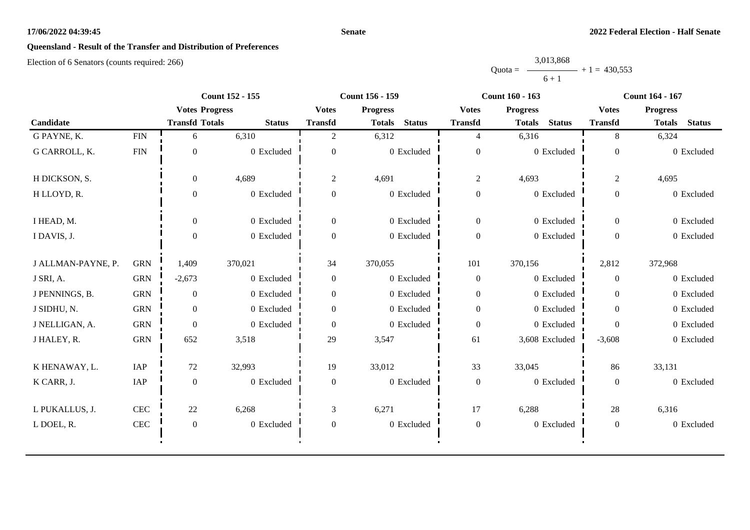#### **Senate**

# **Queensland - Result of the Transfer and Distribution of Preferences**

|           | 3,013,868 |                |
|-----------|-----------|----------------|
| $Quota =$ |           | $+1 = 430.553$ |
|           | $6 + 1$   |                |

|                    |            |                       | <b>Count 152 - 155</b> |                  | Count 156 - 159                |                  | <b>Count 160 - 163</b>         |                  | <b>Count 164 - 167</b>         |
|--------------------|------------|-----------------------|------------------------|------------------|--------------------------------|------------------|--------------------------------|------------------|--------------------------------|
|                    |            | <b>Votes Progress</b> |                        | <b>Votes</b>     | <b>Progress</b>                | <b>Votes</b>     | <b>Progress</b>                | <b>Votes</b>     | <b>Progress</b>                |
| Candidate          |            | <b>Transfd Totals</b> | <b>Status</b>          | <b>Transfd</b>   | <b>Status</b><br><b>Totals</b> | <b>Transfd</b>   | <b>Status</b><br><b>Totals</b> | <b>Transfd</b>   | <b>Status</b><br><b>Totals</b> |
| G PAYNE, K.        | <b>FIN</b> | 6                     | 6,310                  | 2                | 6,312                          | $\overline{4}$   | 6,316                          | 8                | 6,324                          |
| G CARROLL, K.      | <b>FIN</b> | $\Omega$              | 0 Excluded             | $\Omega$         | 0 Excluded                     | $\boldsymbol{0}$ | 0 Excluded                     | $\Omega$         | 0 Excluded                     |
| H DICKSON, S.      |            | $\overline{0}$        | 4,689                  | $\overline{c}$   | 4,691                          | $\overline{c}$   | 4,693                          | $\overline{2}$   | 4,695                          |
| H LLOYD, R.        |            | $\Omega$              | 0 Excluded             | $\overline{0}$   | 0 Excluded                     | $\boldsymbol{0}$ | 0 Excluded                     | $\theta$         | 0 Excluded                     |
| I HEAD, M.         |            | $\mathbf{0}$          | 0 Excluded             | $\overline{0}$   | 0 Excluded                     | $\boldsymbol{0}$ | 0 Excluded                     | $\boldsymbol{0}$ | 0 Excluded                     |
| I DAVIS, J.        |            | $\Omega$              | 0 Excluded             | $\overline{0}$   | 0 Excluded                     | $\boldsymbol{0}$ | 0 Excluded                     | $\boldsymbol{0}$ | 0 Excluded                     |
| J ALLMAN-PAYNE, P. | <b>GRN</b> | 1,409                 | 370,021                | 34               | 370,055                        | 101              | 370,156                        | 2,812            | 372,968                        |
| J SRI, A.          | <b>GRN</b> | $-2,673$              | 0 Excluded             | $\overline{0}$   | 0 Excluded                     | $\boldsymbol{0}$ | 0 Excluded                     | $\overline{0}$   | 0 Excluded                     |
| J PENNINGS, B.     | <b>GRN</b> | $\boldsymbol{0}$      | 0 Excluded             | $\overline{0}$   | 0 Excluded                     | $\boldsymbol{0}$ | 0 Excluded                     | $\overline{0}$   | 0 Excluded                     |
| J SIDHU, N.        | <b>GRN</b> | $\boldsymbol{0}$      | 0 Excluded             | $\boldsymbol{0}$ | 0 Excluded                     | $\boldsymbol{0}$ | 0 Excluded                     | $\overline{0}$   | 0 Excluded                     |
| J NELLIGAN, A.     | <b>GRN</b> | $\boldsymbol{0}$      | 0 Excluded             | $\overline{0}$   | 0 Excluded                     | $\boldsymbol{0}$ | 0 Excluded                     | $\Omega$         | 0 Excluded                     |
| J HALEY, R.        | <b>GRN</b> | 652                   | 3,518                  | 29               | 3,547                          | 61               | 3,608 Excluded                 | $-3,608$         | 0 Excluded                     |
| K HENAWAY, L.      | IAP        | 72                    | 32,993                 | 19               | 33,012                         | 33               | 33,045                         | 86               | 33,131                         |
| K CARR, J.         | IAP        | $\boldsymbol{0}$      | 0 Excluded             | $\overline{0}$   | 0 Excluded                     | $\boldsymbol{0}$ | 0 Excluded                     | $\mathbf{0}$     | 0 Excluded                     |
| L PUKALLUS, J.     | CEC        | 22                    | 6,268                  | 3                | 6,271                          | 17               | 6,288                          | 28               | 6,316                          |
| L DOEL, R.         | CEC        | $\boldsymbol{0}$      | 0 Excluded             | $\theta$         | 0 Excluded                     | $\boldsymbol{0}$ | 0 Excluded                     | $\overline{0}$   | 0 Excluded                     |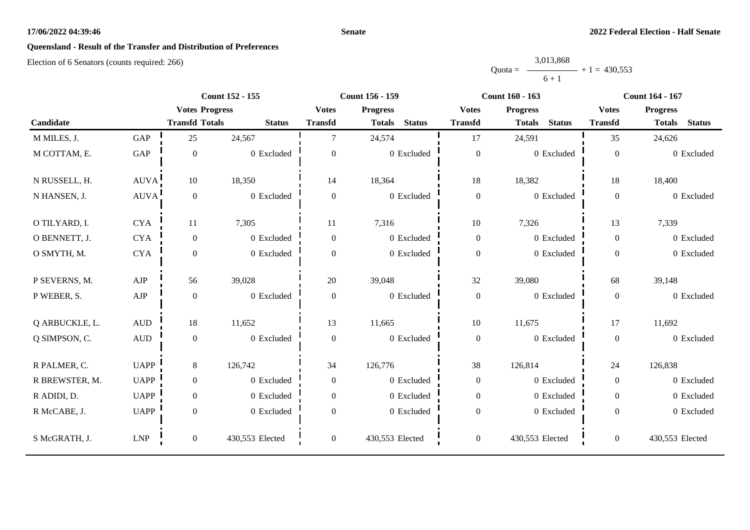#### **Senate**

# **Queensland - Result of the Transfer and Distribution of Preferences**

|           | 3,013,868 |                |
|-----------|-----------|----------------|
| $Quota =$ |           | $+1 = 430.553$ |
|           | $6 + 1$   |                |

|                |                  |                       | <b>Count 152 - 155</b> |                  | <b>Count 156 - 159</b>         |                  | <b>Count 160 - 163</b>         |                  | <b>Count 164 - 167</b>         |
|----------------|------------------|-----------------------|------------------------|------------------|--------------------------------|------------------|--------------------------------|------------------|--------------------------------|
|                |                  | <b>Votes Progress</b> |                        | <b>Votes</b>     | <b>Progress</b>                | <b>Votes</b>     | <b>Progress</b>                | <b>Votes</b>     | <b>Progress</b>                |
| Candidate      |                  | <b>Transfd Totals</b> | <b>Status</b>          | <b>Transfd</b>   | <b>Status</b><br><b>Totals</b> | <b>Transfd</b>   | <b>Status</b><br><b>Totals</b> | <b>Transfd</b>   | <b>Status</b><br><b>Totals</b> |
| M MILES, J.    | GAP              | 25                    | 24,567                 | $\tau$           | 24,574                         | 17               | 24,591                         | 35               | 24,626                         |
| M COTTAM, E.   | GAP              | $\boldsymbol{0}$      | 0 Excluded             | $\overline{0}$   | 0 Excluded                     | $\boldsymbol{0}$ | 0 Excluded                     | $\boldsymbol{0}$ | 0 Excluded                     |
| N RUSSELL, H.  | AUVA!            | 10                    | 18,350                 | 14               | 18,364                         | 18               | 18,382                         | 18               | 18,400                         |
| N HANSEN, J.   | AUVA!            | $\boldsymbol{0}$      | 0 Excluded             | $\overline{0}$   | 0 Excluded                     | $\boldsymbol{0}$ | 0 Excluded                     | $\overline{0}$   | 0 Excluded                     |
| O TILYARD, I.  | <b>CYA</b>       | 11                    | 7,305                  | 11               | 7,316                          | $10\,$           | 7,326                          | 13               | 7,339                          |
| O BENNETT, J.  | <b>CYA</b>       | $\mathbf{0}$          | 0 Excluded             | $\overline{0}$   | $0\,$ Excluded                 | $\boldsymbol{0}$ | 0 Excluded                     | $\overline{0}$   | 0 Excluded                     |
| O SMYTH, M.    | <b>CYA</b>       | $\boldsymbol{0}$      | 0 Excluded             | $\boldsymbol{0}$ | 0 Excluded                     | $\boldsymbol{0}$ | 0 Excluded                     | $\overline{0}$   | 0 Excluded                     |
| P SEVERNS, M.  | AJP              | 56                    | 39,028                 | 20               | 39,048                         | 32               | 39,080                         | 68               | 39,148                         |
| P WEBER, S.    | ${\rm AJP}$      | $\boldsymbol{0}$      | 0 Excluded             | $\boldsymbol{0}$ | $0\,$ Excluded                 | $\boldsymbol{0}$ | 0 Excluded                     | $\overline{0}$   | 0 Excluded                     |
| Q ARBUCKLE, L. | $\mbox{\rm AUD}$ | 18                    | 11,652                 | 13               | 11,665                         | 10               | 11,675                         | 17               | 11,692                         |
| Q SIMPSON, C.  | AUD              | $\boldsymbol{0}$      | 0 Excluded             | $\boldsymbol{0}$ | 0 Excluded                     | $\boldsymbol{0}$ | 0 Excluded                     | $\overline{0}$   | 0 Excluded                     |
| R PALMER, C.   | <b>UAPP</b>      | 8                     | 126,742                | 34               | 126,776                        | 38               | 126,814                        | 24               | 126,838                        |
| R BREWSTER, M. | <b>UAPP</b>      | $\mathbf{0}$          | 0 Excluded             | $\boldsymbol{0}$ | 0 Excluded                     | $\boldsymbol{0}$ | 0 Excluded                     | $\overline{0}$   | 0 Excluded                     |
| R ADIDI, D.    | <b>UAPP</b>      | $\boldsymbol{0}$      | 0 Excluded             | $\overline{0}$   | 0 Excluded                     | $\mathbf{0}$     | 0 Excluded                     | $\overline{0}$   | 0 Excluded                     |
| R McCABE, J.   | <b>UAPP</b>      | $\mathbf{0}$          | 0 Excluded             | $\boldsymbol{0}$ | 0 Excluded                     | $\boldsymbol{0}$ | 0 Excluded                     | $\overline{0}$   | 0 Excluded                     |
| S McGRATH, J.  | LNP              | $\boldsymbol{0}$      | 430,553 Elected        | $\overline{0}$   | 430,553 Elected                | $\boldsymbol{0}$ | 430,553 Elected                | $\overline{0}$   | 430,553 Elected                |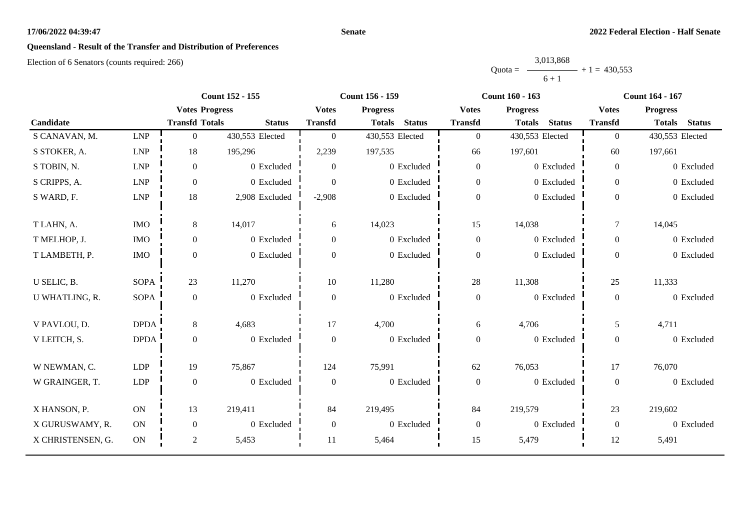#### **Senate**

# **Queensland - Result of the Transfer and Distribution of Preferences**

|           | 3,013,868 |                |
|-----------|-----------|----------------|
| $Quota =$ |           | $+1 = 430.553$ |
|           | $6 + 1$   |                |

|                   |                             |                       | <b>Count 152 - 155</b> |                  | Count 156 - 159                |                  | <b>Count 160 - 163</b>         |                  | <b>Count 164 - 167</b>         |
|-------------------|-----------------------------|-----------------------|------------------------|------------------|--------------------------------|------------------|--------------------------------|------------------|--------------------------------|
|                   |                             | <b>Votes Progress</b> |                        | <b>Votes</b>     | <b>Progress</b>                | <b>Votes</b>     | <b>Progress</b>                | <b>Votes</b>     | <b>Progress</b>                |
| Candidate         |                             | <b>Transfd Totals</b> | <b>Status</b>          | <b>Transfd</b>   | <b>Status</b><br><b>Totals</b> | <b>Transfd</b>   | <b>Status</b><br><b>Totals</b> | <b>Transfd</b>   | <b>Status</b><br><b>Totals</b> |
| S CANAVAN, M.     | <b>LNP</b>                  | $\overline{0}$        | 430,553 Elected        | $\overline{0}$   | 430,553 Elected                | $\mathbf{0}$     | 430,553 Elected                | $\overline{0}$   | 430,553 Elected                |
| S STOKER, A.      | $\ensuremath{\mathrm{LNP}}$ | 18                    | 195,296                | 2,239            | 197,535                        | 66               | 197,601                        | 60               | 197,661                        |
| S TOBIN, N.       | <b>LNP</b>                  | $\Omega$              | 0 Excluded             | $\Omega$         | 0 Excluded                     | $\mathbf{0}$     | 0 Excluded                     | $\theta$         | 0 Excluded                     |
| S CRIPPS, A.      | <b>LNP</b>                  | $\boldsymbol{0}$      | 0 Excluded             | $\Omega$         | 0 Excluded                     | $\mathbf{0}$     | 0 Excluded                     | $\theta$         | 0 Excluded                     |
| S WARD, F.        | ${\rm LNP}$                 | $18\,$                | 2,908 Excluded         | $-2,908$         | 0 Excluded                     | $\boldsymbol{0}$ | 0 Excluded                     | $\Omega$         | 0 Excluded                     |
| T LAHN, A.        | <b>IMO</b>                  | 8                     | 14,017                 | 6                | 14,023                         | 15               | 14,038                         | $\overline{7}$   | 14,045                         |
| T MELHOP, J.      | <b>IMO</b>                  | $\overline{0}$        | 0 Excluded             | $\overline{0}$   | 0 Excluded                     | $\overline{0}$   | 0 Excluded                     | $\theta$         | $0$ Excluded                   |
| T LAMBETH, P.     | <b>IMO</b>                  | $\boldsymbol{0}$      | 0 Excluded             | $\Omega$         | 0 Excluded                     | $\boldsymbol{0}$ | 0 Excluded                     | $\theta$         | 0 Excluded                     |
| U SELIC, B.       | <b>SOPA</b>                 | 23                    | 11,270                 | 10               | 11,280                         | $28\,$           | 11,308                         | 25               | 11,333                         |
| U WHATLING, R.    | SOPA                        | $\mathbf{0}$          | 0 Excluded             | $\theta$         | 0 Excluded                     | $\mathbf{0}$     | 0 Excluded                     | $\mathbf{0}$     | 0 Excluded                     |
| V PAVLOU, D.      | <b>DPDA</b>                 | 8                     | 4,683                  | 17               | 4,700                          | 6                | 4,706                          | 5                | 4,711                          |
| V LEITCH, S.      | <b>DPDA</b>                 | $\overline{0}$        | 0 Excluded             | $\theta$         | 0 Excluded                     | $\boldsymbol{0}$ | 0 Excluded                     | $\boldsymbol{0}$ | 0 Excluded                     |
| W NEWMAN, C.      | LDP                         | 19                    | 75,867                 | 124              | 75,991                         | 62               | 76,053                         | 17               | 76,070                         |
| W GRAINGER, T.    | LDP                         | $\overline{0}$        | 0 Excluded             | $\overline{0}$   | 0 Excluded                     | $\boldsymbol{0}$ | 0 Excluded                     | $\boldsymbol{0}$ | 0 Excluded                     |
| X HANSON, P.      | ON                          | 13                    | 219,411                | 84               | 219,495                        | 84               | 219,579                        | 23               | 219,602                        |
| X GURUSWAMY, R.   | ON                          | $\boldsymbol{0}$      | 0 Excluded             | $\boldsymbol{0}$ | 0 Excluded                     | $\mathbf{0}$     | 0 Excluded                     | $\overline{0}$   | 0 Excluded                     |
| X CHRISTENSEN, G. | <b>ON</b>                   | $\overline{c}$        | 5,453                  | 11               | 5,464                          | 15               | 5,479                          | 12               | 5,491                          |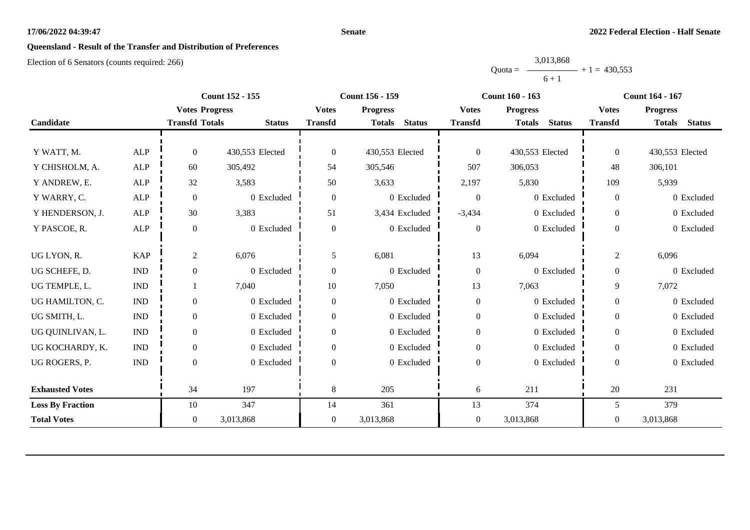#### **Senate**

# **Queensland - Result of the Transfer and Distribution of Preferences**

|           | 3,013,868 |                |
|-----------|-----------|----------------|
| $Quota =$ |           | $+1 = 430.553$ |
|           | $6 + 1$   |                |

|                         |                             |                       | <b>Count 152 - 155</b> |                  | <b>Count 156 - 159</b>         |                  | <b>Count 160 - 163</b>         |                | Count 164 - 167                |
|-------------------------|-----------------------------|-----------------------|------------------------|------------------|--------------------------------|------------------|--------------------------------|----------------|--------------------------------|
|                         |                             | <b>Votes Progress</b> |                        | <b>Votes</b>     | <b>Progress</b>                | <b>Votes</b>     | <b>Progress</b>                | <b>Votes</b>   | <b>Progress</b>                |
| Candidate               |                             | <b>Transfd Totals</b> | <b>Status</b>          | <b>Transfd</b>   | <b>Status</b><br><b>Totals</b> | <b>Transfd</b>   | <b>Totals</b><br><b>Status</b> | <b>Transfd</b> | <b>Status</b><br><b>Totals</b> |
|                         |                             |                       |                        |                  |                                |                  |                                |                |                                |
| Y WATT, M.              | <b>ALP</b>                  | $\Omega$              | 430,553 Elected        | $\theta$         | 430,553 Elected                | $\boldsymbol{0}$ | 430,553 Elected                | $\overline{0}$ | 430,553 Elected                |
| Y CHISHOLM, A.          | ALP                         | 60                    | 305,492                | 54               | 305,546                        | 507              | 306,053                        | 48             | 306,101                        |
| Y ANDREW, E.            | <b>ALP</b>                  | 32                    | 3,583                  | 50               | 3,633                          | 2,197            | 5,830                          | 109            | 5,939                          |
| Y WARRY, C.             | <b>ALP</b>                  | $\boldsymbol{0}$      | 0 Excluded             | $\theta$         | 0 Excluded                     | $\boldsymbol{0}$ | 0 Excluded                     | $\overline{0}$ | 0 Excluded                     |
| Y HENDERSON, J.         | ALP                         | 30                    | 3,383                  | 51               | 3,434 Excluded                 | $-3,434$         | 0 Excluded                     | $\overline{0}$ | 0 Excluded                     |
| Y PASCOE, R.            | <b>ALP</b>                  | $\Omega$              | 0 Excluded             | $\Omega$         | 0 Excluded                     | $\boldsymbol{0}$ | 0 Excluded                     | $\overline{0}$ | 0 Excluded                     |
|                         |                             |                       |                        |                  |                                |                  |                                |                |                                |
| UG LYON, R.             | <b>KAP</b>                  | 2                     | 6,076                  | 5                | 6,081                          | 13               | 6,094                          | $\overline{c}$ | 6,096                          |
| UG SCHEFE, D.           | $\ensuremath{\text{IND}}$   | $\overline{0}$        | 0 Excluded             | $\mathbf{0}$     | 0 Excluded                     | $\boldsymbol{0}$ | 0 Excluded                     | $\overline{0}$ | 0 Excluded                     |
| UG TEMPLE, L.           | $\mathop{\rm IND}\nolimits$ |                       | 7,040                  | 10               | 7,050                          | 13               | 7,063                          | 9              | 7,072                          |
| UG HAMILTON, C.         | $\mathop{\rm IND}\nolimits$ | $\mathbf{0}$          | 0 Excluded             | $\boldsymbol{0}$ | 0 Excluded                     | $\boldsymbol{0}$ | 0 Excluded                     | $\mathbf{0}$   | 0 Excluded                     |
| UG SMITH, L.            | $\ensuremath{\text{IND}}$   | $\boldsymbol{0}$      | 0 Excluded             | $\boldsymbol{0}$ | 0 Excluded                     | $\boldsymbol{0}$ | 0 Excluded                     | $\overline{0}$ | 0 Excluded                     |
| UG QUINLIVAN, L.        | $\mathop{\rm IND}\nolimits$ | $\Omega$              | 0 Excluded             | $\Omega$         | 0 Excluded                     | $\boldsymbol{0}$ | 0 Excluded                     | $\theta$       | 0 Excluded                     |
| UG KOCHARDY, K.         | $\ensuremath{\text{IND}}$   | $\mathbf{0}$          | 0 Excluded             | $\Omega$         | 0 Excluded                     | $\boldsymbol{0}$ | 0 Excluded                     | $\overline{0}$ | 0 Excluded                     |
| UG ROGERS, P.           | <b>IND</b>                  | $\mathbf{0}$          | 0 Excluded             | $\Omega$         | 0 Excluded                     | $\boldsymbol{0}$ | 0 Excluded                     | $\theta$       | 0 Excluded                     |
|                         |                             |                       |                        |                  |                                |                  |                                |                |                                |
| <b>Exhausted Votes</b>  |                             | 34                    | 197                    | 8                | 205                            | 6                | 211                            | 20             | 231                            |
| <b>Loss By Fraction</b> |                             | 10                    | 347                    | 14               | 361                            | 13               | 374                            | 5              | 379                            |
| <b>Total Votes</b>      |                             | $\overline{0}$        | 3,013,868              | $\overline{0}$   | 3,013,868                      | $\overline{0}$   | 3,013,868                      | $\theta$       | 3,013,868                      |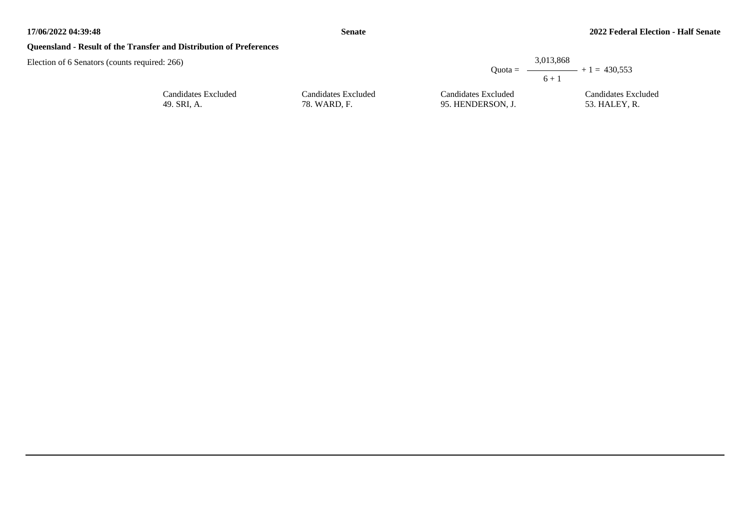## **Queensland - Result of the Transfer and Distribution of Preferences**

| ors (counts required: 266) |                     |                     | 3,013,868<br>$Quota =$<br>$6 + 1$ | $ +1 = 430.553$     |
|----------------------------|---------------------|---------------------|-----------------------------------|---------------------|
|                            | Candidates Excluded | Candidates Excluded | Candidates Excluded               | Candidates Excluded |
|                            | 49. SRI, A.         | 78. WARD, F.        | 95. HENDERSON, J.                 | 53. HALEY, R.       |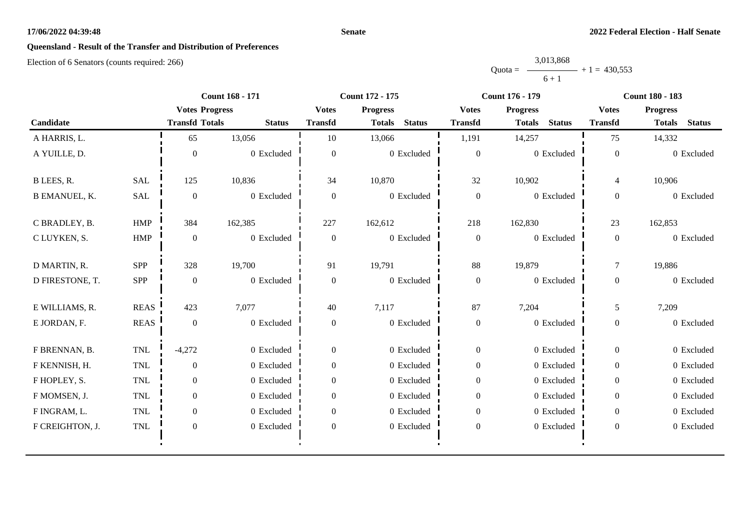#### **Senate**

# **Queensland - Result of the Transfer and Distribution of Preferences**

|           | 3,013,868 |                |
|-----------|-----------|----------------|
| $Quota =$ |           | $+1 = 430.553$ |
|           | $6 + 1$   |                |

|                      |             |                       | Count 168 - 171 |                                 | Count 172 - 175                | Count 176 - 179                 |                                | <b>Count 180 - 183</b> |                                |
|----------------------|-------------|-----------------------|-----------------|---------------------------------|--------------------------------|---------------------------------|--------------------------------|------------------------|--------------------------------|
|                      |             | <b>Votes Progress</b> |                 | <b>Votes</b><br><b>Progress</b> |                                | <b>Progress</b><br><b>Votes</b> |                                | <b>Votes</b>           | <b>Progress</b>                |
| Candidate            |             | <b>Transfd Totals</b> | <b>Status</b>   | <b>Transfd</b>                  | <b>Status</b><br><b>Totals</b> | <b>Transfd</b>                  | <b>Status</b><br><b>Totals</b> | <b>Transfd</b>         | <b>Status</b><br><b>Totals</b> |
| A HARRIS, L.         |             | 65                    | 13,056          | 10                              | 13,066                         | 1,191                           | 14,257                         | 75                     | 14,332                         |
| A YUILLE, D.         |             | $\mathbf{0}$          | 0 Excluded      | $\overline{0}$                  | 0 Excluded                     | $\boldsymbol{0}$                | 0 Excluded                     | $\mathbf{0}$           | 0 Excluded                     |
| B LEES, R.           | <b>SAL</b>  | 125                   | 10,836          | 34                              | 10,870                         | 32                              | 10,902                         | $\overline{4}$         | 10,906                         |
| <b>B EMANUEL, K.</b> | <b>SAL</b>  | $\boldsymbol{0}$      | 0 Excluded      | $\overline{0}$                  | 0 Excluded                     | $\boldsymbol{0}$                | 0 Excluded                     | $\overline{0}$         | 0 Excluded                     |
| C BRADLEY, B.        | <b>HMP</b>  | 384                   | 162,385         | 227                             | 162,612                        | 218                             | 162,830                        | 23                     | 162,853                        |
| C LUYKEN, S.         | HMP         | $\mathbf{0}$          | 0 Excluded      | $\overline{0}$                  | 0 Excluded                     | $\boldsymbol{0}$                | 0 Excluded                     | $\overline{0}$         | 0 Excluded                     |
| D MARTIN, R.         | SPP         | 328                   | 19,700          | 91                              | 19,791                         | 88                              | 19,879                         | $\overline{7}$         | 19,886                         |
| D FIRESTONE, T.      | SPP         | $\overline{0}$        | 0 Excluded      | $\overline{0}$                  | 0 Excluded                     | $\boldsymbol{0}$                | 0 Excluded                     | $\overline{0}$         | 0 Excluded                     |
| E WILLIAMS, R.       | <b>REAS</b> | 423                   | 7,077           | 40                              | 7,117                          | 87                              | 7,204                          | 5                      | 7,209                          |
| E JORDAN, F.         | <b>REAS</b> | $\mathbf{0}$          | 0 Excluded      | $\overline{0}$                  | 0 Excluded                     | $\boldsymbol{0}$                | 0 Excluded                     | $\boldsymbol{0}$       | 0 Excluded                     |
| F BRENNAN, B.        | TNL         | $-4,272$              | 0 Excluded      | $\overline{0}$                  | 0 Excluded                     | $\boldsymbol{0}$                | 0 Excluded                     | $\overline{0}$         | 0 Excluded                     |
| F KENNISH, H.        | <b>TNL</b>  | $\boldsymbol{0}$      | 0 Excluded      | $\boldsymbol{0}$                | 0 Excluded                     | $\boldsymbol{0}$                | 0 Excluded                     | $\overline{0}$         | 0 Excluded                     |
| F HOPLEY, S.         | <b>TNL</b>  | $\overline{0}$        | 0 Excluded      | $\overline{0}$                  | 0 Excluded                     | $\boldsymbol{0}$                | 0 Excluded                     | $\overline{0}$         | 0 Excluded                     |
| F MOMSEN, J.         | <b>TNL</b>  | $\Omega$              | 0 Excluded      | $\Omega$                        | 0 Excluded                     | $\overline{0}$                  | 0 Excluded                     | $\overline{0}$         | 0 Excluded                     |
| F INGRAM, L.         | <b>TNL</b>  | $\overline{0}$        | 0 Excluded      | $\Omega$                        | 0 Excluded                     | $\boldsymbol{0}$                | 0 Excluded                     | $\overline{0}$         | 0 Excluded                     |
| F CREIGHTON, J.      | TNL         | $\boldsymbol{0}$      | 0 Excluded      | $\boldsymbol{0}$                | 0 Excluded                     | $\boldsymbol{0}$                | 0 Excluded                     | $\overline{0}$         | 0 Excluded                     |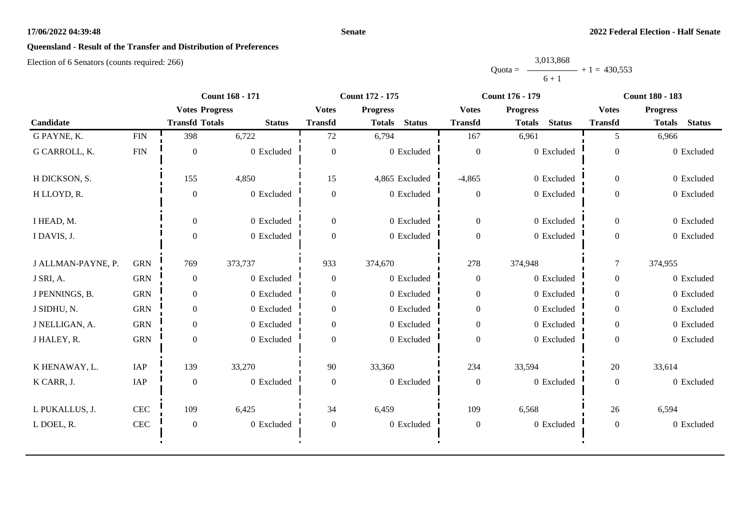#### **Senate**

# **Queensland - Result of the Transfer and Distribution of Preferences**

|           | 3,013,868 |                |
|-----------|-----------|----------------|
| $Quota =$ |           | $+1 = 430.553$ |
|           | $6 + 1$   |                |

|                    |             | <b>Count 168 - 171</b> |               | Count 172 - 175  |                                |                  | <b>Count 176 - 179</b>         | <b>Count 180 - 183</b> |                                |
|--------------------|-------------|------------------------|---------------|------------------|--------------------------------|------------------|--------------------------------|------------------------|--------------------------------|
|                    |             | <b>Votes Progress</b>  |               | <b>Votes</b>     | <b>Progress</b>                | <b>Votes</b>     | <b>Progress</b>                | <b>Votes</b>           | <b>Progress</b>                |
| Candidate          |             | <b>Transfd Totals</b>  | <b>Status</b> | <b>Transfd</b>   | <b>Status</b><br><b>Totals</b> | <b>Transfd</b>   | <b>Status</b><br><b>Totals</b> | <b>Transfd</b>         | <b>Status</b><br><b>Totals</b> |
| G PAYNE, K.        | <b>FIN</b>  | 398                    | 6,722         | 72               | 6,794                          | 167              | 6,961                          | 5                      | 6,966                          |
| G CARROLL, K.      | ${\rm FIN}$ | $\boldsymbol{0}$       | 0 Excluded    | $\overline{0}$   | 0 Excluded                     | $\overline{0}$   | 0 Excluded                     | $\mathbf{0}$           | 0 Excluded                     |
| H DICKSON, S.      |             | 155                    | 4,850         | 15               | 4,865 Excluded                 | $-4,865$         | 0 Excluded                     | $\overline{0}$         | 0 Excluded                     |
| H LLOYD, R.        |             | $\boldsymbol{0}$       | 0 Excluded    | $\boldsymbol{0}$ | 0 Excluded                     | $\boldsymbol{0}$ | 0 Excluded                     | $\overline{0}$         | 0 Excluded                     |
| I HEAD, M.         |             | $\overline{0}$         | 0 Excluded    | $\overline{0}$   | 0 Excluded                     | $\overline{0}$   | 0 Excluded                     | $\overline{0}$         | 0 Excluded                     |
| I DAVIS, J.        |             | $\mathbf{0}$           | 0 Excluded    | $\Omega$         | 0 Excluded                     | $\boldsymbol{0}$ | 0 Excluded                     | $\overline{0}$         | 0 Excluded                     |
| J ALLMAN-PAYNE, P. | <b>GRN</b>  | 769                    | 373,737       | 933              | 374,670                        | 278              | 374,948                        | $\overline{7}$         | 374,955                        |
| J SRI, A.          | <b>GRN</b>  | $\boldsymbol{0}$       | 0 Excluded    | $\boldsymbol{0}$ | 0 Excluded                     | $\boldsymbol{0}$ | 0 Excluded                     | $\overline{0}$         | 0 Excluded                     |
| J PENNINGS, B.     | <b>GRN</b>  | $\boldsymbol{0}$       | 0 Excluded    | $\overline{0}$   | 0 Excluded                     | $\boldsymbol{0}$ | 0 Excluded                     | $\overline{0}$         | 0 Excluded                     |
| J SIDHU, N.        | <b>GRN</b>  | $\overline{0}$         | 0 Excluded    | $\boldsymbol{0}$ | 0 Excluded                     | $\boldsymbol{0}$ | 0 Excluded                     | $\overline{0}$         | 0 Excluded                     |
| J NELLIGAN, A.     | <b>GRN</b>  | $\overline{0}$         | 0 Excluded    | $\Omega$         | 0 Excluded                     | $\boldsymbol{0}$ | 0 Excluded                     | $\Omega$               | 0 Excluded                     |
| J HALEY, R.        | <b>GRN</b>  | $\overline{0}$         | 0 Excluded    | $\Omega$         | 0 Excluded                     | $\boldsymbol{0}$ | 0 Excluded                     | $\boldsymbol{0}$       | 0 Excluded                     |
| K HENAWAY, L.      | IAP         | 139                    | 33,270        | 90               | 33,360                         | 234              | 33,594                         | 20                     | 33,614                         |
| K CARR, J.         | IAP         | $\boldsymbol{0}$       | 0 Excluded    | $\boldsymbol{0}$ | 0 Excluded                     | $\boldsymbol{0}$ | 0 Excluded                     | $\overline{0}$         | 0 Excluded                     |
| L PUKALLUS, J.     | CEC         | 109                    | 6,425         | 34               | 6,459                          | 109              | 6,568                          | 26                     | 6,594                          |
| L DOEL, R.         | CEC         | $\boldsymbol{0}$       | 0 Excluded    | $\boldsymbol{0}$ | 0 Excluded                     | $\boldsymbol{0}$ | 0 Excluded                     | $\boldsymbol{0}$       | 0 Excluded                     |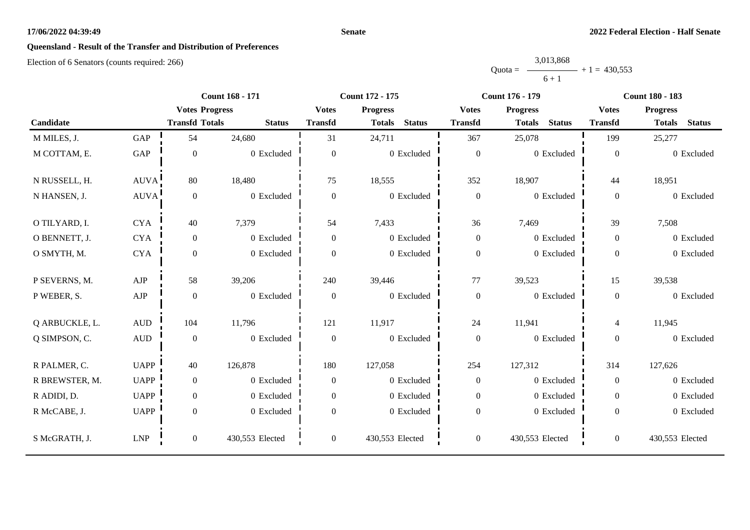#### **Senate**

# **Queensland - Result of the Transfer and Distribution of Preferences**

|           | 3,013,868 |                |
|-----------|-----------|----------------|
| $Quota =$ |           | $+1 = 430.553$ |
|           | $6 + 1$   |                |

|                |                  |                       | <b>Count 168 - 171</b> | <b>Count 172 - 175</b> |                                |                  | <b>Count 176 - 179</b>         | <b>Count 180 - 183</b> |                                |
|----------------|------------------|-----------------------|------------------------|------------------------|--------------------------------|------------------|--------------------------------|------------------------|--------------------------------|
|                |                  | <b>Votes Progress</b> |                        | <b>Votes</b>           | <b>Progress</b>                | <b>Votes</b>     | <b>Progress</b>                | <b>Votes</b>           | <b>Progress</b>                |
| Candidate      |                  | <b>Transfd Totals</b> | <b>Status</b>          | <b>Transfd</b>         | <b>Status</b><br><b>Totals</b> | <b>Transfd</b>   | <b>Status</b><br><b>Totals</b> | <b>Transfd</b>         | <b>Status</b><br><b>Totals</b> |
| M MILES, J.    | GAP              | 54                    | 24,680                 | 31                     | 24,711                         | 367              | 25,078                         | 199                    | 25,277                         |
| M COTTAM, E.   | GAP              | $\boldsymbol{0}$      | 0 Excluded             | $\overline{0}$         | 0 Excluded                     | $\mathbf{0}$     | 0 Excluded                     | $\boldsymbol{0}$       | 0 Excluded                     |
| N RUSSELL, H.  | <b>AUVA</b>      | 80                    | 18,480                 | 75                     | 18,555                         | 352              | 18,907                         | 44                     | 18,951                         |
| N HANSEN, J.   | AUVA!            | $\boldsymbol{0}$      | 0 Excluded             | $\overline{0}$         | 0 Excluded                     | $\boldsymbol{0}$ | 0 Excluded                     | $\overline{0}$         | 0 Excluded                     |
| O TILYARD, I.  | <b>CYA</b>       | 40                    | 7,379                  | 54                     | 7,433                          | 36               | 7,469                          | 39                     | 7,508                          |
| O BENNETT, J.  | <b>CYA</b>       | $\mathbf{0}$          | 0 Excluded             | $\overline{0}$         | 0 Excluded                     | $\boldsymbol{0}$ | 0 Excluded                     | $\overline{0}$         | 0 Excluded                     |
| O SMYTH, M.    | <b>CYA</b>       | $\boldsymbol{0}$      | 0 Excluded             | $\boldsymbol{0}$       | 0 Excluded                     | $\boldsymbol{0}$ | 0 Excluded                     | $\overline{0}$         | 0 Excluded                     |
| P SEVERNS, M.  | AJP              | 58                    | 39,206                 | 240                    | 39,446                         | 77               | 39,523                         | 15                     | 39,538                         |
| P WEBER, S.    | ${\rm AJP}$      | $\boldsymbol{0}$      | 0 Excluded             | $\boldsymbol{0}$       | 0 Excluded                     | $\boldsymbol{0}$ | 0 Excluded                     | $\boldsymbol{0}$       | 0 Excluded                     |
| Q ARBUCKLE, L. | $\mbox{\rm AUD}$ | 104                   | 11,796                 | 121                    | 11,917                         | 24               | 11,941                         | $\overline{4}$         | 11,945                         |
| Q SIMPSON, C.  | <b>AUD</b>       | $\boldsymbol{0}$      | 0 Excluded             | $\boldsymbol{0}$       | 0 Excluded                     | $\boldsymbol{0}$ | 0 Excluded                     | $\overline{0}$         | 0 Excluded                     |
| R PALMER, C.   | <b>UAPP</b>      | 40                    | 126,878                | 180                    | 127,058                        | 254              | 127,312                        | 314                    | 127,626                        |
| R BREWSTER, M. | <b>UAPP</b>      | $\boldsymbol{0}$      | 0 Excluded             | $\overline{0}$         | 0 Excluded                     | $\boldsymbol{0}$ | 0 Excluded                     | $\overline{0}$         | 0 Excluded                     |
| R ADIDI, D.    | <b>UAPP</b>      | $\mathbf{0}$          | 0 Excluded             | $\overline{0}$         | 0 Excluded                     | $\boldsymbol{0}$ | 0 Excluded                     | $\overline{0}$         | 0 Excluded                     |
| R McCABE, J.   | <b>UAPP</b>      | $\mathbf{0}$          | 0 Excluded             | $\Omega$               | 0 Excluded                     | $\boldsymbol{0}$ | 0 Excluded                     | $\overline{0}$         | 0 Excluded                     |
| S McGRATH, J.  | <b>LNP</b>       | $\mathbf{0}$          | 430,553 Elected        | $\overline{0}$         | 430,553 Elected                | $\boldsymbol{0}$ | 430,553 Elected                | $\overline{0}$         | 430,553 Elected                |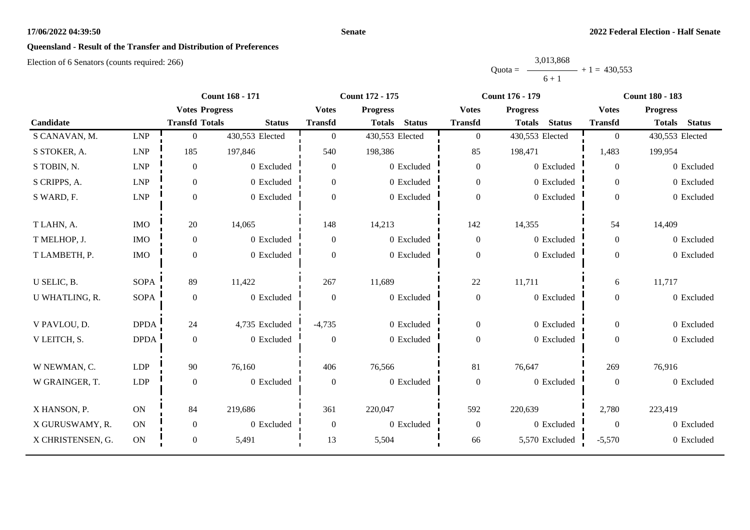#### **Senate**

## **Queensland - Result of the Transfer and Distribution of Preferences**

|           | 3,013,868 |                |
|-----------|-----------|----------------|
| $Quota =$ |           | $+1 = 430.553$ |
|           | $6 + 1$   |                |

|                   | <b>Count 168 - 171</b> |                       | Count 172 - 175 |                  |                                | <b>Count 176 - 179</b> | <b>Count 180 - 183</b>         |                  |                                |
|-------------------|------------------------|-----------------------|-----------------|------------------|--------------------------------|------------------------|--------------------------------|------------------|--------------------------------|
|                   |                        | <b>Votes Progress</b> |                 | <b>Votes</b>     | <b>Progress</b>                | <b>Votes</b>           | <b>Progress</b>                | <b>Votes</b>     | <b>Progress</b>                |
| Candidate         |                        | <b>Transfd Totals</b> | <b>Status</b>   | <b>Transfd</b>   | <b>Status</b><br><b>Totals</b> | <b>Transfd</b>         | <b>Status</b><br><b>Totals</b> | <b>Transfd</b>   | <b>Status</b><br><b>Totals</b> |
| S CANAVAN, M.     | <b>LNP</b>             | $\overline{0}$        | 430,553 Elected | $\overline{0}$   | 430,553 Elected                | $\mathbf{0}$           | 430,553 Elected                | $\overline{0}$   | 430,553 Elected                |
| S STOKER, A.      | <b>LNP</b>             | 185                   | 197,846         | 540              | 198,386                        | 85                     | 198,471                        | 1,483            | 199,954                        |
| S TOBIN, N.       | <b>LNP</b>             | $\boldsymbol{0}$      | 0 Excluded      | $\overline{0}$   | 0 Excluded                     | $\boldsymbol{0}$       | 0 Excluded                     | $\overline{0}$   | 0 Excluded                     |
| S CRIPPS, A.      | LNP                    | $\boldsymbol{0}$      | 0 Excluded      | $\overline{0}$   | 0 Excluded                     | $\mathbf{0}$           | 0 Excluded                     | $\overline{0}$   | 0 Excluded                     |
| S WARD, F.        | LNP                    | $\boldsymbol{0}$      | 0 Excluded      | $\Omega$         | 0 Excluded                     | $\boldsymbol{0}$       | 0 Excluded                     | $\overline{0}$   | 0 Excluded                     |
| T LAHN, A.        | <b>IMO</b>             | 20                    | 14,065          | 148              | 14,213                         | 142                    | 14,355                         | 54               | 14,409                         |
| T MELHOP, J.      | <b>IMO</b>             | $\boldsymbol{0}$      | 0 Excluded      | $\boldsymbol{0}$ | 0 Excluded                     | $\boldsymbol{0}$       | 0 Excluded                     | $\overline{0}$   | 0 Excluded                     |
| T LAMBETH, P.     | $\rm{IMO}$             | $\boldsymbol{0}$      | 0 Excluded      | $\Omega$         | 0 Excluded                     | $\boldsymbol{0}$       | 0 Excluded                     | $\overline{0}$   | 0 Excluded                     |
| U SELIC, B.       | <b>SOPA</b>            | 89                    | 11,422          | 267              | 11,689                         | 22                     | 11,711                         | 6                | 11,717                         |
| U WHATLING, R.    | <b>SOPA</b>            | $\boldsymbol{0}$      | 0 Excluded      | $\boldsymbol{0}$ | 0 Excluded                     | $\boldsymbol{0}$       | 0 Excluded                     | $\overline{0}$   | 0 Excluded                     |
| V PAVLOU, D.      | <b>DPDA</b>            | 24                    | 4,735 Excluded  | $-4,735$         | 0 Excluded                     | $\boldsymbol{0}$       | 0 Excluded                     | $\overline{0}$   | 0 Excluded                     |
| V LEITCH, S.      | <b>DPDA</b>            | $\boldsymbol{0}$      | 0 Excluded      | $\overline{0}$   | 0 Excluded                     | $\mathbf{0}$           | 0 Excluded                     | $\overline{0}$   | 0 Excluded                     |
| W NEWMAN, C.      | <b>LDP</b>             | 90                    | 76,160          | 406              | 76,566                         | 81                     | 76,647                         | 269              | 76,916                         |
| W GRAINGER, T.    | <b>LDP</b>             | $\boldsymbol{0}$      | 0 Excluded      | $\overline{0}$   | 0 Excluded                     | $\boldsymbol{0}$       | 0 Excluded                     | $\boldsymbol{0}$ | 0 Excluded                     |
| X HANSON, P.      | ON                     | 84                    | 219,686         | 361              | 220,047                        | 592                    | 220,639                        | 2,780            | 223,419                        |
| X GURUSWAMY, R.   | ON                     | $\boldsymbol{0}$      | 0 Excluded      | $\overline{0}$   | 0 Excluded                     | $\boldsymbol{0}$       | 0 Excluded                     | $\overline{0}$   | 0 Excluded                     |
| X CHRISTENSEN, G. | ON                     | $\boldsymbol{0}$      | 5,491           | 13               | 5,504                          | 66                     | 5,570 Excluded                 | $-5,570$         | 0 Excluded                     |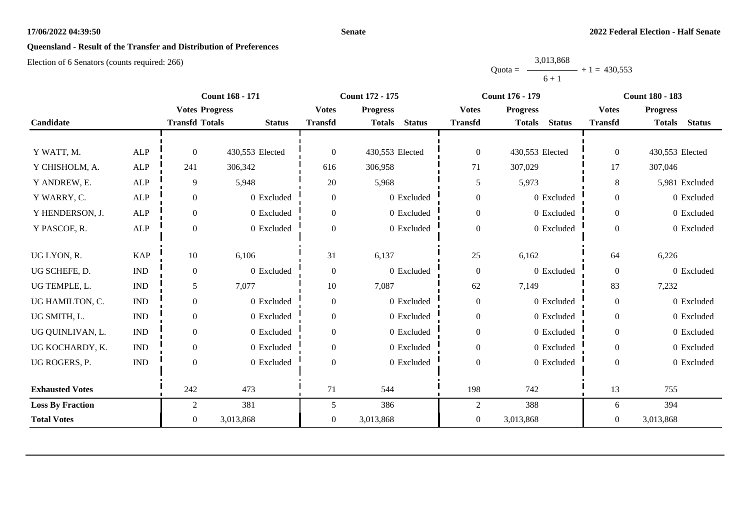#### **Senate**

# **Queensland - Result of the Transfer and Distribution of Preferences**

|           | 3,013,868 |                |
|-----------|-----------|----------------|
| $Quota =$ |           | $+1 = 430.553$ |
|           | $6 + 1$   |                |

|                         |                             |                       | <b>Count 168 - 171</b> |                  | Count 172 - 175                | <b>Count 176 - 179</b> |                                | <b>Count 180 - 183</b> |                                |
|-------------------------|-----------------------------|-----------------------|------------------------|------------------|--------------------------------|------------------------|--------------------------------|------------------------|--------------------------------|
|                         |                             | <b>Votes Progress</b> |                        | <b>Votes</b>     | <b>Progress</b>                | <b>Votes</b>           | <b>Progress</b>                | <b>Votes</b>           | <b>Progress</b>                |
| Candidate               |                             | <b>Transfd Totals</b> | <b>Status</b>          | <b>Transfd</b>   | <b>Status</b><br><b>Totals</b> | <b>Transfd</b>         | <b>Status</b><br><b>Totals</b> | <b>Transfd</b>         | <b>Status</b><br><b>Totals</b> |
|                         |                             |                       |                        |                  |                                |                        |                                |                        |                                |
| Y WATT, M.              | <b>ALP</b>                  | $\Omega$              | 430,553 Elected        | $\theta$         | 430,553 Elected                | $\boldsymbol{0}$       | 430,553 Elected                | $\overline{0}$         | 430,553 Elected                |
| Y CHISHOLM, A.          | ALP                         | 241                   | 306,342                | 616              | 306,958                        | 71                     | 307,029                        | 17                     | 307,046                        |
| Y ANDREW, E.            | <b>ALP</b>                  | 9                     | 5,948                  | 20               | 5,968                          | 5                      | 5,973                          | $8\,$                  | 5,981 Excluded                 |
| Y WARRY, C.             | <b>ALP</b>                  | $\overline{0}$        | 0 Excluded             | $\overline{0}$   | 0 Excluded                     | $\boldsymbol{0}$       | 0 Excluded                     | $\overline{0}$         | 0 Excluded                     |
| Y HENDERSON, J.         | ALP                         | $\mathbf{0}$          | 0 Excluded             | $\overline{0}$   | 0 Excluded                     | $\boldsymbol{0}$       | 0 Excluded                     | $\mathbf{0}$           | 0 Excluded                     |
| Y PASCOE, R.            | ALP                         | $\Omega$              | 0 Excluded             | $\Omega$         | 0 Excluded                     | $\boldsymbol{0}$       | 0 Excluded                     | $\theta$               | 0 Excluded                     |
| UG LYON, R.             | <b>KAP</b>                  | 10                    | 6,106                  | 31               | 6,137                          | 25                     | 6,162                          | 64                     | 6,226                          |
| UG SCHEFE, D.           | $\mathop{\rm IND}\nolimits$ | $\mathbf{0}$          | 0 Excluded             | $\boldsymbol{0}$ | 0 Excluded                     | $\boldsymbol{0}$       | 0 Excluded                     | $\boldsymbol{0}$       | 0 Excluded                     |
| UG TEMPLE, L.           | $\mathop{\rm IND}\nolimits$ | 5                     | 7,077                  | 10               | 7,087                          | 62                     | 7,149                          | 83                     | 7,232                          |
| UG HAMILTON, C.         | <b>IND</b>                  | $\mathbf{0}$          | 0 Excluded             | $\boldsymbol{0}$ | 0 Excluded                     | $\boldsymbol{0}$       | 0 Excluded                     | $\mathbf{0}$           | 0 Excluded                     |
| UG SMITH, L.            | $\mathop{\rm IND}\nolimits$ | $\overline{0}$        | 0 Excluded             | $\overline{0}$   | 0 Excluded                     | $\boldsymbol{0}$       | 0 Excluded                     | $\boldsymbol{0}$       | 0 Excluded                     |
| UG QUINLIVAN, L.        | $\mathop{\rm IND}\nolimits$ | $\overline{0}$        | 0 Excluded             | $\overline{0}$   | 0 Excluded                     | $\boldsymbol{0}$       | 0 Excluded                     | $\overline{0}$         | 0 Excluded                     |
| UG KOCHARDY, K.         | <b>IND</b>                  | $\boldsymbol{0}$      | 0 Excluded             | $\overline{0}$   | 0 Excluded                     | $\boldsymbol{0}$       | 0 Excluded                     | $\overline{0}$         | 0 Excluded                     |
| UG ROGERS, P.           | <b>IND</b>                  | $\Omega$              | 0 Excluded             | $\Omega$         | 0 Excluded                     | $\boldsymbol{0}$       | 0 Excluded                     | $\theta$               | 0 Excluded                     |
|                         |                             |                       |                        |                  |                                |                        |                                |                        |                                |
| <b>Exhausted Votes</b>  |                             | 242                   | 473                    | 71               | 544                            | 198                    | 742                            | 13                     | 755                            |
| <b>Loss By Fraction</b> |                             | $\overline{c}$        | 381                    | 5                | 386                            | $\overline{c}$         | 388                            | 6                      | 394                            |
| <b>Total Votes</b>      |                             | $\overline{0}$        | 3,013,868              | $\overline{0}$   | 3,013,868                      | $\boldsymbol{0}$       | 3,013,868                      | $\overline{0}$         | 3,013,868                      |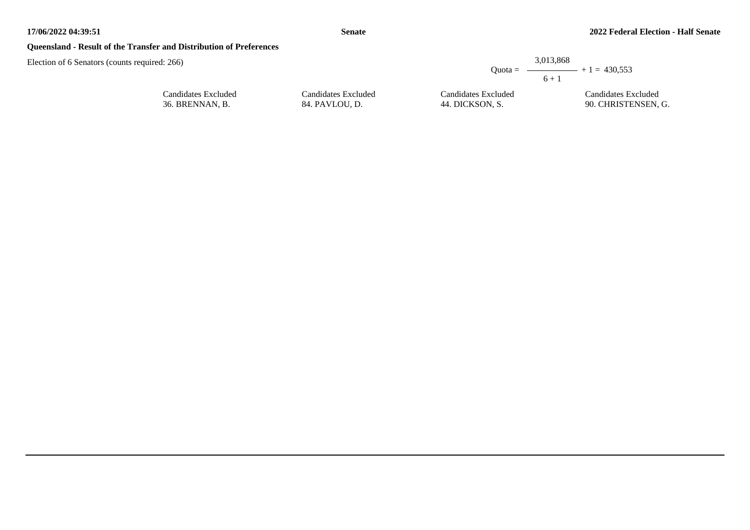## **Queensland - Result of the Transfer and Distribution of Preferences**

Candidates Excluded 36. BRENNAN, B.

|                                       |                                        | 3,013,868<br>$6 + 1$ | Ouota = $\longrightarrow$ + 1 = 430.553    |  |
|---------------------------------------|----------------------------------------|----------------------|--------------------------------------------|--|
| Candidates Excluded<br>84. PAVLOU, D. | Candidates Excluded<br>44. DICKSON, S. |                      | Candidates Excluded<br>90. CHRISTENSEN, G. |  |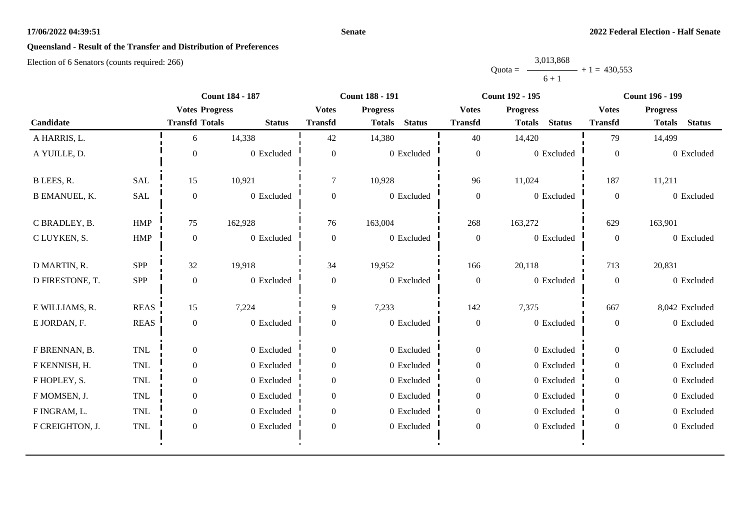#### **Senate**

# **Queensland - Result of the Transfer and Distribution of Preferences**

|           | 3,013,868 |                |
|-----------|-----------|----------------|
| $Quota =$ |           | $+1 = 430.553$ |
|           | $6 + 1$   |                |

|                      |             | <b>Count 184 - 187</b> |               | <b>Count 188 - 191</b> |                                |                  | Count 192 - 195                | Count 196 - 199 |                                |
|----------------------|-------------|------------------------|---------------|------------------------|--------------------------------|------------------|--------------------------------|-----------------|--------------------------------|
|                      |             | <b>Votes Progress</b>  |               | <b>Votes</b>           | <b>Progress</b>                | <b>Votes</b>     | <b>Progress</b>                | <b>Votes</b>    | <b>Progress</b>                |
| Candidate            |             | <b>Transfd Totals</b>  | <b>Status</b> | <b>Transfd</b>         | <b>Status</b><br><b>Totals</b> | <b>Transfd</b>   | <b>Status</b><br><b>Totals</b> | <b>Transfd</b>  | <b>Totals</b><br><b>Status</b> |
| A HARRIS, L.         |             | 6                      | 14,338        | 42                     | 14,380                         | 40               | 14,420                         | 79              | 14,499                         |
| A YUILLE, D.         |             | $\Omega$               | 0 Excluded    | $\overline{0}$         | $0$ Excluded                   | $\boldsymbol{0}$ | 0 Excluded                     | $\mathbf{0}$    | 0 Excluded                     |
| B LEES, R.           | <b>SAL</b>  | 15                     | 10,921        | 7                      | 10,928                         | 96               | 11,024                         | 187             | 11,211                         |
| <b>B EMANUEL, K.</b> | <b>SAL</b>  | $\overline{0}$         | 0 Excluded    | $\overline{0}$         | 0 Excluded                     | $\boldsymbol{0}$ | 0 Excluded                     | $\overline{0}$  | 0 Excluded                     |
| C BRADLEY, B.        | HMP         | 75                     | 162,928       | 76                     | 163,004                        | 268              | 163,272                        | 629             | 163,901                        |
| C LUYKEN, S.         | <b>HMP</b>  | $\overline{0}$         | 0 Excluded    | $\mathbf{0}$           | 0 Excluded                     | $\boldsymbol{0}$ | 0 Excluded                     | $\overline{0}$  | 0 Excluded                     |
| D MARTIN, R.         | SPP         | 32                     | 19,918        | 34                     | 19,952                         | 166              | 20,118                         | 713             | 20,831                         |
| D FIRESTONE, T.      | SPP         | $\mathbf{0}$           | 0 Excluded    | $\overline{0}$         | 0 Excluded                     | $\boldsymbol{0}$ | 0 Excluded                     | $\mathbf{0}$    | 0 Excluded                     |
| E WILLIAMS, R.       | <b>REAS</b> | 15                     | 7,224         | 9                      | 7,233                          | 142              | 7,375                          | 667             | 8,042 Excluded                 |
| E JORDAN, F.         | <b>REAS</b> | $\boldsymbol{0}$       | 0 Excluded    | $\boldsymbol{0}$       | 0 Excluded                     | $\boldsymbol{0}$ | 0 Excluded                     | $\overline{0}$  | 0 Excluded                     |
| F BRENNAN, B.        | TNL         | $\Omega$               | 0 Excluded    | $\overline{0}$         | 0 Excluded                     | $\boldsymbol{0}$ | 0 Excluded                     | $\overline{0}$  | 0 Excluded                     |
| F KENNISH, H.        | <b>TNL</b>  | $\overline{0}$         | 0 Excluded    | $\overline{0}$         | 0 Excluded                     | $\boldsymbol{0}$ | 0 Excluded                     | $\overline{0}$  | 0 Excluded                     |
| F HOPLEY, S.         | TNL         | $\overline{0}$         | 0 Excluded    | $\Omega$               | 0 Excluded                     | $\boldsymbol{0}$ | 0 Excluded                     | $\overline{0}$  | 0 Excluded                     |
| F MOMSEN, J.         | <b>TNL</b>  | $\overline{0}$         | 0 Excluded    | $\Omega$               | 0 Excluded                     | $\boldsymbol{0}$ | 0 Excluded                     | $\overline{0}$  | 0 Excluded                     |
| F INGRAM, L.         | <b>TNL</b>  | $\overline{0}$         | 0 Excluded    | $\Omega$               | 0 Excluded                     | $\boldsymbol{0}$ | 0 Excluded                     | $\overline{0}$  | 0 Excluded                     |
| F CREIGHTON, J.      | TNL         | $\boldsymbol{0}$       | 0 Excluded    | $\boldsymbol{0}$       | 0 Excluded                     | $\boldsymbol{0}$ | 0 Excluded                     | $\overline{0}$  | 0 Excluded                     |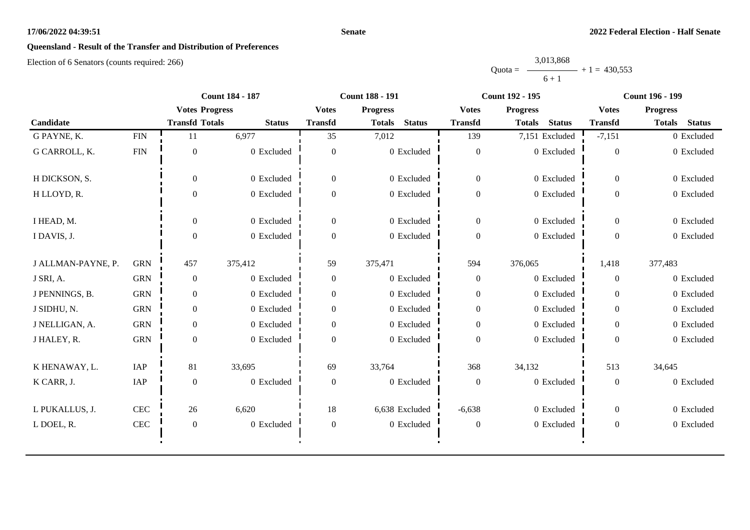#### **Senate**

# **Queensland - Result of the Transfer and Distribution of Preferences**

|           | 3,013,868 |                |
|-----------|-----------|----------------|
| $Quota =$ |           | $+1 = 430.553$ |
|           | $6 + 1$   |                |

|                    | <b>Count 184 - 187</b> |                       | <b>Count 188 - 191</b> |                  | <b>Count 192 - 195</b>         |                  | <b>Count 196 - 199</b>         |                  |                                |
|--------------------|------------------------|-----------------------|------------------------|------------------|--------------------------------|------------------|--------------------------------|------------------|--------------------------------|
|                    |                        | <b>Votes Progress</b> |                        | <b>Votes</b>     | <b>Progress</b>                | <b>Votes</b>     | <b>Progress</b>                | <b>Votes</b>     | <b>Progress</b>                |
| Candidate          |                        | <b>Transfd Totals</b> | <b>Status</b>          | <b>Transfd</b>   | <b>Status</b><br><b>Totals</b> | <b>Transfd</b>   | <b>Status</b><br><b>Totals</b> | <b>Transfd</b>   | <b>Status</b><br><b>Totals</b> |
| G PAYNE, K.        | <b>FIN</b>             | 11                    | 6,977                  | 35               | 7,012                          | 139              | 7,151 Excluded                 | $-7,151$         | 0 Excluded                     |
| G CARROLL, K.      | <b>FIN</b>             | $\boldsymbol{0}$      | 0 Excluded             | $\Omega$         | 0 Excluded                     | $\boldsymbol{0}$ | $0$ Excluded                   | $\overline{0}$   | 0 Excluded                     |
| H DICKSON, S.      |                        | $\overline{0}$        | 0 Excluded             | $\overline{0}$   | 0 Excluded                     | $\boldsymbol{0}$ | 0 Excluded                     | $\overline{0}$   | 0 Excluded                     |
| H LLOYD, R.        |                        | $\overline{0}$        | 0 Excluded             | $\Omega$         | 0 Excluded                     | $\boldsymbol{0}$ | 0 Excluded                     | $\overline{0}$   | 0 Excluded                     |
| I HEAD, M.         |                        | $\overline{0}$        | 0 Excluded             | $\Omega$         | 0 Excluded                     | $\boldsymbol{0}$ | 0 Excluded                     | $\overline{0}$   | 0 Excluded                     |
| I DAVIS, J.        |                        | $\boldsymbol{0}$      | 0 Excluded             | $\Omega$         | 0 Excluded                     | $\boldsymbol{0}$ | 0 Excluded                     | $\overline{0}$   | 0 Excluded                     |
| J ALLMAN-PAYNE, P. | <b>GRN</b>             | 457                   | 375,412                | 59               | 375,471                        | 594              | 376,065                        | 1,418            | 377,483                        |
| J SRI, A.          | <b>GRN</b>             | $\boldsymbol{0}$      | 0 Excluded             | $\overline{0}$   | 0 Excluded                     | $\boldsymbol{0}$ | 0 Excluded                     | $\theta$         | 0 Excluded                     |
| J PENNINGS, B.     | <b>GRN</b>             | $\overline{0}$        | 0 Excluded             | $\theta$         | 0 Excluded                     | $\boldsymbol{0}$ | 0 Excluded                     | $\theta$         | 0 Excluded                     |
| J SIDHU, N.        | <b>GRN</b>             | $\overline{0}$        | 0 Excluded             | $\mathbf{0}$     | 0 Excluded                     | $\boldsymbol{0}$ | 0 Excluded                     | $\theta$         | 0 Excluded                     |
| J NELLIGAN, A.     | <b>GRN</b>             | $\overline{0}$        | 0 Excluded             | $\Omega$         | 0 Excluded                     | $\boldsymbol{0}$ | 0 Excluded                     | $\overline{0}$   | 0 Excluded                     |
| J HALEY, R.        | <b>GRN</b>             | $\overline{0}$        | 0 Excluded             | $\Omega$         | 0 Excluded                     | $\mathbf{0}$     | 0 Excluded                     | $\overline{0}$   | 0 Excluded                     |
| K HENAWAY, L.      | IAP                    | 81                    | 33,695                 | 69               | 33,764                         | 368              | 34,132                         | 513              | 34,645                         |
| K CARR, J.         | IAP                    | $\boldsymbol{0}$      | 0 Excluded             | $\mathbf{0}$     | 0 Excluded                     | $\boldsymbol{0}$ | 0 Excluded                     | $\overline{0}$   | 0 Excluded                     |
| L PUKALLUS, J.     | <b>CEC</b>             | 26                    | 6,620                  | 18               | 6,638 Excluded                 | $-6,638$         | 0 Excluded                     | $\overline{0}$   | 0 Excluded                     |
| L DOEL, R.         | CEC                    | $\boldsymbol{0}$      | 0 Excluded             | $\boldsymbol{0}$ | 0 Excluded                     | $\boldsymbol{0}$ | 0 Excluded                     | $\boldsymbol{0}$ | 0 Excluded                     |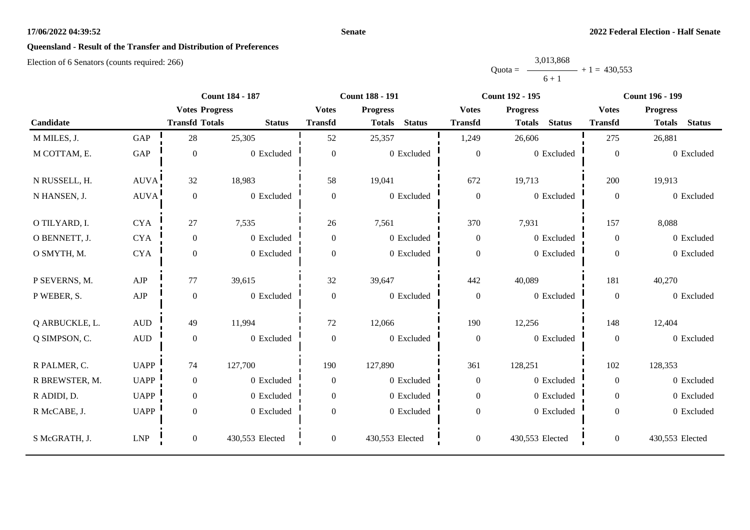#### **Senate**

# **Queensland - Result of the Transfer and Distribution of Preferences**

|           | 3,013,868 |                |
|-----------|-----------|----------------|
| $Quota =$ |           | $+1 = 430.553$ |
|           | $6 + 1$   |                |

|                |                  |                       | <b>Count 184 - 187</b> |                  | <b>Count 188 - 191</b>         |                  | <b>Count 192 - 195</b>         |                  | <b>Count 196 - 199</b>         |
|----------------|------------------|-----------------------|------------------------|------------------|--------------------------------|------------------|--------------------------------|------------------|--------------------------------|
|                |                  | <b>Votes Progress</b> |                        | <b>Votes</b>     | <b>Progress</b>                | <b>Votes</b>     | <b>Progress</b>                | <b>Votes</b>     | <b>Progress</b>                |
| Candidate      |                  | <b>Transfd Totals</b> | <b>Status</b>          | <b>Transfd</b>   | <b>Status</b><br><b>Totals</b> | <b>Transfd</b>   | <b>Status</b><br><b>Totals</b> | <b>Transfd</b>   | <b>Status</b><br><b>Totals</b> |
| M MILES, J.    | GAP              | 28                    | 25,305                 | 52               | 25,357                         | 1,249            | 26,606                         | 275              | 26,881                         |
| M COTTAM, E.   | GAP              | $\boldsymbol{0}$      | 0 Excluded             | $\boldsymbol{0}$ | 0 Excluded                     | $\boldsymbol{0}$ | 0 Excluded                     | $\boldsymbol{0}$ | 0 Excluded                     |
| N RUSSELL, H.  | AUVA!            | 32                    | 18,983                 | 58               | 19,041                         | 672              | 19,713                         | 200              | 19,913                         |
| N HANSEN, J.   | AUVA!            | $\boldsymbol{0}$      | 0 Excluded             | $\boldsymbol{0}$ | 0 Excluded                     | $\boldsymbol{0}$ | 0 Excluded                     | $\mathbf{0}$     | 0 Excluded                     |
| O TILYARD, I.  | <b>CYA</b>       | $27\,$                | 7,535                  | 26               | 7,561                          | 370              | 7,931                          | 157              | 8,088                          |
| O BENNETT, J.  | <b>CYA</b>       | $\mathbf{0}$          | 0 Excluded             | $\overline{0}$   | 0 Excluded                     | $\mathbf{0}$     | 0 Excluded                     | $\overline{0}$   | 0 Excluded                     |
| O SMYTH, M.    | <b>CYA</b>       | $\boldsymbol{0}$      | 0 Excluded             | $\boldsymbol{0}$ | 0 Excluded                     | $\boldsymbol{0}$ | 0 Excluded                     | $\overline{0}$   | 0 Excluded                     |
| P SEVERNS, M.  | AJP              | 77                    | 39,615                 | 32               | 39,647                         | 442              | 40,089                         | 181              | 40,270                         |
| P WEBER, S.    | ${\rm AJP}$      | $\boldsymbol{0}$      | 0 Excluded             | $\boldsymbol{0}$ | 0 Excluded                     | $\boldsymbol{0}$ | 0 Excluded                     | $\mathbf{0}$     | 0 Excluded                     |
| Q ARBUCKLE, L. | $\mbox{\rm AUD}$ | 49                    | 11,994                 | 72               | 12,066                         | 190              | 12,256                         | 148              | 12,404                         |
| Q SIMPSON, C.  | AUD              | $\boldsymbol{0}$      | 0 Excluded             | $\boldsymbol{0}$ | 0 Excluded                     | $\mathbf{0}$     | 0 Excluded                     | $\overline{0}$   | 0 Excluded                     |
| R PALMER, C.   | <b>UAPP</b>      | 74                    | 127,700                | 190              | 127,890                        | 361              | 128,251                        | 102              | 128,353                        |
| R BREWSTER, M. | <b>UAPP</b>      | $\mathbf{0}$          | 0 Excluded             | $\overline{0}$   | 0 Excluded                     | $\boldsymbol{0}$ | 0 Excluded                     | $\overline{0}$   | 0 Excluded                     |
| R ADIDI, D.    | <b>UAPP</b>      | $\boldsymbol{0}$      | 0 Excluded             | $\overline{0}$   | 0 Excluded                     | $\mathbf{0}$     | 0 Excluded                     | $\overline{0}$   | 0 Excluded                     |
| R McCABE, J.   | <b>UAPP</b>      | $\boldsymbol{0}$      | 0 Excluded             | $\boldsymbol{0}$ | 0 Excluded                     | $\boldsymbol{0}$ | 0 Excluded                     | $\overline{0}$   | 0 Excluded                     |
| S McGRATH, J.  | LNP              | $\boldsymbol{0}$      | 430,553 Elected        | $\overline{0}$   | 430,553 Elected                | $\boldsymbol{0}$ | 430,553 Elected                | $\overline{0}$   | 430,553 Elected                |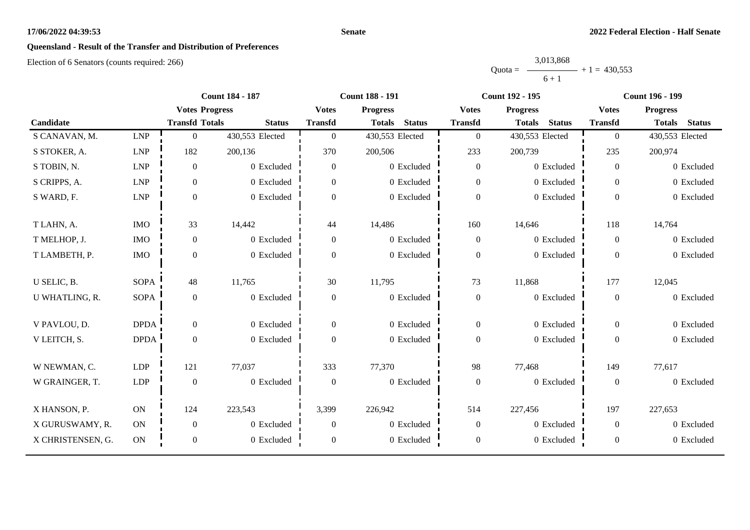#### **Senate**

# **Queensland - Result of the Transfer and Distribution of Preferences**

|           | 3,013,868 |                |
|-----------|-----------|----------------|
| $Quota =$ |           | $+1 = 430.553$ |
|           | $6 + 1$   |                |

|                   |             | <b>Count 184 - 187</b> |                 |                  | <b>Count 188 - 191</b>         |                  | <b>Count 192 - 195</b>         |                  | <b>Count 196 - 199</b>         |  |
|-------------------|-------------|------------------------|-----------------|------------------|--------------------------------|------------------|--------------------------------|------------------|--------------------------------|--|
|                   |             | <b>Votes Progress</b>  |                 | <b>Votes</b>     | <b>Progress</b>                | <b>Votes</b>     | <b>Progress</b>                | <b>Votes</b>     | <b>Progress</b>                |  |
| Candidate         |             | <b>Transfd Totals</b>  | <b>Status</b>   | <b>Transfd</b>   | <b>Status</b><br><b>Totals</b> | <b>Transfd</b>   | <b>Status</b><br><b>Totals</b> | <b>Transfd</b>   | <b>Status</b><br><b>Totals</b> |  |
| S CANAVAN, M.     | <b>LNP</b>  | $\boldsymbol{0}$       | 430,553 Elected | $\overline{0}$   | 430,553 Elected                | $\boldsymbol{0}$ | 430,553 Elected                | $\overline{0}$   | 430,553 Elected                |  |
| S STOKER, A.      | <b>LNP</b>  | 182                    | 200,136         | 370              | 200,506                        | 233              | 200,739                        | 235              | 200,974                        |  |
| S TOBIN, N.       | <b>LNP</b>  | $\boldsymbol{0}$       | 0 Excluded      | $\boldsymbol{0}$ | 0 Excluded                     | $\boldsymbol{0}$ | 0 Excluded                     | $\overline{0}$   | 0 Excluded                     |  |
| S CRIPPS, A.      | LNP         | $\boldsymbol{0}$       | 0 Excluded      | $\overline{0}$   | 0 Excluded                     | $\boldsymbol{0}$ | 0 Excluded                     | $\overline{0}$   | 0 Excluded                     |  |
| S WARD, F.        | LNP         | $\boldsymbol{0}$       | 0 Excluded      | $\Omega$         | 0 Excluded                     | $\boldsymbol{0}$ | 0 Excluded                     | $\overline{0}$   | 0 Excluded                     |  |
| T LAHN, A.        | $\rm{IMO}$  | 33                     | 14,442          | 44               | 14,486                         | 160              | 14,646                         | 118              | 14,764                         |  |
| T MELHOP, J.      | <b>IMO</b>  | $\boldsymbol{0}$       | 0 Excluded      | $\boldsymbol{0}$ | 0 Excluded                     | $\boldsymbol{0}$ | 0 Excluded                     | $\overline{0}$   | 0 Excluded                     |  |
| T LAMBETH, P.     | <b>IMO</b>  | $\boldsymbol{0}$       | 0 Excluded      | $\Omega$         | 0 Excluded                     | $\boldsymbol{0}$ | 0 Excluded                     | $\overline{0}$   | 0 Excluded                     |  |
| U SELIC, B.       | <b>SOPA</b> | 48                     | 11,765          | 30               | 11,795                         | 73               | 11,868                         | 177              | 12,045                         |  |
| U WHATLING, R.    | <b>SOPA</b> | $\boldsymbol{0}$       | 0 Excluded      | $\boldsymbol{0}$ | 0 Excluded                     | $\boldsymbol{0}$ | 0 Excluded                     | $\overline{0}$   | 0 Excluded                     |  |
| V PAVLOU, D.      | <b>DPDA</b> | $\overline{0}$         | 0 Excluded      | $\overline{0}$   | 0 Excluded                     | $\boldsymbol{0}$ | 0 Excluded                     | $\overline{0}$   | 0 Excluded                     |  |
| V LEITCH, S.      | <b>DPDA</b> | $\boldsymbol{0}$       | 0 Excluded      | $\overline{0}$   | 0 Excluded                     | $\boldsymbol{0}$ | 0 Excluded                     | $\overline{0}$   | 0 Excluded                     |  |
| W NEWMAN, C.      | <b>LDP</b>  | 121                    | 77,037          | 333              | 77,370                         | 98               | 77,468                         | 149              | 77,617                         |  |
| W GRAINGER, T.    | <b>LDP</b>  | $\boldsymbol{0}$       | 0 Excluded      | $\boldsymbol{0}$ | 0 Excluded                     | $\boldsymbol{0}$ | 0 Excluded                     | $\boldsymbol{0}$ | 0 Excluded                     |  |
| X HANSON, P.      | ON          | 124                    | 223,543         | 3,399            | 226,942                        | 514              | 227,456                        | 197              | 227,653                        |  |
| X GURUSWAMY, R.   | ON          | $\boldsymbol{0}$       | 0 Excluded      | $\overline{0}$   | 0 Excluded                     | $\boldsymbol{0}$ | 0 Excluded                     | $\overline{0}$   | 0 Excluded                     |  |
| X CHRISTENSEN, G. | ON          | $\boldsymbol{0}$       | 0 Excluded      | $\mathbf{0}$     | 0 Excluded                     | $\boldsymbol{0}$ | 0 Excluded                     | $\boldsymbol{0}$ | 0 Excluded                     |  |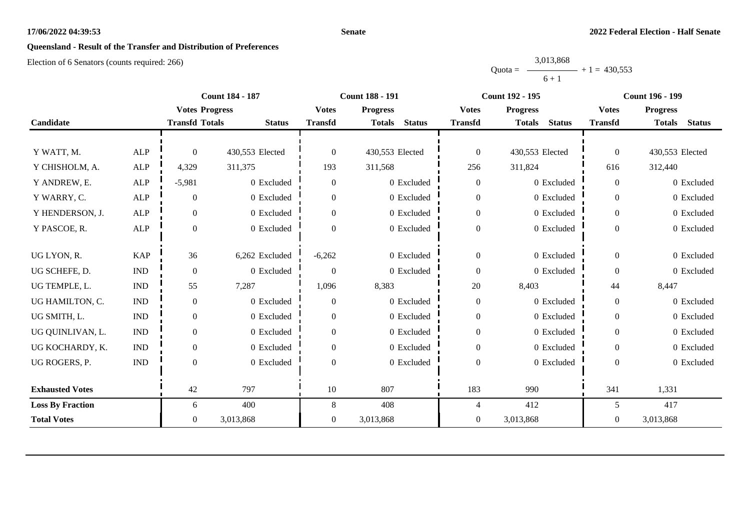#### **Senate**

# **Queensland - Result of the Transfer and Distribution of Preferences**

|           | 3,013,868 |                |
|-----------|-----------|----------------|
| $Quota =$ |           | $+1 = 430.553$ |
|           | $6 + 1$   |                |

|                         |                             |                       | <b>Count 184 - 187</b><br><b>Count 188 - 191</b> |                | <b>Count 192 - 195</b>         |                  | <b>Count 196 - 199</b>         |                |                                |
|-------------------------|-----------------------------|-----------------------|--------------------------------------------------|----------------|--------------------------------|------------------|--------------------------------|----------------|--------------------------------|
|                         |                             | <b>Votes Progress</b> |                                                  | <b>Votes</b>   | <b>Progress</b>                | <b>Votes</b>     | <b>Progress</b>                | <b>Votes</b>   | <b>Progress</b>                |
| Candidate               |                             | <b>Transfd Totals</b> | <b>Status</b>                                    | <b>Transfd</b> | <b>Status</b><br><b>Totals</b> | <b>Transfd</b>   | <b>Totals</b><br><b>Status</b> | <b>Transfd</b> | <b>Totals</b><br><b>Status</b> |
|                         |                             |                       |                                                  |                |                                |                  |                                |                |                                |
| Y WATT, M.              | <b>ALP</b>                  | $\Omega$              | 430,553 Elected                                  | $\overline{0}$ | 430,553 Elected                | $\boldsymbol{0}$ | 430,553 Elected                | $\overline{0}$ | 430,553 Elected                |
| Y CHISHOLM, A.          | <b>ALP</b>                  | 4,329                 | 311,375                                          | 193            | 311,568                        | 256              | 311,824                        | 616            | 312,440                        |
| Y ANDREW, E.            | <b>ALP</b>                  | $-5,981$              | $0$ Excluded                                     | $\overline{0}$ | 0 Excluded                     | $\boldsymbol{0}$ | 0 Excluded                     | $\Omega$       | 0 Excluded                     |
| Y WARRY, C.             | <b>ALP</b>                  | $\mathbf{0}$          | 0 Excluded                                       | $\Omega$       | 0 Excluded                     | $\boldsymbol{0}$ | 0 Excluded                     | $\Omega$       | 0 Excluded                     |
| Y HENDERSON, J.         | ALP                         | $\mathbf{0}$          | 0 Excluded                                       | $\overline{0}$ | 0 Excluded                     | $\boldsymbol{0}$ | 0 Excluded                     | $\overline{0}$ | 0 Excluded                     |
| Y PASCOE, R.            | <b>ALP</b>                  | $\Omega$              | 0 Excluded                                       | $\Omega$       | 0 Excluded                     | $\boldsymbol{0}$ | 0 Excluded                     | $\overline{0}$ | 0 Excluded                     |
|                         |                             |                       |                                                  |                |                                |                  |                                |                |                                |
| UG LYON, R.             | <b>KAP</b>                  | 36                    | 6,262 Excluded                                   | $-6,262$       | 0 Excluded                     | $\boldsymbol{0}$ | 0 Excluded                     | $\Omega$       | 0 Excluded                     |
| UG SCHEFE, D.           | $\ensuremath{\text{IND}}$   | $\mathbf{0}$          | 0 Excluded                                       | $\theta$       | 0 Excluded                     | $\boldsymbol{0}$ | 0 Excluded                     | $\overline{0}$ | 0 Excluded                     |
| UG TEMPLE, L.           | $\mathop{\rm IND}\nolimits$ | 55                    | 7,287                                            | 1,096          | 8,383                          | 20               | 8,403                          | 44             | 8,447                          |
| UG HAMILTON, C.         | <b>IND</b>                  | $\boldsymbol{0}$      | 0 Excluded                                       | $\overline{0}$ | 0 Excluded                     | $\boldsymbol{0}$ | 0 Excluded                     | $\overline{0}$ | 0 Excluded                     |
| UG SMITH, L.            | <b>IND</b>                  | $\overline{0}$        | 0 Excluded                                       | $\overline{0}$ | 0 Excluded                     | $\boldsymbol{0}$ | 0 Excluded                     | $\theta$       | 0 Excluded                     |
| UG QUINLIVAN, L.        | $\mathop{\rm IND}\nolimits$ | $\mathbf{0}$          | 0 Excluded                                       | $\Omega$       | 0 Excluded                     | $\boldsymbol{0}$ | 0 Excluded                     | $\Omega$       | 0 Excluded                     |
| UG KOCHARDY, K.         | $\mathop{\rm IND}\nolimits$ | $\mathbf{0}$          | 0 Excluded                                       | $\overline{0}$ | 0 Excluded                     | $\boldsymbol{0}$ | 0 Excluded                     | $\overline{0}$ | 0 Excluded                     |
| UG ROGERS, P.           | <b>IND</b>                  | $\mathbf{0}$          | 0 Excluded                                       | $\Omega$       | 0 Excluded                     | $\boldsymbol{0}$ | 0 Excluded                     | $\Omega$       | 0 Excluded                     |
|                         |                             |                       |                                                  |                |                                |                  |                                |                |                                |
| <b>Exhausted Votes</b>  |                             | 42                    | 797                                              | 10             | 807                            | 183              | 990                            | 341            | 1,331                          |
| <b>Loss By Fraction</b> |                             | 6                     | 400                                              | 8              | 408                            | 4                | 412                            | 5              | 417                            |
| <b>Total Votes</b>      |                             | $\overline{0}$        | 3,013,868                                        | $\overline{0}$ | 3,013,868                      | $\boldsymbol{0}$ | 3,013,868                      | $\theta$       | 3,013,868                      |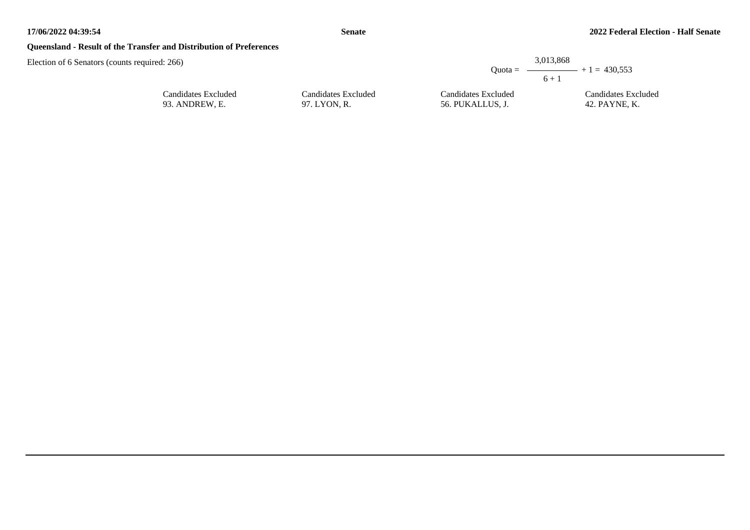## **Queensland - Result of the Transfer and Distribution of Preferences**

| required: 266)      |                     | $Quota =$           | 3,013,868<br>$ +1 = 430.553$<br>$6 +$ |
|---------------------|---------------------|---------------------|---------------------------------------|
| Candidates Excluded | Candidates Excluded | Candidates Excluded | Candidates Excluded                   |
| 93. ANDREW, E.      | 97. LYON, R.        | 56. PUKALLUS, J.    | 42. PAYNE, K.                         |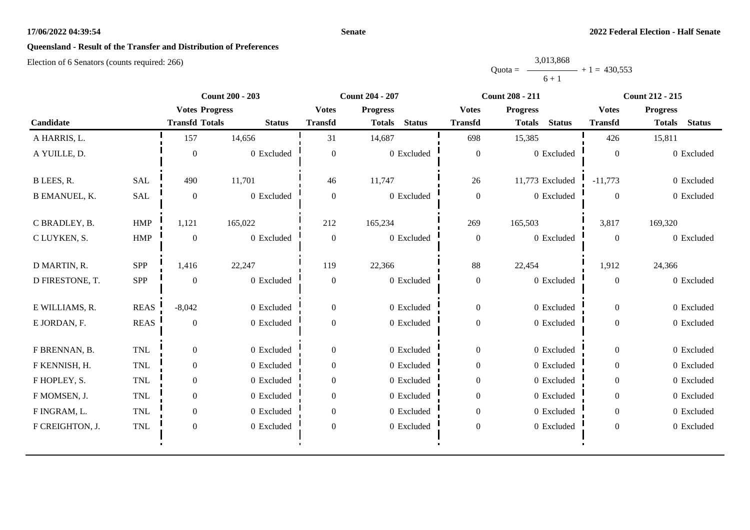#### **Senate**

# **Queensland - Result of the Transfer and Distribution of Preferences**

|           | 3,013,868 |                |
|-----------|-----------|----------------|
| $Quota =$ |           | $+1 = 430.553$ |
|           | $6 + 1$   |                |

|                      |             | <b>Count 200 - 203</b> |               | <b>Count 204 - 207</b> |                                | <b>Count 208 - 211</b> |                                | <b>Count 212 - 215</b> |                                |
|----------------------|-------------|------------------------|---------------|------------------------|--------------------------------|------------------------|--------------------------------|------------------------|--------------------------------|
|                      |             | <b>Votes Progress</b>  |               | <b>Votes</b>           | <b>Progress</b>                | <b>Votes</b>           | <b>Progress</b>                | <b>Votes</b>           | <b>Progress</b>                |
| Candidate            |             | <b>Transfd Totals</b>  | <b>Status</b> | <b>Transfd</b>         | <b>Status</b><br><b>Totals</b> | <b>Transfd</b>         | <b>Status</b><br><b>Totals</b> | <b>Transfd</b>         | <b>Status</b><br><b>Totals</b> |
| A HARRIS, L.         |             | 157                    | 14,656        | 31                     | 14,687                         | 698                    | 15,385                         | 426                    | 15,811                         |
| A YUILLE, D.         |             | $\theta$               | 0 Excluded    | $\theta$               | 0 Excluded                     | $\mathbf{0}$           | 0 Excluded                     | $\Omega$               | 0 Excluded                     |
| B LEES, R.           | <b>SAL</b>  | 490                    | 11,701        | 46                     | 11,747                         | 26                     | 11,773 Excluded                | $-11,773$              | 0 Excluded                     |
| <b>B EMANUEL, K.</b> | <b>SAL</b>  | $\boldsymbol{0}$       | 0 Excluded    | $\overline{0}$         | 0 Excluded                     | $\boldsymbol{0}$       | 0 Excluded                     | $\overline{0}$         | 0 Excluded                     |
| C BRADLEY, B.        | <b>HMP</b>  | 1,121                  | 165,022       | 212                    | 165,234                        | 269                    | 165,503                        | 3,817                  | 169,320                        |
| C LUYKEN, S.         | ${\rm HMP}$ | $\theta$               | 0 Excluded    | $\overline{0}$         | 0 Excluded                     | $\boldsymbol{0}$       | 0 Excluded                     | $\overline{0}$         | 0 Excluded                     |
| D MARTIN, R.         | SPP         | 1,416                  | 22,247        | 119                    | 22,366                         | 88                     | 22,454                         | 1,912                  | 24,366                         |
| D FIRESTONE, T.      | SPP         | $\Omega$               | 0 Excluded    | $\theta$               | 0 Excluded                     | $\boldsymbol{0}$       | 0 Excluded                     | $\Omega$               | 0 Excluded                     |
| E WILLIAMS, R.       | <b>REAS</b> | $-8,042$               | 0 Excluded    | $\mathbf{0}$           | 0 Excluded                     | $\boldsymbol{0}$       | 0 Excluded                     | $\overline{0}$         | 0 Excluded                     |
| E JORDAN, F.         | <b>REAS</b> | $\overline{0}$         | 0 Excluded    | $\theta$               | 0 Excluded                     | $\boldsymbol{0}$       | 0 Excluded                     | $\overline{0}$         | 0 Excluded                     |
| F BRENNAN, B.        | <b>TNL</b>  | $\Omega$               | 0 Excluded    | $\overline{0}$         | 0 Excluded                     | $\overline{0}$         | 0 Excluded                     | $\overline{0}$         | 0 Excluded                     |
| F KENNISH, H.        | <b>TNL</b>  | $\overline{0}$         | 0 Excluded    | $\overline{0}$         | 0 Excluded                     | $\boldsymbol{0}$       | 0 Excluded                     | $\overline{0}$         | 0 Excluded                     |
| F HOPLEY, S.         | TNL         | $\overline{0}$         | 0 Excluded    | $\Omega$               | 0 Excluded                     | $\boldsymbol{0}$       | 0 Excluded                     | $\overline{0}$         | 0 Excluded                     |
| F MOMSEN, J.         | <b>TNL</b>  | $\overline{0}$         | 0 Excluded    | $\theta$               | 0 Excluded                     | $\boldsymbol{0}$       | 0 Excluded                     | $\Omega$               | 0 Excluded                     |
| F INGRAM, L.         | <b>TNL</b>  | $\overline{0}$         | 0 Excluded    | $\Omega$               | 0 Excluded                     | $\boldsymbol{0}$       | 0 Excluded                     | $\overline{0}$         | 0 Excluded                     |
| F CREIGHTON, J.      | TNL         | $\mathbf{0}$           | 0 Excluded    | $\boldsymbol{0}$       | 0 Excluded                     | $\boldsymbol{0}$       | 0 Excluded                     | $\overline{0}$         | 0 Excluded                     |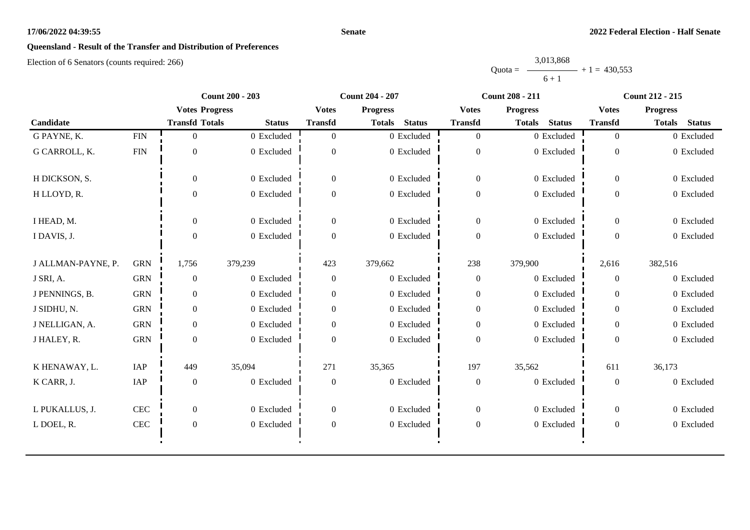#### **Senate**

# **Queensland - Result of the Transfer and Distribution of Preferences**

|           | 3,013,868 |                |
|-----------|-----------|----------------|
| $Quota =$ |           | $+1 = 430.553$ |
|           | $6 + 1$   |                |

|                    |              | <b>Count 200 - 203</b> |               | <b>Count 204 - 207</b> |                                |                  | <b>Count 208 - 211</b>         | <b>Count 212 - 215</b> |                      |
|--------------------|--------------|------------------------|---------------|------------------------|--------------------------------|------------------|--------------------------------|------------------------|----------------------|
|                    |              | <b>Votes Progress</b>  |               | <b>Votes</b>           | <b>Progress</b>                | <b>Votes</b>     | <b>Progress</b>                | <b>Votes</b>           | <b>Progress</b>      |
| Candidate          |              | <b>Transfd Totals</b>  | <b>Status</b> | <b>Transfd</b>         | <b>Status</b><br><b>Totals</b> | <b>Transfd</b>   | <b>Status</b><br><b>Totals</b> | <b>Transfd</b>         | <b>Totals</b> Status |
| G PAYNE, K.        | ${\rm FIN}$  | 0                      | 0 Excluded    | $\Omega$               | 0 Excluded                     | $\overline{0}$   | 0 Excluded                     | $\overline{0}$         | 0 Excluded           |
| G CARROLL, K.      | <b>FIN</b>   | $\theta$               | 0 Excluded    | $\Omega$               | 0 Excluded                     | $\boldsymbol{0}$ | 0 Excluded                     | $\overline{0}$         | 0 Excluded           |
| H DICKSON, S.      |              | $\Omega$               | 0 Excluded    | $\overline{0}$         | 0 Excluded                     | $\overline{0}$   | 0 Excluded                     | $\overline{0}$         | 0 Excluded           |
| H LLOYD, R.        |              | $\Omega$               | 0 Excluded    | $\overline{0}$         | 0 Excluded                     | $\boldsymbol{0}$ | 0 Excluded                     | $\overline{0}$         | 0 Excluded           |
| I HEAD, M.         |              | $\Omega$               | 0 Excluded    | $\mathbf{0}$           | 0 Excluded                     | $\mathbf{0}$     | 0 Excluded                     | $\overline{0}$         | 0 Excluded           |
| I DAVIS, J.        |              | $\theta$               | 0 Excluded    | $\Omega$               | 0 Excluded                     | $\boldsymbol{0}$ | 0 Excluded                     | $\overline{0}$         | 0 Excluded           |
| J ALLMAN-PAYNE, P. | <b>GRN</b>   | 1,756                  | 379,239       | 423                    | 379,662                        | 238              | 379,900                        | 2,616                  | 382,516              |
| J SRI, A.          | <b>GRN</b>   | $\overline{0}$         | 0 Excluded    | $\overline{0}$         | 0 Excluded                     | $\boldsymbol{0}$ | 0 Excluded                     | $\overline{0}$         | 0 Excluded           |
| J PENNINGS, B.     | <b>GRN</b>   | $\overline{0}$         | 0 Excluded    | $\overline{0}$         | 0 Excluded                     | $\boldsymbol{0}$ | 0 Excluded                     | $\overline{0}$         | 0 Excluded           |
| J SIDHU, N.        | <b>GRN</b>   | $\overline{0}$         | 0 Excluded    | $\overline{0}$         | 0 Excluded                     | $\boldsymbol{0}$ | 0 Excluded                     | $\Omega$               | 0 Excluded           |
| J NELLIGAN, A.     | <b>GRN</b>   | $\theta$               | 0 Excluded    | $\Omega$               | 0 Excluded                     | $\boldsymbol{0}$ | 0 Excluded                     | $\Omega$               | 0 Excluded           |
| J HALEY, R.        | <b>GRN</b>   | $\Omega$               | 0 Excluded    | $\Omega$               | 0 Excluded                     | $\boldsymbol{0}$ | 0 Excluded                     | $\Omega$               | 0 Excluded           |
| K HENAWAY, L.      | IAP          | 449                    | 35,094        | 271                    | 35,365                         | 197              | 35,562                         | 611                    | 36,173               |
| K CARR, J.         | IAP          | $\boldsymbol{0}$       | 0 Excluded    | $\boldsymbol{0}$       | 0 Excluded                     | $\boldsymbol{0}$ | 0 Excluded                     | $\overline{0}$         | 0 Excluded           |
| L PUKALLUS, J.     | $\mbox{CEC}$ | $\overline{0}$         | 0 Excluded    | $\mathbf{0}$           | 0 Excluded                     | $\mathbf{0}$     | 0 Excluded                     | $\overline{0}$         | 0 Excluded           |
| L DOEL, R.         | CEC          | $\overline{0}$         | 0 Excluded    | $\overline{0}$         | 0 Excluded                     | $\boldsymbol{0}$ | 0 Excluded                     | $\overline{0}$         | 0 Excluded           |
|                    |              |                        |               |                        |                                |                  |                                |                        |                      |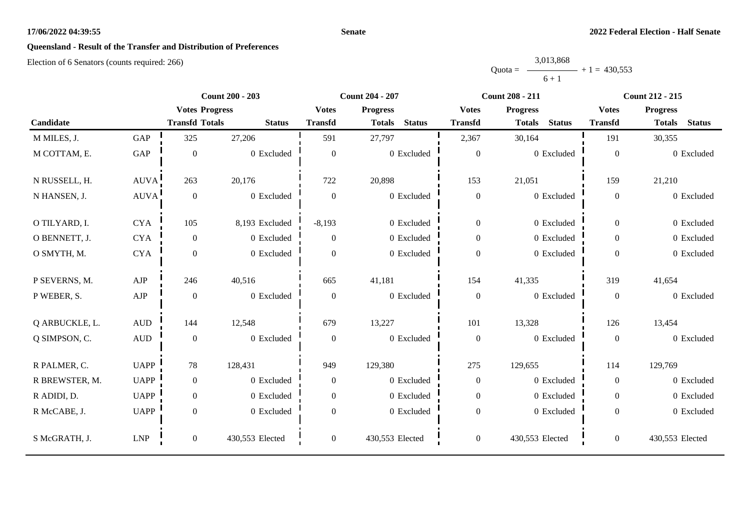#### **Senate**

# **Queensland - Result of the Transfer and Distribution of Preferences**

|           | 3,013,868 |                |
|-----------|-----------|----------------|
| $Quota =$ |           | $+1 = 430.553$ |
|           | $6 + 1$   |                |

|                |              |                       | <b>Count 200 - 203</b> |                  | Count 204 - 207                | <b>Count 208 - 211</b> |                                |                  | <b>Count 212 - 215</b>         |
|----------------|--------------|-----------------------|------------------------|------------------|--------------------------------|------------------------|--------------------------------|------------------|--------------------------------|
|                |              | <b>Votes Progress</b> |                        | <b>Votes</b>     | <b>Progress</b>                | <b>Votes</b>           | <b>Progress</b>                |                  | <b>Progress</b>                |
| Candidate      |              | <b>Transfd Totals</b> | <b>Status</b>          | <b>Transfd</b>   | <b>Status</b><br><b>Totals</b> | <b>Transfd</b>         | <b>Status</b><br><b>Totals</b> | <b>Transfd</b>   | <b>Status</b><br><b>Totals</b> |
| M MILES, J.    | GAP          | 325                   | 27,206                 | 591              | 27,797                         | 2,367                  | 30,164                         | 191              | 30,355                         |
| M COTTAM, E.   | GAP          | $\boldsymbol{0}$      | 0 Excluded             | $\boldsymbol{0}$ | 0 Excluded                     | $\boldsymbol{0}$       | 0 Excluded                     | $\boldsymbol{0}$ | 0 Excluded                     |
| N RUSSELL, H.  | <b>AUVA</b>  | 263                   | 20,176                 | 722              | 20,898                         | 153                    | 21,051                         | 159              | 21,210                         |
| N HANSEN, J.   | AUVA!        | $\boldsymbol{0}$      | 0 Excluded             | $\boldsymbol{0}$ | 0 Excluded                     | $\boldsymbol{0}$       | 0 Excluded                     | $\overline{0}$   | 0 Excluded                     |
| O TILYARD, I.  | <b>CYA</b>   | 105                   | 8,193 Excluded         | $-8,193$         | 0 Excluded                     | $\boldsymbol{0}$       | 0 Excluded                     | $\overline{0}$   | 0 Excluded                     |
| O BENNETT, J.  | <b>CYA</b>   | $\boldsymbol{0}$      | 0 Excluded             | $\boldsymbol{0}$ | 0 Excluded                     | $\boldsymbol{0}$       | 0 Excluded                     | $\overline{0}$   | 0 Excluded                     |
| O SMYTH, M.    | <b>CYA</b>   | $\boldsymbol{0}$      | 0 Excluded             | $\Omega$         | 0 Excluded                     | $\boldsymbol{0}$       | 0 Excluded                     | $\overline{0}$   | 0 Excluded                     |
| P SEVERNS, M.  | AJP          | 246                   | 40,516                 | 665              | 41,181                         | 154                    | 41,335                         | 319              | 41,654                         |
| P WEBER, S.    | ${\rm AJP}$  | $\boldsymbol{0}$      | 0 Excluded             | $\boldsymbol{0}$ | 0 Excluded                     | $\boldsymbol{0}$       | 0 Excluded                     | $\boldsymbol{0}$ | 0 Excluded                     |
| Q ARBUCKLE, L. | $\mbox{AUD}$ | 144                   | 12,548                 | 679              | 13,227                         | 101                    | 13,328                         | 126              | 13,454                         |
| Q SIMPSON, C.  | $\hbox{AUD}$ | $\boldsymbol{0}$      | 0 Excluded             | $\boldsymbol{0}$ | 0 Excluded                     | $\boldsymbol{0}$       | 0 Excluded                     | $\overline{0}$   | 0 Excluded                     |
| R PALMER, C.   | <b>UAPP</b>  | 78                    | 128,431                | 949              | 129,380                        | 275                    | 129,655                        | 114              | 129,769                        |
| R BREWSTER, M. | <b>UAPP</b>  | $\boldsymbol{0}$      | 0 Excluded             | $\overline{0}$   | 0 Excluded                     | $\boldsymbol{0}$       | 0 Excluded                     | $\overline{0}$   | 0 Excluded                     |
| R ADIDI, D.    | <b>UAPP</b>  | $\mathbf{0}$          | 0 Excluded             | $\overline{0}$   | 0 Excluded                     | $\mathbf{0}$           | 0 Excluded                     | $\overline{0}$   | 0 Excluded                     |
| R McCABE, J.   | <b>UAPP</b>  | $\boldsymbol{0}$      | 0 Excluded             | $\boldsymbol{0}$ | 0 Excluded                     | $\boldsymbol{0}$       | 0 Excluded                     | $\overline{0}$   | 0 Excluded                     |
| S McGRATH, J.  | <b>LNP</b>   | $\boldsymbol{0}$      | 430,553 Elected        | $\overline{0}$   | 430,553 Elected                | $\boldsymbol{0}$       | 430,553 Elected                | $\overline{0}$   | 430,553 Elected                |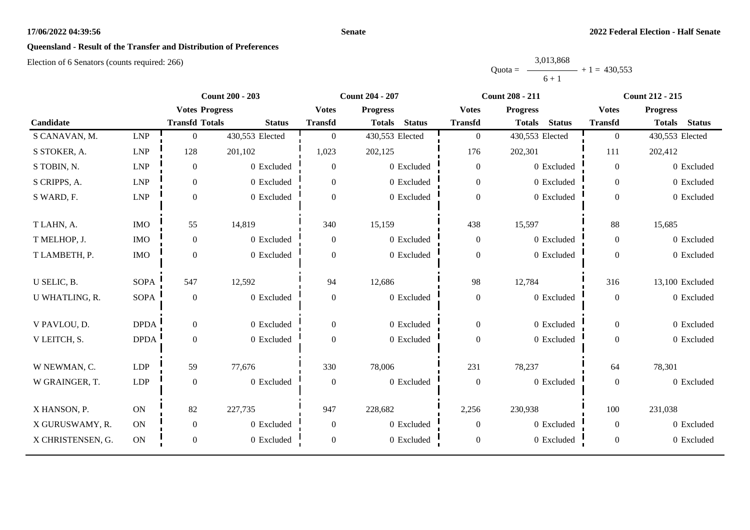#### **Senate**

# **Queensland - Result of the Transfer and Distribution of Preferences**

|           | 3,013,868 |                |
|-----------|-----------|----------------|
| $Quota =$ |           | $+1 = 430.553$ |
|           | $6 + 1$   |                |

|                   |             | <b>Count 200 - 203</b> |                 | <b>Count 204 - 207</b> |                                |                  | <b>Count 208 - 211</b>         | <b>Count 212 - 215</b> |                                |
|-------------------|-------------|------------------------|-----------------|------------------------|--------------------------------|------------------|--------------------------------|------------------------|--------------------------------|
|                   |             | <b>Votes Progress</b>  |                 | <b>Votes</b>           | <b>Progress</b>                | <b>Votes</b>     | <b>Progress</b>                | <b>Votes</b>           | <b>Progress</b>                |
| Candidate         |             | <b>Transfd Totals</b>  | <b>Status</b>   | <b>Transfd</b>         | <b>Status</b><br><b>Totals</b> | <b>Transfd</b>   | <b>Status</b><br><b>Totals</b> | <b>Transfd</b>         | <b>Status</b><br><b>Totals</b> |
| S CANAVAN, M.     | <b>LNP</b>  | $\boldsymbol{0}$       | 430,553 Elected | $\overline{0}$         | 430,553 Elected                | $\mathbf{0}$     | 430,553 Elected                | $\overline{0}$         | 430,553 Elected                |
| S STOKER, A.      | <b>LNP</b>  | 128                    | 201,102         | 1,023                  | 202,125                        | 176              | 202,301                        | 111                    | 202,412                        |
| S TOBIN, N.       | <b>LNP</b>  | $\boldsymbol{0}$       | 0 Excluded      | $\overline{0}$         | 0 Excluded                     | $\boldsymbol{0}$ | 0 Excluded                     | $\overline{0}$         | 0 Excluded                     |
| S CRIPPS, A.      | ${\rm LNP}$ | $\boldsymbol{0}$       | 0 Excluded      | $\overline{0}$         | 0 Excluded                     | $\mathbf{0}$     | 0 Excluded                     | $\overline{0}$         | 0 Excluded                     |
| S WARD, F.        | LNP         | $\boldsymbol{0}$       | 0 Excluded      | $\Omega$               | 0 Excluded                     | $\boldsymbol{0}$ | 0 Excluded                     | $\overline{0}$         | 0 Excluded                     |
| T LAHN, A.        | <b>IMO</b>  | 55                     | 14,819          | 340                    | 15,159                         | 438              | 15,597                         | 88                     | 15,685                         |
| T MELHOP, J.      | <b>IMO</b>  | $\boldsymbol{0}$       | 0 Excluded      | $\boldsymbol{0}$       | 0 Excluded                     | $\boldsymbol{0}$ | 0 Excluded                     | $\overline{0}$         | 0 Excluded                     |
| T LAMBETH, P.     | $\rm{IMO}$  | $\boldsymbol{0}$       | 0 Excluded      | $\Omega$               | 0 Excluded                     | $\boldsymbol{0}$ | 0 Excluded                     | $\Omega$               | 0 Excluded                     |
| U SELIC, B.       | <b>SOPA</b> | 547                    | 12,592          | 94                     | 12,686                         | 98               | 12,784                         | 316                    | 13,100 Excluded                |
| U WHATLING, R.    | <b>SOPA</b> | $\boldsymbol{0}$       | 0 Excluded      | $\boldsymbol{0}$       | 0 Excluded                     | $\boldsymbol{0}$ | 0 Excluded                     | $\overline{0}$         | 0 Excluded                     |
| V PAVLOU, D.      | <b>DPDA</b> | $\mathbf{0}$           | 0 Excluded      | $\overline{0}$         | 0 Excluded                     | $\boldsymbol{0}$ | 0 Excluded                     | $\overline{0}$         | 0 Excluded                     |
| V LEITCH, S.      | <b>DPDA</b> | $\boldsymbol{0}$       | 0 Excluded      | $\overline{0}$         | 0 Excluded                     | $\mathbf{0}$     | 0 Excluded                     | $\overline{0}$         | 0 Excluded                     |
| W NEWMAN, C.      | <b>LDP</b>  | 59                     | 77,676          | 330                    | 78,006                         | 231              | 78,237                         | 64                     | 78,301                         |
| W GRAINGER, T.    | LDP         | $\boldsymbol{0}$       | 0 Excluded      | $\boldsymbol{0}$       | 0 Excluded                     | $\boldsymbol{0}$ | 0 Excluded                     | $\boldsymbol{0}$       | 0 Excluded                     |
| X HANSON, P.      | ON          | 82                     | 227,735         | 947                    | 228,682                        | 2,256            | 230,938                        | 100                    | 231,038                        |
| X GURUSWAMY, R.   | ON          | $\boldsymbol{0}$       | 0 Excluded      | $\overline{0}$         | 0 Excluded                     | $\overline{0}$   | 0 Excluded                     | $\overline{0}$         | 0 Excluded                     |
| X CHRISTENSEN, G. | ON          | $\boldsymbol{0}$       | 0 Excluded      | $\boldsymbol{0}$       | 0 Excluded                     | $\boldsymbol{0}$ | 0 Excluded                     | $\boldsymbol{0}$       | 0 Excluded                     |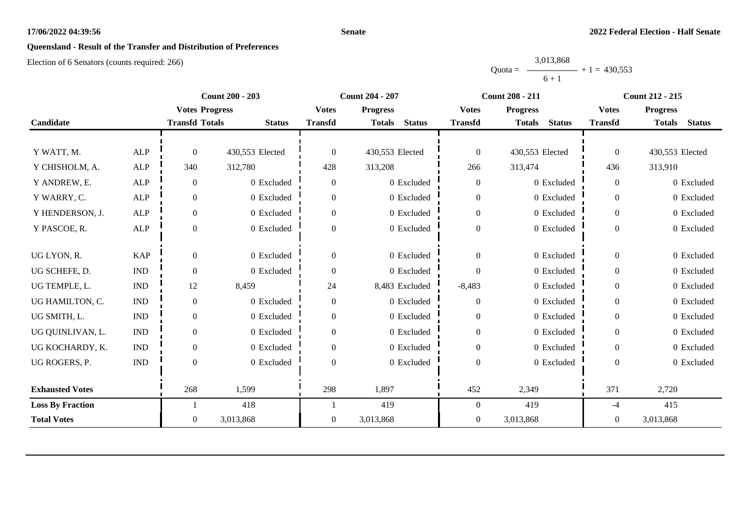#### **Senate**

# **Queensland - Result of the Transfer and Distribution of Preferences**

|           | 3,013,868 |                |
|-----------|-----------|----------------|
| $Quota =$ |           | $+1 = 430.553$ |
|           | $6 + 1$   |                |

|                         |                             |                       | <b>Count 200 - 203</b> |                  | <b>Count 204 - 207</b>         | <b>Count 208 - 211</b> |                                |                  | <b>Count 212 - 215</b>         |  |  |
|-------------------------|-----------------------------|-----------------------|------------------------|------------------|--------------------------------|------------------------|--------------------------------|------------------|--------------------------------|--|--|
|                         |                             | <b>Votes Progress</b> |                        | <b>Votes</b>     | <b>Progress</b>                | <b>Votes</b>           | <b>Progress</b>                | <b>Votes</b>     | <b>Progress</b>                |  |  |
| Candidate               |                             | <b>Transfd Totals</b> | <b>Status</b>          | <b>Transfd</b>   | <b>Status</b><br><b>Totals</b> | <b>Transfd</b>         | <b>Status</b><br><b>Totals</b> | <b>Transfd</b>   | <b>Status</b><br><b>Totals</b> |  |  |
|                         |                             |                       |                        |                  |                                |                        |                                |                  |                                |  |  |
| Y WATT, M.              | <b>ALP</b>                  | $\Omega$              | 430,553 Elected        | $\Omega$         | 430,553 Elected                | $\boldsymbol{0}$       | 430,553 Elected                | $\overline{0}$   | 430,553 Elected                |  |  |
| Y CHISHOLM, A.          | <b>ALP</b>                  | 340                   | 312,780                | 428              | 313,208                        | 266                    | 313,474                        | 436              | 313,910                        |  |  |
| Y ANDREW, E.            | <b>ALP</b>                  | $\overline{0}$        | 0 Excluded             | $\boldsymbol{0}$ | 0 Excluded                     | $\boldsymbol{0}$       | 0 Excluded                     | $\overline{0}$   | 0 Excluded                     |  |  |
| Y WARRY, C.             | <b>ALP</b>                  | $\overline{0}$        | 0 Excluded             | $\boldsymbol{0}$ | 0 Excluded                     | $\mathbf{0}$           | 0 Excluded                     | $\overline{0}$   | 0 Excluded                     |  |  |
| Y HENDERSON, J.         | ALP                         | $\boldsymbol{0}$      | 0 Excluded             | $\boldsymbol{0}$ | 0 Excluded                     | $\boldsymbol{0}$       | 0 Excluded                     | $\boldsymbol{0}$ | 0 Excluded                     |  |  |
| Y PASCOE, R.            | <b>ALP</b>                  | $\Omega$              | 0 Excluded             | $\overline{0}$   | 0 Excluded                     | $\boldsymbol{0}$       | 0 Excluded                     | $\overline{0}$   | 0 Excluded                     |  |  |
|                         |                             |                       |                        |                  |                                |                        |                                |                  |                                |  |  |
| UG LYON, R.             | <b>KAP</b>                  | $\theta$              | 0 Excluded             | $\overline{0}$   | 0 Excluded                     | $\overline{0}$         | 0 Excluded                     | $\overline{0}$   | 0 Excluded                     |  |  |
| UG SCHEFE, D.           | $\mathop{\rm IND}\nolimits$ | $\theta$              | 0 Excluded             | $\boldsymbol{0}$ | 0 Excluded                     | $\boldsymbol{0}$       | 0 Excluded                     | $\overline{0}$   | 0 Excluded                     |  |  |
| UG TEMPLE, L.           | $\mathbf{IND}$              | 12                    | 8,459                  | 24               | 8,483 Excluded                 | $-8,483$               | 0 Excluded                     | $\overline{0}$   | 0 Excluded                     |  |  |
| UG HAMILTON, C.         | $\mathbf{IND}$              | $\overline{0}$        | 0 Excluded             | $\boldsymbol{0}$ | 0 Excluded                     | $\mathbf{0}$           | 0 Excluded                     | $\overline{0}$   | 0 Excluded                     |  |  |
| UG SMITH, L.            | $\mathbf{IND}$              | $\overline{0}$        | 0 Excluded             | $\boldsymbol{0}$ | 0 Excluded                     | $\boldsymbol{0}$       | 0 Excluded                     | $\boldsymbol{0}$ | 0 Excluded                     |  |  |
| UG QUINLIVAN, L.        | $\mathbf{IND}$              | $\theta$              | 0 Excluded             | $\overline{0}$   | 0 Excluded                     | $\mathbf{0}$           | 0 Excluded                     | $\overline{0}$   | 0 Excluded                     |  |  |
| UG KOCHARDY, K.         | $\mathop{\rm IND}\nolimits$ | $\boldsymbol{0}$      | 0 Excluded             | $\boldsymbol{0}$ | 0 Excluded                     | $\boldsymbol{0}$       | 0 Excluded                     | $\boldsymbol{0}$ | 0 Excluded                     |  |  |
| UG ROGERS, P.           | $\mathop{\rm IND}\nolimits$ | $\Omega$              | 0 Excluded             | $\Omega$         | 0 Excluded                     | $\boldsymbol{0}$       | 0 Excluded                     | $\theta$         | 0 Excluded                     |  |  |
|                         |                             |                       |                        |                  |                                |                        |                                |                  |                                |  |  |
| <b>Exhausted Votes</b>  |                             | 268                   | 1,599                  | 298              | 1,897                          | 452                    | 2,349                          | 371              | 2,720                          |  |  |
| <b>Loss By Fraction</b> |                             |                       | 418                    |                  | 419                            | $\boldsymbol{0}$       | 419                            | -4               | 415                            |  |  |
| <b>Total Votes</b>      |                             | $\overline{0}$        | 3,013,868              | $\boldsymbol{0}$ | 3,013,868                      | $\boldsymbol{0}$       | 3,013,868                      | $\overline{0}$   | 3,013,868                      |  |  |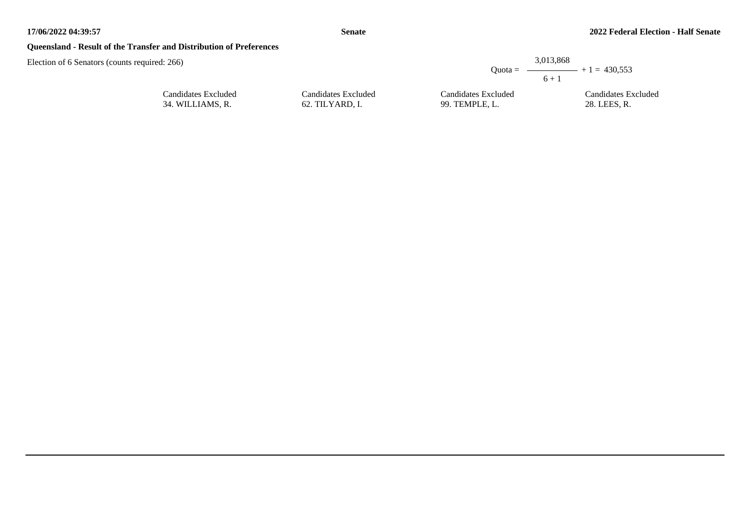## **Queensland - Result of the Transfer and Distribution of Preferences**

| d: 266)                                 |                                        | 3,013,868                             | Quota = $\longrightarrow$ + 1 = 430,553 |
|-----------------------------------------|----------------------------------------|---------------------------------------|-----------------------------------------|
|                                         |                                        | $6 + 1$                               |                                         |
| Candidates Excluded<br>34. WILLIAMS, R. | Candidates Excluded<br>62. TILYARD, I. | Candidates Excluded<br>99. TEMPLE, L. | Candidates Excluded<br>28. LEES, R.     |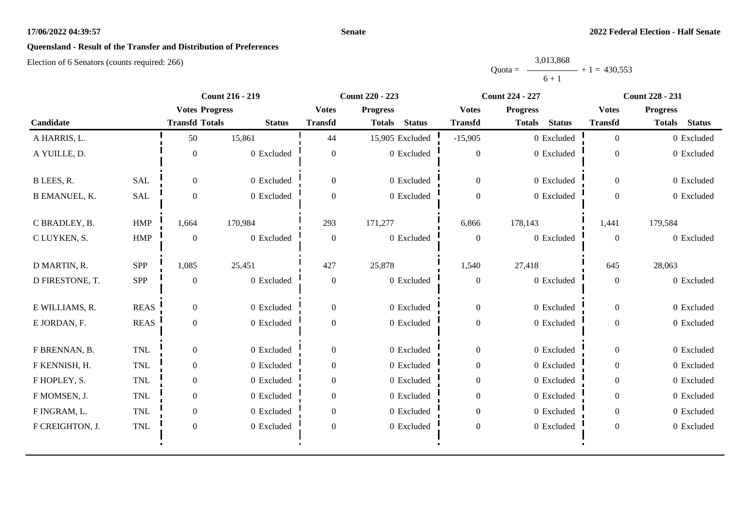#### **Senate**

# **Queensland - Result of the Transfer and Distribution of Preferences**

|           | 3,013,868 |                |
|-----------|-----------|----------------|
| $Quota =$ |           | $+1 = 430.553$ |
|           | $6 + 1$   |                |

|                      |             | <b>Count 216 - 219</b> |               | Count 220 - 223  |                                |                  | <b>Count 224 - 227</b>         | <b>Count 228 - 231</b> |                                |
|----------------------|-------------|------------------------|---------------|------------------|--------------------------------|------------------|--------------------------------|------------------------|--------------------------------|
|                      |             | <b>Votes Progress</b>  |               | <b>Votes</b>     | <b>Progress</b>                | <b>Votes</b>     | <b>Progress</b>                | <b>Votes</b>           | <b>Progress</b>                |
| Candidate            |             | <b>Transfd Totals</b>  | <b>Status</b> | <b>Transfd</b>   | <b>Status</b><br><b>Totals</b> | <b>Transfd</b>   | <b>Status</b><br><b>Totals</b> | <b>Transfd</b>         | <b>Status</b><br><b>Totals</b> |
| A HARRIS, L.         |             | 50                     | 15,861        | 44               | 15,905 Excluded                | $-15,905$        | 0 Excluded                     | $\overline{0}$         | 0 Excluded                     |
| A YUILLE, D.         |             | $\Omega$               | 0 Excluded    | $\theta$         | $0$ Excluded                   | $\theta$         | 0 Excluded                     | $\Omega$               | 0 Excluded                     |
| B LEES, R.           | <b>SAL</b>  | $\overline{0}$         | 0 Excluded    | $\overline{0}$   | 0 Excluded                     | $\overline{0}$   | 0 Excluded                     | $\overline{0}$         | 0 Excluded                     |
| <b>B EMANUEL, K.</b> | SAL         | $\boldsymbol{0}$       | 0 Excluded    | $\overline{0}$   | 0 Excluded                     | $\boldsymbol{0}$ | 0 Excluded                     | $\Omega$               | 0 Excluded                     |
| C BRADLEY, B.        | <b>HMP</b>  | 1,664                  | 170,984       | 293              | 171,277                        | 6,866            | 178,143                        | 1,441                  | 179,584                        |
| C LUYKEN, S.         | HMP         | $\mathbf{0}$           | 0 Excluded    | $\mathbf{0}$     | 0 Excluded                     | $\boldsymbol{0}$ | 0 Excluded                     | $\overline{0}$         | 0 Excluded                     |
| D MARTIN, R.         | SPP         | 1,085                  | 25,451        | 427              | 25,878                         | 1,540            | 27,418                         | 645                    | 28,063                         |
| D FIRESTONE, T.      | SPP         | $\theta$               | 0 Excluded    | $\theta$         | 0 Excluded                     | $\boldsymbol{0}$ | 0 Excluded                     | $\overline{0}$         | 0 Excluded                     |
| E WILLIAMS, R.       | <b>REAS</b> | $\overline{0}$         | 0 Excluded    | $\overline{0}$   | 0 Excluded                     | $\boldsymbol{0}$ | 0 Excluded                     | $\overline{0}$         | 0 Excluded                     |
| E JORDAN, F.         | <b>REAS</b> | $\overline{0}$         | 0 Excluded    | $\Omega$         | 0 Excluded                     | $\boldsymbol{0}$ | 0 Excluded                     | $\mathbf{0}$           | 0 Excluded                     |
| F BRENNAN, B.        | <b>TNL</b>  | $\overline{0}$         | 0 Excluded    | $\overline{0}$   | 0 Excluded                     | $\boldsymbol{0}$ | 0 Excluded                     | $\overline{0}$         | 0 Excluded                     |
| F KENNISH, H.        | <b>TNL</b>  | $\overline{0}$         | 0 Excluded    | $\Omega$         | 0 Excluded                     | $\boldsymbol{0}$ | 0 Excluded                     | $\Omega$               | 0 Excluded                     |
| F HOPLEY, S.         | <b>TNL</b>  | $\overline{0}$         | $0$ Excluded  | $\Omega$         | 0 Excluded                     | $\boldsymbol{0}$ | 0 Excluded                     | $\overline{0}$         | 0 Excluded                     |
| F MOMSEN, J.         | TNL         | $\overline{0}$         | 0 Excluded    | $\overline{0}$   | 0 Excluded                     | $\boldsymbol{0}$ | 0 Excluded                     | $\overline{0}$         | 0 Excluded                     |
| F INGRAM, L.         | <b>TNL</b>  | $\overline{0}$         | 0 Excluded    | $\Omega$         | 0 Excluded                     | $\boldsymbol{0}$ | 0 Excluded                     | $\theta$               | 0 Excluded                     |
| F CREIGHTON, J.      | TNL         | $\overline{0}$         | 0 Excluded    | $\boldsymbol{0}$ | 0 Excluded                     | $\boldsymbol{0}$ | 0 Excluded                     | $\boldsymbol{0}$       | 0 Excluded                     |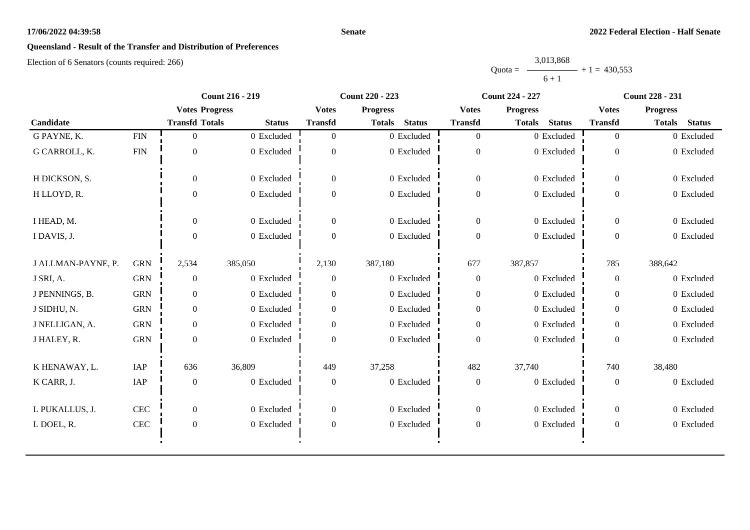#### **Senate**

# **Queensland - Result of the Transfer and Distribution of Preferences**

|           | 3,013,868 |                |
|-----------|-----------|----------------|
| $Quota =$ |           | $+1 = 430.553$ |
|           | $6 + 1$   |                |

|                    |              | <b>Count 216 - 219</b> |               | <b>Count 220 - 223</b> |                                |                  | <b>Count 224 - 227</b>         | <b>Count 228 - 231</b> |                                |
|--------------------|--------------|------------------------|---------------|------------------------|--------------------------------|------------------|--------------------------------|------------------------|--------------------------------|
|                    |              | <b>Votes Progress</b>  |               | <b>Votes</b>           | <b>Progress</b>                | <b>Votes</b>     | <b>Progress</b>                | <b>Votes</b>           | <b>Progress</b>                |
| Candidate          |              | <b>Transfd Totals</b>  | <b>Status</b> | <b>Transfd</b>         | <b>Status</b><br><b>Totals</b> | <b>Transfd</b>   | <b>Status</b><br><b>Totals</b> | <b>Transfd</b>         | <b>Totals</b><br><b>Status</b> |
| G PAYNE, K.        | ${\rm FIN}$  | $\Omega$               | 0 Excluded    | $\Omega$               | 0 Excluded                     | $\overline{0}$   | 0 Excluded                     | $\overline{0}$         | 0 Excluded                     |
| G CARROLL, K.      | ${\rm FIN}$  | $\Omega$               | 0 Excluded    | $\theta$               | 0 Excluded                     | $\boldsymbol{0}$ | 0 Excluded                     | $\Omega$               | 0 Excluded                     |
| H DICKSON, S.      |              | $\overline{0}$         | 0 Excluded    | $\boldsymbol{0}$       | 0 Excluded                     | $\boldsymbol{0}$ | 0 Excluded                     | $\overline{0}$         | 0 Excluded                     |
| H LLOYD, R.        |              | $\mathbf{0}$           | 0 Excluded    | $\Omega$               | 0 Excluded                     | $\boldsymbol{0}$ | 0 Excluded                     | $\mathbf{0}$           | 0 Excluded                     |
| I HEAD, M.         |              | $\overline{0}$         | 0 Excluded    | $\overline{0}$         | 0 Excluded                     | $\overline{0}$   | 0 Excluded                     | $\overline{0}$         | 0 Excluded                     |
| I DAVIS, J.        |              | $\Omega$               | 0 Excluded    | $\Omega$               | 0 Excluded                     | $\boldsymbol{0}$ | 0 Excluded                     | $\Omega$               | 0 Excluded                     |
| J ALLMAN-PAYNE, P. | <b>GRN</b>   | 2,534                  | 385,050       | 2,130                  | 387,180                        | 677              | 387,857                        | 785                    | 388,642                        |
| J SRI, A.          | <b>GRN</b>   | $\mathbf{0}$           | 0 Excluded    | $\Omega$               | 0 Excluded                     | $\boldsymbol{0}$ | 0 Excluded                     | $\overline{0}$         | 0 Excluded                     |
| J PENNINGS, B.     | <b>GRN</b>   | $\overline{0}$         | 0 Excluded    | $\theta$               | 0 Excluded                     | $\overline{0}$   | 0 Excluded                     | $\overline{0}$         | 0 Excluded                     |
| J SIDHU, N.        | <b>GRN</b>   | $\overline{0}$         | 0 Excluded    | $\overline{0}$         | 0 Excluded                     | $\overline{0}$   | 0 Excluded                     | $\overline{0}$         | 0 Excluded                     |
| J NELLIGAN, A.     | <b>GRN</b>   | $\overline{0}$         | 0 Excluded    | $\overline{0}$         | 0 Excluded                     | $\boldsymbol{0}$ | 0 Excluded                     | $\overline{0}$         | 0 Excluded                     |
| J HALEY, R.        | <b>GRN</b>   | $\mathbf{0}$           | 0 Excluded    | $\Omega$               | 0 Excluded                     | $\mathbf{0}$     | 0 Excluded                     | $\mathbf{0}$           | 0 Excluded                     |
| K HENAWAY, L.      | IAP          | 636                    | 36,809        | 449                    | 37,258                         | 482              | 37,740                         | 740                    | 38,480                         |
| K CARR, J.         | IAP          | $\boldsymbol{0}$       | 0 Excluded    | $\boldsymbol{0}$       | 0 Excluded                     | $\boldsymbol{0}$ | 0 Excluded                     | $\boldsymbol{0}$       | 0 Excluded                     |
| L PUKALLUS, J.     | $\mbox{CEC}$ | $\overline{0}$         | 0 Excluded    | $\mathbf{0}$           | 0 Excluded                     | $\overline{0}$   | 0 Excluded                     | $\overline{0}$         | 0 Excluded                     |
| L DOEL, R.         | CEC          | $\boldsymbol{0}$       | 0 Excluded    | $\theta$               | 0 Excluded                     | $\boldsymbol{0}$ | 0 Excluded                     | $\boldsymbol{0}$       | 0 Excluded                     |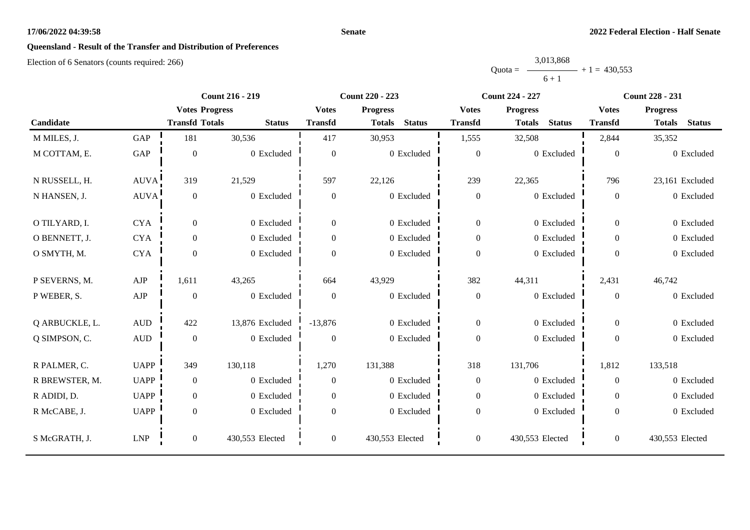#### **Senate**

# **Queensland - Result of the Transfer and Distribution of Preferences**

|           | 3,013,868 |                |
|-----------|-----------|----------------|
| $Quota =$ |           | $+1 = 430,553$ |
|           | $6 + 1$   |                |

|                | <b>Count 216 - 219</b> |                       | <b>Count 220 - 223</b> |                  | <b>Count 224 - 227</b>         |                  | <b>Count 228 - 231</b>         |                  |                                |
|----------------|------------------------|-----------------------|------------------------|------------------|--------------------------------|------------------|--------------------------------|------------------|--------------------------------|
|                |                        | <b>Votes Progress</b> |                        | <b>Votes</b>     | <b>Progress</b>                | <b>Votes</b>     | <b>Progress</b>                | <b>Votes</b>     | <b>Progress</b>                |
| Candidate      |                        | <b>Transfd Totals</b> | <b>Status</b>          | <b>Transfd</b>   | <b>Status</b><br><b>Totals</b> | <b>Transfd</b>   | <b>Status</b><br><b>Totals</b> | <b>Transfd</b>   | <b>Status</b><br><b>Totals</b> |
| M MILES, J.    | GAP                    | 181                   | 30,536                 | 417              | 30,953                         | 1,555            | 32,508                         | 2,844            | 35,352                         |
| M COTTAM, E.   | <b>GAP</b>             | $\overline{0}$        | 0 Excluded             | $\boldsymbol{0}$ | $0$ Excluded                   | $\boldsymbol{0}$ | 0 Excluded                     | $\overline{0}$   | 0 Excluded                     |
| N RUSSELL, H.  | AUVA                   | 319                   | 21,529                 | 597              | 22,126                         | 239              | 22,365                         | 796              | 23,161 Excluded                |
| N HANSEN, J.   | AUVA!                  | $\mathbf{0}$          | 0 Excluded             | $\mathbf{0}$     | 0 Excluded                     | $\boldsymbol{0}$ | 0 Excluded                     | $\mathbf{0}$     | 0 Excluded                     |
| O TILYARD, I.  | <b>CYA</b>             | $\overline{0}$        | 0 Excluded             | $\mathbf{0}$     | 0 Excluded                     | $\overline{0}$   | 0 Excluded                     | $\overline{0}$   | 0 Excluded                     |
| O BENNETT, J.  | <b>CYA</b>             | $\overline{0}$        | 0 Excluded             | $\overline{0}$   | 0 Excluded                     | $\boldsymbol{0}$ | 0 Excluded                     | $\overline{0}$   | 0 Excluded                     |
| O SMYTH, M.    | <b>CYA</b>             | $\overline{0}$        | 0 Excluded             | $\Omega$         | 0 Excluded                     | $\overline{0}$   | 0 Excluded                     | $\Omega$         | 0 Excluded                     |
| P SEVERNS, M.  | AJP                    | 1,611                 | 43,265                 | 664              | 43,929                         | 382              | 44,311                         | 2,431            | 46,742                         |
| P WEBER, S.    | ${\rm AJP}$            | $\boldsymbol{0}$      | 0 Excluded             | $\boldsymbol{0}$ | 0 Excluded                     | $\boldsymbol{0}$ | 0 Excluded                     | $\boldsymbol{0}$ | 0 Excluded                     |
| Q ARBUCKLE, L. | $\hbox{AUD}$           | 422                   | 13,876 Excluded        | $-13,876$        | 0 Excluded                     | $\overline{0}$   | 0 Excluded                     | $\overline{0}$   | 0 Excluded                     |
| Q SIMPSON, C.  | $\hbox{AUD}$           | $\mathbf{0}$          | 0 Excluded             | $\theta$         | 0 Excluded                     | $\boldsymbol{0}$ | 0 Excluded                     | $\Omega$         | 0 Excluded                     |
| R PALMER, C.   | <b>UAPP</b>            | 349                   | 130,118                | 1,270            | 131,388                        | 318              | 131,706                        | 1,812            | 133,518                        |
| R BREWSTER, M. | <b>UAPP</b>            | $\boldsymbol{0}$      | 0 Excluded             | $\boldsymbol{0}$ | 0 Excluded                     | $\boldsymbol{0}$ | 0 Excluded                     | $\overline{0}$   | 0 Excluded                     |
| R ADIDI, D.    | <b>UAPP</b>            | $\overline{0}$        | 0 Excluded             | $\overline{0}$   | 0 Excluded                     | $\boldsymbol{0}$ | 0 Excluded                     | $\theta$         | 0 Excluded                     |
| R McCABE, J.   | <b>UAPP</b>            | $\overline{0}$        | 0 Excluded             | $\overline{0}$   | $0\,$ Excluded                 | $\boldsymbol{0}$ | 0 Excluded                     | $\overline{0}$   | 0 Excluded                     |
| S McGRATH, J.  | <b>LNP</b>             | $\boldsymbol{0}$      | 430,553 Elected        | $\boldsymbol{0}$ | 430,553 Elected                | $\boldsymbol{0}$ | 430,553 Elected                | $\boldsymbol{0}$ | 430,553 Elected                |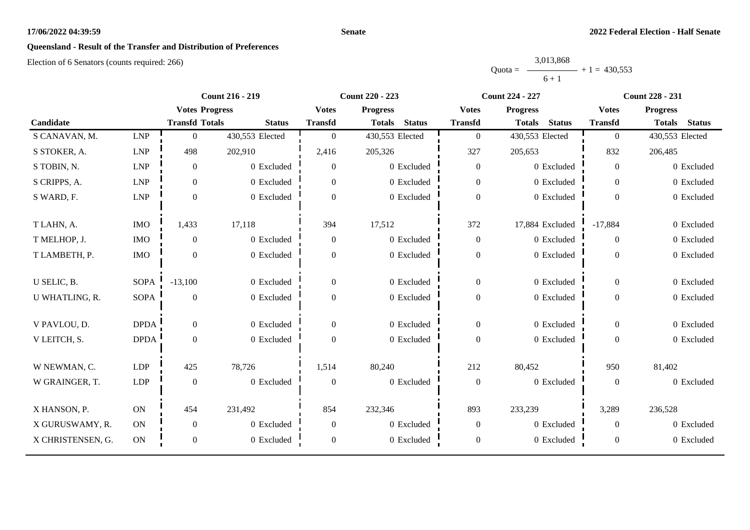#### **Senate**

# **Queensland - Result of the Transfer and Distribution of Preferences**

|           | 3,013,868 |                |
|-----------|-----------|----------------|
| $Quota =$ |           | $+1 = 430.553$ |
|           | $6 + 1$   |                |

|                   |             | <b>Count 216 - 219</b> |                 | <b>Count 220 - 223</b> |                                | <b>Count 224 - 227</b> |                                | <b>Count 228 - 231</b> |                                |
|-------------------|-------------|------------------------|-----------------|------------------------|--------------------------------|------------------------|--------------------------------|------------------------|--------------------------------|
|                   |             | <b>Votes Progress</b>  |                 | <b>Votes</b>           | <b>Progress</b>                | <b>Votes</b>           | <b>Progress</b>                | <b>Votes</b>           | <b>Progress</b>                |
| Candidate         |             | <b>Transfd Totals</b>  | <b>Status</b>   | <b>Transfd</b>         | <b>Status</b><br><b>Totals</b> | <b>Transfd</b>         | <b>Status</b><br><b>Totals</b> | <b>Transfd</b>         | <b>Status</b><br><b>Totals</b> |
| S CANAVAN, M.     | <b>LNP</b>  | $\mathbf{0}$           | 430,553 Elected | $\overline{0}$         | 430,553 Elected                | $\boldsymbol{0}$       | 430,553 Elected                | $\overline{0}$         | 430,553 Elected                |
| S STOKER, A.      | <b>LNP</b>  | 498                    | 202,910         | 2,416                  | 205,326                        | 327                    | 205,653                        | 832                    | 206,485                        |
| S TOBIN, N.       | <b>LNP</b>  | $\boldsymbol{0}$       | 0 Excluded      | $\overline{0}$         | 0 Excluded                     | $\boldsymbol{0}$       | 0 Excluded                     | $\overline{0}$         | 0 Excluded                     |
| S CRIPPS, A.      | ${\rm LNP}$ | $\boldsymbol{0}$       | 0 Excluded      | $\overline{0}$         | 0 Excluded                     | $\boldsymbol{0}$       | 0 Excluded                     | $\overline{0}$         | 0 Excluded                     |
| S WARD, F.        | ${\rm LNP}$ | $\boldsymbol{0}$       | 0 Excluded      | $\Omega$               | 0 Excluded                     | $\boldsymbol{0}$       | 0 Excluded                     | $\Omega$               | 0 Excluded                     |
| T LAHN, A.        | <b>IMO</b>  | 1,433                  | 17,118          | 394                    | 17,512                         | 372                    | 17,884 Excluded                | $-17,884$              | 0 Excluded                     |
| T MELHOP, J.      | <b>IMO</b>  | $\boldsymbol{0}$       | 0 Excluded      | $\boldsymbol{0}$       | 0 Excluded                     | $\boldsymbol{0}$       | 0 Excluded                     | $\overline{0}$         | 0 Excluded                     |
| T LAMBETH, P.     | <b>IMO</b>  | $\overline{0}$         | 0 Excluded      | $\overline{0}$         | 0 Excluded                     | $\boldsymbol{0}$       | 0 Excluded                     | $\overline{0}$         | 0 Excluded                     |
| U SELIC, B.       | <b>SOPA</b> | $-13,100$              | 0 Excluded      | $\overline{0}$         | 0 Excluded                     | $\boldsymbol{0}$       | 0 Excluded                     | $\overline{0}$         | 0 Excluded                     |
| U WHATLING, R.    | <b>SOPA</b> | $\boldsymbol{0}$       | 0 Excluded      | $\overline{0}$         | 0 Excluded                     | $\boldsymbol{0}$       | 0 Excluded                     | $\overline{0}$         | 0 Excluded                     |
| V PAVLOU, D.      | <b>DPDA</b> | $\mathbf{0}$           | 0 Excluded      | $\overline{0}$         | 0 Excluded                     | $\boldsymbol{0}$       | 0 Excluded                     | $\overline{0}$         | 0 Excluded                     |
| V LEITCH, S.      | <b>DPDA</b> | $\boldsymbol{0}$       | 0 Excluded      | $\overline{0}$         | 0 Excluded                     | $\boldsymbol{0}$       | 0 Excluded                     | $\overline{0}$         | 0 Excluded                     |
| W NEWMAN, C.      | <b>LDP</b>  | 425                    | 78,726          | 1,514                  | 80,240                         | 212                    | 80,452                         | 950                    | 81,402                         |
| W GRAINGER, T.    | LDP         | $\boldsymbol{0}$       | 0 Excluded      | $\mathbf{0}$           | 0 Excluded                     | $\boldsymbol{0}$       | 0 Excluded                     | $\boldsymbol{0}$       | 0 Excluded                     |
| X HANSON, P.      | ON          | 454                    | 231,492         | 854                    | 232,346                        | 893                    | 233,239                        | 3,289                  | 236,528                        |
| X GURUSWAMY, R.   | <b>ON</b>   | $\boldsymbol{0}$       | 0 Excluded      | $\overline{0}$         | 0 Excluded                     | $\boldsymbol{0}$       | 0 Excluded                     | $\overline{0}$         | 0 Excluded                     |
| X CHRISTENSEN, G. | ON          | $\boldsymbol{0}$       | 0 Excluded      | $\overline{0}$         | 0 Excluded                     | $\boldsymbol{0}$       | 0 Excluded                     | $\boldsymbol{0}$       | 0 Excluded                     |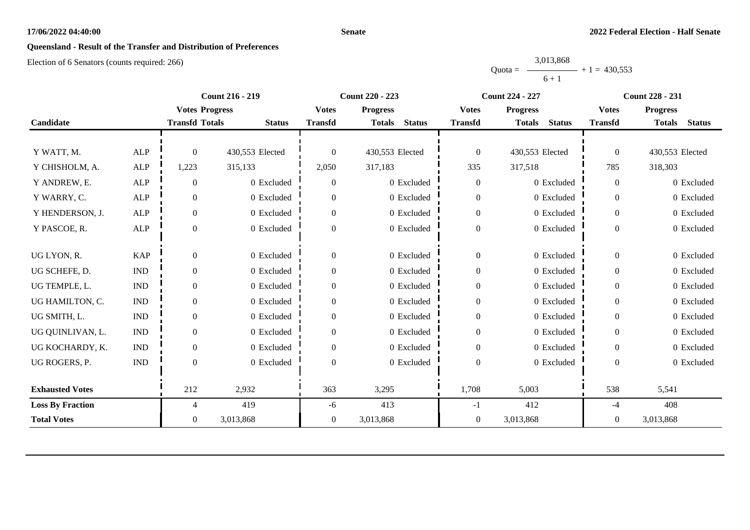#### **Senate**

# **Queensland - Result of the Transfer and Distribution of Preferences**

|           | 3,013,868 |                |
|-----------|-----------|----------------|
| $Quota =$ |           | $+1 = 430.553$ |
|           | $6 + 1$   |                |

|                         |                             | <b>Count 216 - 219</b> |                 | <b>Count 220 - 223</b> |                                | <b>Count 224 - 227</b> |                                | <b>Count 228 - 231</b> |                                |
|-------------------------|-----------------------------|------------------------|-----------------|------------------------|--------------------------------|------------------------|--------------------------------|------------------------|--------------------------------|
|                         |                             | <b>Votes Progress</b>  |                 | <b>Votes</b>           | <b>Progress</b>                | <b>Votes</b>           | <b>Progress</b>                | <b>Votes</b>           | <b>Progress</b>                |
| Candidate               |                             | <b>Transfd Totals</b>  | <b>Status</b>   | <b>Transfd</b>         | <b>Status</b><br><b>Totals</b> | <b>Transfd</b>         | <b>Status</b><br><b>Totals</b> | <b>Transfd</b>         | <b>Status</b><br><b>Totals</b> |
|                         |                             |                        |                 |                        |                                |                        |                                |                        |                                |
| Y WATT, M.              | <b>ALP</b>                  | $\theta$               | 430,553 Elected | $\theta$               | 430,553 Elected                | $\boldsymbol{0}$       | 430,553 Elected                | $\overline{0}$         | 430,553 Elected                |
| Y CHISHOLM, A.          | <b>ALP</b>                  | 1,223                  | 315,133         | 2,050                  | 317,183                        | 335                    | 317,518                        | 785                    | 318,303                        |
| Y ANDREW, E.            | ${\sf ALP}$                 | $\mathbf{0}$           | 0 Excluded      | $\mathbf{0}$           | 0 Excluded                     | $\boldsymbol{0}$       | 0 Excluded                     | $\theta$               | 0 Excluded                     |
| Y WARRY, C.             | <b>ALP</b>                  | $\boldsymbol{0}$       | 0 Excluded      | $\theta$               | 0 Excluded                     | $\boldsymbol{0}$       | 0 Excluded                     | $\theta$               | 0 Excluded                     |
| Y HENDERSON, J.         | ALP                         | $\boldsymbol{0}$       | 0 Excluded      | $\overline{0}$         | 0 Excluded                     | $\boldsymbol{0}$       | 0 Excluded                     | $\overline{0}$         | 0 Excluded                     |
| Y PASCOE, R.            | ALP                         | $\Omega$               | 0 Excluded      | $\Omega$               | 0 Excluded                     | $\boldsymbol{0}$       | 0 Excluded                     | $\overline{0}$         | 0 Excluded                     |
|                         |                             |                        |                 |                        |                                |                        |                                |                        |                                |
| UG LYON, R.             | <b>KAP</b>                  | $\theta$               | 0 Excluded      | $\Omega$               | 0 Excluded                     | $\boldsymbol{0}$       | 0 Excluded                     | $\overline{0}$         | 0 Excluded                     |
| UG SCHEFE, D.           | $\ensuremath{\text{IND}}$   | $\mathbf{0}$           | 0 Excluded      | $\overline{0}$         | 0 Excluded                     | $\boldsymbol{0}$       | 0 Excluded                     | $\overline{0}$         | 0 Excluded                     |
| UG TEMPLE, L.           | <b>IND</b>                  | $\mathbf{0}$           | 0 Excluded      | $\Omega$               | 0 Excluded                     | $\boldsymbol{0}$       | 0 Excluded                     | $\theta$               | 0 Excluded                     |
| UG HAMILTON, C.         | $\mathop{\rm IND}\nolimits$ | $\mathbf{0}$           | 0 Excluded      | $\Omega$               | 0 Excluded                     | $\boldsymbol{0}$       | 0 Excluded                     | $\theta$               | 0 Excluded                     |
| UG SMITH, L.            | $\mathop{\rm IND}\nolimits$ | $\boldsymbol{0}$       | 0 Excluded      | $\boldsymbol{0}$       | 0 Excluded                     | $\boldsymbol{0}$       | 0 Excluded                     | $\theta$               | 0 Excluded                     |
| UG QUINLIVAN, L.        | <b>IND</b>                  | $\mathbf{0}$           | 0 Excluded      | $\Omega$               | 0 Excluded                     | $\boldsymbol{0}$       | 0 Excluded                     | $\Omega$               | 0 Excluded                     |
| UG KOCHARDY, K.         | <b>IND</b>                  | $\boldsymbol{0}$       | 0 Excluded      | $\mathbf{0}$           | 0 Excluded                     | $\boldsymbol{0}$       | 0 Excluded                     | $\theta$               | 0 Excluded                     |
| UG ROGERS, P.           | <b>IND</b>                  | $\theta$               | 0 Excluded      | $\Omega$               | 0 Excluded                     | $\boldsymbol{0}$       | 0 Excluded                     | $\Omega$               | 0 Excluded                     |
|                         |                             |                        |                 |                        |                                |                        |                                |                        |                                |
| <b>Exhausted Votes</b>  |                             | 212                    | 2,932           | 363                    | 3,295                          | 1,708                  | 5,003                          | 538                    | 5,541                          |
| <b>Loss By Fraction</b> |                             | 4                      | 419             | -6                     | 413                            | $-1$                   | 412                            | $-4$                   | 408                            |
| <b>Total Votes</b>      |                             | $\overline{0}$         | 3,013,868       | $\overline{0}$         | 3,013,868                      | $\boldsymbol{0}$       | 3,013,868                      | $\theta$               | 3,013,868                      |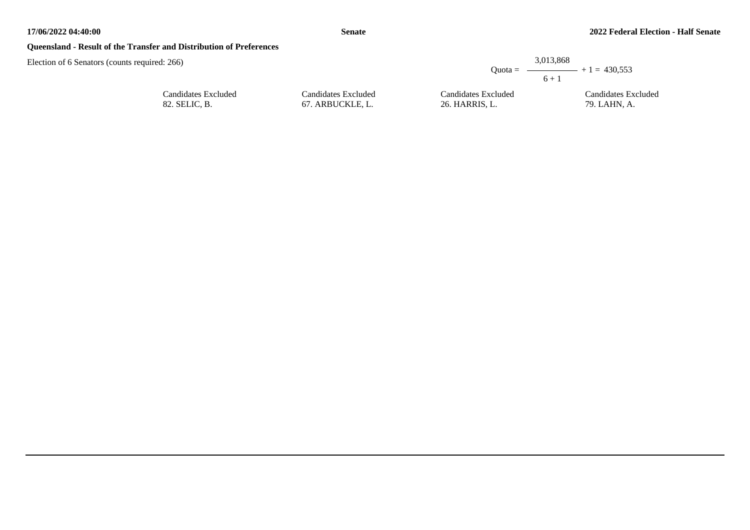## **Queensland - Result of the Transfer and Distribution of Preferences**

| d: 266)                              |                                         | 3.013.868                             | Quota = $\longrightarrow$ + 1 = 430.553 |
|--------------------------------------|-----------------------------------------|---------------------------------------|-----------------------------------------|
|                                      |                                         | $6 + 1$                               |                                         |
| Candidates Excluded<br>82. SELIC, B. | Candidates Excluded<br>67. ARBUCKLE, L. | Candidates Excluded<br>26. HARRIS, L. | Candidates Excluded<br>79. LAHN, A.     |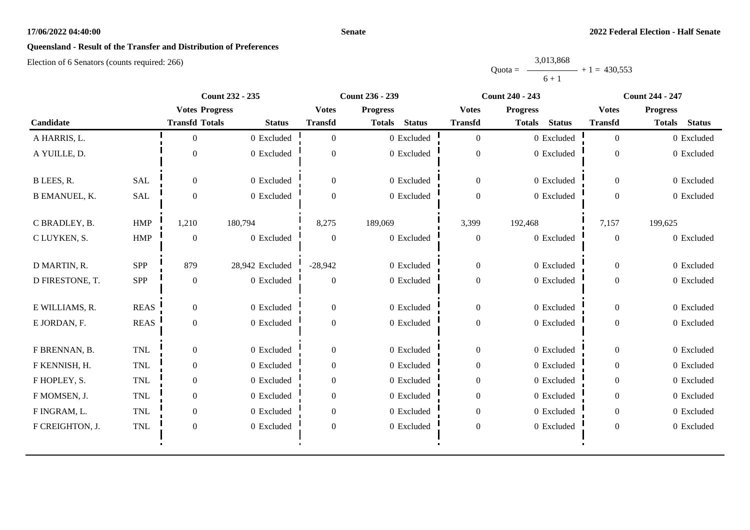#### **Senate**

# **Queensland - Result of the Transfer and Distribution of Preferences**

|           | 3,013,868 |                |
|-----------|-----------|----------------|
| $Quota =$ |           | $+1 = 430.553$ |
|           | $6 + 1$   |                |

|                      |              | <b>Count 232 - 235</b> |                 | <b>Count 236 - 239</b> |                                | <b>Count 240 - 243</b> |                                | <b>Count 244 - 247</b> |                                |
|----------------------|--------------|------------------------|-----------------|------------------------|--------------------------------|------------------------|--------------------------------|------------------------|--------------------------------|
|                      |              | <b>Votes Progress</b>  |                 | <b>Votes</b>           | <b>Progress</b>                | <b>Votes</b>           | <b>Progress</b>                | <b>Votes</b>           | <b>Progress</b>                |
| Candidate            |              | <b>Transfd Totals</b>  | <b>Status</b>   | <b>Transfd</b>         | <b>Status</b><br><b>Totals</b> | <b>Transfd</b>         | <b>Status</b><br><b>Totals</b> | <b>Transfd</b>         | <b>Status</b><br><b>Totals</b> |
| A HARRIS, L.         |              | $\Omega$               | 0 Excluded      | $\overline{0}$         | 0 Excluded                     | $\overline{0}$         | 0 Excluded                     | $\overline{0}$         | 0 Excluded                     |
| A YUILLE, D.         |              | $\theta$               | 0 Excluded      | $\theta$               | 0 Excluded                     | $\boldsymbol{0}$       | 0 Excluded                     | $\overline{0}$         | 0 Excluded                     |
| B LEES, R.           | SAL          | $\Omega$               | 0 Excluded      | $\Omega$               | 0 Excluded                     | $\overline{0}$         | 0 Excluded                     | $\Omega$               | 0 Excluded                     |
| <b>B EMANUEL, K.</b> | <b>SAL</b>   | $\boldsymbol{0}$       | 0 Excluded      | $\theta$               | 0 Excluded                     | $\boldsymbol{0}$       | 0 Excluded                     | $\overline{0}$         | 0 Excluded                     |
| C BRADLEY, B.        | <b>HMP</b>   | 1,210                  | 180,794         | 8,275                  | 189,069                        | 3,399                  | 192,468                        | 7,157                  | 199,625                        |
| C LUYKEN, S.         | <b>HMP</b>   | $\theta$               | 0 Excluded      | $\theta$               | $0$ Excluded                   | $\boldsymbol{0}$       | 0 Excluded                     | $\overline{0}$         | 0 Excluded                     |
| D MARTIN, R.         | <b>SPP</b>   | 879                    | 28,942 Excluded | $-28,942$              | 0 Excluded                     | $\boldsymbol{0}$       | 0 Excluded                     | $\mathbf{0}$           | 0 Excluded                     |
| D FIRESTONE, T.      | <b>SPP</b>   | $\boldsymbol{0}$       | 0 Excluded      | $\mathbf{0}$           | 0 Excluded                     | $\overline{0}$         | 0 Excluded                     | $\overline{0}$         | 0 Excluded                     |
| E WILLIAMS, R.       | <b>REAS</b>  | $\overline{0}$         | 0 Excluded      | $\overline{0}$         | 0 Excluded                     | $\mathbf{0}$           | 0 Excluded                     | $\overline{0}$         | 0 Excluded                     |
| E JORDAN, F.         | <b>REAS</b>  | $\overline{0}$         | 0 Excluded      | $\theta$               | 0 Excluded                     | $\boldsymbol{0}$       | 0 Excluded                     | $\mathbf{0}$           | 0 Excluded                     |
| F BRENNAN, B.        | $\mbox{TNL}$ | $\boldsymbol{0}$       | 0 Excluded      | $\boldsymbol{0}$       | 0 Excluded                     | $\boldsymbol{0}$       | 0 Excluded                     | $\mathbf{0}$           | 0 Excluded                     |
| F KENNISH, H.        | <b>TNL</b>   | $\overline{0}$         | 0 Excluded      | $\theta$               | 0 Excluded                     | $\boldsymbol{0}$       | 0 Excluded                     | $\theta$               | 0 Excluded                     |
| F HOPLEY, S.         | <b>TNL</b>   | $\overline{0}$         | 0 Excluded      | $\mathbf{0}$           | 0 Excluded                     | $\boldsymbol{0}$       | 0 Excluded                     | $\overline{0}$         | 0 Excluded                     |
| F MOMSEN, J.         | TNL          | $\overline{0}$         | 0 Excluded      | $\overline{0}$         | 0 Excluded                     | $\boldsymbol{0}$       | 0 Excluded                     | $\overline{0}$         | 0 Excluded                     |
| F INGRAM, L.         | <b>TNL</b>   | $\overline{0}$         | 0 Excluded      | $\overline{0}$         | 0 Excluded                     | $\overline{0}$         | 0 Excluded                     | $\overline{0}$         | 0 Excluded                     |
| F CREIGHTON, J.      | $\mbox{TNL}$ | $\boldsymbol{0}$       | 0 Excluded      | $\boldsymbol{0}$       | 0 Excluded                     | $\boldsymbol{0}$       | 0 Excluded                     | $\boldsymbol{0}$       | 0 Excluded                     |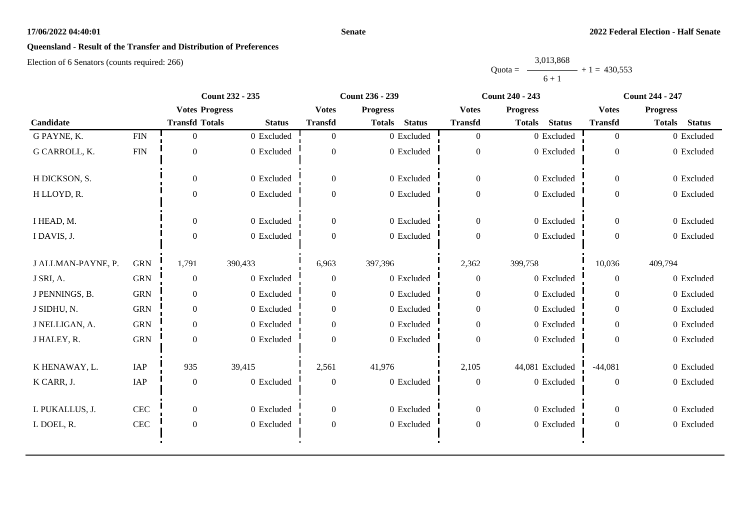#### **Senate**

# **Queensland - Result of the Transfer and Distribution of Preferences**

|           | 3,013,868 |                |
|-----------|-----------|----------------|
| $Quota =$ |           | $+1 = 430.553$ |
|           | $6 + 1$   |                |

|                    |              | <b>Count 232 - 235</b> |                | <b>Count 236 - 239</b> |                                | <b>Count 240 - 243</b> |                                | <b>Count 244 - 247</b> |                                |
|--------------------|--------------|------------------------|----------------|------------------------|--------------------------------|------------------------|--------------------------------|------------------------|--------------------------------|
|                    |              | <b>Votes Progress</b>  |                | <b>Votes</b>           | <b>Progress</b>                | <b>Votes</b>           | <b>Progress</b>                | <b>Votes</b>           | <b>Progress</b>                |
| Candidate          |              | <b>Transfd Totals</b>  | <b>Status</b>  | <b>Transfd</b>         | <b>Status</b><br><b>Totals</b> | <b>Transfd</b>         | <b>Status</b><br><b>Totals</b> | <b>Transfd</b>         | <b>Totals</b><br><b>Status</b> |
| G PAYNE, K.        | ${\rm FIN}$  | $\overline{0}$         | $0\,$ Excluded | $\overline{0}$         | 0 Excluded                     | $\overline{0}$         | 0 Excluded                     | $\overline{0}$         | 0 Excluded                     |
| G CARROLL, K.      | <b>FIN</b>   | $\mathbf{0}$           | 0 Excluded     | $\theta$               | 0 Excluded                     | $\overline{0}$         | 0 Excluded                     | $\overline{0}$         | 0 Excluded                     |
| H DICKSON, S.      |              | $\theta$               | 0 Excluded     | $\overline{0}$         | 0 Excluded                     | $\mathbf{0}$           | 0 Excluded                     | $\overline{0}$         | 0 Excluded                     |
| H LLOYD, R.        |              | $\Omega$               | 0 Excluded     | $\Omega$               | 0 Excluded                     | $\mathbf{0}$           | 0 Excluded                     | $\overline{0}$         | 0 Excluded                     |
| I HEAD, M.         |              | $\overline{0}$         | 0 Excluded     | $\overline{0}$         | 0 Excluded                     | $\mathbf{0}$           | 0 Excluded                     | $\mathbf{0}$           | 0 Excluded                     |
| I DAVIS, J.        |              | $\Omega$               | 0 Excluded     | $\theta$               | 0 Excluded                     | $\mathbf{0}$           | 0 Excluded                     | $\overline{0}$         | 0 Excluded                     |
| J ALLMAN-PAYNE, P. | <b>GRN</b>   | 1,791                  | 390,433        | 6,963                  | 397,396                        | 2,362                  | 399,758                        | 10,036                 | 409,794                        |
| J SRI, A.          | <b>GRN</b>   | $\theta$               | 0 Excluded     | $\Omega$               | 0 Excluded                     | $\mathbf{0}$           | 0 Excluded                     | $\overline{0}$         | 0 Excluded                     |
| J PENNINGS, B.     | <b>GRN</b>   | $\theta$               | 0 Excluded     | $\theta$               | 0 Excluded                     | $\mathbf{0}$           | 0 Excluded                     | $\theta$               | 0 Excluded                     |
| J SIDHU, N.        | <b>GRN</b>   | $\overline{0}$         | 0 Excluded     | $\overline{0}$         | 0 Excluded                     | $\boldsymbol{0}$       | 0 Excluded                     | $\overline{0}$         | 0 Excluded                     |
| J NELLIGAN, A.     | <b>GRN</b>   | $\theta$               | 0 Excluded     | $\theta$               | 0 Excluded                     | $\boldsymbol{0}$       | 0 Excluded                     | $\Omega$               | 0 Excluded                     |
| J HALEY, R.        | <b>GRN</b>   | $\Omega$               | 0 Excluded     | $\theta$               | 0 Excluded                     | $\mathbf{0}$           | 0 Excluded                     | $\Omega$               | 0 Excluded                     |
| K HENAWAY, L.      | IAP          | 935                    | 39,415         | 2,561                  | 41,976                         | 2,105                  | 44,081 Excluded                | $-44,081$              | 0 Excluded                     |
| K CARR, J.         | IAP          | $\boldsymbol{0}$       | 0 Excluded     | $\boldsymbol{0}$       | 0 Excluded                     | $\boldsymbol{0}$       | 0 Excluded                     | $\overline{0}$         | 0 Excluded                     |
| L PUKALLUS, J.     | CEC          | $\overline{0}$         | 0 Excluded     | $\overline{0}$         | 0 Excluded                     | $\overline{0}$         | 0 Excluded                     | $\overline{0}$         | 0 Excluded                     |
| L DOEL, R.         | $\mbox{CEC}$ | $\boldsymbol{0}$       | 0 Excluded     | $\overline{0}$         | 0 Excluded                     | $\boldsymbol{0}$       | 0 Excluded                     | $\boldsymbol{0}$       | 0 Excluded                     |
|                    |              |                        |                |                        |                                |                        |                                |                        |                                |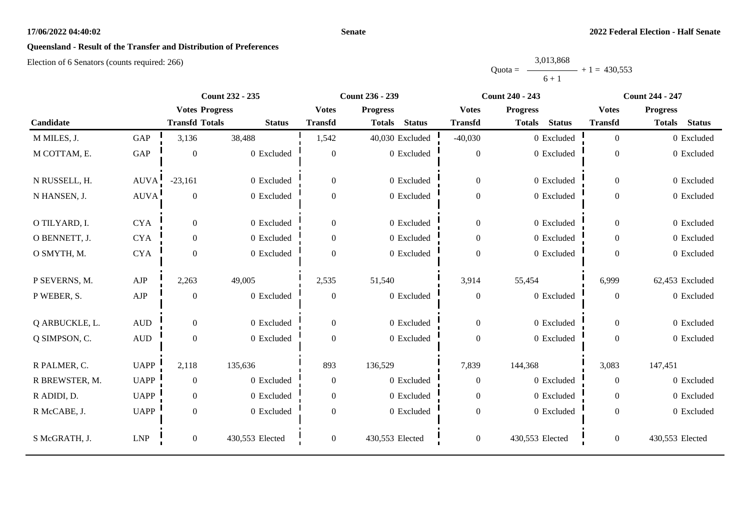#### **Senate**

# **Queensland - Result of the Transfer and Distribution of Preferences**

|           | 3,013,868 |                |
|-----------|-----------|----------------|
| $Quota =$ |           | $+1 = 430.553$ |
|           | $6 + 1$   |                |

|                |                  |                       | <b>Count 232 - 235</b> |                  | <b>Count 236 - 239</b>         |                  | <b>Count 240 - 243</b>         |                | <b>Count 244 - 247</b>         |  |
|----------------|------------------|-----------------------|------------------------|------------------|--------------------------------|------------------|--------------------------------|----------------|--------------------------------|--|
|                |                  | <b>Votes Progress</b> |                        | <b>Votes</b>     | <b>Progress</b>                | <b>Votes</b>     | <b>Progress</b>                | <b>Votes</b>   | <b>Progress</b>                |  |
| Candidate      |                  | <b>Transfd Totals</b> | <b>Status</b>          | <b>Transfd</b>   | <b>Status</b><br><b>Totals</b> | <b>Transfd</b>   | <b>Status</b><br><b>Totals</b> | <b>Transfd</b> | <b>Status</b><br><b>Totals</b> |  |
| M MILES, J.    | GAP              | 3,136                 | 38,488                 | 1,542            | 40,030 Excluded                | $-40,030$        | 0 Excluded                     | $\overline{0}$ | 0 Excluded                     |  |
| M COTTAM, E.   | GAP              | $\overline{0}$        | 0 Excluded             | $\overline{0}$   | 0 Excluded                     | $\boldsymbol{0}$ | 0 Excluded                     | $\theta$       | 0 Excluded                     |  |
| N RUSSELL, H.  | AUVA!            | $-23,161$             | 0 Excluded             | $\boldsymbol{0}$ | 0 Excluded                     | $\boldsymbol{0}$ | 0 Excluded                     | $\mathbf{0}$   | 0 Excluded                     |  |
| N HANSEN, J.   | <b>AUVA</b>      | $\theta$              | 0 Excluded             | $\Omega$         | 0 Excluded                     | $\boldsymbol{0}$ | 0 Excluded                     | $\Omega$       | 0 Excluded                     |  |
| O TILYARD, I.  | <b>CYA</b>       | $\overline{0}$        | 0 Excluded             | $\overline{0}$   | 0 Excluded                     | $\boldsymbol{0}$ | 0 Excluded                     | $\overline{0}$ | 0 Excluded                     |  |
| O BENNETT, J.  | <b>CYA</b>       | $\theta$              | 0 Excluded             | $\overline{0}$   | 0 Excluded                     | $\boldsymbol{0}$ | 0 Excluded                     | $\overline{0}$ | 0 Excluded                     |  |
| O SMYTH, M.    | <b>CYA</b>       | $\overline{0}$        | 0 Excluded             | $\Omega$         | 0 Excluded                     | $\mathbf{0}$     | 0 Excluded                     | $\Omega$       | 0 Excluded                     |  |
| P SEVERNS, M.  | AJP              | 2,263                 | 49,005                 | 2,535            | 51,540                         | 3,914            | 55,454                         | 6,999          | 62,453 Excluded                |  |
| P WEBER, S.    | ${\rm AJP}$      | $\boldsymbol{0}$      | 0 Excluded             | $\boldsymbol{0}$ | 0 Excluded                     | $\boldsymbol{0}$ | 0 Excluded                     | $\mathbf{0}$   | 0 Excluded                     |  |
| Q ARBUCKLE, L. | $\mbox{\rm AUD}$ | $\Omega$              | 0 Excluded             | $\boldsymbol{0}$ | 0 Excluded                     | $\overline{0}$   | 0 Excluded                     | $\theta$       | 0 Excluded                     |  |
| Q SIMPSON, C.  | $\hbox{AUD}$     | $\mathbf{0}$          | $0$ Excluded           | $\overline{0}$   | 0 Excluded                     | $\boldsymbol{0}$ | 0 Excluded                     | $\Omega$       | 0 Excluded                     |  |
| R PALMER, C.   | <b>UAPP</b>      | 2,118                 | 135,636                | 893              | 136,529                        | 7,839            | 144,368                        | 3,083          | 147,451                        |  |
| R BREWSTER, M. | <b>UAPP</b>      | $\overline{0}$        | 0 Excluded             | $\boldsymbol{0}$ | 0 Excluded                     | $\boldsymbol{0}$ | 0 Excluded                     | $\overline{0}$ | 0 Excluded                     |  |
| R ADIDI, D.    | <b>UAPP</b>      | $\overline{0}$        | 0 Excluded             | $\overline{0}$   | 0 Excluded                     | $\boldsymbol{0}$ | 0 Excluded                     | $\Omega$       | 0 Excluded                     |  |
| R McCABE, J.   | <b>UAPP</b>      | $\overline{0}$        | 0 Excluded             | $\overline{0}$   | 0 Excluded                     | $\boldsymbol{0}$ | 0 Excluded                     | $\overline{0}$ | 0 Excluded                     |  |
| S McGRATH, J.  | LNP              | $\boldsymbol{0}$      | 430,553 Elected        | $\boldsymbol{0}$ | 430,553 Elected                | $\boldsymbol{0}$ | 430,553 Elected                | $\overline{0}$ | 430,553 Elected                |  |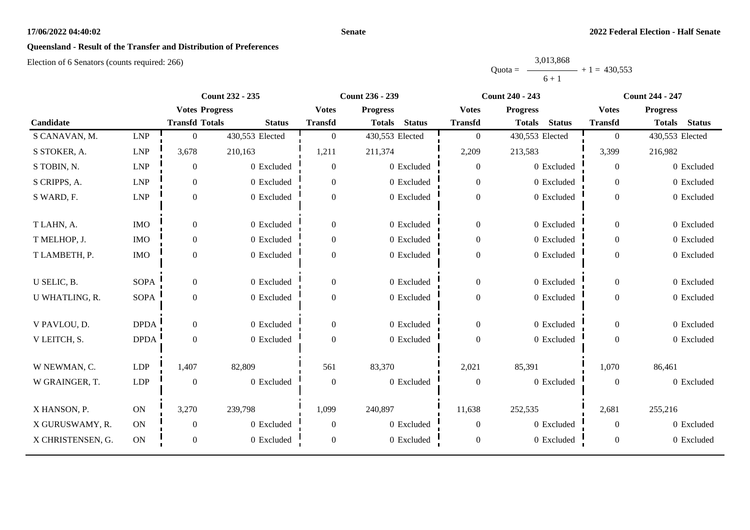#### **Senate**

# **Queensland - Result of the Transfer and Distribution of Preferences**

|           | 3,013,868 |                |
|-----------|-----------|----------------|
| $Quota =$ |           | $+1 = 430.553$ |
|           | $6 + 1$   |                |

|                   |             | <b>Count 232 - 235</b> |                 | <b>Count 236 - 239</b> |                                |                  | <b>Count 240 - 243</b>         |                  | <b>Count 244 - 247</b>         |  |
|-------------------|-------------|------------------------|-----------------|------------------------|--------------------------------|------------------|--------------------------------|------------------|--------------------------------|--|
|                   |             | <b>Votes Progress</b>  |                 | <b>Votes</b>           | <b>Progress</b>                | <b>Votes</b>     | <b>Progress</b>                | <b>Votes</b>     | <b>Progress</b>                |  |
| Candidate         |             | <b>Transfd Totals</b>  | <b>Status</b>   | <b>Transfd</b>         | <b>Status</b><br><b>Totals</b> | <b>Transfd</b>   | <b>Status</b><br><b>Totals</b> | <b>Transfd</b>   | <b>Status</b><br><b>Totals</b> |  |
| S CANAVAN, M.     | <b>LNP</b>  | $\boldsymbol{0}$       | 430,553 Elected | $\boldsymbol{0}$       | 430,553 Elected                | $\boldsymbol{0}$ | 430,553 Elected                | $\overline{0}$   | 430,553 Elected                |  |
| S STOKER, A.      | <b>LNP</b>  | 3,678                  | 210,163         | 1,211                  | 211,374                        | 2,209            | 213,583                        | 3,399            | 216,982                        |  |
| S TOBIN, N.       | <b>LNP</b>  | $\overline{0}$         | 0 Excluded      | $\overline{0}$         | 0 Excluded                     | $\mathbf{0}$     | 0 Excluded                     | $\overline{0}$   | 0 Excluded                     |  |
| S CRIPPS, A.      | <b>LNP</b>  | $\boldsymbol{0}$       | 0 Excluded      | $\overline{0}$         | 0 Excluded                     | $\overline{0}$   | 0 Excluded                     | $\overline{0}$   | 0 Excluded                     |  |
| S WARD, F.        | <b>LNP</b>  | $\boldsymbol{0}$       | 0 Excluded      | $\overline{0}$         | 0 Excluded                     | $\boldsymbol{0}$ | 0 Excluded                     | $\overline{0}$   | 0 Excluded                     |  |
| T LAHN, A.        | <b>IMO</b>  | $\overline{0}$         | 0 Excluded      | $\overline{0}$         | 0 Excluded                     | $\boldsymbol{0}$ | 0 Excluded                     | $\overline{0}$   | 0 Excluded                     |  |
| T MELHOP, J.      | <b>IMO</b>  | $\boldsymbol{0}$       | 0 Excluded      | $\boldsymbol{0}$       | 0 Excluded                     | $\boldsymbol{0}$ | 0 Excluded                     | $\overline{0}$   | 0 Excluded                     |  |
| T LAMBETH, P.     | <b>IMO</b>  | $\boldsymbol{0}$       | 0 Excluded      | $\overline{0}$         | 0 Excluded                     | $\boldsymbol{0}$ | 0 Excluded                     | $\overline{0}$   | 0 Excluded                     |  |
| U SELIC, B.       | <b>SOPA</b> | $\boldsymbol{0}$       | 0 Excluded      | $\boldsymbol{0}$       | 0 Excluded                     | $\mathbf{0}$     | 0 Excluded                     | $\overline{0}$   | 0 Excluded                     |  |
| U WHATLING, R.    | <b>SOPA</b> | $\mathbf{0}$           | 0 Excluded      | $\boldsymbol{0}$       | 0 Excluded                     | $\boldsymbol{0}$ | 0 Excluded                     | $\overline{0}$   | 0 Excluded                     |  |
| V PAVLOU, D.      | <b>DPDA</b> | $\overline{0}$         | 0 Excluded      | $\overline{0}$         | 0 Excluded                     | $\overline{0}$   | 0 Excluded                     | $\overline{0}$   | 0 Excluded                     |  |
| V LEITCH, S.      | <b>DPDA</b> | $\boldsymbol{0}$       | 0 Excluded      | $\overline{0}$         | 0 Excluded                     | $\mathbf{0}$     | 0 Excluded                     | $\overline{0}$   | 0 Excluded                     |  |
| W NEWMAN, C.      | <b>LDP</b>  | 1,407                  | 82,809          | 561                    | 83,370                         | 2,021            | 85,391                         | 1,070            | 86,461                         |  |
| W GRAINGER, T.    | <b>LDP</b>  | $\mathbf{0}$           | 0 Excluded      | $\boldsymbol{0}$       | 0 Excluded                     | $\boldsymbol{0}$ | 0 Excluded                     | $\boldsymbol{0}$ | 0 Excluded                     |  |
| X HANSON, P.      | $\rm ON$    | 3,270                  | 239,798         | 1,099                  | 240,897                        | 11,638           | 252,535                        | 2,681            | 255,216                        |  |
| X GURUSWAMY, R.   | ON          | $\boldsymbol{0}$       | 0 Excluded      | $\overline{0}$         | 0 Excluded                     | $\overline{0}$   | 0 Excluded                     | $\theta$         | 0 Excluded                     |  |
| X CHRISTENSEN, G. | ON          | $\boldsymbol{0}$       | 0 Excluded      | $\mathbf{0}$           | 0 Excluded                     | $\boldsymbol{0}$ | 0 Excluded                     | $\boldsymbol{0}$ | 0 Excluded                     |  |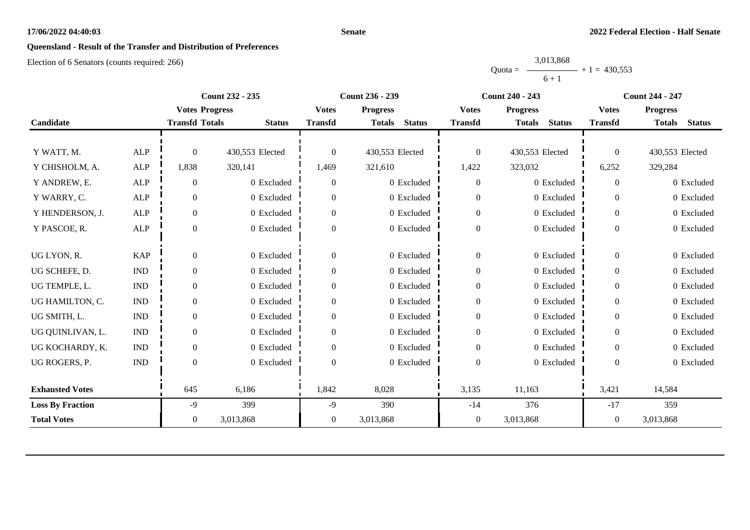#### **Senate**

# **Queensland - Result of the Transfer and Distribution of Preferences**

|           | 3,013,868 |                |
|-----------|-----------|----------------|
| $Quota =$ |           | $+1 = 430.553$ |
|           | $6 + 1$   |                |

|                         |                             |                       | <b>Count 232 - 235</b> |                  | Count 236 - 239                | <b>Count 240 - 243</b> |                                | <b>Count 244 - 247</b> |                                |
|-------------------------|-----------------------------|-----------------------|------------------------|------------------|--------------------------------|------------------------|--------------------------------|------------------------|--------------------------------|
|                         |                             | <b>Votes Progress</b> |                        | <b>Votes</b>     | <b>Progress</b>                | <b>Votes</b>           | <b>Progress</b>                | <b>Votes</b>           | <b>Progress</b>                |
| Candidate               |                             | <b>Transfd Totals</b> | <b>Status</b>          | <b>Transfd</b>   | <b>Status</b><br><b>Totals</b> | <b>Transfd</b>         | <b>Totals</b><br><b>Status</b> | <b>Transfd</b>         | <b>Totals</b><br><b>Status</b> |
|                         |                             |                       |                        |                  |                                |                        |                                |                        |                                |
| Y WATT, M.              | <b>ALP</b>                  | $\theta$              | 430,553 Elected        | $\theta$         | 430,553 Elected                | $\boldsymbol{0}$       | 430,553 Elected                | $\Omega$               | 430,553 Elected                |
| Y CHISHOLM, A.          | <b>ALP</b>                  | 1,838                 | 320,141                | 1,469            | 321,610                        | 1,422                  | 323,032                        | 6,252                  | 329,284                        |
| Y ANDREW, E.            | <b>ALP</b>                  | $\overline{0}$        | 0 Excluded             | $\overline{0}$   | 0 Excluded                     | $\boldsymbol{0}$       | 0 Excluded                     | $\Omega$               | 0 Excluded                     |
| Y WARRY, C.             | <b>ALP</b>                  | $\overline{0}$        | 0 Excluded             | $\overline{0}$   | 0 Excluded                     | $\boldsymbol{0}$       | 0 Excluded                     | $\theta$               | 0 Excluded                     |
| Y HENDERSON, J.         | <b>ALP</b>                  | $\overline{0}$        | 0 Excluded             | $\overline{0}$   | 0 Excluded                     | $\boldsymbol{0}$       | 0 Excluded                     | $\overline{0}$         | 0 Excluded                     |
| Y PASCOE, R.            | <b>ALP</b>                  | $\theta$              | 0 Excluded             | $\overline{0}$   | 0 Excluded                     | $\boldsymbol{0}$       | 0 Excluded                     | $\overline{0}$         | 0 Excluded                     |
|                         |                             |                       |                        |                  |                                |                        |                                |                        |                                |
| UG LYON, R.             | <b>KAP</b>                  | $\overline{0}$        | 0 Excluded             | $\overline{0}$   | 0 Excluded                     | $\boldsymbol{0}$       | 0 Excluded                     | $\overline{0}$         | 0 Excluded                     |
| UG SCHEFE, D.           | $\mathbf{IND}$              | $\overline{0}$        | 0 Excluded             | $\boldsymbol{0}$ | 0 Excluded                     | $\boldsymbol{0}$       | 0 Excluded                     | $\overline{0}$         | 0 Excluded                     |
| UG TEMPLE, L.           | <b>IND</b>                  | 0                     | 0 Excluded             | $\Omega$         | 0 Excluded                     | $\boldsymbol{0}$       | 0 Excluded                     | $\theta$               | 0 Excluded                     |
| UG HAMILTON, C.         | $\mathop{\rm IND}\nolimits$ | 0                     | 0 Excluded             | $\theta$         | 0 Excluded                     | $\boldsymbol{0}$       | 0 Excluded                     | $\overline{0}$         | 0 Excluded                     |
| UG SMITH, L.            | $\mathop{\rm IND}\nolimits$ | $\Omega$              | 0 Excluded             | $\overline{0}$   | 0 Excluded                     | $\boldsymbol{0}$       | 0 Excluded                     | $\overline{0}$         | 0 Excluded                     |
| UG QUINLIVAN, L.        | $\mathop{\rm IND}\nolimits$ | $\Omega$              | 0 Excluded             | $\Omega$         | 0 Excluded                     | $\boldsymbol{0}$       | 0 Excluded                     | $\theta$               | 0 Excluded                     |
| UG KOCHARDY, K.         | $\mathop{\rm IND}\nolimits$ | $\overline{0}$        | 0 Excluded             | $\overline{0}$   | 0 Excluded                     | $\boldsymbol{0}$       | 0 Excluded                     | $\overline{0}$         | 0 Excluded                     |
| UG ROGERS, P.           | $\mathop{\rm IND}\nolimits$ | $\Omega$              | 0 Excluded             | $\Omega$         | 0 Excluded                     | $\boldsymbol{0}$       | 0 Excluded                     | $\Omega$               | 0 Excluded                     |
|                         |                             |                       |                        |                  |                                |                        |                                |                        |                                |
| <b>Exhausted Votes</b>  |                             | 645                   | 6,186                  | 1,842            | 8,028                          | 3,135                  | 11,163                         | 3,421                  | 14,584                         |
| <b>Loss By Fraction</b> |                             | $-9$                  | 399                    | $-9$             | 390                            | $-14$                  | 376                            | $-17$                  | 359                            |
| <b>Total Votes</b>      |                             | $\overline{0}$        | 3,013,868              | $\mathbf{0}$     | 3,013,868                      | $\boldsymbol{0}$       | 3,013,868                      | $\overline{0}$         | 3,013,868                      |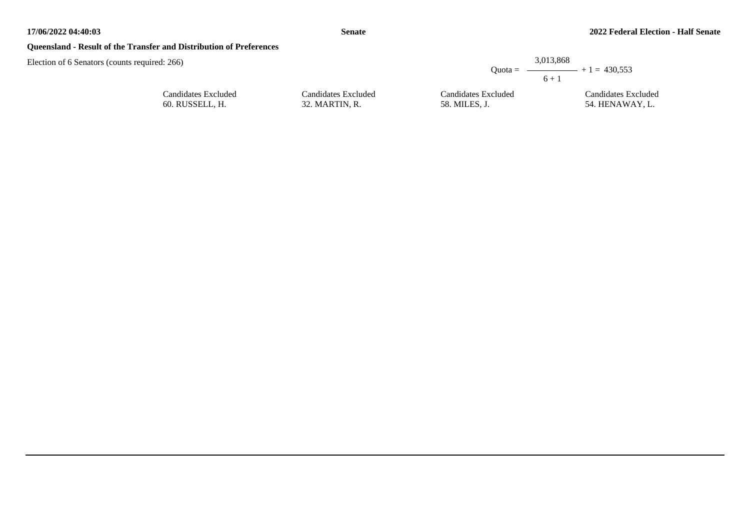## **Queensland - Result of the Transfer and Distribution of Preferences**

Election of 6 Senators (counts required: 266)

|                     |                     | 3.013.868<br>Ouota = $\longrightarrow$ + 1 = 430.553<br>$6 + 1$ |
|---------------------|---------------------|-----------------------------------------------------------------|
| Candidates Excluded | Candidates Excluded | Candidates Excluded                                             |
| 32. MARTIN, R.      | 58. MILES. J.       | 54. HENAWAY, L.                                                 |

| Candidates Excluded |  |
|---------------------|--|
| 60. RUSSELL, H.     |  |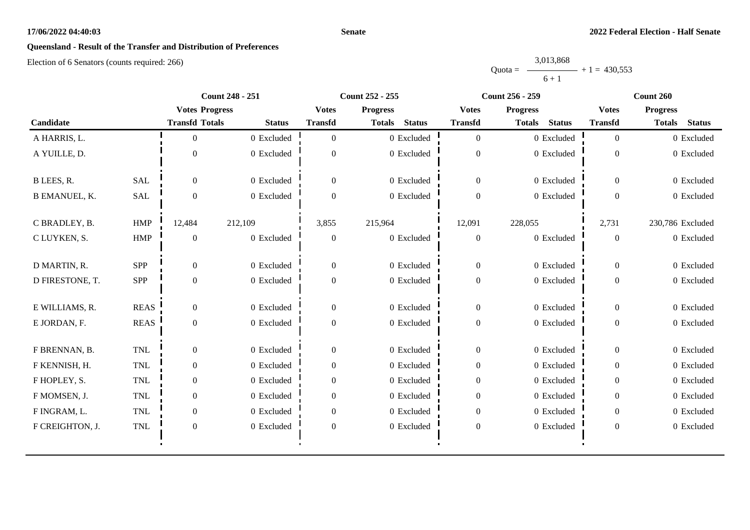#### **Senate**

# **Queensland - Result of the Transfer and Distribution of Preferences**

|           | 3,013,868 |                |
|-----------|-----------|----------------|
| $Quota =$ |           | $+1 = 430.553$ |
|           | $6 + 1$   |                |

|                      |             | <b>Count 248 - 251</b> |               |                  | <b>Count 252 - 255</b>         |                  | <b>Count 256 - 259</b>         | Count 260      |                                |  |
|----------------------|-------------|------------------------|---------------|------------------|--------------------------------|------------------|--------------------------------|----------------|--------------------------------|--|
|                      |             | <b>Votes Progress</b>  |               | <b>Votes</b>     | <b>Progress</b>                | <b>Votes</b>     | <b>Progress</b>                | <b>Votes</b>   | <b>Progress</b>                |  |
| Candidate            |             | <b>Transfd Totals</b>  | <b>Status</b> | <b>Transfd</b>   | <b>Status</b><br><b>Totals</b> | <b>Transfd</b>   | <b>Status</b><br><b>Totals</b> | <b>Transfd</b> | <b>Status</b><br><b>Totals</b> |  |
| A HARRIS, L.         |             | $\Omega$               | 0 Excluded    | $\Omega$         | 0 Excluded                     | $\overline{0}$   | 0 Excluded                     | $\overline{0}$ | 0 Excluded                     |  |
| A YUILLE, D.         |             | $\Omega$               | 0 Excluded    | $\Omega$         | $0\,$ Excluded                 | $\boldsymbol{0}$ | 0 Excluded                     | $\overline{0}$ | 0 Excluded                     |  |
| B LEES, R.           | <b>SAL</b>  | $\Omega$               | 0 Excluded    | $\Omega$         | 0 Excluded                     | $\overline{0}$   | 0 Excluded                     | $\overline{0}$ | 0 Excluded                     |  |
| <b>B EMANUEL, K.</b> | SAL         | $\overline{0}$         | 0 Excluded    | $\Omega$         | 0 Excluded                     | $\boldsymbol{0}$ | 0 Excluded                     | $\Omega$       | 0 Excluded                     |  |
| C BRADLEY, B.        | <b>HMP</b>  | 12,484                 | 212,109       | 3,855            | 215,964                        | 12,091           | 228,055                        | 2,731          | 230,786 Excluded               |  |
| C LUYKEN, S.         | <b>HMP</b>  | $\overline{0}$         | 0 Excluded    | $\theta$         | 0 Excluded                     | $\boldsymbol{0}$ | 0 Excluded                     | $\overline{0}$ | 0 Excluded                     |  |
| D MARTIN, R.         | SPP         | $\overline{0}$         | 0 Excluded    | $\overline{0}$   | 0 Excluded                     | $\boldsymbol{0}$ | 0 Excluded                     | $\overline{0}$ | 0 Excluded                     |  |
| D FIRESTONE, T.      | <b>SPP</b>  | $\overline{0}$         | 0 Excluded    | $\Omega$         | 0 Excluded                     | $\boldsymbol{0}$ | 0 Excluded                     | $\overline{0}$ | 0 Excluded                     |  |
| E WILLIAMS, R.       | <b>REAS</b> | $\Omega$               | 0 Excluded    | $\Omega$         | 0 Excluded                     | $\overline{0}$   | 0 Excluded                     | $\overline{0}$ | 0 Excluded                     |  |
| E JORDAN, F.         | <b>REAS</b> | $\overline{0}$         | 0 Excluded    | $\overline{0}$   | 0 Excluded                     | $\boldsymbol{0}$ | 0 Excluded                     | $\overline{0}$ | 0 Excluded                     |  |
| F BRENNAN, B.        | <b>TNL</b>  | $\overline{0}$         | 0 Excluded    | $\boldsymbol{0}$ | 0 Excluded                     | $\boldsymbol{0}$ | 0 Excluded                     | $\overline{0}$ | 0 Excluded                     |  |
| F KENNISH, H.        | <b>TNL</b>  | $\Omega$               | 0 Excluded    | $\Omega$         | 0 Excluded                     | $\overline{0}$   | 0 Excluded                     | $\theta$       | 0 Excluded                     |  |
| F HOPLEY, S.         | <b>TNL</b>  | $\overline{0}$         | 0 Excluded    | $\theta$         | 0 Excluded                     | $\overline{0}$   | 0 Excluded                     | $\overline{0}$ | 0 Excluded                     |  |
| F MOMSEN, J.         | <b>TNL</b>  | $\overline{0}$         | 0 Excluded    | $\Omega$         | 0 Excluded                     | $\boldsymbol{0}$ | 0 Excluded                     | $\overline{0}$ | 0 Excluded                     |  |
| F INGRAM, L.         | <b>TNL</b>  | $\overline{0}$         | 0 Excluded    | $\overline{0}$   | 0 Excluded                     | $\overline{0}$   | 0 Excluded                     | $\overline{0}$ | 0 Excluded                     |  |
| F CREIGHTON, J.      | <b>TNL</b>  | $\boldsymbol{0}$       | 0 Excluded    | $\boldsymbol{0}$ | $0$ Excluded                   | $\boldsymbol{0}$ | 0 Excluded                     | $\overline{0}$ | 0 Excluded                     |  |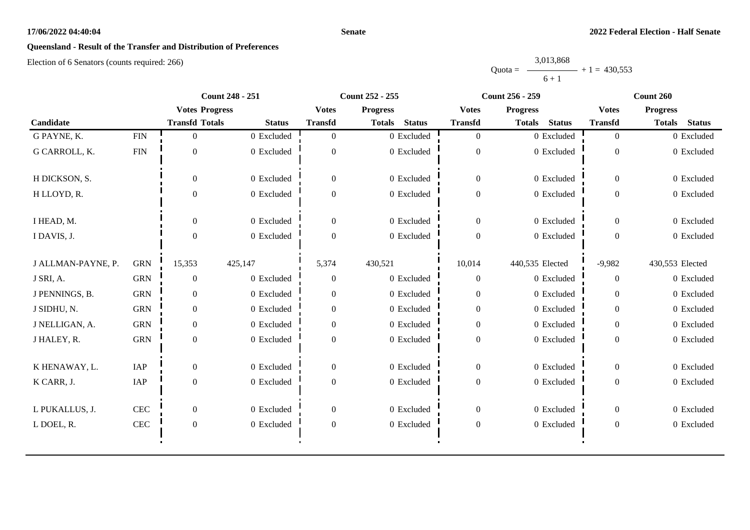#### **Senate**

# **Queensland - Result of the Transfer and Distribution of Preferences**

|           | 3,013,868 |                |
|-----------|-----------|----------------|
| $Quota =$ |           | $+1 = 430.553$ |
|           | $6 + 1$   |                |

|                    |              |                       | <b>Count 248 - 251</b> |                  | <b>Count 252 - 255</b>         |                  | <b>Count 256 - 259</b>         |                  | Count 260                      |
|--------------------|--------------|-----------------------|------------------------|------------------|--------------------------------|------------------|--------------------------------|------------------|--------------------------------|
|                    |              | <b>Votes Progress</b> |                        | <b>Votes</b>     | <b>Progress</b>                | <b>Votes</b>     | <b>Progress</b>                | <b>Votes</b>     | <b>Progress</b>                |
| Candidate          |              | <b>Transfd Totals</b> | <b>Status</b>          | <b>Transfd</b>   | <b>Status</b><br><b>Totals</b> | <b>Transfd</b>   | <b>Status</b><br><b>Totals</b> | <b>Transfd</b>   | <b>Totals</b><br><b>Status</b> |
| G PAYNE, K.        | ${\rm FIN}$  | $\overline{0}$        | 0 Excluded             | $\overline{0}$   | 0 Excluded                     | $\overline{0}$   | 0 Excluded                     | $\overline{0}$   | 0 Excluded                     |
| G CARROLL, K.      | <b>FIN</b>   | $\mathbf{0}$          | 0 Excluded             | $\Omega$         | 0 Excluded                     | $\theta$         | 0 Excluded                     | $\theta$         | 0 Excluded                     |
| H DICKSON, S.      |              | $\overline{0}$        | 0 Excluded             | $\boldsymbol{0}$ | 0 Excluded                     | $\mathbf{0}$     | 0 Excluded                     | $\overline{0}$   | 0 Excluded                     |
| H LLOYD, R.        |              | $\Omega$              | 0 Excluded             | $\Omega$         | 0 Excluded                     | $\mathbf{0}$     | 0 Excluded                     | $\overline{0}$   | 0 Excluded                     |
| I HEAD, M.         |              | $\overline{0}$        | 0 Excluded             | $\overline{0}$   | 0 Excluded                     | $\overline{0}$   | 0 Excluded                     | $\overline{0}$   | 0 Excluded                     |
| I DAVIS, J.        |              | $\Omega$              | 0 Excluded             | $\theta$         | 0 Excluded                     | $\boldsymbol{0}$ | 0 Excluded                     | $\theta$         | 0 Excluded                     |
| J ALLMAN-PAYNE, P. | <b>GRN</b>   | 15,353                | 425,147                | 5,374            | 430,521                        | 10,014           | 440,535 Elected                | $-9,982$         | 430,553 Elected                |
| J SRI, A.          | <b>GRN</b>   | $\mathbf{0}$          | 0 Excluded             | $\overline{0}$   | 0 Excluded                     | $\mathbf{0}$     | 0 Excluded                     | $\overline{0}$   | 0 Excluded                     |
| J PENNINGS, B.     | <b>GRN</b>   | $\overline{0}$        | 0 Excluded             | $\overline{0}$   | 0 Excluded                     | $\overline{0}$   | 0 Excluded                     | $\Omega$         | 0 Excluded                     |
| J SIDHU, N.        | <b>GRN</b>   | $\overline{0}$        | 0 Excluded             | $\overline{0}$   | 0 Excluded                     | $\boldsymbol{0}$ | 0 Excluded                     | $\overline{0}$   | 0 Excluded                     |
| J NELLIGAN, A.     | <b>GRN</b>   | $\boldsymbol{0}$      | 0 Excluded             | $\overline{0}$   | 0 Excluded                     | $\mathbf{0}$     | 0 Excluded                     | $\overline{0}$   | 0 Excluded                     |
| J HALEY, R.        | <b>GRN</b>   | $\overline{0}$        | 0 Excluded             | $\Omega$         | 0 Excluded                     | $\boldsymbol{0}$ | 0 Excluded                     | $\overline{0}$   | 0 Excluded                     |
| K HENAWAY, L.      | IAP          | $\boldsymbol{0}$      | 0 Excluded             | $\boldsymbol{0}$ | 0 Excluded                     | $\boldsymbol{0}$ | 0 Excluded                     | $\boldsymbol{0}$ | 0 Excluded                     |
| K CARR, J.         | IAP          | $\boldsymbol{0}$      | 0 Excluded             | $\overline{0}$   | 0 Excluded                     | $\boldsymbol{0}$ | 0 Excluded                     | $\overline{0}$   | 0 Excluded                     |
| L PUKALLUS, J.     | CEC          | $\overline{0}$        | 0 Excluded             | $\overline{0}$   | 0 Excluded                     | $\boldsymbol{0}$ | 0 Excluded                     | $\Omega$         | 0 Excluded                     |
| L DOEL, R.         | $\mbox{CEC}$ | $\boldsymbol{0}$      | 0 Excluded             | $\boldsymbol{0}$ | 0 Excluded                     | $\boldsymbol{0}$ | 0 Excluded                     | $\mathbf{0}$     | 0 Excluded                     |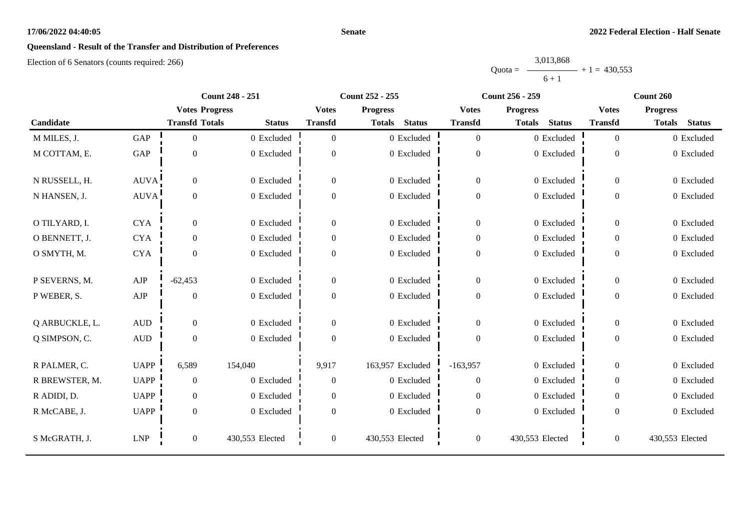#### **Senate**

# **Queensland - Result of the Transfer and Distribution of Preferences**

|           | 3,013,868 |                |
|-----------|-----------|----------------|
| $Quota =$ |           | $+1 = 430.553$ |
|           | $6 + 1$   |                |

|                |              |                       | <b>Count 248 - 251</b> |                | <b>Count 252 - 255</b>  |                  | <b>Count 256 - 259</b>         |                  | Count 260                      |
|----------------|--------------|-----------------------|------------------------|----------------|-------------------------|------------------|--------------------------------|------------------|--------------------------------|
|                |              | <b>Votes Progress</b> |                        | <b>Votes</b>   | <b>Progress</b>         | <b>Votes</b>     | <b>Progress</b>                | <b>Votes</b>     | <b>Progress</b>                |
| Candidate      |              | <b>Transfd Totals</b> | <b>Status</b>          | <b>Transfd</b> | <b>Status</b><br>Totals | <b>Transfd</b>   | <b>Status</b><br><b>Totals</b> | <b>Transfd</b>   | <b>Status</b><br><b>Totals</b> |
| M MILES, J.    | <b>GAP</b>   | $\theta$              | 0 Excluded             | $\overline{0}$ | 0 Excluded              | $\overline{0}$   | 0 Excluded                     | $\overline{0}$   | 0 Excluded                     |
| M COTTAM, E.   | GAP          | $\overline{0}$        | 0 Excluded             | $\Omega$       | 0 Excluded              | $\overline{0}$   | 0 Excluded                     | $\overline{0}$   | 0 Excluded                     |
| N RUSSELL, H.  | <b>AUVA</b>  | $\overline{0}$        | 0 Excluded             | $\mathbf{0}$   | 0 Excluded              | $\overline{0}$   | 0 Excluded                     | $\boldsymbol{0}$ | 0 Excluded                     |
| N HANSEN, J.   | AUVA         | $\overline{0}$        | 0 Excluded             | $\overline{0}$ | 0 Excluded              | $\theta$         | 0 Excluded                     | $\overline{0}$   | 0 Excluded                     |
| O TILYARD, I.  | <b>CYA</b>   | $\theta$              | 0 Excluded             | $\theta$       | 0 Excluded              | $\mathbf{0}$     | 0 Excluded                     | $\boldsymbol{0}$ | 0 Excluded                     |
| O BENNETT, J.  | <b>CYA</b>   | $\overline{0}$        | 0 Excluded             | $\mathbf{0}$   | 0 Excluded              | $\overline{0}$   | 0 Excluded                     | $\overline{0}$   | 0 Excluded                     |
| O SMYTH, M.    | <b>CYA</b>   | $\Omega$              | 0 Excluded             | $\mathbf{0}$   | 0 Excluded              | $\theta$         | 0 Excluded                     | $\overline{0}$   | 0 Excluded                     |
| P SEVERNS, M.  | AJP          | $-62,453$             | 0 Excluded             | $\theta$       | 0 Excluded              | $\overline{0}$   | 0 Excluded                     | $\boldsymbol{0}$ | 0 Excluded                     |
| P WEBER, S.    | ${\rm AJP}$  | $\theta$              | 0 Excluded             | $\overline{0}$ | 0 Excluded              | $\boldsymbol{0}$ | 0 Excluded                     | $\overline{0}$   | 0 Excluded                     |
| Q ARBUCKLE, L. | $\hbox{AUD}$ | $\overline{0}$        | 0 Excluded             | $\mathbf{0}$   | 0 Excluded              | $\mathbf{0}$     | 0 Excluded                     | $\overline{0}$   | 0 Excluded                     |
| Q SIMPSON, C.  | $\mbox{AUD}$ | $\overline{0}$        | 0 Excluded             | $\overline{0}$ | 0 Excluded              | $\overline{0}$   | 0 Excluded                     | $\mathbf{0}$     | 0 Excluded                     |
| R PALMER, C.   | <b>UAPP</b>  | 6,589                 | 154,040                | 9,917          | 163,957 Excluded        | $-163,957$       | 0 Excluded                     | $\overline{0}$   | 0 Excluded                     |
| R BREWSTER, M. | <b>UAPP</b>  | $\mathbf{0}$          | 0 Excluded             | $\mathbf{0}$   | 0 Excluded              | $\mathbf{0}$     | 0 Excluded                     | $\overline{0}$   | 0 Excluded                     |
| R ADIDI, D.    | <b>UAPP</b>  | $\overline{0}$        | 0 Excluded             | $\overline{0}$ | 0 Excluded              | $\overline{0}$   | 0 Excluded                     | $\overline{0}$   | 0 Excluded                     |
| R McCABE, J.   | <b>UAPP</b>  | $\overline{0}$        | 0 Excluded             | $\mathbf{0}$   | 0 Excluded              | $\overline{0}$   | 0 Excluded                     | $\overline{0}$   | 0 Excluded                     |
| S McGRATH, J.  | <b>LNP</b>   | $\mathbf{0}$          | 430,553 Elected        | $\mathbf{0}$   | 430,553 Elected         | $\boldsymbol{0}$ | 430,553 Elected                | $\boldsymbol{0}$ | 430,553 Elected                |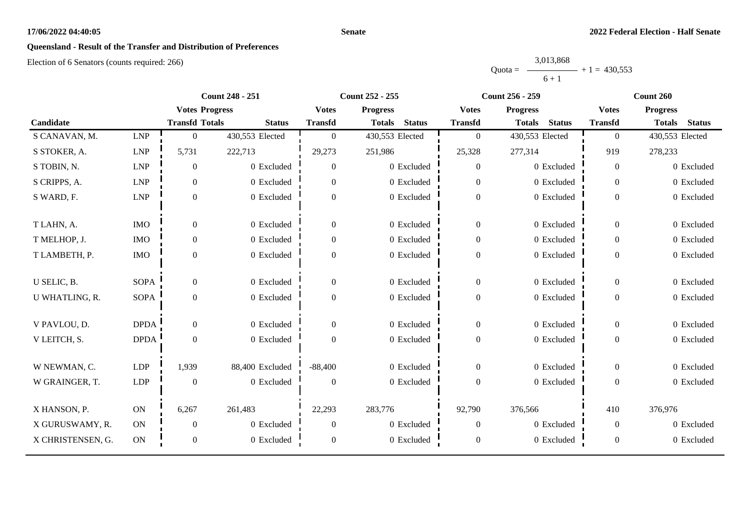#### **Senate**

# **Queensland - Result of the Transfer and Distribution of Preferences**

|           | 3,013,868 |                |
|-----------|-----------|----------------|
| $Quota =$ |           | $+1 = 430.553$ |
|           | $6 + 1$   |                |

|                   |             |                       | <b>Count 248 - 251</b> |                | <b>Count 252 - 255</b>         | <b>Count 256 - 259</b> |                                |                  | Count 260                      |
|-------------------|-------------|-----------------------|------------------------|----------------|--------------------------------|------------------------|--------------------------------|------------------|--------------------------------|
|                   |             | <b>Votes Progress</b> |                        | <b>Votes</b>   | <b>Progress</b>                | <b>Votes</b>           | <b>Progress</b>                | <b>Votes</b>     | <b>Progress</b>                |
| Candidate         |             | <b>Transfd Totals</b> | <b>Status</b>          | <b>Transfd</b> | <b>Status</b><br><b>Totals</b> | <b>Transfd</b>         | <b>Status</b><br><b>Totals</b> | <b>Transfd</b>   | <b>Status</b><br><b>Totals</b> |
| S CANAVAN, M.     | <b>LNP</b>  | $\boldsymbol{0}$      | 430,553 Elected        | $\overline{0}$ | 430,553 Elected                | $\boldsymbol{0}$       | 430,553 Elected                | $\overline{0}$   | 430,553 Elected                |
| S STOKER, A.      | <b>LNP</b>  | 5,731                 | 222,713                | 29,273         | 251,986                        | 25,328                 | 277,314                        | 919              | 278,233                        |
| S TOBIN, N.       | <b>LNP</b>  | $\theta$              | 0 Excluded             | $\overline{0}$ | 0 Excluded                     | $\boldsymbol{0}$       | 0 Excluded                     | $\overline{0}$   | 0 Excluded                     |
| S CRIPPS, A.      | <b>LNP</b>  | $\overline{0}$        | 0 Excluded             | 0              | 0 Excluded                     | $\boldsymbol{0}$       | 0 Excluded                     | $\overline{0}$   | 0 Excluded                     |
| S WARD, F.        | ${\rm LNP}$ | $\boldsymbol{0}$      | 0 Excluded             | $\Omega$       | 0 Excluded                     | $\overline{0}$         | 0 Excluded                     | $\theta$         | 0 Excluded                     |
| T LAHN, A.        | <b>IMO</b>  | $\boldsymbol{0}$      | 0 Excluded             | $\overline{0}$ | 0 Excluded                     | $\boldsymbol{0}$       | 0 Excluded                     | $\overline{0}$   | 0 Excluded                     |
| T MELHOP, J.      | <b>IMO</b>  | $\boldsymbol{0}$      | 0 Excluded             | $\overline{0}$ | 0 Excluded                     | $\boldsymbol{0}$       | 0 Excluded                     | $\overline{0}$   | 0 Excluded                     |
| T LAMBETH, P.     | <b>IMO</b>  | $\boldsymbol{0}$      | 0 Excluded             | $\Omega$       | 0 Excluded                     | $\boldsymbol{0}$       | 0 Excluded                     | $\overline{0}$   | 0 Excluded                     |
| U SELIC, B.       | <b>SOPA</b> | $\boldsymbol{0}$      | 0 Excluded             | $\overline{0}$ | 0 Excluded                     | $\boldsymbol{0}$       | 0 Excluded                     | $\overline{0}$   | 0 Excluded                     |
| U WHATLING, R.    | <b>SOPA</b> | $\boldsymbol{0}$      | 0 Excluded             | $\overline{0}$ | 0 Excluded                     | $\boldsymbol{0}$       | 0 Excluded                     | $\overline{0}$   | 0 Excluded                     |
| V PAVLOU, D.      | <b>DPDA</b> | $\overline{0}$        | 0 Excluded             | $\Omega$       | 0 Excluded                     | $\overline{0}$         | 0 Excluded                     | $\overline{0}$   | 0 Excluded                     |
| V LEITCH, S.      | <b>DPDA</b> | $\boldsymbol{0}$      | 0 Excluded             | $\Omega$       | 0 Excluded                     | $\boldsymbol{0}$       | 0 Excluded                     | $\overline{0}$   | 0 Excluded                     |
| W NEWMAN, C.      | <b>LDP</b>  | 1,939                 | 88,400 Excluded        | $-88,400$      | 0 Excluded                     | $\boldsymbol{0}$       | 0 Excluded                     | $\overline{0}$   | 0 Excluded                     |
| W GRAINGER, T.    | LDP         | $\boldsymbol{0}$      | 0 Excluded             | $\overline{0}$ | 0 Excluded                     | $\boldsymbol{0}$       | 0 Excluded                     | $\overline{0}$   | 0 Excluded                     |
| X HANSON, P.      | ON          | 6,267                 | 261,483                | 22,293         | 283,776                        | 92,790                 | 376,566                        | 410              | 376,976                        |
| X GURUSWAMY, R.   | ON          | $\mathbf{0}$          | 0 Excluded             | $\Omega$       | 0 Excluded                     | $\overline{0}$         | 0 Excluded                     | $\Omega$         | 0 Excluded                     |
| X CHRISTENSEN, G. | ON          | $\boldsymbol{0}$      | 0 Excluded             | 0              | 0 Excluded                     | $\boldsymbol{0}$       | 0 Excluded                     | $\boldsymbol{0}$ | 0 Excluded                     |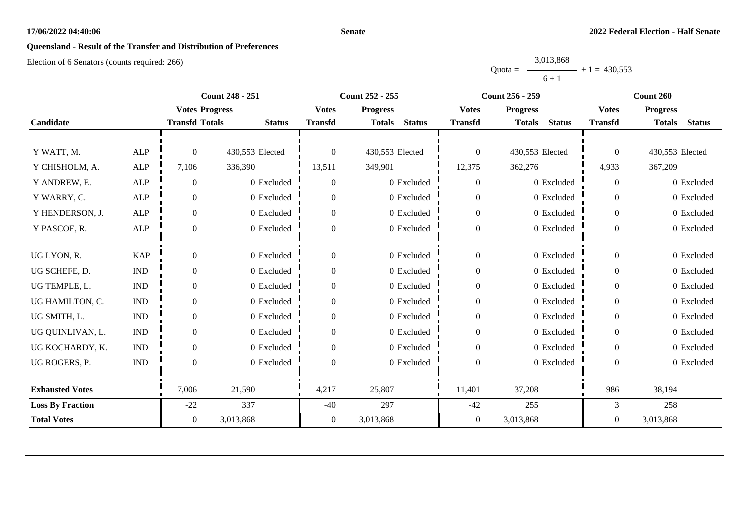#### **Senate**

# **Queensland - Result of the Transfer and Distribution of Preferences**

|           | 3,013,868 |                |
|-----------|-----------|----------------|
| $Quota =$ |           | $+1 = 430.553$ |
|           | $6 + 1$   |                |

|                         |                             |                       | <b>Count 248 - 251</b> |                  | <b>Count 252 - 255</b>         | <b>Count 256 - 259</b> |                                | Count 260        |                                |
|-------------------------|-----------------------------|-----------------------|------------------------|------------------|--------------------------------|------------------------|--------------------------------|------------------|--------------------------------|
|                         |                             | <b>Votes Progress</b> |                        | <b>Votes</b>     | <b>Progress</b>                | <b>Votes</b>           | <b>Progress</b>                | <b>Votes</b>     | <b>Progress</b>                |
| Candidate               |                             | <b>Transfd Totals</b> | <b>Status</b>          | <b>Transfd</b>   | <b>Status</b><br><b>Totals</b> | <b>Transfd</b>         | <b>Status</b><br><b>Totals</b> | <b>Transfd</b>   | <b>Status</b><br><b>Totals</b> |
|                         |                             |                       |                        |                  |                                |                        |                                |                  |                                |
| Y WATT, M.              | <b>ALP</b>                  | $\theta$              | 430,553 Elected        | $\Omega$         | 430,553 Elected                | $\boldsymbol{0}$       | 430,553 Elected                | $\Omega$         | 430,553 Elected                |
| Y CHISHOLM, A.          | <b>ALP</b>                  | 7,106                 | 336,390                | 13,511           | 349,901                        | 12,375                 | 362,276                        | 4,933            | 367,209                        |
| Y ANDREW, E.            | ALP                         | $\mathbf{0}$          | 0 Excluded             | $\boldsymbol{0}$ | 0 Excluded                     | $\boldsymbol{0}$       | 0 Excluded                     | $\overline{0}$   | 0 Excluded                     |
| Y WARRY, C.             | <b>ALP</b>                  | $\overline{0}$        | 0 Excluded             | $\overline{0}$   | 0 Excluded                     | $\boldsymbol{0}$       | 0 Excluded                     | $\overline{0}$   | 0 Excluded                     |
| Y HENDERSON, J.         | <b>ALP</b>                  | $\boldsymbol{0}$      | 0 Excluded             | $\boldsymbol{0}$ | 0 Excluded                     | $\boldsymbol{0}$       | 0 Excluded                     | $\boldsymbol{0}$ | 0 Excluded                     |
| Y PASCOE, R.            | <b>ALP</b>                  | $\Omega$              | 0 Excluded             | $\overline{0}$   | 0 Excluded                     | $\boldsymbol{0}$       | 0 Excluded                     | $\overline{0}$   | 0 Excluded                     |
|                         |                             |                       |                        |                  |                                |                        |                                |                  |                                |
| UG LYON, R.             | <b>KAP</b>                  | $\theta$              | 0 Excluded             | $\boldsymbol{0}$ | 0 Excluded                     | $\overline{0}$         | 0 Excluded                     | $\overline{0}$   | 0 Excluded                     |
| UG SCHEFE, D.           | $\mathop{\rm IND}\nolimits$ | $\Omega$              | 0 Excluded             | $\boldsymbol{0}$ | 0 Excluded                     | $\boldsymbol{0}$       | 0 Excluded                     | $\overline{0}$   | 0 Excluded                     |
| UG TEMPLE, L.           | $\mathbf{IND}\xspace$       | 0                     | 0 Excluded             | $\theta$         | 0 Excluded                     | $\boldsymbol{0}$       | 0 Excluded                     | $\overline{0}$   | 0 Excluded                     |
| UG HAMILTON, C.         | $\mathbf{IND}\xspace$       | $\overline{0}$        | 0 Excluded             | $\theta$         | 0 Excluded                     | $\boldsymbol{0}$       | 0 Excluded                     | $\overline{0}$   | 0 Excluded                     |
| UG SMITH, L.            | $\mathbf{IND}\xspace$       | $\overline{0}$        | 0 Excluded             | $\boldsymbol{0}$ | 0 Excluded                     | $\boldsymbol{0}$       | 0 Excluded                     | $\boldsymbol{0}$ | 0 Excluded                     |
| UG QUINLIVAN, L.        | $\mathbf{IND}\xspace$       | $\Omega$              | 0 Excluded             | $\overline{0}$   | 0 Excluded                     | $\boldsymbol{0}$       | 0 Excluded                     | $\overline{0}$   | 0 Excluded                     |
| UG KOCHARDY, K.         | $\mathop{\rm IND}\nolimits$ | $\boldsymbol{0}$      | 0 Excluded             | $\boldsymbol{0}$ | 0 Excluded                     | $\boldsymbol{0}$       | 0 Excluded                     | $\boldsymbol{0}$ | 0 Excluded                     |
| UG ROGERS, P.           | $\mathop{\rm IND}\nolimits$ | $\Omega$              | 0 Excluded             | $\Omega$         | 0 Excluded                     | $\boldsymbol{0}$       | 0 Excluded                     | $\theta$         | 0 Excluded                     |
|                         |                             |                       |                        |                  |                                |                        |                                |                  |                                |
| <b>Exhausted Votes</b>  |                             | 7,006                 | 21,590                 | 4,217            | 25,807                         | 11,401                 | 37,208                         | 986              | 38,194                         |
| <b>Loss By Fraction</b> |                             | $-22$                 | 337                    | $-40$            | 297                            | $-42$                  | 255                            | 3                | 258                            |
| <b>Total Votes</b>      |                             | $\overline{0}$        | 3,013,868              | $\mathbf{0}$     | 3,013,868                      | $\boldsymbol{0}$       | 3,013,868                      | $\overline{0}$   | 3,013,868                      |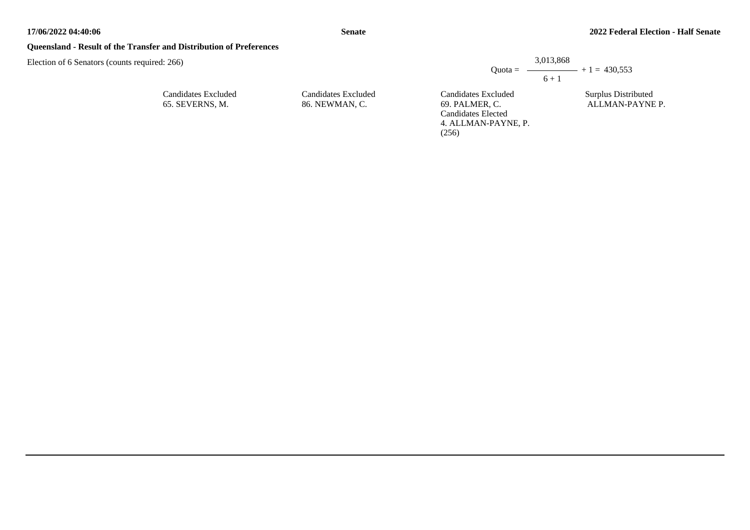**Senate**

#### **Queensland - Result of the Transfer and Distribution of Preferences**

Election of 6 Senators (counts required: 266)

| Candidates Excluded |
|---------------------|
| 65. SEVERNS, M.     |

Candidates Excluded 86. NEWMAN, C.

Candidates Excluded 69. PALMER, C. Candidates Elected 4. ALLMAN-PAYNE, P. (256)  $6 + 1$ 

Quota =  $-$ 

3,013,868

Surplus Distributed ALLMAN-PAYNE P.

 $- + 1 = 430,553$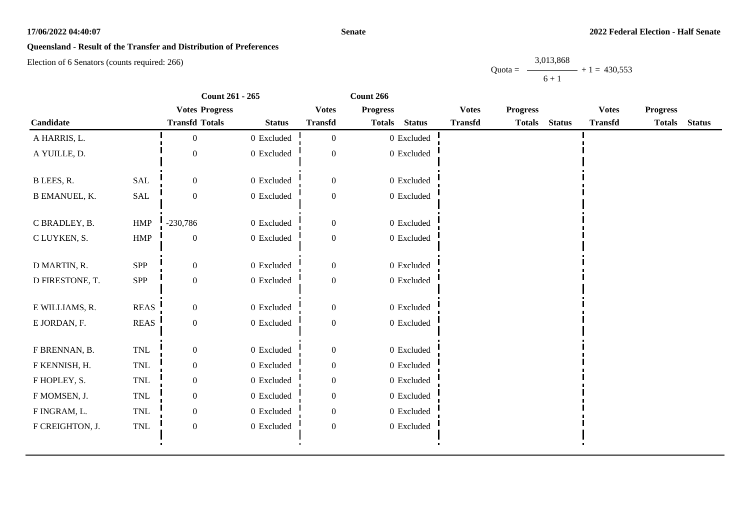#### **Senate**

# **Queensland - Result of the Transfer and Distribution of Preferences**

Election of 6 Senators (counts required: 266)

|                      |                             | Count 261 - 265       |                |                  | Count 266       |                |                |                 |               |                |                 |               |
|----------------------|-----------------------------|-----------------------|----------------|------------------|-----------------|----------------|----------------|-----------------|---------------|----------------|-----------------|---------------|
|                      |                             | <b>Votes Progress</b> |                | <b>Votes</b>     | <b>Progress</b> |                | <b>Votes</b>   | <b>Progress</b> |               | <b>Votes</b>   | <b>Progress</b> |               |
| Candidate            |                             | <b>Transfd Totals</b> | <b>Status</b>  | <b>Transfd</b>   | <b>Totals</b>   | <b>Status</b>  | <b>Transfd</b> | <b>Totals</b>   | <b>Status</b> | <b>Transfd</b> | <b>Totals</b>   | <b>Status</b> |
| A HARRIS, L.         |                             | $\boldsymbol{0}$      | 0 Excluded     | $\boldsymbol{0}$ |                 | $0\,$ Excluded |                |                 |               |                |                 |               |
| A YUILLE, D.         |                             | $\Omega$              | 0 Excluded     | $\Omega$         |                 | 0 Excluded     |                |                 |               |                |                 |               |
| B LEES, R.           | <b>SAL</b>                  | $\boldsymbol{0}$      | 0 Excluded     | $\boldsymbol{0}$ |                 | 0 Excluded     |                |                 |               |                |                 |               |
| <b>B EMANUEL, K.</b> | SAL                         | $\boldsymbol{0}$      | 0 Excluded     | $\boldsymbol{0}$ |                 | $0$ Excluded   |                |                 |               |                |                 |               |
| C BRADLEY, B.        | <b>HMP</b>                  | $-230,786$            | 0 Excluded     | $\boldsymbol{0}$ |                 | 0 Excluded     |                |                 |               |                |                 |               |
| C LUYKEN, S.         | ${\rm HMP}$                 | $\boldsymbol{0}$      | $0$ Excluded   | $\boldsymbol{0}$ |                 | $0$ Excluded   |                |                 |               |                |                 |               |
| D MARTIN, R.         | SPP                         | $\boldsymbol{0}$      | 0 Excluded     | $\boldsymbol{0}$ |                 | 0 Excluded     |                |                 |               |                |                 |               |
| D FIRESTONE, T.      | SPP                         | $\boldsymbol{0}$      | $0$ Excluded   | $\boldsymbol{0}$ |                 | $0\,$ Excluded |                |                 |               |                |                 |               |
| E WILLIAMS, R.       | <b>REAS</b>                 | $\overline{0}$        | 0 Excluded     | $\boldsymbol{0}$ |                 | 0 Excluded     |                |                 |               |                |                 |               |
| E JORDAN, F.         | <b>REAS</b>                 | $\boldsymbol{0}$      | $0\,$ Excluded | $\boldsymbol{0}$ |                 | $0\,$ Excluded |                |                 |               |                |                 |               |
| F BRENNAN, B.        | $\mbox{TNL}$                | $\boldsymbol{0}$      | $0$ Excluded   | $\boldsymbol{0}$ |                 | $0$ Excluded   |                |                 |               |                |                 |               |
| F KENNISH, H.        | TNL                         | $\boldsymbol{0}$      | $0$ Excluded   | $\boldsymbol{0}$ |                 | 0 Excluded     |                |                 |               |                |                 |               |
| F HOPLEY, S.         | TNL                         | $\boldsymbol{0}$      | 0 Excluded     | $\boldsymbol{0}$ |                 | 0 Excluded     |                |                 |               |                |                 |               |
| F MOMSEN, J.         | TNL                         | $\boldsymbol{0}$      | $0$ Excluded   | $\mathbf{0}$     |                 | $0$ Excluded   |                |                 |               |                |                 |               |
| F INGRAM, L.         | TNL                         | $\overline{0}$        | $0$ Excluded   | $\overline{0}$   |                 | $0$ Excluded   |                |                 |               |                |                 |               |
| F CREIGHTON, J.      | $\ensuremath{\mathsf{TNL}}$ | $\boldsymbol{0}$      | $0\,$ Excluded | $\boldsymbol{0}$ |                 | $0$ Excluded   |                |                 |               |                |                 |               |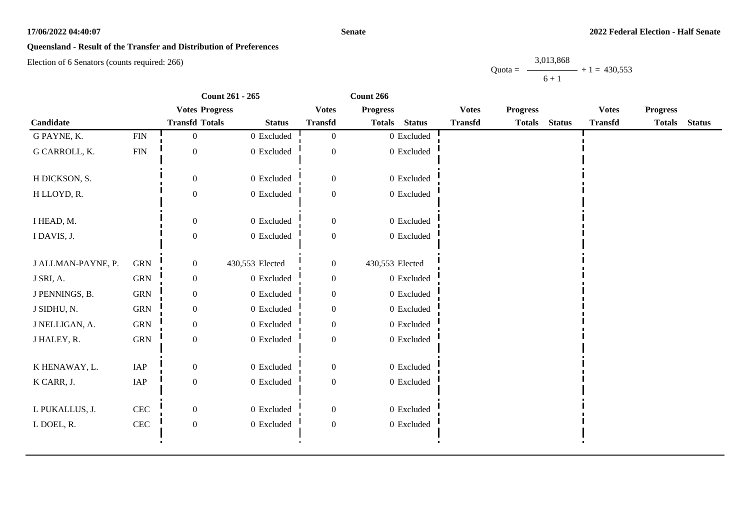#### **Senate**

# **Queensland - Result of the Transfer and Distribution of Preferences**

Election of 6 Senators (counts required: 266)

|                    |              | Count 261 - 265       |                 | Count 266        |                 |                |                |                 |               |                |                 |               |
|--------------------|--------------|-----------------------|-----------------|------------------|-----------------|----------------|----------------|-----------------|---------------|----------------|-----------------|---------------|
|                    |              | <b>Votes Progress</b> |                 | <b>Votes</b>     | <b>Progress</b> |                | <b>Votes</b>   | <b>Progress</b> |               | <b>Votes</b>   | <b>Progress</b> |               |
| Candidate          |              | <b>Transfd Totals</b> | <b>Status</b>   | <b>Transfd</b>   | <b>Totals</b>   | <b>Status</b>  | <b>Transfd</b> | <b>Totals</b>   | <b>Status</b> | <b>Transfd</b> | <b>Totals</b>   | <b>Status</b> |
| G PAYNE, K.        | <b>FIN</b>   | $\overline{0}$        | 0 Excluded      | $\overline{0}$   |                 | $0\,$ Excluded |                |                 |               |                |                 |               |
| G CARROLL, K.      | <b>FIN</b>   | $\boldsymbol{0}$      | $0\,$ Excluded  | $\boldsymbol{0}$ |                 | $0\,$ Excluded |                |                 |               |                |                 |               |
| H DICKSON, S.      |              | $\mathbf{0}$          | 0 Excluded      | $\boldsymbol{0}$ |                 | 0 Excluded     |                |                 |               |                |                 |               |
| H LLOYD, R.        |              | $\boldsymbol{0}$      | 0 Excluded      | $\boldsymbol{0}$ |                 | $0\,$ Excluded |                |                 |               |                |                 |               |
| I HEAD, M.         |              | $\mathbf{0}$          | 0 Excluded      | $\boldsymbol{0}$ |                 | $0$ Excluded   |                |                 |               |                |                 |               |
| I DAVIS, J.        |              | $\boldsymbol{0}$      | 0 Excluded      | $\boldsymbol{0}$ |                 | 0 Excluded     |                |                 |               |                |                 |               |
| J ALLMAN-PAYNE, P. | <b>GRN</b>   | $\boldsymbol{0}$      | 430,553 Elected | $\boldsymbol{0}$ | 430,553 Elected |                |                |                 |               |                |                 |               |
| J SRI, A.          | ${\rm GRN}$  | $\boldsymbol{0}$      | 0 Excluded      | $\boldsymbol{0}$ |                 | 0 Excluded     |                |                 |               |                |                 |               |
| J PENNINGS, B.     | <b>GRN</b>   | $\mathbf{0}$          | 0 Excluded      | $\boldsymbol{0}$ |                 | 0 Excluded     |                |                 |               |                |                 |               |
| J SIDHU, N.        | <b>GRN</b>   | $\mathbf{0}$          | 0 Excluded      | $\mathbf{0}$     |                 | 0 Excluded     |                |                 |               |                |                 |               |
| J NELLIGAN, A.     | <b>GRN</b>   | $\mathbf{0}$          | $0$ Excluded    | $\overline{0}$   |                 | $0\,$ Excluded |                |                 |               |                |                 |               |
| J HALEY, R.        | ${\rm GRN}$  | $\boldsymbol{0}$      | 0 Excluded      | $\boldsymbol{0}$ |                 | 0 Excluded     |                |                 |               |                |                 |               |
| K HENAWAY, L.      | IAP          | $\mathbf{0}$          | 0 Excluded      | $\boldsymbol{0}$ |                 | 0 Excluded     |                |                 |               |                |                 |               |
| K CARR, J.         | IAP          | $\boldsymbol{0}$      | $0\,$ Excluded  | $\boldsymbol{0}$ |                 | $0$ Excluded   |                |                 |               |                |                 |               |
| L PUKALLUS, J.     | $\mbox{CEC}$ | $\boldsymbol{0}$      | 0 Excluded      | $\overline{0}$   |                 | 0 Excluded     |                |                 |               |                |                 |               |
| L DOEL, R.         | $\mbox{CEC}$ | $\boldsymbol{0}$      | $0$ Excluded    | $\boldsymbol{0}$ |                 | $0$ Excluded   |                |                 |               |                |                 |               |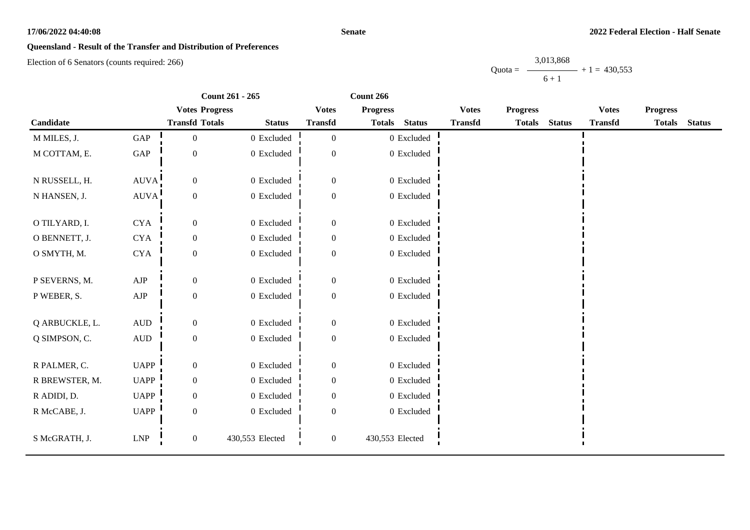#### **Senate**

# **Queensland - Result of the Transfer and Distribution of Preferences**

Election of 6 Senators (counts required: 266)

|                |                      | Count 261 - 265       | Count 266       |                  |                 |                |                |                 |               |                |                 |               |
|----------------|----------------------|-----------------------|-----------------|------------------|-----------------|----------------|----------------|-----------------|---------------|----------------|-----------------|---------------|
|                |                      | <b>Votes Progress</b> |                 | <b>Votes</b>     | <b>Progress</b> |                | <b>Votes</b>   | <b>Progress</b> |               | <b>Votes</b>   | <b>Progress</b> |               |
| Candidate      |                      | <b>Transfd Totals</b> | <b>Status</b>   | <b>Transfd</b>   | <b>Totals</b>   | <b>Status</b>  | <b>Transfd</b> | <b>Totals</b>   | <b>Status</b> | <b>Transfd</b> | <b>Totals</b>   | <b>Status</b> |
| M MILES, J.    | $\operatorname{GAP}$ | $\boldsymbol{0}$      | 0 Excluded      | $\boldsymbol{0}$ |                 | $0\,$ Excluded |                |                 |               |                |                 |               |
| M COTTAM, E.   | $\operatorname{GAP}$ | $\boldsymbol{0}$      | $0$ Excluded    | $\boldsymbol{0}$ |                 | 0 Excluded     |                |                 |               |                |                 |               |
| N RUSSELL, H.  | <b>AUVA</b>          | $\overline{0}$        | 0 Excluded      | $\boldsymbol{0}$ |                 | 0 Excluded     |                |                 |               |                |                 |               |
| N HANSEN, J.   | <b>AUVA</b>          | $\boldsymbol{0}$      | $0$ Excluded    | $\boldsymbol{0}$ |                 | 0 Excluded     |                |                 |               |                |                 |               |
| O TILYARD, I.  | <b>CYA</b>           | $\boldsymbol{0}$      | 0 Excluded      | $\boldsymbol{0}$ |                 | 0 Excluded     |                |                 |               |                |                 |               |
| O BENNETT, J.  | ${\rm CYA}$          | $\boldsymbol{0}$      | 0 Excluded      | $\boldsymbol{0}$ |                 | 0 Excluded     |                |                 |               |                |                 |               |
| O SMYTH, M.    | ${\rm CYA}$          | $\boldsymbol{0}$      | $0$ Excluded    | $\boldsymbol{0}$ |                 | $0$ Excluded   |                |                 |               |                |                 |               |
| P SEVERNS, M.  | ${\rm AJP}$          | $\boldsymbol{0}$      | 0 Excluded      | $\mathbf{0}$     |                 | 0 Excluded     |                |                 |               |                |                 |               |
| P WEBER, S.    | ${\rm AJP}$          | $\boldsymbol{0}$      | $0\,$ Excluded  | $\boldsymbol{0}$ |                 | 0 Excluded     |                |                 |               |                |                 |               |
| Q ARBUCKLE, L. | $\mbox{\rm AUD}$     | $\boldsymbol{0}$      | 0 Excluded      | $\boldsymbol{0}$ |                 | 0 Excluded     |                |                 |               |                |                 |               |
| Q SIMPSON, C.  | <b>AUD</b>           | $\boldsymbol{0}$      | 0 Excluded      | $\boldsymbol{0}$ |                 | 0 Excluded     |                |                 |               |                |                 |               |
| R PALMER, C.   | <b>UAPP</b>          | $\boldsymbol{0}$      | 0 Excluded      | $\boldsymbol{0}$ |                 | 0 Excluded     |                |                 |               |                |                 |               |
| R BREWSTER, M. | <b>UAPP</b>          | $\boldsymbol{0}$      | $0$ Excluded    | $\boldsymbol{0}$ |                 | 0 Excluded     |                |                 |               |                |                 |               |
| R ADIDI, D.    | <b>UAPP</b>          | $\boldsymbol{0}$      | $0$ Excluded    | $\mathbf{0}$     |                 | 0 Excluded     |                |                 |               |                |                 |               |
| R McCABE, J.   | <b>UAPP</b>          | $\overline{0}$        | 0 Excluded      | $\mathbf{0}$     |                 | 0 Excluded     |                |                 |               |                |                 |               |
| S McGRATH, J.  | ${\rm LNP}$          | $\mathbf{0}$          | 430,553 Elected | $\boldsymbol{0}$ | 430,553 Elected |                |                |                 |               |                |                 |               |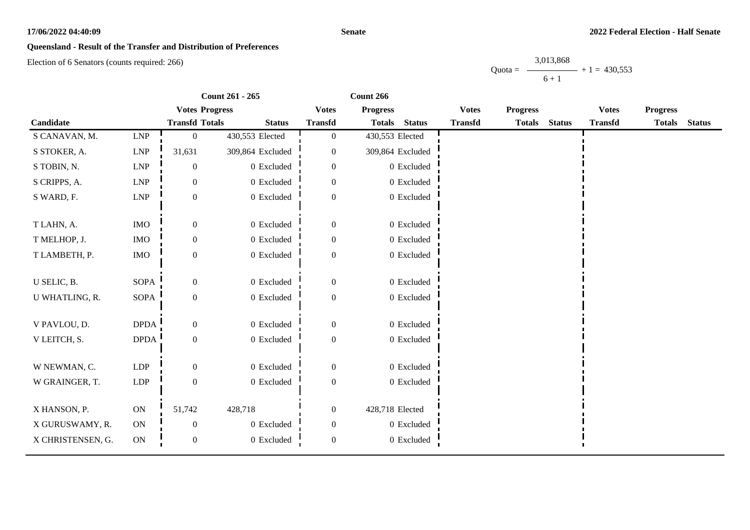#### **Senate**

# **Queensland - Result of the Transfer and Distribution of Preferences**

Election of 6 Senators (counts required: 266)

|                   |             | Count 261 - 265       |                  |                  | Count 266                      |                |                 |               |                |                 |               |
|-------------------|-------------|-----------------------|------------------|------------------|--------------------------------|----------------|-----------------|---------------|----------------|-----------------|---------------|
|                   |             | <b>Votes Progress</b> |                  | <b>Votes</b>     | <b>Progress</b>                | <b>Votes</b>   | <b>Progress</b> |               | <b>Votes</b>   | <b>Progress</b> |               |
| Candidate         |             | <b>Transfd Totals</b> | <b>Status</b>    | <b>Transfd</b>   | <b>Status</b><br><b>Totals</b> | <b>Transfd</b> | <b>Totals</b>   | <b>Status</b> | <b>Transfd</b> | <b>Totals</b>   | <b>Status</b> |
| S CANAVAN, M.     | LNP         | $\Omega$              | 430,553 Elected  | $\overline{0}$   | 430,553 Elected                |                |                 |               |                |                 |               |
| S STOKER, A.      | <b>LNP</b>  | 31,631                | 309,864 Excluded | $\mathbf{0}$     | 309,864 Excluded               |                |                 |               |                |                 |               |
| S TOBIN, N.       | LNP         | $\boldsymbol{0}$      | 0 Excluded       | $\boldsymbol{0}$ | 0 Excluded                     |                |                 |               |                |                 |               |
| S CRIPPS, A.      | ${\rm LNP}$ | 0                     | 0 Excluded       | $\mathbf{0}$     | 0 Excluded                     |                |                 |               |                |                 |               |
| S WARD, F.        | ${\rm LNP}$ | $\boldsymbol{0}$      | 0 Excluded       | $\overline{0}$   | $0$ Excluded                   |                |                 |               |                |                 |               |
|                   |             |                       |                  |                  |                                |                |                 |               |                |                 |               |
| T LAHN, A.        | <b>IMO</b>  | $\overline{0}$        | 0 Excluded       | $\boldsymbol{0}$ | 0 Excluded                     |                |                 |               |                |                 |               |
| T MELHOP, J.      | $\rm{IMO}$  | $\boldsymbol{0}$      | 0 Excluded       | $\boldsymbol{0}$ | 0 Excluded                     |                |                 |               |                |                 |               |
| T LAMBETH, P.     | $\rm{IMO}$  | $\boldsymbol{0}$      | 0 Excluded       | $\overline{0}$   | $0$ Excluded                   |                |                 |               |                |                 |               |
|                   |             |                       |                  |                  |                                |                |                 |               |                |                 |               |
| U SELIC, B.       | <b>SOPA</b> | $\overline{0}$        | 0 Excluded       | $\boldsymbol{0}$ | 0 Excluded                     |                |                 |               |                |                 |               |
| U WHATLING, R.    | SOPA        | $\boldsymbol{0}$      | 0 Excluded       | $\mathbf{0}$     | 0 Excluded                     |                |                 |               |                |                 |               |
| V PAVLOU, D.      | <b>DPDA</b> | $\overline{0}$        | 0 Excluded       | $\overline{0}$   | 0 Excluded                     |                |                 |               |                |                 |               |
| V LEITCH, S.      | <b>DPDA</b> | $\boldsymbol{0}$      | 0 Excluded       | $\boldsymbol{0}$ | 0 Excluded                     |                |                 |               |                |                 |               |
|                   |             |                       |                  |                  |                                |                |                 |               |                |                 |               |
| W NEWMAN, C.      | LDP         | $\overline{0}$        | 0 Excluded       | $\Omega$         | 0 Excluded                     |                |                 |               |                |                 |               |
| W GRAINGER, T.    | LDP         | $\overline{0}$        | 0 Excluded       | $\overline{0}$   | 0 Excluded                     |                |                 |               |                |                 |               |
|                   |             |                       |                  |                  |                                |                |                 |               |                |                 |               |
| X HANSON, P.      | $\mbox{ON}$ | 51,742                | 428,718          | $\boldsymbol{0}$ | 428,718 Elected                |                |                 |               |                |                 |               |
| X GURUSWAMY, R.   | ON          | $\overline{0}$        | 0 Excluded       | $\Omega$         | 0 Excluded                     |                |                 |               |                |                 |               |
| X CHRISTENSEN, G. | ON          | $\boldsymbol{0}$      | 0 Excluded       | $\boldsymbol{0}$ | 0 Excluded                     |                |                 |               |                |                 |               |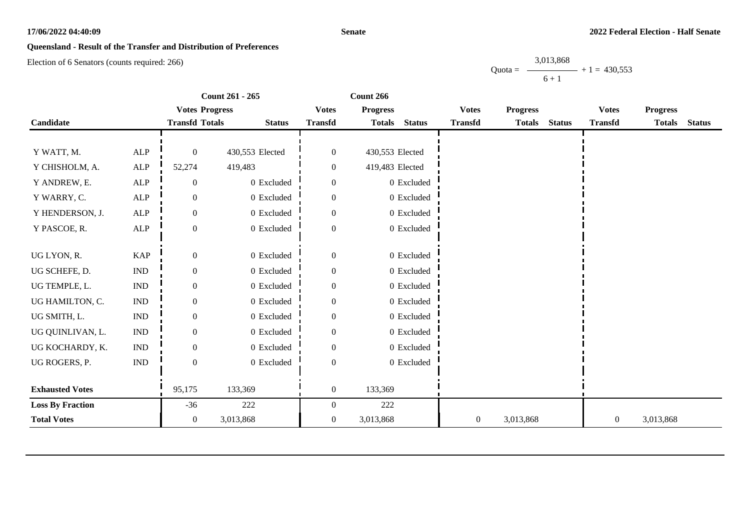#### **Senate**

# **Queensland - Result of the Transfer and Distribution of Preferences**

Election of 6 Senators (counts required: 266)

|                         |                             | Count 261 - 265       |                 | Count 266        |                 |                |                  |                 |               |                  |                 |               |
|-------------------------|-----------------------------|-----------------------|-----------------|------------------|-----------------|----------------|------------------|-----------------|---------------|------------------|-----------------|---------------|
|                         |                             | <b>Votes Progress</b> |                 | <b>Votes</b>     | <b>Progress</b> |                | <b>Votes</b>     | <b>Progress</b> |               | <b>Votes</b>     | <b>Progress</b> |               |
| Candidate               |                             | <b>Transfd Totals</b> | <b>Status</b>   | <b>Transfd</b>   | <b>Totals</b>   | <b>Status</b>  | <b>Transfd</b>   | <b>Totals</b>   | <b>Status</b> | <b>Transfd</b>   | <b>Totals</b>   | <b>Status</b> |
|                         |                             |                       |                 |                  |                 |                |                  |                 |               |                  |                 |               |
| Y WATT, M.              | ALP                         | $\overline{0}$        | 430,553 Elected | $\overline{0}$   | 430,553 Elected |                |                  |                 |               |                  |                 |               |
| Y CHISHOLM, A.          | ${\sf ALP}$                 | 52,274                | 419,483         | $\overline{0}$   | 419,483 Elected |                |                  |                 |               |                  |                 |               |
| Y ANDREW, E.            | ${\sf ALP}$                 | $\mathbf{0}$          | 0 Excluded      | $\overline{0}$   |                 | 0 Excluded     |                  |                 |               |                  |                 |               |
| Y WARRY, C.             | ALP                         | $\boldsymbol{0}$      | $0\,$ Excluded  | $\boldsymbol{0}$ |                 | 0 Excluded     |                  |                 |               |                  |                 |               |
| Y HENDERSON, J.         | ${\sf ALP}$                 | $\overline{0}$        | $0\,$ Excluded  | $\Omega$         |                 | $0\,$ Excluded |                  |                 |               |                  |                 |               |
| Y PASCOE, R.            | ALP                         | $\mathbf{0}$          | 0 Excluded      | $\boldsymbol{0}$ |                 | 0 Excluded     |                  |                 |               |                  |                 |               |
|                         |                             |                       |                 |                  |                 |                |                  |                 |               |                  |                 |               |
| UG LYON, R.             | <b>KAP</b>                  | $\overline{0}$        | $0$ Excluded    | $\theta$         |                 | $0$ Excluded   |                  |                 |               |                  |                 |               |
| UG SCHEFE, D.           | <b>IND</b>                  | $\mathbf{0}$          | 0 Excluded      | $\mathbf{0}$     |                 | 0 Excluded     |                  |                 |               |                  |                 |               |
| UG TEMPLE, L.           | $\mathop{\rm IND}\nolimits$ | $\overline{0}$        | 0 Excluded      | $\overline{0}$   |                 | 0 Excluded     |                  |                 |               |                  |                 |               |
| UG HAMILTON, C.         | <b>IND</b>                  | $\boldsymbol{0}$      | $0$ Excluded    | $\boldsymbol{0}$ |                 | $0$ Excluded   |                  |                 |               |                  |                 |               |
| UG SMITH, L.            | <b>IND</b>                  | $\boldsymbol{0}$      | 0 Excluded      | $\mathbf{0}$     |                 | 0 Excluded     |                  |                 |               |                  |                 |               |
| UG QUINLIVAN, L.        | $\ensuremath{\text{IND}}$   | $\overline{0}$        | 0 Excluded      | $\boldsymbol{0}$ |                 | $0$ Excluded   |                  |                 |               |                  |                 |               |
| UG KOCHARDY, K.         | <b>IND</b>                  | $\overline{0}$        | $0$ Excluded    | $\Omega$         |                 | 0 Excluded     |                  |                 |               |                  |                 |               |
| UG ROGERS, P.           | $\ensuremath{\mathsf{IND}}$ | $\mathbf{0}$          | 0 Excluded      | $\mathbf{0}$     |                 | $0$ Excluded   |                  |                 |               |                  |                 |               |
|                         |                             |                       |                 |                  |                 |                |                  |                 |               |                  |                 |               |
| <b>Exhausted Votes</b>  |                             | 95,175                | 133,369         | $\boldsymbol{0}$ | 133,369         |                |                  |                 |               |                  |                 |               |
| <b>Loss By Fraction</b> |                             | $-36$                 | 222             | $\overline{0}$   | 222             |                |                  |                 |               |                  |                 |               |
| <b>Total Votes</b>      |                             | $\overline{0}$        | 3,013,868       | $\overline{0}$   | 3,013,868       |                | $\boldsymbol{0}$ | 3,013,868       |               | $\boldsymbol{0}$ | 3,013,868       |               |